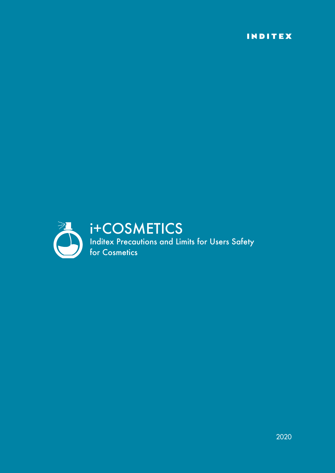INDITEX

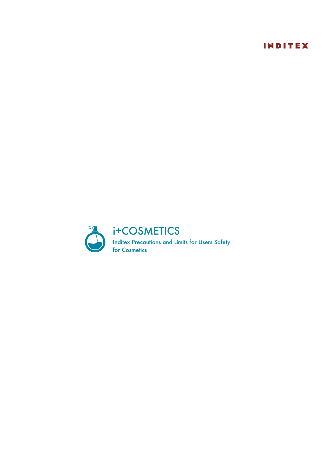# INDITEX

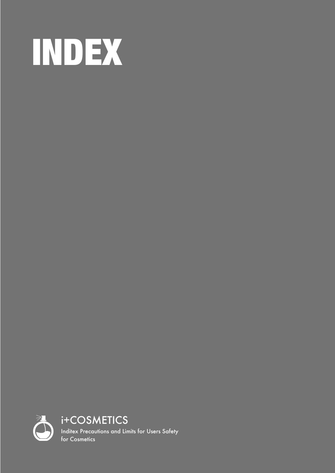<span id="page-4-0"></span>

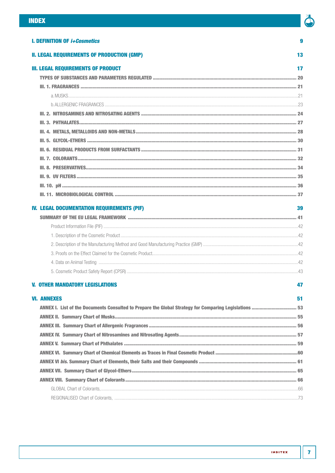

 $\overline{9}$ 

13

| <b>I. DEFINITION OF <i>i+Cosmetics</i></b> |  |  |
|--------------------------------------------|--|--|
|--------------------------------------------|--|--|

# **II. LEGAL REQUIREMENTS OF PRODUCTION (GMP)**

| <b>III. LEGAL REQUIREMENTS OF PRODUCT</b> |  |
|-------------------------------------------|--|
|                                           |  |
|                                           |  |
|                                           |  |
|                                           |  |
|                                           |  |
|                                           |  |
|                                           |  |
|                                           |  |
|                                           |  |
|                                           |  |
|                                           |  |
|                                           |  |
|                                           |  |
|                                           |  |

# **IV. LEGAL DOCUMENTATION REQUIREMENTS (PIF)**

| ч.<br>v.<br>۰. | i<br>۰. |
|----------------|---------|

# **V. OTHER MANDATORY LEGISLATIONS**

# 47

| <b>VI. ANNEXES</b>                                                                                     | 51 |
|--------------------------------------------------------------------------------------------------------|----|
| ANNEX I. List of the Documents Consulted to Prepare the Global Strategy for Comparing Legislations  53 |    |
|                                                                                                        |    |
|                                                                                                        |    |
|                                                                                                        |    |
|                                                                                                        |    |
|                                                                                                        |    |
|                                                                                                        |    |
|                                                                                                        |    |
|                                                                                                        |    |
|                                                                                                        |    |
|                                                                                                        |    |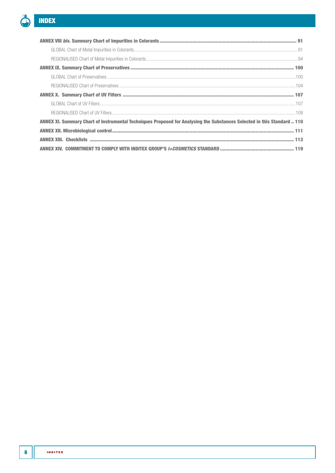

| ANNEX XI. Summary Chart of Instrumental Techniques Proposed for Analysing the Substances Selected in this Standard  110 |
|-------------------------------------------------------------------------------------------------------------------------|
|                                                                                                                         |
|                                                                                                                         |
|                                                                                                                         |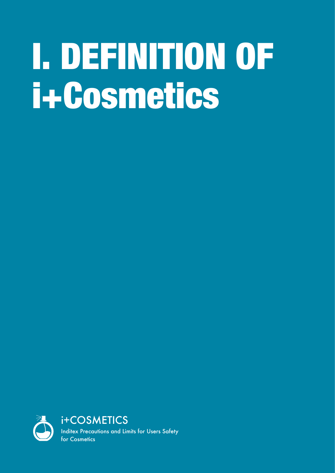# <span id="page-8-1"></span><span id="page-8-0"></span>I. DEFINITION OF i+Cosmetics

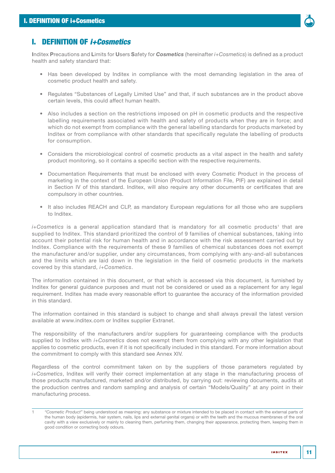

# I. DEFINITION OF *i+Cosmetics*

Inditex Precautions and Limits for Users Safety for *Cosmetics* (hereinafter *i+Cosmetics*) is defined as a product health and safety standard that:

- Has been developed by Inditex in compliance with the most demanding legislation in the area of cosmetic product health and safety.
- Regulates "Substances of Legally Limited Use" and that, if such substances are in the product above certain levels, this could affect human health.
- Also includes a section on the restrictions imposed on pH in cosmetic products and the respective labelling requirements associated with health and safety of products when they are in force; and which do not exempt from compliance with the general labelling standards for products marketed by Inditex or from compliance with other standards that specifically regulate the labelling of products for consumption.
- Considers the microbiological control of cosmetic products as a vital aspect in the health and safety product monitoring, so it contains a specific section with the respective requirements.
- Documentation Requirements that must be enclosed with every Cosmetic Product in the process of marketing in the context of the European Union (Product Information File, PIF) are explained in detail in Section IV of this standard. Inditex, will also require any other documents or certificates that are compulsory in other countries.
- It also includes [REACH](#page-48-0) and [CLP](#page-48-1), as mandatory European regulations for all those who are suppliers to Inditex.

 $i$ +Cosmetics is a general application standard that is mandatory for all cosmetic products<sup>1</sup> that are supplied to Inditex. This standard prioritized the control of 9 families of chemical substances, taking into account their potential risk for human health and in accordance with the risk assessment carried out by Inditex. Compliance with the requirements of these 9 families of chemical substances does not exempt the manufacturer and/or supplier, under any circumstances, from complying with any-and-all substances and the limits which are laid down in the legislation in the field of cosmetic products in the markets covered by this standard, *i+Cosmetics*.

The information contained in this document, or that which is accessed via this document, is furnished by Inditex for general guidance purposes and must not be considered or used as a replacement for any legal requirement. Inditex has made every reasonable effort to guarantee the accuracy of the information provided in this standard.

The information contained in this standard is subject to change and shall always prevail the latest version available at [www.inditex.com](http://www.inditex.com) or Inditex supplier Extranet.

The responsibility of the manufacturers and/or suppliers for guaranteeing compliance with the products supplied to Inditex with *i+Cosmetics* does not exempt them from complying with any other legislation that applies to cosmetic products, even if it is not specifically included in this standard. For more information about the commitment to comply with this standard see [Annex XIV](#page-118-1).

Regardless of the control commitment taken on by the suppliers of those parameters regulated by *i+Cosmetics*, Inditex will verify their correct implementation at any stage in the manufacturing process of those products manufactured, marketed and/or distributed, by carrying out: reviewing documents, audits at the production centres and random sampling and analysis of certain "Models/Quality" at any point in their manufacturing process.

<sup>1</sup> *"Cosmetic Product"* being understood as meaning: any substance or mixture intended to be placed in contact with the external parts of the human body (epidermis, hair system, nails, lips and external genital organs) or with the teeth and the mucous membranes of the oral cavity with a view exclusively or mainly to cleaning them, perfuming them, changing their appearance, protecting them, keeping them in good condition or correcting body odours.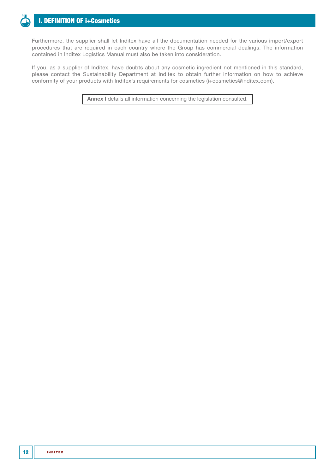

# [I. DEFINITION OF i+Cosmetics](#page-8-1)

Furthermore, the supplier shall let Inditex have all the documentation needed for the various import/export procedures that are required in each country where the Group has commercial dealings. The information contained in Inditex Logistics Manual must also be taken into consideration.

If you, as a supplier of Inditex, have doubts about any cosmetic ingredient not mentioned in this standard, please contact the Sustainability Department at Inditex to obtain further information on how to achieve conformity of your products with Inditex's requirements for cosmetics [\(i+cosmetics@inditex.com](mailto:i%2Bcosmetics%40inditex.com?subject=)).

[Annex I](#page-52-1) details all information concerning the legislation consulted.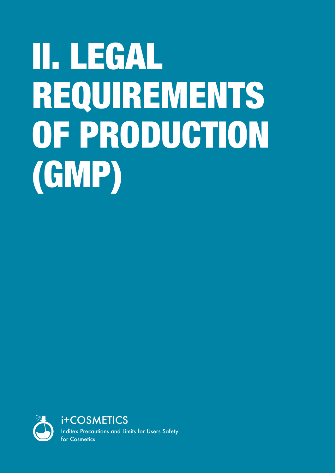# <span id="page-12-1"></span><span id="page-12-0"></span>II. LEGAL REQUIREMENTS OF PRODUCTION (GMP)

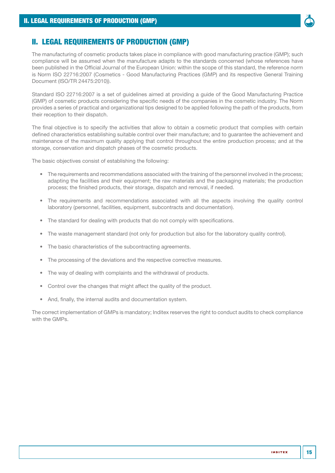

# II. LEGAL REQUIREMENTS OF PRODUCTION (GMP)

The manufacturing of cosmetic products takes place in compliance with good manufacturing practice (GMP); such compliance will be assumed when the manufacture adapts to the standards concerned (whose references have been published in the Official Journal of the European Union: within the scope of this standard, the reference norm is Norm ISO 22716:2007 (Cosmetics - Good Manufacturing Practices (GMP) and its respective General Training Document (ISO/TR 24475:2010)).

Standard ISO 22716:2007 is a set of guidelines aimed at providing a guide of the Good Manufacturing Practice (GMP) of cosmetic products considering the specific needs of the companies in the cosmetic industry. The Norm provides a series of practical and organizational tips designed to be applied following the path of the products, from their reception to their dispatch.

The final objective is to specify the activities that allow to obtain a cosmetic product that complies with certain defined characteristics establishing suitable control over their manufacture; and to guarantee the achievement and maintenance of the maximum quality applying that control throughout the entire production process; and at the storage, conservation and dispatch phases of the cosmetic products.

The basic objectives consist of establishing the following:

- The requirements and recommendations associated with the training of the personnel involved in the process; adapting the facilities and their equipment; the raw materials and the packaging materials; the production process; the finished products, their storage, dispatch and removal, if needed.
- The requirements and recommendations associated with all the aspects involving the quality control laboratory (personnel, facilities, equipment, subcontracts and documentation).
- The standard for dealing with products that do not comply with specifications.
- The waste management standard (not only for production but also for the laboratory quality control).
- The basic characteristics of the subcontracting agreements.
- The processing of the deviations and the respective corrective measures.
- The way of dealing with complaints and the withdrawal of products.
- Control over the changes that might affect the quality of the product.
- And, finally, the internal audits and documentation system.

The correct implementation of GMPs is mandatory; Inditex reserves the right to conduct audits to check compliance with the GMPs.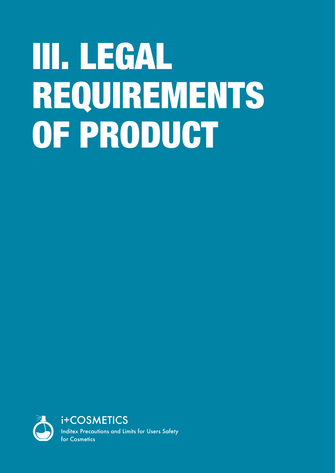# <span id="page-16-1"></span><span id="page-16-0"></span>III. LEGAL REQUIREMENTS OF PRODUCT

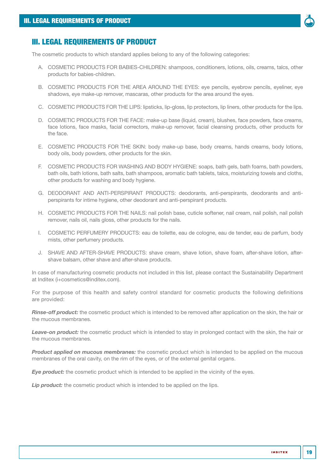

# III. LEGAL REQUIREMENTS OF PRODUCT

The cosmetic products to which standard applies belong to any of the following categories:

- A. COSMETIC PRODUCTS FOR BABIES-CHILDREN: shampoos, conditioners, lotions, oils, creams, talcs, other products for babies-children.
- B. COSMETIC PRODUCTS FOR THE AREA AROUND THE EYES: eye pencils, eyebrow pencils, eyeliner, eye shadows, eye make-up remover, mascaras, other products for the area around the eyes.
- C. COSMETIC PRODUCTS FOR THE LIPS: lipsticks, lip-gloss, lip protectors, lip liners, other products for the lips.
- D. COSMETIC PRODUCTS FOR THE FACE: make-up base (liquid, cream), blushes, face powders, face creams, face lotions, face masks, facial correctors, make-up remover, facial cleansing products, other products for the face.
- E. COSMETIC PRODUCTS FOR THE SKIN: body make-up base, body creams, hands creams, body lotions, body oils, body powders, other products for the skin.
- F. COSMETIC PRODUCTS FOR WASHING AND BODY HYGIENE: soaps, bath gels, bath foams, bath powders, bath oils, bath lotions, bath salts, bath shampoos, aromatic bath tablets, talcs, moisturizing towels and cloths, other products for washing and body hygiene.
- G. DEODORANT AND ANTI-PERSPIRANT PRODUCTS: deodorants, anti-perspirants, deodorants and antiperspirants for intime hygiene, other deodorant and anti-perspirant products.
- H. COSMETIC PRODUCTS FOR THE NAILS: nail polish base, cuticle softener, nail cream, nail polish, nail polish remover, nails oil, nails gloss, other products for the nails.
- I. COSMETIC PERFUMERY PRODUCTS: eau de toilette, eau de cologne, eau de tender, eau de parfum, body mists, other perfumery products.
- J. SHAVE AND AFTER-SHAVE PRODUCTS: shave cream, shave lotion, shave foam, after-shave lotion, aftershave balsam, other shave and after-shave products.

In case of manufacturing cosmetic products not included in this list, please contact the Sustainability Department at Inditex [\(i+cosmetics@inditex.com](mailto:i%2Bcosmetics%40inditex.com?subject=)).

For the purpose of this health and safety control standard for cosmetic products the following definitions are provided:

*Rinse-off product:* the cosmetic product which is intended to be removed after application on the skin, the hair or the mucous membranes.

*Leave-on product:* the cosmetic product which is intended to stay in prolonged contact with the skin, the hair or the mucous membranes.

**Product applied on mucous membranes:** the cosmetic product which is intended to be applied on the mucous membranes of the oral cavity, on the rim of the eyes, or of the external genital organs.

**Eye product:** the cosmetic product which is intended to be applied in the vicinity of the eyes.

**Lip product:** the cosmetic product which is intended to be applied on the lips.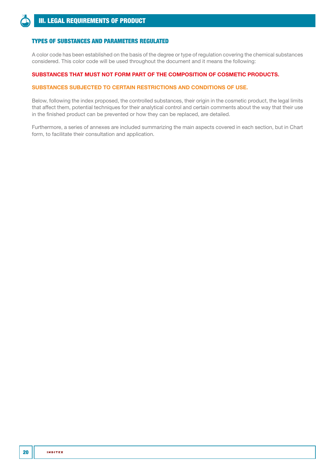<span id="page-19-0"></span>

# TYPES OF SUBSTANCES AND PARAMETERS REGULATED

A color code has been established on the basis of the degree or type of regulation covering the chemical substances considered. This color code will be used throughout the document and it means the following:

## SUBSTANCES THAT MUST NOT FORM PART OF THE COMPOSITION OF COSMETIC PRODUCTS.

### SUBSTANCES SUBJECTED TO CERTAIN RESTRICTIONS AND CONDITIONS OF USE.

Below, following the index proposed, the controlled substances, their origin in the cosmetic product, the legal limits that affect them, potential techniques for their analytical control and certain comments about the way that their use in the finished product can be prevented or how they can be replaced, are detailed.

Furthermore, a series of annexes are included summarizing the main aspects covered in each section, but in Chart form, to facilitate their consultation and application.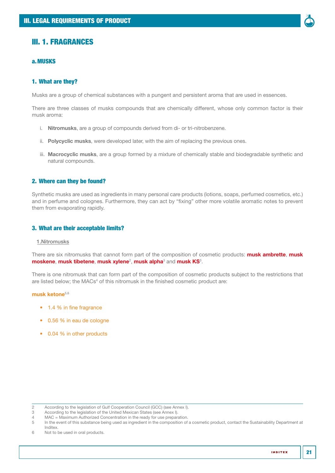<span id="page-20-0"></span>

## a.MUSKS

## 1. What are they?

Musks are a group of chemical substances with a pungent and persistent aroma that are used in essences.

There are three classes of musks compounds that are chemically different, whose only common factor is their musk aroma:

- i. Nitromusks, are a group of compounds derived from di- or tri-nitrobenzene.
- ii. Polycyclic musks, were developed later, with the aim of replacing the previous ones.
- iii. Macrocyclic musks, are a group formed by a mixture of chemically stable and biodegradable synthetic and natural compounds.

## 2. Where can they be found?

Synthetic musks are used as ingredients in many personal care products (lotions, soaps, perfumed cosmetics, etc.) and in perfume and colognes. Furthermore, they can act by "fixing" other more volatile aromatic notes to prevent them from evaporating rapidly.

### 3. What are their acceptable limits?

#### 1.Nitromusks

There are six nitromusks that cannot form part of the composition of cosmetic products: musk ambrette, musk moskene, musk tibetene, musk xylene<sup>2</sup>, musk alpha<sup>3</sup> and musk KS<sup>3</sup>.

There is one nitromusk that can form part of the composition of cosmetic products subject to the restrictions that are listed below; the MACs<sup>4</sup> of this nitromusk in the finished cosmetic product are:

# musk ketone $5,6$

- 1.4 % in fine fragrance
- 0.56 % in eau de cologne
- 0.04 % in other products

<sup>2</sup> According to the legislation of Gulf Cooperation Council (GCC) (see [Annex I\)](#page-52-1).

<sup>3</sup> According to the legislation of the United Mexican States (see [Annex I](#page-52-1)).

<sup>4</sup> MAC = Maximum Authorized Concentration in the ready for use preparation.<br>5 In the event of this substance being used as ingredient in the composition of

In the event of this substance being used as ingredient in the composition of a cosmetic product, contact the Sustainability Department at Inditex.

<sup>6</sup> Not to be used in oral products.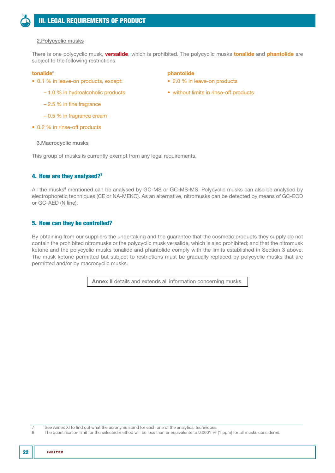## 2.Polycyclic musks

There is one polycyclic musk, versalide, which is prohibited. The polycyclic musks tonalide and phantolide are subject to the following restrictions:

#### tonalide<sup>6</sup> biographic controller phantolide phantolide

- 0.1 % in leave-on products, except:
	- 1.0 % in hydroalcoholic products
	- 2.5 % in fine fragrance
	- 0.5 % in fragrance cream
- 0.2 % in rinse-off products

#### 3.Macrocyclic musks

This group of musks is currently exempt from any legal requirements.

## 4. How are they analysed?7

All the musks<sup>8</sup> mentioned can be analysed by GC-MS or GC-MS-MS. Polycyclic musks can also be analysed by electrophoretic techniques (CE or NA-MEKC). As an alternative, nitromusks can be detected by means of GC-ECD or GC-AED (N line).

## 5. How can they be controlled?

By obtaining from our suppliers the undertaking and the guarantee that the cosmetic products they supply do not contain the prohibited nitromusks or the polycyclic musk versalide, which is also prohibited; and that the nitromusk ketone and the polycyclic musks tonalide and phantolide comply with the limits established in Section 3 above. The musk ketone permitted but subject to restrictions must be gradually replaced by polycyclic musks that are permitted and/or by macrocyclic musks.

[Annex II](#page-54-1) details and extends all information concerning musks.

7 See [Annex XI](#page-109-1) to find out what the acronyms stand for each one of the analytical techniques.<br>8 The quantification limit for the selected method will be less than or equivalente to 0,0001 %

The quantification limit for the selected method will be less than or equivalente to 0.0001 % (1 ppm) for all musks considered.

- 2.0 % in leave-on products
- without limits in rinse-off products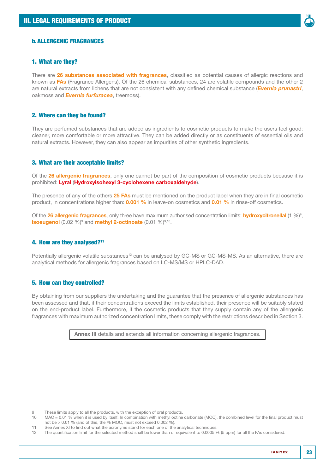

## <span id="page-22-0"></span>b.ALLERGENIC FRAGRANCES

### 1. What are they?

There are 26 substances associated with fragrances, classified as potential causes of allergic reactions and known as FAs (Fragrance Allergens). Of the 26 chemical substances, 24 are volatile compounds and the other 2 are natural extracts from lichens that are not consistent with any defined chemical substance (*Evernia prunastri*, oakmoss and *Evernia furfuracea*, treemoss).

## 2. Where can they be found?

They are perfumed substances that are added as ingredients to cosmetic products to make the users feel good: cleaner, more comfortable or more attractive. They can be added directly or as constituents of essential oils and natural extracts. However, they can also appear as impurities of other synthetic ingredients.

## 3. What are their acceptable limits?

Of the 26 allergenic fragrances, only one cannot be part of the composition of cosmetic products because it is prohibited: Lyral (Hydroxyisohexyl 3-cyclohexene carboxaldehyde).

The presence of any of the others 25 FAs must be mentioned on the product label when they are in final cosmetic product, in concentrations higher than: 0.001 % in leave-on cosmetics and 0.01 % in rinse-off cosmetics.

Of the 26 allergenic fragrances, only three have maximum authorised concentration limits: hydroxycitronellal (1 %)<sup>9</sup>, isoeugenol (0.02 %)<sup>9</sup> and methyl 2-octinoate (0.01 %)<sup>9,10</sup>.

## 4. How are they analysed?11

Potentially allergenic volatile substances<sup>12</sup> can be analysed by GC-MS or GC-MS-MS. As an alternative, there are analytical methods for allergenic fragrances based on LC-MS/MS or HPLC-DAD.

## 5. How can they controlled?

By obtaining from our suppliers the undertaking and the guarantee that the presence of allergenic substances has been assessed and that, if their concentrations exceed the limits established, their presence will be suitably stated on the end-product label. Furthermore, if the cosmetic products that they supply contain any of the allergenic fragrances with maximum authorized concentration limits, these comply with the restrictions described in Section 3.

[Annex III](#page-55-1) details and extends all information concerning allergenic fragrances.

9 These limits apply to all the products, with the exception of oral products.

10 MAC = 0.01 % when it is used by itself. In combination with methyl octine carbonate (MOC), the combined level for the final product must not be > 0.01 % (and of this, the % MOC, must not exceed 0.002 %).

11 See [Annex XI](#page-109-1) to find out what the acronyms stand for each one of the analytical techniques.

12 The quantification limit for the selected method shall be lower than or equivalent to 0.0005 % (5 ppm) for all the FAs considered.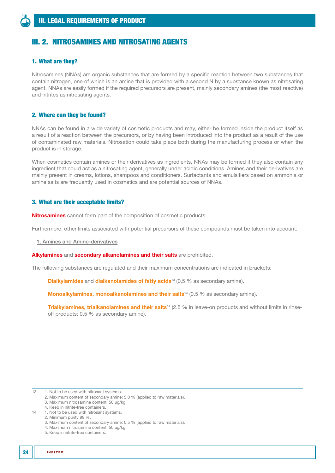# <span id="page-23-0"></span>III. 2. NITROSAMINES AND NITROSATING AGENTS

# 1. What are they?

Nitrosamines (NNAs) are organic substances that are formed by a specific reaction between two substances that contain nitrogen, one of which is an amine that is provided with a second N by a substance known as nitrosating agent. NNAs are easily formed if the required precursors are present, mainly secondary amines (the most reactive) and nitrites as nitrosating agents.

# 2. Where can they be found?

NNAs can be found in a wide variety of cosmetic products and may, either be formed inside the product itself as a result of a reaction between the precursors, or by having been introduced into the product as a result of the use of contaminated raw materials. Nitrosation could take place both during the manufacturing process or when the product is in storage.

When cosmetics contain amines or their derivatives as ingredients, NNAs may be formed if they also contain any ingredient that could act as a nitrosating agent, generally under acidic conditions. Amines and their derivatives are mainly present in creams, lotions, shampoos and conditioners. Surfactants and emulsifiers based on ammonia or amine salts are frequently used in cosmetics and are potential sources of NNAs.

## 3. What are their acceptable limits?

**Nitrosamines** cannot form part of the composition of cosmetic products.

Furthermore, other limits associated with potential precursors of these compounds must be taken into account:

1. Amines and Amine-derivatives

#### Alkylamines and secondary alkanolamines and their salts are prohibited.

The following substances are regulated and their maximum concentrations are indicated in brackets:

**Dialkylamides** and **dialkanolamides of fatty acids**<sup>13</sup> (0.5 % as secondary amine).

Monoalkylamines, monoalkanolamines and their salts<sup>14</sup> (0.5 % as secondary amine).

**Trialkylamines, trialkanolamines and their salts**<sup>14</sup> (2.5 % in leave-on products and without limits in rinseoff products; 0.5 % as secondary amine).

3. Maximum content of secondary amine: 0.5 % (applied to raw materials).

<sup>13 1.</sup> Not to be used with nitrosant systems.

<sup>2.</sup> Maximum content of secondary amine: 5.0 % (applied to raw materials).

<sup>3.</sup> Maximum nitrosamine content: 50 µg/kg.

<sup>4.</sup> Keep in nitrite-free containers.

<sup>14 1.</sup> Not to be used with nitrosant systems.

<sup>2.</sup> Minimum purity 99 %.

<sup>4.</sup> Maximum nitrosamine content: 50 µg/kg.

<sup>5.</sup> Keep in nitrite-free containers.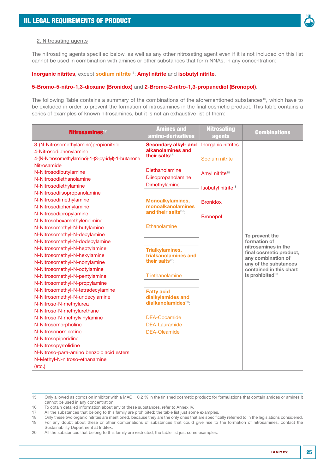

## 2. Nitrosating agents

The nitrosating agents specified below, as well as any other nitrosating agent even if it is not included on this list cannot be used in combination with amines or other substances that form NNAs, in any concentration:

#### Inorganic nitrites, except sodium nitrite<sup>15</sup>; Amyl nitrite and isobutyl nitrite.

#### 5-Bromo-5-nitro-1,3-dioxane (Bronidox) and 2-Bromo-2-nitro-1,3-propanediol (Bronopol).

The following Table contains a summary of the combinations of the aforementioned substances<sup>16</sup>, which have to be excluded in order to prevent the formation of nitrosamines in the final cosmetic product. This table contains a series of examples of known nitrosamines, but it is not an exhaustive list of them:

| Nitrosamines <sup>17</sup>                        | <b>Amines and</b><br>amino-derivatives               | <b>Nitrosating</b><br>agents   | <b>Combinations</b>                 |
|---------------------------------------------------|------------------------------------------------------|--------------------------------|-------------------------------------|
| 3-(N-Nitrosomethylamino)propionitrile             | <b>Secondary alkyl- and</b>                          | Inorganic nitrites             |                                     |
| 4-Nitrosodiphenylamine                            | alkanolamines and                                    |                                |                                     |
| 4-(N-Nitrosomethylamino)-1-(3-pyridyl)-1-butanone | their salts <sup>17</sup> :                          | Sodium nitrite                 |                                     |
| Nitrosamide                                       |                                                      |                                |                                     |
| N-Nitrosodibutylamine                             | Diethanolamine                                       | Amyl nitrite <sup>18</sup>     |                                     |
| N-Nitrosodiethanolamine                           | Diisopropanolamine                                   |                                |                                     |
| N-Nitrosodiethylamine                             | Dimethylamine                                        | Isobutyl nitrite <sup>18</sup> |                                     |
| N-Nitrosodiisopropanolamine                       |                                                      |                                |                                     |
| N-Nitrosodimethylamine                            | Monoalkylamines,                                     | <b>Bronidox</b>                |                                     |
| N-Nitrosodiphenylamine                            | monoalkanolamines<br>and their salts <sup>20</sup> : |                                |                                     |
| N-Nitrosodipropylamine                            |                                                      | <b>Bronopol</b>                |                                     |
| N-Nitrosohexamethyleneimine                       |                                                      |                                |                                     |
| N-Nitrosomethyl-N-butylamine                      | Ethanolamine                                         |                                |                                     |
| N-Nitrosomethyl-N-decylamine                      |                                                      |                                | To prevent the                      |
| N-Nitrosomethyl-N-dodecylamine                    |                                                      |                                | formation of<br>nitrosamines in the |
| N-Nitrosomethyl-N-heptylamine                     | <b>Trialkylamines,</b>                               |                                | final cosmetic product,             |
| N-Nitrosomethyl-N-hexylamine                      | trialkanolamines and                                 |                                | any combination of                  |
| N-Nitrosomethyl-N-nonylamine                      | their salts <sup>20</sup> :                          |                                | any of the substances               |
| N-Nitrosomethyl-N-octylamine                      |                                                      |                                | contained in this chart             |
| N-Nitrosomethyl-N-pentylamine                     | Triethanolamine                                      |                                | is prohibited <sup>19</sup>         |
| N-Nitrosomethyl-N-propylamine                     |                                                      |                                |                                     |
| N-Nitrosomethyl-N-tetradecylamine                 | <b>Fatty acid</b>                                    |                                |                                     |
| N-Nitrosomethyl-N-undecylamine                    | dialkylamides and                                    |                                |                                     |
| N-Nitroso-N-methylurea                            | dialkanolamides <sup>20</sup> :                      |                                |                                     |
| N-Nitroso-N-methylurethane                        |                                                      |                                |                                     |
| N-Nitroso-N-methylvinylamine                      | <b>DEA-Cocamide</b>                                  |                                |                                     |
| N-Nitrosomorpholine                               | <b>DEA-Lauramide</b>                                 |                                |                                     |
| N-Nitrosonornicotine                              | <b>DEA-Oleamide</b>                                  |                                |                                     |
| N-Nitrosopiperidine                               |                                                      |                                |                                     |
| N-Nitrosopyrrolidine                              |                                                      |                                |                                     |
| N-Nitroso-para-amino benzoic acid esters          |                                                      |                                |                                     |
| N-Methyl-N-nitroso-ethanamine                     |                                                      |                                |                                     |
| (etc.)                                            |                                                      |                                |                                     |

<sup>15</sup> Only allowed as corrosion inhibitor with a MAC = 0.2 % in the finished cosmetic product; for formulations that contain amides or amines it cannot be used in any concentration.

18 Only these two organic nitrites are mentioned, because they are the only ones that are specifically referred to in the legislations considered.<br>19 For any doubt about these or other combinations of substances that could

19 For any doubt about these or other combinations of substances that could give rise to the formation of nitrosamines, contact the Sustainability Department at Inditex.

<sup>16</sup> To obtain detailed information about any of these substances, refer to [Annex IV.](#page-56-1)

<sup>17</sup> All the substances that belong to this family are prohibited; the table list just some examples.

<sup>20</sup> All the substances that belong to this family are restricted; the table list just some examples.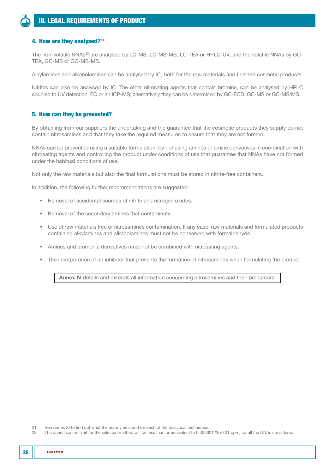# 4. How are they analysed?<sup>21</sup>

The non-volatile NNAs<sup>22</sup> are analysed by LC-MS, LC-MS-MS, LC-TEA or HPLC-UV; and the volatile NNAs by GC-TEA, GC-MS or GC-MS-MS.

Alkylamines and alkanolamines can be analysed by IC, both for the raw materials and finished cosmetic products.

Nitrites can also be analysed by IC. The other nitrosating agents that contain bromine, can be analysed by HPLC coupled to UV detection, EQ or an ICP-MS; alternatively they can be determined by GC-ECD, GC-MS or GC-MS/MS.

## 5. How can they be prevented?

By obtaining from our suppliers the undertaking and the guarantee that the cosmetic products they supply do not contain nitrosamines and that they take the required measures to ensure that they are not formed.

NNAs can be prevented using a suitable formulation: by not using amines or amine derivatives in combination with nitrosating agents and controlling the product under conditions of use that guarantee that NNAs have not formed under the habitual conditions of use.

Not only the raw materials but also the final formulations must be stored in nitrite-free containers.

In addition, the following further recommendations are suggested:

- Removal of accidental sources of nitrite and nitrogen oxides.
- Removal of the secondary amines that contaminate.
- Use of raw materials free of nitrosamines contamination. If any case, raw materials and formulated products containing alkylamines and alkanolamines must not be conserved with formaldehyde.
- Amines and ammonia derivatives must not be combined with nitrosating agents.
- The incorporation of an inhibitor that prevents the formation of nitrosamines when formulating the product.

[Annex IV](#page-56-1) details and extends all information concerning nitrosamines and their precursors.

21 See [Annex XI](#page-109-1) to find out what the acronyms stand for each of the analytical techniques.<br>22 The quantification limit for the selected method will be less than or equivalent to 0,0000

22 The quantification limit for the selected method will be less than or equivalent to 0.000001 % (0.01 ppm) for all the NNAs considered.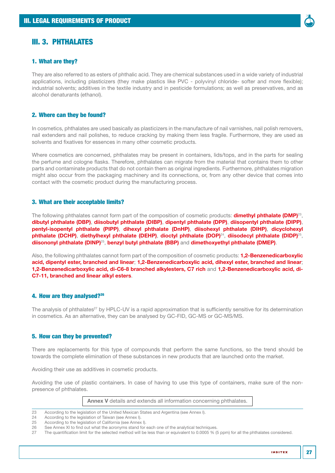# <span id="page-26-0"></span>III. 3. PHTHALATES

## 1. What are they?

They are also referred to as esters of phthalic acid. They are chemical substances used in a wide variety of industrial applications, including plasticizers (they make plastics like PVC - polyvinyl chloride- softer and more flexible); industrial solvents; additives in the textile industry and in pesticide formulations; as well as preservatives, and as alcohol denaturants (ethanol).

## 2. Where can they be found?

In cosmetics, phthalates are used basically as plasticizers in the manufacture of nail varnishes, nail polish removers, nail extenders and nail polishes, to reduce cracking by making them less fragile. Furthermore, they are used as solvents and fixatives for essences in many other cosmetic products.

Where cosmetics are concerned, phthalates may be present in containers, lids/tops, and in the parts for sealing the perfume and cologne flasks. Therefore, phthalates can migrate from the material that contains them to other parts and contaminate products that do not contain them as original ingredients. Furthermore, phthalates migration might also occur from the packaging machinery and its connections, or, from any other device that comes into contact with the cosmetic product during the manufacturing process.

### 3. What are their acceptable limits?

The following phthalates cannot form part of the composition of cosmetic products: **dimethyl phthalate (DMP)**<sup>23</sup>, dibutyl phthalate (DBP), diisobutyl phthalate (DIBP), dipentyl phthalate (DPP), diisopentyl phthalate (DIPP), pentyl-isopentyl phthalate (PIPP), dihexyl phthalate (DnHP), diisohexyl phthalate (DIHP), dicyclohexyl phthalate (DCHP), diethylhexyl phthalate (DEHP), dioctyl phthalate (DOP)<sup>24</sup>, diisodecyl phthalate (DIDP)<sup>25</sup>, diisononyl phthalate (DINP)25, benzyl butyl phthalate (BBP) and dimethoxyethyl phthalate (DMEP).

Also, the following phthalates cannot form part of the composition of cosmetic products: **1.2-Benzenedicarboxylic** acid, dipentyl ester, branched and linear; 1,2-Benzenedicarboxylic acid, dihexyl ester, branched and linear; 1,2-Benzenedicarboxylic acid, di-C6-8 branched alkylesters, C7 rich and 1,2-Benzenedicarboxylic acid, di-C7-11, branched and linear alkyl esters.

#### 4. How are they analysed?26

The analysis of phthalates<sup>27</sup> by HPLC-UV is a rapid approximation that is sufficiently sensitive for its determination in cosmetics. As an alternative, they can be analysed by GC-FID, GC-MS or GC-MS/MS.

#### 5. How can they be prevented?

There are replacements for this type of compounds that perform the same functions, so the trend should be towards the complete elimination of these substances in new products that are launched onto the market.

Avoiding their use as additives in cosmetic products.

Avoiding the use of plastic containers. In case of having to use this type of containers, make sure of the nonpresence of phthalates.

[Annex V](#page-58-1) details and extends all information concerning phthalates.

<sup>23</sup> According to the legislation of the United Mexican States and Argentina (see [Annex I\)](#page-52-1).

<sup>24</sup> According to the legislation of Taiwan (see [Annex I](#page-52-1)).<br>25 According to the legislation of California (see Annex

<sup>25</sup> According to the legislation of California (see [Annex I](#page-52-1)).<br>26 See Annex XI to find out what the acronyms stand for

See [Annex XI](#page-109-1) to find out what the acronyms stand for each one of the analytical techniques.

<sup>27</sup> The quantification limit for the selected method will be less than or equivalent to 0.0005 % (5 ppm) for all the phthalates considered.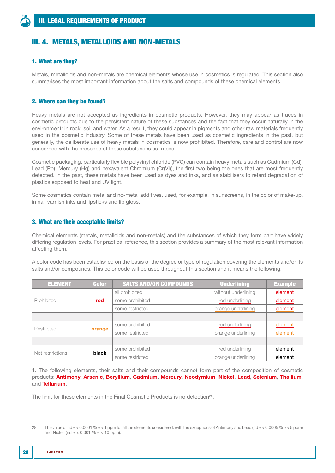# <span id="page-27-0"></span>III. 4. METALS, METALLOIDS AND NON-METALS

## 1. What are they?

Metals, metalloids and non-metals are chemical elements whose use in cosmetics is regulated. This section also summarises the most important information about the salts and compounds of these chemical elements.

# 2. Where can they be found?

Heavy metals are not accepted as ingredients in cosmetic products. However, they may appear as traces in cosmetic products due to the persistent nature of these substances and the fact that they occur naturally in the environment: in rock, soil and water. As a result, they could appear in pigments and other raw materials frequently used in the cosmetic industry. Some of these metals have been used as cosmetic ingredients in the past, but generally, the deliberate use of heavy metals in cosmetics is now prohibited. Therefore, care and control are now concerned with the presence of these substances as traces.

Cosmetic packaging, particularly flexible polyvinyl chloride (PVC) can contain heavy metals such as Cadmium (Cd), Lead (Pb), Mercury (Hg) and hexavalent Chromium (Cr(VI)), the first two being the ones that are most frequently detected. In the past, these metals have been used as dyes and inks, and as stabilisers to retard degradation of plastics exposed to heat and UV light.

Some cosmetics contain metal and no-metal additives, used, for example, in sunscreens, in the color of make-up, in nail varnish inks and lipsticks and lip gloss.

### 3. What are their acceptable limits?

Chemical elements (metals, metalloids and non-metals) and the substances of which they form part have widely differing regulation levels. For practical reference, this section provides a summary of the most relevant information affecting them.

A color code has been established on the basis of the degree or type of regulation covering the elements and/or its salts and/or compounds. This color code will be used throughout this section and it means the following:

| <b>ELEMENT</b>   | <b>Color</b> | <b>SALTS AND/OR COMPOUNDS</b> | <b>Underlining</b>  | <b>Example</b> |
|------------------|--------------|-------------------------------|---------------------|----------------|
|                  |              | all prohibited                | without underlining | element        |
| Prohibited       | red          | some prohibited               | red underlining     | element        |
|                  |              | some restricted               | orange underlining  | element        |
|                  |              |                               |                     |                |
| Restricted       | orange       | some prohibited               | red underlining     | element        |
|                  |              | some restricted               | orange underlining  | element        |
|                  |              |                               |                     |                |
| Not restrictions | black        | some prohibited               | red underlining     | element        |
|                  |              | some restricted               | orange underlining  | element        |

1. The following elements, their salts and their compounds cannot form part of the composition of cosmetic products: Antimony, Arsenic, Beryllium, Cadmium, Mercury, Neodymium, Nickel, Lead, Selenium, Thallium, and Tellurium.

The limit for these elements in the Final Cosmetic Products is no detection<sup>28</sup>.

<sup>28</sup> The value of nd ≈ < 0.0001 % ≈ < 1 ppm for all the elements considered, with the exceptions of Antimony and Lead (nd ≈ < 0.0005 % ≈ < 5 ppm) and Nickel (nd  $\approx$  < 0.001 %  $\approx$  < 10 ppm).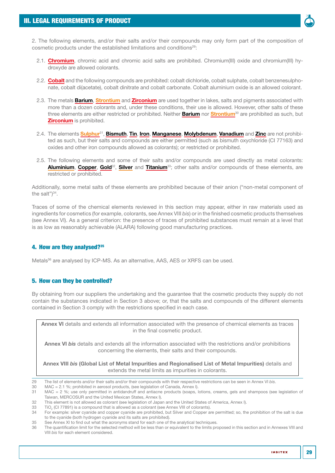

2. The following elements, and/or their salts and/or their compounds may only form part of the composition of cosmetic products under the established limitations and conditions<sup>29</sup>:

- 2.1. Chromium, chromic acid and chromic acid salts are prohibited. Chromium(III) oxide and chromium(III) hydroxyde are allowed colorants.
- 2.2. Cobalt and the following compounds are prohibited: cobalt dichloride, cobalt sulphate, cobalt benzenesulphonate, cobalt di(acetate), cobalt dinitrate and cobalt carbonate. Cobalt aluminium oxide is an allowed colorant.
- 2.3. The metals **Barium, Strontium** and **Zirconium** are used together in lakes, salts and pigments associated with more than a dozen colorants and, under these conditions, their use is allowed. However, other salts of these three elements are either restricted or prohibited. Neither **Barium** nor Strontium<sup>30</sup> are prohibited as such, but **Zirconium** is prohibited.
- 2.4. The elements Sulphur<sup>31</sup>, Bismuth, Tin, Iron, Manganese, Molybdenum, Vanadium and Zinc are not prohibited as such, but their salts and compounds are either permitted (such as bismuth oxychloride (CI 77163) and oxides and other iron compounds allowed as colorants); or restricted or prohibited.
- 2.5. The following elements and some of their salts and/or compounds are used directly as metal colorants: Aluminium, Copper, Gold<sup>32</sup>, Silver and Titanium<sup>33</sup>; other salts and/or compounds of these elements, are restricted or prohibited.

Additionally, some metal salts of these elements are prohibited because of their anion ("non-metal component of the salt")<sup>34</sup>.

Traces of some of the chemical elements reviewed in this section may appear, either in raw materials used as ingredients for cosmetics (for example, colorants, see [Annex VIII](#page-90-1) *bis*) or in the finished cosmetic products themselves (see [Annex VI\)](#page-59-1). As a general criterion: the presence of traces of prohibited substances must remain at a level that is as low as reasonably achievable (ALARA) following good manufacturing practices.

# 4. How are they analysed?35

Metals<sup>36</sup> are analysed by ICP-MS. As an alternative, AAS, AES or XRFS can be used.

## 5. How can they be controlled?

By obtaining from our suppliers the undertaking and the guarantee that the cosmetic products they supply do not contain the substances indicated in Section 3 above; or, that the salts and compounds of the different elements contained in Section 3 comply with the restrictions specified in each case.

[Annex VI](#page-59-1) details and extends all information associated with the presence of chemical elements as traces in the final cosmetic product.

[Annex VI](#page-60-1) *bis* details and extends all the information associated with the restrictions and/or prohibitions concerning the elements, their salts and their compounds.

Annex VIII *bis* [\(Global List of Metal Impurities](#page-90-2) and [Regionalised List of Metal Impurities\)](#page-93-1) details and extends the metal limits as impurities in colorants.

29 The list of elements and/or their salts and/or their compounds with their respective restrictions can be seen in [Annex VI](#page-60-1) *bis*.

30 MAC = 2.1 %; prohibited in aerosol products, (see legislation of Canada, [Annex I](#page-52-1)).

<sup>31</sup> MAC = 2 %; use only permitted in antidandruff and antiacne products (soaps, lotions, creams, gels and shampoos (see legislation of Taiwan, MERCOSUR and the United Mexican States, [Annex I](#page-52-1)).

<sup>32</sup> This element is not allowed as colorant (see legislation of Japan and the United States of America, [Annex I\)](#page-52-1).

<sup>33</sup>  $\,$  TiO $_2$  (CI 77891) is a compound that is allowed as a colorant (see [Annex VIII](#page-65-1) of colorants).

<sup>34</sup> For example: silver cyanide and copper cyanide are prohibited, but Silver and Copper are permitted; so, the prohibition of the salt is due to the cyanide (both hydrogen cyanide and its salts are prohibited).

<sup>35</sup> See [Annex XI](#page-109-1) to find out what the acronyms stand for each one of the analytical techniques.<br>36 The quantification limit for the selected method will be less than or equivalent to the limits pro-

<sup>36</sup> The quantification limit for the selected method will be less than or equivalent to the limits proposed in this section and in [Annexes VIII](#page-65-1) and [VIII](#page-90-1) *bis* for each element considered.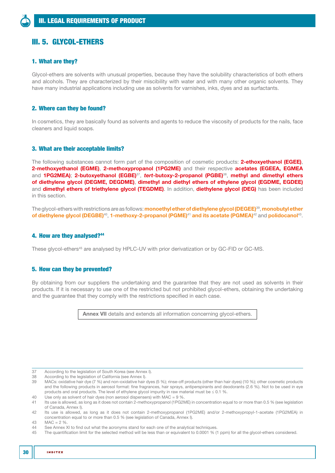# <span id="page-29-0"></span>III. 5. GLYCOL-ETHERS

## 1. What are they?

Glycol-ethers are solvents with unusual properties, because they have the solubility characteristics of both ethers and alcohols. They are characterized by their miscibility with water and with many other organic solvents. They have many industrial applications including use as solvents for varnishes, inks, dyes and as surfactants.

## 2. Where can they be found?

In cosmetics, they are basically found as solvents and agents to reduce the viscosity of products for the nails, face cleaners and liquid soaps.

## 3. What are their acceptable limits?

The following substances cannot form part of the composition of cosmetic products: 2-ethoxyethanol (EGEE), 2-methoxyethanol (EGME), 2-methoxypropanol (1PG2ME) and their respective acetates (EGEEA, EGMEA and 1PG2MEA); 2-butoxyethanol (EGBE)<sup>37</sup>, *tert*-butoxy-2-propanol (PGBE)<sup>38</sup>, methyl and dimethyl ethers of diethylene glycol (DEGME, DEGDME), dimethyl and diethyl ethers of ethylene glycol (EGDME, EGDEE) and **dimethyl ethers of triethylene glycol (TEGDME)**. In addition, **diethylene glycol (DEG)** has been included in this section.

The glycol-ethers with restrictions are as follows: **monoethyl ether of diethylene glycol (DEGEE)**<sup>39</sup>, monobutyl ether of diethylene glycol (DEGBE)<sup>40</sup>, 1-methoxy-2-propanol (PGME)<sup>41</sup> and its acetate (PGMEA)<sup>42</sup> and polidocanol<sup>43</sup>.

### 4. How are they analysed?44

These glycol-ethers<sup>45</sup> are analysed by HPLC-UV with prior derivatization or by GC-FID or GC-MS.

#### 5. How can they be prevented?

By obtaining from our suppliers the undertaking and the guarantee that they are not used as solvents in their products. If it is necessary to use one of the restricted but not prohibited glycol-ethers, obtaining the undertaking and the guarantee that they comply with the restrictions specified in each case.

[Annex VII](#page-64-1) details and extends all information concerning glycol-ethers.

<sup>37</sup> According to the legislation of South Korea (see [Annex I](#page-52-1)).<br>38 According to the legislation of California (see Annex I).

According to the legislation of California (see [Annex I](#page-52-1)).

<sup>39</sup> MACs: oxidative hair dye (7 %) and non-oxidative hair dyes (5 %); rinse-off products (other than hair dyes) (10 %); other cosmetic products and the following products in aerosol format: fine fragrances, hair sprays, antiperspirants and deodorants (2.6 %). Not to be used in eye products and oral products. The level of ethylene glycol impurity in raw material must be  $\leq 0.1$  %.

<sup>40</sup> Use only as solvent of hair dyes (non aerosol dispensers) with MAC = 9 %.

Its use is allowed, as long as it does not contain 2-methoxypropanol (1PG2ME) in concentration equal to or more than 0.5 % (see legislation of Canada, [Annex I](#page-52-1)).

<sup>42</sup> Its use is allowed, as long as it does not contain 2-methoxypropanol (1PG2ME) and/or 2-methoxypropyl-1-acetate (1PG2MEA) in concentration equal to or more than 0.5 % (see legislation of Canada, [Annex I](#page-52-1)).

<sup>43</sup>  $MAC = 2 %$ <br>44 See Annex

<sup>44</sup> See [Annex XI](#page-109-1) to find out what the acronyms stand for each one of the analytical techniques.<br>45 The quantification limit for the selected method will be less than or equivalent to 0,0001 % (

<sup>45</sup> The quantification limit for the selected method will be less than or equivalent to 0.0001 % (1 ppm) for all the glycol-ethers considered.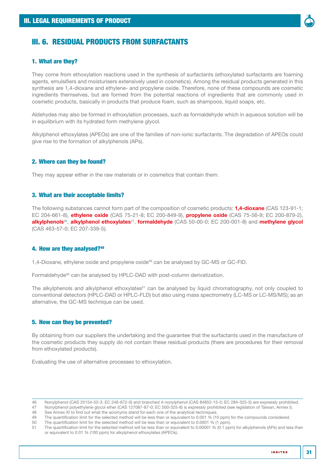<span id="page-30-0"></span>

## 1. What are they?

They come from ethoxylation reactions used in the synthesis of surfactants (ethoxylated surfactants are foaming agents, emulsifiers and moisturisers extensively used in cosmetics). Among the residual products generated in this synthesis are 1,4-dioxane and ethylene- and propylene oxide. Therefore, none of these compounds are cosmetic ingredients themselves, but are formed from the potential reactions of ingredients that are commonly used in cosmetic products, basically in products that produce foam, such as shampoos, liquid soaps, etc.

Aldehydes may also be formed in ethoxylation processes, such as formaldehyde which in aqueous solution will be in equilibrium with its hydrated form methylene glycol.

Alkylphenol ethoxylates (APEOs) are one of the families of non-ionic surfactants. The degradation of APEOs could give rise to the formation of alkylphenols (APs).

## 2. Where can they be found?

They may appear either in the raw materials or in cosmetics that contain them.

## 3. What are their acceptable limits?

The following substances cannot form part of the composition of cosmetic products: **1.4-dioxane** (CAS 123-91-1; EC 204-661-8), ethylene oxide (CAS 75-21-8; EC 200-849-9), propylene oxide (CAS 75-56-9; EC 200-879-2), alkylphenols<sup>46</sup>, alkylphenol ethoxylates<sup>47</sup>, formaldehyde (CAS 50-00-0; EC 200-001-8) and methylene glycol (CAS 463-57-0; EC 207-339-5).

## 4. How are they analysed?<sup>48</sup>

1,4-Dioxane, ethylene oxide and propylene oxide<sup>49</sup> can be analysed by GC-MS or GC-FID.

Formaldehyde<sup>50</sup> can be analysed by HPLC-DAD with post-column derivatization.

The alkylphenols and alkylphenol ethoxylates<sup>51</sup> can be analysed by liquid chromatography, not only coupled to conventional detectors (HPLC-DAD or HPLC-FLD) but also using mass spectrometry (LC-MS or LC-MS/MS); as an alternative, the GC-MS technique can be used.

# 5. How can they be prevented?

By obtaining from our suppliers the undertaking and the guarantee that the surfactants used in the manufacture of the cosmetic products they supply do not contain these residual products (there are procedures for their removal from ethoxylated products).

Evaluating the use of alternative processes to ethoxylation.

**INDITEX** 

31

<sup>46</sup> Nonylphenol (CAS 25154-52-3; EC 246-672-0) and branched 4-nonylphenol (CAS 84852-15-3; EC 284-325-5) are expressly prohibited.

<sup>47</sup> Nonylphenol polyethylene glycol ether (CAS 127087-87-0; EC 500-325-8) is expressly prohibited (see legislation of Taiwan, [Annex I\)](#page-52-1). 48 See [Annex XI](#page-109-1) to find out what the acronyms stand for each one of the analytical techniques.

<sup>49</sup> The quantification limit for the selected method will be less than or equivalent to 0.001 % (10 ppm) for the compounds considered.

<sup>50</sup> The quantification limit for the selected method will be less than or equivalent to 0.0001 % (1 ppm).<br>51 The quantification limit for the selected method will be less than or equivalent to 0.00001 % (0.1 pp 51 The quantification limit for the selected method will be less than or equivalent to 0.00001 % (0.1 ppm) for alkylphenols (APs) and less than or equivalent to 0.01 % (100 ppm) for alkylphenol ethoxylates (APEOs).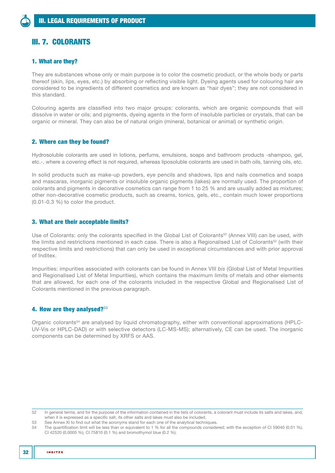# <span id="page-31-0"></span>III. 7. COLORANTS

## 1. What are they?

They are substances whose only or main purpose is to color the cosmetic product, or the whole body or parts thereof (skin, lips, eyes, etc.) by absorbing or reflecting visible light. Dyeing agents used for colouring hair are considered to be ingredients of different cosmetics and are known as "hair dyes"; they are not considered in this standard.

Colouring agents are classified into two major groups: colorants, which are organic compounds that will dissolve in water or oils; and pigments, dyeing agents in the form of insoluble particles or crystals, that can be organic or mineral. They can also be of natural origin (mineral, botanical or animal) or synthetic origin.

## 2. Where can they be found?

Hydrosoluble colorants are used in lotions, perfums, emulsions, soaps and bathroom products -shampoo, gel, etc.-, where a covering effect is not required, whereas liposoluble colorants are used in bath oils, tanning oils, etc.

In solid products such as make-up powders, eye pencils and shadows, lips and nails cosmetics and soaps and mascaras, inorganic pigments or insoluble organic pigments (lakes) are normally used. The proportion of colorants and pigments in decorative cosmetics can range from 1 to 25 % and are usually added as mixtures; other non-decorative cosmetic products, such as creams, tonics, gels, etc., contain much lower proportions (0.01-0.3 %) to color the product.

## 3. What are their acceptable limits?

Use of Colorants: only the colorants specified in the Global List of Colorants<sup>52</sup> ([Annex VIII\)](#page-65-1) can be used, with the limits and restrictions mentioned in each case. There is also a Regionalised List of Colorants<sup>52</sup> (with their respective limits and restrictions) that can only be used in exceptional circumstances and with prior approval of Inditex.

Impurities: impurities associated with colorants can be found in Annex VIII *bis* [\(Global List of Metal Impurities](#page-90-2)  and [Regionalised List of Metal Impurities](#page-93-1)), which contains the maximum limits of metals and other elements that are allowed, for each one of the colorants included in the respective Global and Regionalised List of Colorants mentioned in the previous paragraph.

## 4. How are they analysed?<sup>53</sup>

Organic colorants<sup>54</sup> are analysed by liquid chromatography, either with conventional approximations (HPLC-UV-Vis or HPLC-DAD) or with selective detectors (LC-MS-MS); alternatively, CE can be used. The inorganic components can be determined by XRFS or AAS.

<sup>52</sup> In general terms, and for the purpose of the information contained in the lists of colorants, a colorant must include its salts and lakes, and, when it is expressed as a specific salt, its other salts and lakes must also be included.

<sup>53</sup> See [Annex XI](#page-109-1) to find out what the acronyms stand for each one of the analytical techniques.<br>54 The quantification limit will be less than or equivalent to 1 % for all the compounds conside

<sup>54</sup> The quantification limit will be less than or equivalent to 1 % for all the compounds considered; with the exception of CI 59040 (0.01 %), CI 42520 (0.0005 %), CI 75810 (0.1 %) and bromothymol blue (0.2 %).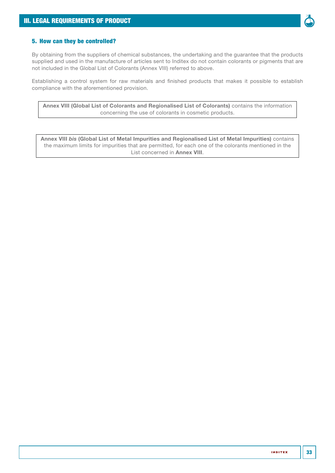

# 5. How can they be controlled?

By obtaining from the suppliers of chemical substances, the undertaking and the guarantee that the products supplied and used in the manufacture of articles sent to Inditex do not contain colorants or pigments that are not included in the [Global List of Colorants \(Annex VIII\)](#page-65-2) referred to above.

Establishing a control system for raw materials and finished products that makes it possible to establish compliance with the aforementioned provision.

[Annex VIII \(Global List of Colorants](#page-65-1) and [Regionalised List of Colorants](#page-72-1)) contains the information concerning the use of colorants in cosmetic products.

Annex VIII *bis* [\(Global List of Metal Impurities](#page-90-2) and [Regionalised List of Metal Impurities\)](#page-93-1) contains the maximum limits for impurities that are permitted, for each one of the colorants mentioned in the List concerned in [Annex VIII](#page-65-1).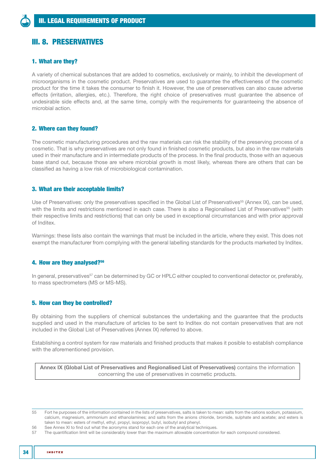# <span id="page-33-0"></span>III. 8. PRESERVATIVES

## 1. What are they?

A variety of chemical substances that are added to cosmetics, exclusively or mainly, to inhibit the development of microorganisms in the cosmetic product. Preservatives are used to guarantee the effectiveness of the cosmetic product for the time it takes the consumer to finish it. However, the use of preservatives can also cause adverse effects (irritation, allergies, etc.). Therefore, the right choice of preservatives must guarantee the absence of undesirable side effects and, at the same time, comply with the requirements for guaranteeing the absence of microbial action.

## 2. Where can they found?

The cosmetic manufacturing procedures and the raw materials can risk the stability of the preserving process of a cosmetic. That is why preservatives are not only found in finished cosmetic products, but also in the raw materials used in their manufacture and in intermediate products of the process. In the final products, those with an aqueous base stand out, because those are where microbial growth is most likely, whereas there are others that can be classified as having a low risk of microbiological contamination.

## 3. What are their acceptable limits?

Use of Preservatives: only the preservatives specified in the [Global List of Preservatives](#page-99-1)<sup>55</sup> [\(Annex IX\)](#page-99-2), can be used, with the limits and restrictions mentioned in each case. There is also a [Regionalised List of Preservatives](#page-103-1)<sup>55</sup> (with their respective limits and restrictions) that can only be used in exceptional circumstances and with prior approval of Inditex.

Warnings: these lists also contain the warnings that must be included in the article, where they exist. This does not exempt the manufacturer from complying with the general labelling standards for the products marketed by Inditex.

## 4. How are they analysed?56

In general, preservatives<sup>57</sup> can be determined by GC or HPLC either coupled to conventional detector or, preferably, to mass spectrometers (MS or MS-MS).

## 5. How can they be controlled?

By obtaining from the suppliers of chemical substances the undertaking and the guarantee that the products supplied and used in the manufacture of articles to be sent to Inditex do not contain preservatives that are not included in the [Global List of Preservatives \(Annex IX\)](#page-99-1) referred to above.

Establishing a control system for raw materials and finished products that makes it posible to establish compliance with the aforementioned provision.

[Annex IX \(Global List of Preservatives](#page-99-2) and [Regionalised List of Preservatives](#page-103-1)) contains the information concerning the use of preservatives in cosmetic products.

55 Fort he purposes of the information contained in the lists of preservatives, salts is taken to mean: salts from the cations sodium, potassium, calcium, magnesium, ammonium and ethanolamines; and salts from the anions chloride, bromide, sulphate and acetate; and esters is taken to mean: esters of methyl, ethyl, propyl, isopropyl, butyl, isobutyl and phenyl.

56 See [Annex XI](#page-109-1) to find out what the acronyms stand for each one of the analytical techniques.<br>57 The quantification limit will be considerably lower than the maximum allowable concentration

The quantification limit will be considerably lower than the maximum allowable concentration for each compound considered.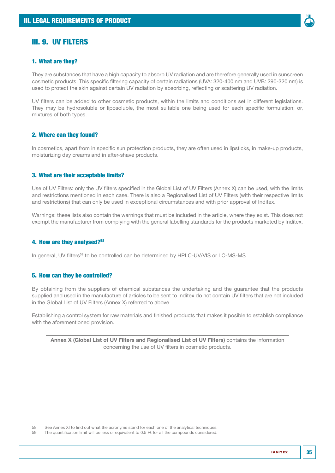<span id="page-34-0"></span>

## 1. What are they?

They are substances that have a high capacity to absorb UV radiation and are therefore generally used in sunscreen cosmetic products. This specific filtering capacity of certain radiations (UVA: 320-400 nm and UVB: 290-320 nm) is used to protect the skin against certain UV radiation by absorbing, reflecting or scattering UV radiation.

UV filters can be added to other cosmetic products, within the limits and conditions set in different legislations. They may be hydrosoluble or liposoluble, the most suitable one being used for each specific formulation; or, mixtures of both types.

## 2. Where can they found?

In cosmetics, apart from in specific sun protection products, they are often used in lipsticks, in make-up products, moisturizing day creams and in after-shave products.

## 3. What are their acceptable limits?

Use of UV Filters: only the UV filters specified in the [Global List of UV Filters \(Annex X\)](#page-106-1) can be used, with the limits and restrictions mentioned in each case. There is also a [Regionalised List of UV Filters](#page-107-1) (with their respective limits and restrictions) that can only be used in exceptional circumstances and with prior approval of Inditex.

Warnings: these lists also contain the warnings that must be included in the article, where they exist. This does not exempt the manufacturer from complying with the general labelling standards for the products marketed by Inditex.

## 4. How are they analysed?58

In general, UV filters<sup>59</sup> to be controlled can be determined by HPLC-UV/VIS or LC-MS-MS.

## 5. How can they be controlled?

By obtaining from the suppliers of chemical substances the undertaking and the guarantee that the products supplied and used in the manufacture of articles to be sent to Inditex do not contain UV filters that are not included in the [Global List of UV Filters \(Annex X\)](#page-106-1) referred to above.

Establishing a control system for raw materials and finished products that makes it posible to establish compliance with the aforementioned provision.

[Annex X \(Global List of UV Filters](#page-106-1) and [Regionalised List of UV Filters](#page-107-1)) contains the information concerning the use of UV filters in cosmetic products.

The quantification limit will be less or equivalent to 0.5 % for all the compounds considered.

<sup>58</sup> See [Annex XI](#page-109-1) to find out what the acronyms stand for each one of the analytical techniques.<br>59 The quantification limit will be less or equivalent to 0.5 % for all the compounds considered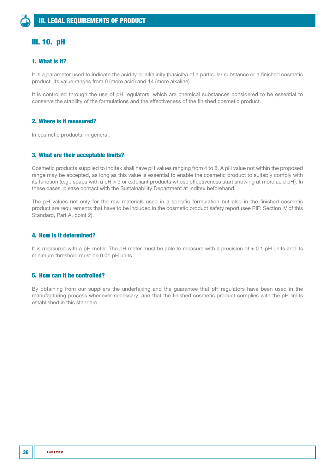# <span id="page-35-0"></span>III. 10. pH

# 1. What is it?

It is a parameter used to indicate the acidity or alkalinity (basicity) of a particular substance or a finished cosmetic product. Its value ranges from 0 (more acid) and 14 (more alkaline).

It is controlled through the use of pH regulators, which are chemical substances considered to be essential to conserve the stability of the formulations and the effectiveness of the finished cosmetic product.

## 2. Where is it measured?

In cosmetic products, in general.

## 3. What are their acceptable limits?

Cosmetic products supplied to Inditex shall have pH values ranging from 4 to 8. A pH value not within the proposed range may be accepted, as long as this value is essential to enable the cosmetic product to suitably comply with its function (e.g.: soaps with a pH > 9 or exfoliant products whose effectiveness start showing at more acid pH). In these cases, please contact with the Sustainability Department at Inditex beforehand.

The pH values not only for the raw materials used in a specific formulation but also in the finished cosmetic product are requirements that have to be included in the cosmetic product safety report (see [PIF: Section IV](#page-38-1) of this Standard, [Part A, point 2\)](#page-42-1).

## 4. How is it determined?

It is measured with a pH meter. The pH meter must be able to measure with a precision of  $\pm$  0.1 pH units and its minimum threshold must be 0.01 pH units.

## 5. How can it be controlled?

By obtaining from our suppliers the undertaking and the guarantee that pH regulators have been used in the manufacturing process whenever necessary; and that the finished cosmetic product complies with the pH limits established in this standard.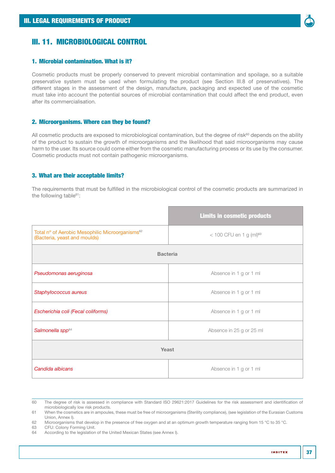

# III. 11. MICROBIOLOGICAL CONTROL

#### 1. Microbial contamination. What is it?

Cosmetic products must be properly conserved to prevent microbial contamination and spoilage, so a suitable preservative system must be used when formulating the product (see [Section III.8](#page-33-0) of preservatives). The different stages in the assessment of the design, manufacture, packaging and expected use of the cosmetic must take into account the potential sources of microbial contamination that could affect the end product, even after its commercialisation.

# 2. Microorganisms. Where can they be found?

All cosmetic products are exposed to microbiological contamination, but the degree of risk $60$  depends on the ability of the product to sustain the growth of microorganisms and the likelihood that said microorganisms may cause harm to the user. Its source could come either from the cosmetic manufacturing process or its use by the consumer. Cosmetic products must not contain pathogenic microorganisms.

#### 3. What are their acceptable limits?

The requirements that must be fulfilled in the microbiological control of the cosmetic products are summarized in the following table<sup>61</sup>:

|                                                                                             | <b>Limits in cosmetic products</b>    |  |  |  |
|---------------------------------------------------------------------------------------------|---------------------------------------|--|--|--|
| Total nº of Aerobic Mesophilic Microorganisms <sup>62</sup><br>(Bacteria, yeast and moulds) | $<$ 100 CFU en 1 g (ml) <sup>63</sup> |  |  |  |
| <b>Bacteria</b>                                                                             |                                       |  |  |  |
| Pseudomonas aeruginosa                                                                      | Absence in 1 g or 1 ml                |  |  |  |
| Staphylococcus aureus                                                                       | Absence in 1 g or 1 ml                |  |  |  |
| Escherichia coli (Fecal coliforms)                                                          | Absence in 1 g or 1 ml                |  |  |  |
| Salmonella spp <sup>64</sup>                                                                | Absence in 25 g or 25 ml              |  |  |  |
| Yeast                                                                                       |                                       |  |  |  |
| Candida albicans                                                                            | Absence in 1 g or 1 ml                |  |  |  |

<sup>60</sup> The degree of risk is assessed in compliance with Standard ISO 29621:2017 Guidelines for the risk assessment and identification of microbiologically low risk products.

- 61 When the cosmetics are in ampoules, these must be free of microorganisms (Sterility compliance), (see legislation of the Eurasian Customs Union, [Annex I](#page-52-0)).
- 62 Microorganisms that develop in the presence of free oxygen and at an optimum growth temperature ranging from 15 °C to 35 °C.<br>63 CEU: Colony Forming Unit.
- 63 CFU: Colony Forming Unit.<br>64 According to the legislation
- According to the legislation of the United Mexican States (see [Annex I](#page-52-0)).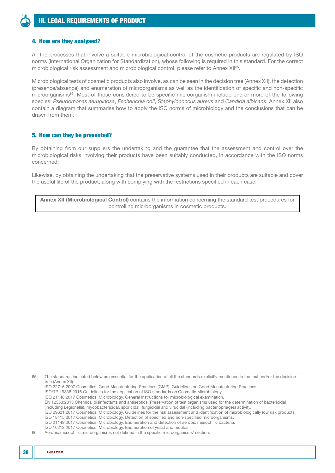# 4. How are they analysed?

All the processes that involve a suitable microbiological control of the cosmetic products are regulated by ISO norms (International Organization for Standardization), whose following is required in this standard. For the correct microbiological risk assessment and microbiological control, please refer to [Annex XII](#page-110-0)65.

Microbiological tests of cosmetic products also involve, as can be seen in the decision tree [\(Annex XII](#page-110-0)), the detection (presence/absence) and enumeration of microorganisms as well as the identification of specific and non-specific microorganisms66. Most of those considered to be specific microorganism include one or more of the following species: *Pseudomonas aeruginosa*, *Escherichia coli*, *Staphylococcus aureus* and *Candida albicans*. [Annex XII](#page-111-0) also contain a diagram that summarise how to apply the ISO norms of microbiology and the conclusions that can be drawn from them.

# 5. How can they be prevented?

By obtaining from our suppliers the undertaking and the guarantee that the assessment and control over the microbiological risks involving their products have been suitably conducted, in accordance with the ISO norms concerned.

Likewise, by obtaining the undertaking that the preservative systems used in their products are suitable and cover the useful life of the product, along with complying with the restrictions specified in each case.

| Annex XII (Microbiological Control) contains the information concerning the standard test procedures for |  |
|----------------------------------------------------------------------------------------------------------|--|
| controlling microorganisms in cosmetic products.                                                         |  |

65 The standards indicated below are essential for the application of all the standards explicitly mentioned in the text and/or the decision tree [\(Annex XII\)](#page-110-0).

ISO 22716:2007 Cosmetics. Good Manufacturing Practices (GMP). Guidelines on Good Manufacturing Practices.

ISO/TR 19838:2016 Guidelines for the application of ISO standards on Cosmetic Microbiology.

ISO 21148:2017 Cosmetics. Microbiology. General instructions for microbiological examination.

EN 12353:2013 Chemical disinfectants and antiseptics. Preservation of test organisms used for the determination of bactericidal

(including Legionella), mycobactericidal, sporicidal, fungicidal and virucidal (including bacteriophages) activity.

ISO 29621:2017 Cosmetics. Microbiology. Guidelines for the risk assessment and identification of microbiologically low risk products.

ISO 18415:2017 Cosmetics. Microbiology. Detection of specified and non-specified microorganisms. ISO 21149:2017 Cosmetics. Microbiology. Enumeration and detection of aerobic mesophilic bacteria.

ISO 16212:2017 Cosmetics. Microbiology. Enumeration of yeast and moulds.

<sup>66</sup> Aerobic mesophilic microorganisms not defined in the specific microorganisms' section.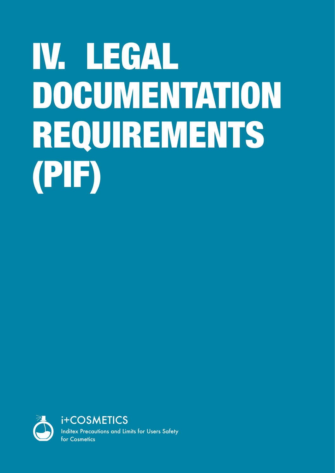# <span id="page-38-0"></span>IV. LEGAL DOCUMENTATION REQUIREMENTS (PIF)

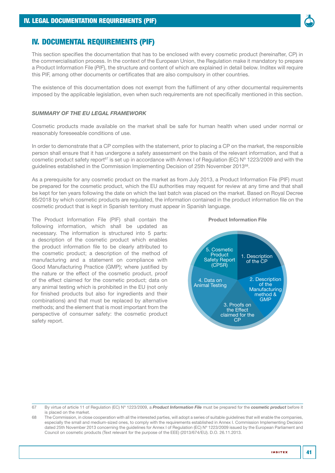

# IV. DOCUMENTAL REQUIREMENTS (PIF)

This section specifies the documentation that has to be enclosed with every cosmetic product (hereinafter, CP) in the commercialisation process. In the context of the European Union, the Regulation make it mandatory to prepare a Product Information File (*PIF*), the structure and content of which are explained in detail below. Inditex will require this PIF, among other documents or certificates that are also compulsory in other countries.

The existence of this documentation does not exempt from the fulfilment of any other documental requirements imposed by the applicable legislation, even when such requirements are not specifically mentioned in this section.

#### *SUMMARY OF THE EU LEGAL FRAMEWORK*

Cosmetic products made available on the market shall be safe for human health when used under normal or reasonably foreseeable conditions of use.

In order to demonstrate that a CP complies with the statement, prior to placing a CP on the market, the responsible person shall ensure that it has undergone a safety assessment on the basis of the relevant information, and that a cosmetic product safety report<sup>67</sup> is set up in accordance with Annex I of Regulation (EC) N° 1223/2009 and with the guidelines established in the Commission Implementing Decision of 25th November 2013<sup>68</sup>.

As a prerequisite for any cosmetic product on the market as from July 2013, a Product Information File (PIF) must be prepared for the cosmetic product, which the EU authorities may request for review at any time and that shall be kept for ten years following the date on which the last batch was placed on the market. Based on Royal Decree 85/2018 by which cosmetic products are regulated, the information contained in the product information file on the cosmetic product that is kept in Spanish territory must appear in Spanish language.

The Product Information File (PIF) shall contain the following information, which shall be updated as necessary. The information is structured into 5 parts: a description of the cosmetic product which enables the product information file to be clearly attributed to the cosmetic product; a description of the method of manufacturing and a statement on compliance with Good Manufacturing Practice (GMP); where justified by the nature or the effect of the cosmetic product, proof of the effect claimed for the cosmetic product; data on any animal testing which is prohibited in the EU (not only for finished products but also for ingredients and their combinations) and that must be replaced by alternative methods; and the element that is most important from the perspective of consumer safety: the cosmetic product safety report.





67 By virtue of article 11 of Regulation (EC) Nº 1223/2009, a *Product Information File* must be prepared for the *cosmetic product* before it is placed on the market.

68 The Commission, in close cooperation with all the interested parties, will adopt a series of suitable guidelines that will enable the companies, especially the small and medium-sized ones, to comply with the requirements established in Annex I. Commission Implementing Decision dated 25th November 2013 concerning the guidelines for Annex I of Regulation (EC) N° 1223/2009 issued by the European Parliament and Council on cosmetic products (Text relevant for the purpose of the EEE) (2013/674/EU). D.O. 26.11.2013.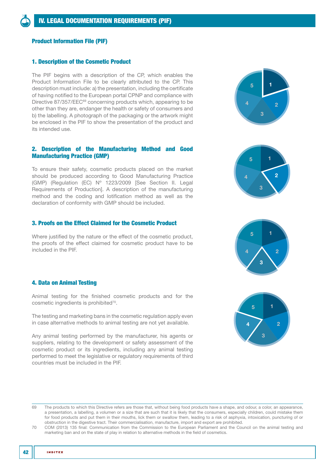# Product Information File (PIF)

### 1. Description of the Cosmetic Product

The PIF begins with a description of the CP, which enables the Product Information File to be clearly attributed to the CP. This description must include: a) the presentation, including the certificate of having notified to the European portal CPNP and compliance with Directive 87/357/EEC<sup>69</sup> concerning products which, appearing to be other than they are, endanger the health or safety of consumers and b) the labelling. A photograph of the packaging or the artwork might be enclosed in the PIF to show the presentation of the product and its intended use.

# 2. Description of the Manufacturing Method and Good Manufacturing Practice (GMP)

To ensure their safety, cosmetic products placed on the market should be produced according to Good Manufacturing Practice (GMP) (Regulation (EC) Nº 1223/2009 [See [Section II. Legal](#page-14-0)  [Requirements of Production](#page-14-0)]. A description of the manufacturing method and the coding and lotification method as well as the declaration of conformity with GMP should be included.

# 3. Proofs on the Effect Claimed for the Cosmetic Product

Where justified by the nature or the effect of the cosmetic product, the proofs of the effect claimed for cosmetic product have to be included in the PIF.

#### 4. Data on Animal Testing

Animal testing for the finished cosmetic products and for the cosmetic ingredients is prohibited<sup>70</sup>.

The testing and marketing bans in the cosmetic regulation apply even in case alternative methods to animal testing are not yet available.

Any animal testing performed by the manufacturer, his agents or suppliers, relating to the development or safety assessment of the cosmetic product or its ingredients, including any animal testing performed to meet the legislative or regulatory requirements of third countries must be included in the PIF.









<sup>69</sup> The products to which this Directive refers are those that, without being food products have a shape, and odour, a color, an appearance, a presentation, a labelling, a volumen or a size that are such that it is likely that the consumers, especially children, could mistake them for food products and put them in their mouths, lick them or swallow them, leading to a risk of asphyxia, intoxication, puncturing of or obstruction in the digestive tract. Their commercialisation, manufacture, import and export are prohibited.

<sup>70</sup> COM (2013) 135 final: Communication from the Commission to the European Parliament and the Council on the animal testing and marketing ban and on the state of play in relation to alternative methods in the field of cosmetics.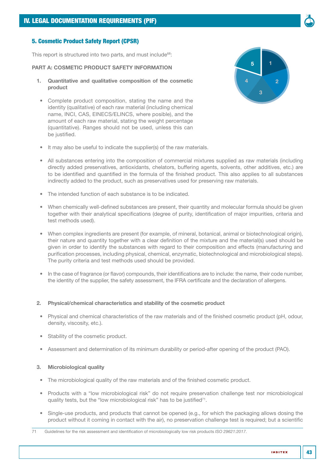# 5. Cosmetic Product Safety Report (CPSR)

This report is structured into two parts, and must include<sup>68</sup>:

#### PART A: COSMETIC PRODUCT SAFETY INFORMATION

- 1. Quantitative and qualitative composition of the cosmetic product
- Complete product composition, stating the name and the identity (qualitative) of each raw material (including chemical name, INCI, CAS, EINECS/ELINCS, where posible), and the amount of each raw material, stating the weight percentage (quantitative). Ranges should not be used, unless this can be justified.



- It may also be useful to indicate the supplier(s) of the raw materials.
- All substances entering into the composition of commercial mixtures supplied as raw materials (including directly added preservatives, antioxidants, chelators, buffering agents, solvents, other additives, etc.) are to be identified and quantified in the formula of the finished product. This also applies to all substances indirectly added to the product, such as preservatives used for preserving raw materials.
- The intended function of each substance is to be indicated.
- When chemically well-defined substances are present, their quantity and molecular formula should be given together with their analytical specifications (degree of purity, identification of major impurities, criteria and test methods used).
- When complex ingredients are present (for example, of mineral, botanical, animal or biotechnological origin), their nature and quantity together with a clear definition of the mixture and the material(s) used should be given in order to identify the substances with regard to their composition and effects (manufacturing and purification processes, including physical, chemical, enzymatic, biotechnological and microbiological steps). The purity criteria and test methods used should be provided.
- In the case of fragrance (or flavor) compounds, their identifications are to include: the name, their code number, the identity of the supplier, the safety assessment, the IFRA certificate and the declaration of allergens.

#### 2. Physical/chemical characteristics and stability of the cosmetic product

- Physical and chemical characteristics of the raw materials and of the finished cosmetic product (pH, odour, density, viscosity, etc.).
- Stability of the cosmetic product.
- Assessment and determination of its minimum durability or period-after opening of the product (PAO).

#### 3. Microbiological quality

- The microbiological quality of the raw materials and of the finished cosmetic product.
- Products with a "low microbiological risk" do not require preservation challenge test nor microbiological quality tests, but the "low microbiological risk" has to be justified<sup>71</sup>.
- Single-use products, and products that cannot be opened (e.g., for which the packaging allows dosing the product without it coming in contact with the air), no preservation challenge test is required; but a scientific
- 71 Guidelines for the risk assessment and identification of microbiologically low risk products *ISO 29621:2017*.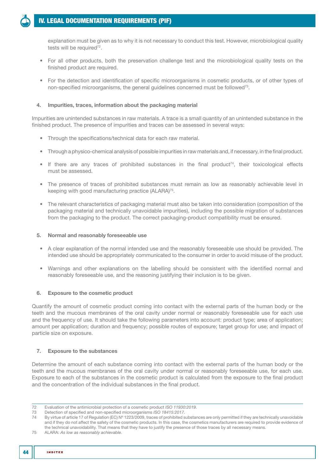# [IV. LEGAL DOCUMENTATION REQUIREMENTS \(PIF\)](#page-38-0)

explanation must be given as to why it is not necessary to conduct this test. However, microbiological quality tests will be required<sup>72</sup>.

- For all other products, both the preservation challenge test and the microbiological quality tests on the finished product are required.
- For the detection and identification of specific microorganisms in cosmetic products, or of other types of non-specified microorganisms, the general guidelines concerned must be followed<sup>73</sup>.

# 4. Impurities, traces, information about the packaging material

Impurities are unintended substances in raw materials. A trace is a small quantity of an unintended substance in the finished product. The presence of impurities and traces can be assessed in several ways:

- Through the specifications/technical data for each raw material.
- Through a physico-chemical analysis of possible impurities in raw materials and, if necessary, in the final product.
- $\bullet$  If there are any traces of prohibited substances in the final product<sup>74</sup>, their toxicological effects must be assessed.
- The presence of traces of prohibited substances must remain as low as reasonably achievable level in keeping with good manufacturing practice (ALARA)<sup>75</sup>.
- The relevant characteristics of packaging material must also be taken into consideration (composition of the packaging material and technically unavoidable impurities), including the possible migration of substances from the packaging to the product. The correct packaging-product compatibility must be ensured.

# 5. Normal and reasonably foreseeable use

- A clear explanation of the normal intended use and the reasonably foreseeable use should be provided. The intended use should be appropriately communicated to the consumer in order to avoid misuse of the product.
- Warnings and other explanations on the labelling should be consistent with the identified normal and reasonably foreseeable use, and the reasoning justifying their inclusion is to be given.

# 6. Exposure to the cosmetic product

Quantify the amount of cosmetic product coming into contact with the external parts of the human body or the teeth and the mucous membranes of the oral cavity under normal or reasonably foreseeable use for each use and the frequency of use. It should take the following parameters into account: product type; area of application; amount per application; duration and frequency; possible routes of exposure; target group for use; and impact of particle size on exposure.

# 7. Exposure to the substances

Determine the amount of each substance coming into contact with the external parts of the human body or the teeth and the mucous membranes of the oral cavity under normal or reasonably foreseeable use, for each use. Exposure to each of the substances in the cosmetic product is calculated from the exposure to the final product and the concentration of the individual substances in the final product.

<sup>72</sup> Evaluation of the antimicrobial protection of a cosmetic product *ISO 11930:2019*.

<sup>73</sup> Detection of specified and non-specified microorganisms *ISO 18415:2017*.

<sup>74</sup> By virtue of article 17 of Regulation (EC) Nº 1223/2009, traces of prohibited substances are only permitted if they are technically unavoidable and if they do not affect the safety of the cosmetic products. In this case, the cosmetics manufacturers are required to provide evidence of the technical unavoidability. That means that they have to justify the presence of those traces by all necessary means.

<sup>75</sup> ALARA: *As low as reasonably achievable*.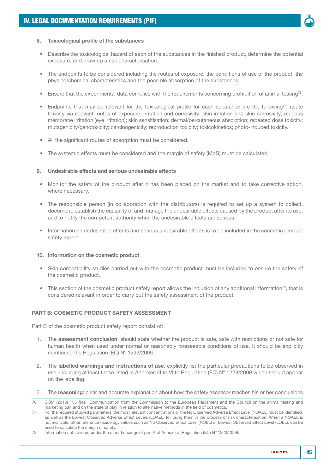

# 8. Toxicological profile of the substances

- Describe the toxicological hazard of each of the substances in the finished product, determine the potential exposure, and draw up a risk characterisation.
- The endpoints to be considered including the routes of exposure, the conditions of use of the product, the physico/chemical characteristics and the possible absorption of the substances.
- Ensure that the experimental data complies with the requirements concerning prohibition of animal testing<sup>76</sup>.
- Endpoints that may be relevant for the toxicological profile for each substance are the following77: acute toxicity via relevant routes of exposure; irritation and corrosivity; skin irritation and skin corrosivity; mucous membrane irritation (eye irritation); skin sensitisation; dermal/percutaneous absorption; repeated dose toxicity; mutagenicity/genotoxicity; carcinogenicity; reproduction toxicity; toxicokinetics; photo-induced toxicity.
- All the significant routes of absorption must be considered.
- The systemic effects must be considered and the margin of safety (MoS) must be calculated.

#### 9. Undesirable effects and serious undesirable effects

- Monitor the safety of the product after it has been placed on the market and to take corrective action, where necessary.
- The responsible person (in collaboration with the distributors) is required to set up a system to collect, document, establish the causality of and manage the undesirable effects caused by the product after its use; and to notify the competent authority when the undesirable effects are serious.
- Information on undesirable effects and serious undesirable effects is to be included in the cosmetic product safety report.

#### 10. Information on the cosmetic product

- Skin compatibility studies carried out with the cosmetic product must be included to ensure the safety of the cosmetic product.
- This section of the cosmetic product safety report allows the inclusion of any additional information<sup>78</sup>, that is considered relevant in order to carry out the safety assessment of the product.

# PART B: COSMETIC PRODUCT SAFETY ASSESSMENT

Part B of the cosmetic product safety report consist of:

- 1. The assessment conclusion: should state whether the product is safe, safe with restrictions or not safe for human health when used under normal or reasonably foreseeable conditions of use. It should be explicitly mentioned the Regulation (EC) Nº 1223/2009.
- 2. The labelled warnings and instructions of use: explicitly list the particular precautions to be observed in use, including at least those listed in Annexes III to VI to Regulation (EC) Nº 1223/2009 which should appear on the labelling.
- 3. The reasoning: clear and accurate explanation about how the safety assessor reaches his or her conclusions

<sup>76</sup> COM (2013) 135 final: Communication from the Commission to the European Parliament and the Council on the animal testing and marketing ban and on the state of play in relation to alternative methods in the field of cosmetics.

<sup>77</sup> For the required studied parameters, the most relevant concentrations or the No Observed Adverse Effect Level (NOAEL) must be identified, as well as the Lowest Observed Adverse Effect Levels (LOAEL) for using them in the process of risk characterisation. When a NOAEL is not available, other reference toxicology values such as No Observed Effect Level (NOEL) or Lowest Observed Effect Level (LOEL), can be used to calculate the margin of safety.

<sup>78</sup> Information not covered under the other headings of part A of Annex I of Regulation (EC) Nº 1223/2009.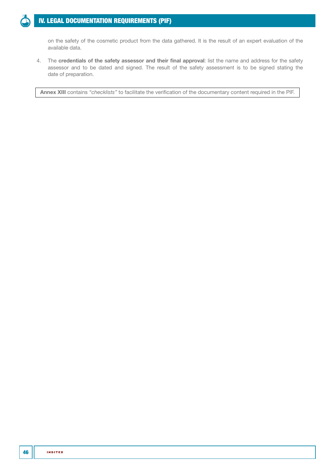# [IV. LEGAL DOCUMENTATION REQUIREMENTS \(PIF\)](#page-38-0)

on the safety of the cosmetic product from the data gathered. It is the result of an expert evaluation of the available data.

4. The credentials of the safety assessor and their final approval: list the name and address for the safety assessor and to be dated and signed. The result of the safety assessment is to be signed stating the date of preparation.

[Annex XIII](#page-112-0) contains *"checklists"* to facilitate the verification of the documentary content required in the PIF.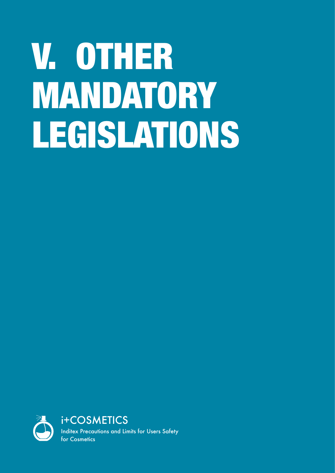# <span id="page-46-0"></span>V. OTHER MANDATORY LEGISLATIONS

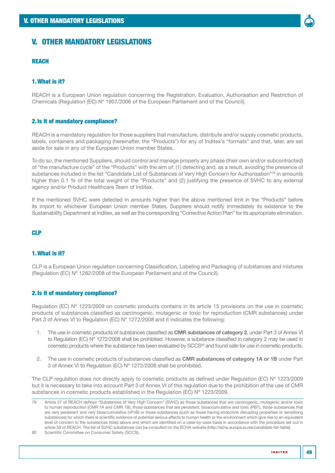# V. OTHER MANDATORY LEGISLATIONS

# **REACH**

# 1.What is it?

REACH is a European Union regulation concerning the Registration, Evaluation, Authorisation and Restriction of Chemicals (Regulation (EC) Nº 1907/2006 of the European Parliament and of the Council).

# 2.Is it of mandatory compliance?

REACH is a mandatory regulation for those suppliers that manufacture, distribute and/or supply cosmetic products, labels, containers and packaging (hereinafter, the "Products") for any of Inditex's "formats" and that, later, are set aside for sale in any of the European Union member States.

To do so, the mentioned Suppliers, should control and manage properly any phase (their own and/or subcontracted) of "the manufacture cycle" of the "Products" with the aim of: (1) detecting and, as a result, avoiding the presence of substances included in the list "Candidate List of Substances of Very High Concern for Authorisation"79 in amounts higher than 0.1 % of the total weight of the "Products" and (2) justifying the presence of SVHC to any external agency and/or Product Healthcare Team of Inditex.

If the mentioned SVHC were detected in amounts higher than the above mentioned limit in the "Products" before its import to whichever European Union member States, Suppliers should notify immediately its existence to the Sustainability Department at Inditex, as well as the corresponding "Corrective Action Plan" for its appropriate elimination.

# CLP

# 1.What is it?

CLP is a European Union regulation concerning Classification, Labeling and Packaging of substances and mixtures (Regulation (EC) Nº 1282/2008 of the European Parliament and of the Council).

#### 2.Is it of mandatory compliance?

Regulation (EC) Nº 1223/2009 on cosmetic products contains in its article 15 provisions on the use in cosmetic products of substances classified as carcinogenic, mutagenic or toxic for reproduction (CMR substances) under Part 3 of Annex VI to Regulation (EC) N° 1272/2008 and it indicates the following:

- 1. The use in cosmetic products of substances classified as CMR substances of category 2, under Part 3 of Annex VI to Regulation (EC) Nº 1272/2008 shall be prohibited. However, a substance classified in category 2 may be used in cosmetic products where the substance has been evaluated by SCCS<sup>80</sup> and found safe for use in cosmetic products.
- 2. The use in cosmetic products of substances classified as CMR substances of category 1A or 1B under Part 3 of Annex VI to Regulation (EC) Nº 1272/2008 shall be prohibited.

The CLP regulation does not directly apply to cosmetic products as defined under Regulation (EC) Nº 1223/2009 but it is necessary to take into account Part 3 of Annex VI of this regulation due to the prohibition of the use of CMR substances in cosmetic products established in the Regulation (EC) Nº 1223/2009.

<sup>79</sup> Article 57 of REACH defines "Substances of Very High Concern" (SVHC) as those substances that are carcinogenic, mutagenic and/or toxic to human reproduction (CMR 1A and CMR 1B), those substances that are persistent, bioaccumulative and toxic (PBT), those substances that are very persistent and very bioaccumulative (vPvB) or those substances (such as those having endocrine disrupting properties or sensitizing substances) for which there is scientific evidence of potential serious effects to human health or the environment which give rise to an equivalent level of concern to the substances listed above and which are identified on a case-by-case basis in accordance with the procedure set out in article 59 of REACH. The list of SVHC substances can be consulted on the ECHA website [\(http://echa.europa.eu/es/candidate-list-table\)](http://echa.europa.eu/es/candidate-list-table).

<sup>80</sup> Scientific Committee on Consumer Safety (SCCS).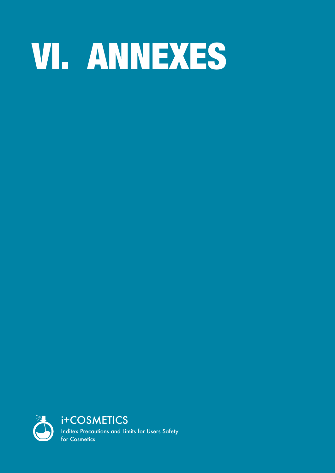# <span id="page-50-0"></span>VI. ANNEXES

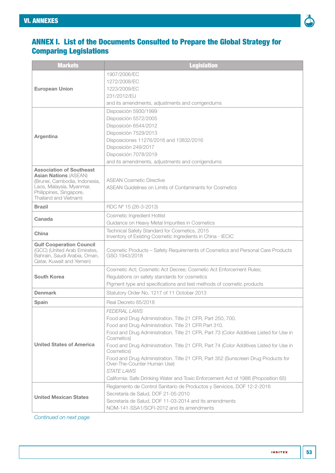

# <span id="page-52-0"></span>ANNEX I. List of the Documents Consulted to Prepare the Global Strategy for Comparing Legislations

| <b>Markets</b>                                                  | <b>Legislation</b>                                                                                               |  |  |  |
|-----------------------------------------------------------------|------------------------------------------------------------------------------------------------------------------|--|--|--|
|                                                                 | 1907/2006/EC                                                                                                     |  |  |  |
|                                                                 | 1272/2008/EC                                                                                                     |  |  |  |
| <b>European Union</b>                                           | 1223/2009/EC                                                                                                     |  |  |  |
|                                                                 | 231/2012/EU                                                                                                      |  |  |  |
|                                                                 | and its amendments, adjustments and corrigendums                                                                 |  |  |  |
|                                                                 | Disposición 5930/1999<br>Disposición 5572/2005                                                                   |  |  |  |
|                                                                 | Disposición 6544/2012                                                                                            |  |  |  |
|                                                                 | Disposición 7529/2013                                                                                            |  |  |  |
| Argentina                                                       | Disposiciones 11276/2016 and 13832/2016                                                                          |  |  |  |
|                                                                 | Disposición 249/2017                                                                                             |  |  |  |
|                                                                 | Disposición 7078/2019                                                                                            |  |  |  |
|                                                                 | and its amendments, adjustments and corrigendums                                                                 |  |  |  |
| <b>Association of Southeast</b>                                 |                                                                                                                  |  |  |  |
| <b>Asian Nations (ASEAN)</b><br>(Brunei, Cambodia, Indonesia,   | <b>ASEAN Cosmetic Directive</b>                                                                                  |  |  |  |
| Laos, Malaysia, Myanmar,                                        | <b>ASEAN Guidelines on Limits of Contaminants for Cosmetics</b>                                                  |  |  |  |
| Philippines, Singapore,                                         |                                                                                                                  |  |  |  |
| Thailand and Vietnam)                                           |                                                                                                                  |  |  |  |
| <b>Brazil</b>                                                   | RDC Nº 15 (26-3-2013)                                                                                            |  |  |  |
| Canada                                                          | Cosmetic Ingredient Hotlist<br>Guidance on Heavy Metal Impurities in Cosmetics                                   |  |  |  |
|                                                                 | Technical Safety Standard for Cosmetics, 2015                                                                    |  |  |  |
| China                                                           | Inventory of Existing Cosmetic Ingredients in China - IECIC                                                      |  |  |  |
| <b>Gulf Cooperation Council</b><br>(GCC) (United Arab Emirates, | Cosmetic Products - Safety Requirements of Cosmetics and Personal Care Products                                  |  |  |  |
| Bahrain, Saudi Arabia, Oman,                                    | GSO 1943/2018                                                                                                    |  |  |  |
| Qatar, Kuwait and Yemen)                                        |                                                                                                                  |  |  |  |
|                                                                 | Cosmetic Act; Cosmetic Act Decree; Cosmetic Act Enforcement Rules;                                               |  |  |  |
| <b>South Korea</b>                                              | Regulations on safety standards for cosmetics                                                                    |  |  |  |
|                                                                 | Pigment type and specifications and test methods of cosmetic products                                            |  |  |  |
| <b>Denmark</b>                                                  | Statutory Order No. 1217 of 11 October 2013                                                                      |  |  |  |
| Spain                                                           | Real Decreto 85/2018                                                                                             |  |  |  |
|                                                                 | FEDERAL LAWS                                                                                                     |  |  |  |
|                                                                 | Food and Drug Administration. Title 21 CFR, Part 250, 700.                                                       |  |  |  |
|                                                                 | Food and Drug Administration. Title 21 CFR Part 310.                                                             |  |  |  |
|                                                                 | Food and Drug Administration. Title 21 CFR, Part 73 (Color Additives Listed for Use in<br>Cosmetics)             |  |  |  |
| <b>United States of America</b>                                 | Food and Drug Administration. Title 21 CFR, Part 74 (Color Additives Listed for Use in<br>Cosmetics)             |  |  |  |
|                                                                 | Food and Drug Administration. Title 21 CFR, Part 352 (Sunscreen Drug Products for<br>Over-The-Counter Human Use) |  |  |  |
|                                                                 | STATE LAWS                                                                                                       |  |  |  |
|                                                                 | California: Safe Drinking Water and Toxic Enforcement Act of 1986 (Proposition 65)                               |  |  |  |
|                                                                 | Reglamento de Control Sanitario de Productos y Servicios, DOF 12-2-2016                                          |  |  |  |
|                                                                 | Secretaría de Salud, DOF 21-05-2010                                                                              |  |  |  |
| <b>United Mexican States</b>                                    | Secretaría de Salud, DOF 11-03-2014 and its amendments                                                           |  |  |  |
|                                                                 | NOM-141-SSA1/SCFI-2012 and its amendments                                                                        |  |  |  |

*Continued on next page*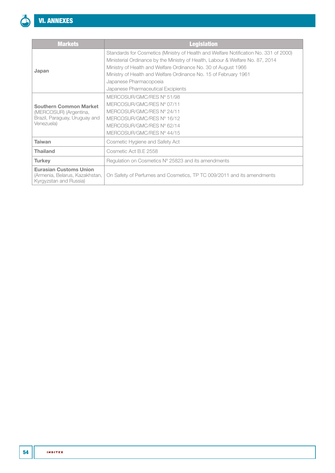| <b>Markets</b>                                                                                         | <b>Legislation</b>                                                                                                                                                                                                                                                                                                                                                            |
|--------------------------------------------------------------------------------------------------------|-------------------------------------------------------------------------------------------------------------------------------------------------------------------------------------------------------------------------------------------------------------------------------------------------------------------------------------------------------------------------------|
| Japan                                                                                                  | Standards for Cosmetics (Ministry of Health and Welfare Notification No. 331 of 2000)<br>Ministerial Ordinance by the Ministry of Health, Labour & Welfare No. 87, 2014<br>Ministry of Health and Welfare Ordinance No. 30 of August 1966<br>Ministry of Health and Welfare Ordinance No. 15 of February 1961<br>Japanese Pharmacopoeia<br>Japanese Pharmaceutical Excipients |
| <b>Southern Common Market</b><br>(MERCOSUR) (Argentina,<br>Brazil, Paraguay, Uruguay and<br>Venezuela) | MERCOSUR/GMC/RES Nº 51/98<br>MERCOSUR/GMC/RES Nº 07/11<br>MERCOSUR/GMC/RES Nº 24/11<br>MERCOSUR/GMC/RES Nº 16/12<br>MERCOSUR/GMC/RES Nº 62/14<br>MERCOSUR/GMC/RES Nº 44/15                                                                                                                                                                                                    |
| Taiwan                                                                                                 | Cosmetic Hygiene and Safety Act                                                                                                                                                                                                                                                                                                                                               |
| <b>Thailand</b>                                                                                        | Cosmetic Act B.E 2558                                                                                                                                                                                                                                                                                                                                                         |
| <b>Turkey</b>                                                                                          | Regulation on Cosmetics N° 25823 and its amendments                                                                                                                                                                                                                                                                                                                           |
| <b>Eurasian Customs Union</b><br>(Armenia, Belarus, Kazakhstan,<br>Kyrgyzstan and Russia)              | On Safety of Perfumes and Cosmetics, TP TC 009/2011 and its amendments                                                                                                                                                                                                                                                                                                        |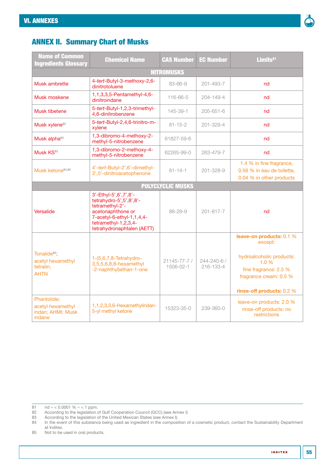

# ANNEX II. Summary Chart of Musks

| <b>Name of Common</b><br><b>Ingredients Glossary</b>                      | <b>Chemical Name</b>                                                                                                                                                           | <b>CAS Number</b>              | <b>EC Number</b>         | Limits <sup>81</sup>                                                                                                                                    |
|---------------------------------------------------------------------------|--------------------------------------------------------------------------------------------------------------------------------------------------------------------------------|--------------------------------|--------------------------|---------------------------------------------------------------------------------------------------------------------------------------------------------|
|                                                                           |                                                                                                                                                                                | <b>NITROMUSKS</b>              |                          |                                                                                                                                                         |
| Musk ambrette                                                             | 4-tert-Butyl-3-methoxy-2,6-<br>dinitrotoluene                                                                                                                                  | 83-66-9                        | 201-493-7                | nd                                                                                                                                                      |
| Musk moskene                                                              | 1,1,3,3,5-Pentamethyl-4,6-<br>dinitroindane                                                                                                                                    | 116-66-5                       | $204 - 149 - 4$          | nd                                                                                                                                                      |
| Musk tibetene                                                             | 5-tert-Butyl-1,2,3-trimethyl-<br>4,6-dinitrobenzene                                                                                                                            | 145-39-1                       | 205-651-6                | nd                                                                                                                                                      |
| Musk xylene <sup>82</sup>                                                 | 5-tert-Butyl-2,4,6-trinitro-m-<br>xylene                                                                                                                                       | $81 - 15 - 2$                  | 201-329-4                | nd                                                                                                                                                      |
| Musk alpha <sup>83</sup>                                                  | 1,3-dibromo-4-methoxy-2-<br>methyl-5-nitrobenzene                                                                                                                              | 61827-59-6                     |                          | nd                                                                                                                                                      |
| Musk KS83                                                                 | 1,3-dibromo-2-methoxy-4-<br>methyl-5-nitrobenzene                                                                                                                              | 62265-99-0                     | 263-479-7                | nd                                                                                                                                                      |
| Musk ketone <sup>84,85</sup>                                              | 4'-tert-Butyl-2',6'-dimethyl-<br>3',5'-dinitroacetophenone                                                                                                                     | $81 - 14 - 1$                  | $201 - 328 - 9$          | 1.4 % in fine fragrance,<br>0.56 % in eau de toilette.<br>0.04 % in other products                                                                      |
|                                                                           |                                                                                                                                                                                | <b>POLYCLYCLIC MUSKS</b>       |                          |                                                                                                                                                         |
| Versalide                                                                 | 3'-Ethyl-5', 6', 7', 8'-<br>tetrahydro-5',5',8',8'-<br>tetramethyl-2'-<br>acetonaphthone or<br>7-acetyl-6-ethyl-1,1,4,4-<br>tetramethyl-1,2,3,4-<br>tetrahydronaphtalen (AETT) | 88-29-9                        | $201 - 817 - 7$          | nd                                                                                                                                                      |
| Tonalide <sup>85</sup> ;<br>acetyl hexamethyl<br>tetralin;<br><b>AHTN</b> | 1-(5,6,7,8-Tetrahydro-<br>3,5,5,6,8,8-hexamethyl<br>-2-naphthyl)ethan-1-one                                                                                                    | $21145 - 77 - 7/$<br>1506-02-1 | 244-240-6 /<br>216-133-4 | leave-on products: 0.1 %<br>except:<br>hydroalcoholic products:<br>1.0%<br>fine fragrance: 2.5 %<br>fragrance cream: 0.5 %<br>rinse-off products: 0.2 % |
| Phantolide;<br>acetyl hexamethyl<br>indan; AHMI; Musk<br>indane           | 1,1,2,3,3,6-Hexamethylindan-<br>5-yl methyl ketone                                                                                                                             | 15323-35-0                     | 239-360-0                | leave-on products: 2.0 %<br>rinse-off products: no<br>restrictions                                                                                      |

81  $nd \approx 0.0001 \% \approx 1$  ppm.

83 According to the legislation of the United Mexican States (see [Annex I](#page-52-0)).<br>84 In the event of this substance being used as ingredient in the composity

In the event of this substance being used as ingredient in the composition of a cosmetic product, contact the Sustainability Department at Inditex.

85 Not to be used in oral products.

<sup>82</sup> According to the legislation of Gulf Cooperation Council (GCC) (see [Annex I\)](#page-52-0)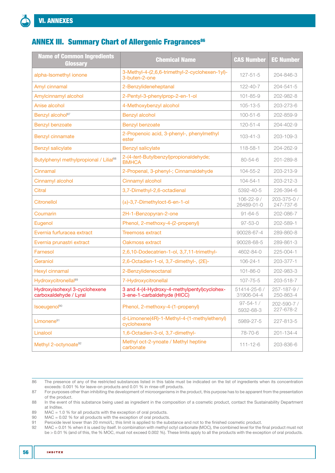# **ANNEX III. Summary Chart of Allergenic Fragrances<sup>86</sup>**

| <b>Name of Common Ingredients</b><br>Glossary           | <b>Chemical Name</b>                                                       | <b>CAS Number</b>               | <b>EC Number</b>         |
|---------------------------------------------------------|----------------------------------------------------------------------------|---------------------------------|--------------------------|
| alpha-Isomethyl ionone                                  | 3-Methyl-4-(2,6,6-trimethyl-2-cyclohexen-1yl)-<br>3-buten-2-one            | $127 - 51 - 5$                  | 204-846-3                |
| Amyl cinnamal                                           | 2-Benzylideneheptanal                                                      | $122 - 40 - 7$                  | $204 - 541 - 5$          |
| Amylcinnamyl alcohol                                    | 2-Pentyl-3-phenylprop-2-en-1-ol                                            | $101 - 85 - 9$                  | 202-982-8                |
| Anise alcohol                                           | 4-Methoxybenzyl alcohol                                                    | $105 - 13 - 5$                  | 203-273-6                |
| Benzyl alcohol <sup>87</sup>                            | <b>Benzyl alcohol</b>                                                      | $100 - 51 - 6$                  | 202-859-9                |
| Benzyl benzoate                                         | Benzyl benzoate                                                            | $120 - 51 - 4$                  | 204-402-9                |
| <b>Benzyl cinnamate</b>                                 | 2-Propenoic acid, 3-phenyl-, phenylmethyl<br>ester                         | $103 - 41 - 3$                  | 203-109-3                |
| <b>Benzyl salicylate</b>                                | <b>Benzyl salicylate</b>                                                   | 118-58-1                        | 204-262-9                |
| Butylphenyl methylpropional / Lilial <sup>88</sup>      | 2-(4-tert-Butylbenzyl)propionaldehyde;<br><b>BMHCA</b>                     | $80 - 54 - 6$                   | 201-289-8                |
| Cinnamal                                                | 2-Propenal, 3-phenyl-; Cinnamaldehyde                                      | $104 - 55 - 2$                  | 203-213-9                |
| Cinnamyl alcohol                                        | Cinnamyl alcohol                                                           | $104 - 54 - 1$                  | 203-212-3                |
| <b>Citral</b>                                           | 3,7-Dimethyl-2,6-octadienal                                                | 5392-40-5                       | 226-394-6                |
| <b>Citronellol</b>                                      | (±)-3,7-Dimethyloct-6-en-1-ol                                              | $106 - 22 - 9$ /<br>26489-01-0  | 203-375-0 /<br>247-737-6 |
| Coumarin                                                | 2H-1-Benzopyran-2-one                                                      | $91 - 64 - 5$                   | 202-086-7                |
| Eugenol                                                 | Phenol, 2-methoxy-4-(2-propenyl)                                           | $97 - 53 - 0$                   | 202-589-1                |
| Evernia furfuracea extract                              | <b>Treemoss extract</b>                                                    | 90028-67-4                      | 289-860-8                |
| Evernia prunastri extract                               | Oakmoss extract                                                            | 90028-68-5                      | 289-861-3                |
| Farnesol                                                | 2,6,10-Dodecatrien-1-ol, 3,7,11-trimethyl-                                 | 4602-84-0                       | 225-004-1                |
| Geraniol                                                | 2,6-Octadien-1-ol, 3,7-dimethyl-, (2E)-                                    | $106 - 24 - 1$                  | 203-377-1                |
| <b>Hexyl cinnamal</b>                                   | 2-Benzylideneoctanal                                                       | $101 - 86 - 0$                  | 202-983-3                |
| Hydroxycitronellal <sup>89</sup>                        | 7-Hydroxycitronellal                                                       | $107 - 75 - 5$                  | 203-518-7                |
| Hydroxyisohexyl 3-cyclohexene<br>carboxaldehyde / Lyral | 3 and 4-(4-Hydroxy-4-methylpentyl)cyclohex-<br>3-ene-1-carbaldehyde (HICC) | $51414 - 25 - 6/$<br>31906-04-4 | 257-187-9 /<br>250-863-4 |
| Isoeugenol <sup>90</sup>                                | Phenol, 2-methoxy-4-(1-propenyl)                                           | $97 - 54 - 1/$<br>5932-68-3     | 202-590-7 /<br>227-678-2 |
| Limonene <sup>91</sup>                                  | d-Limonene(4R)-1-Methyl-4-(1-methylethenyl)<br>cyclohexene                 | 5989-27-5                       | 227-813-5                |
| Linalool                                                | 1,6-Octadien-3-ol, 3,7-dimethyl-                                           | 78-70-6                         | 201-134-4                |
| Methyl 2-octynoate <sup>92</sup>                        | Methyl oct-2-ynoate / Methyl heptine<br>carbonate                          | $111 - 12 - 6$                  | 203-836-6                |

<sup>86</sup> The presence of any of the restricted substances listed in this table must be indicated on the list of ingredients when its concentration exceeds: 0.001 % for leave-on products and 0.01 % in rinse-off products.

<sup>87</sup> For purposes other than inhibiting the development of microorganisms in the product, this purpose has to be apparent from the presentation of the product.

<sup>88</sup> In the event of this substance being used as ingredient in the composition of a cosmetic product, contact the Sustainability Department at Inditex.

<sup>89</sup> MAC = 1.0 % for all products with the exception of oral products.

<sup>90</sup> MAC = 0.02 % for all products with the exception of oral products.<br>91 Peroxide level lower than 20 mmol/L: this limit is applied to the sub-

<sup>91</sup> Peroxide level lower than 20 mmol/L; this limit is applied to the substance and not to the finished cosmetic product.<br>92 MAC = 0.01 % when it is used by itself. In combination with methyl octyl carbonate (MOC), the comb

MAC = 0.01 % when it is used by itself. In combination with methyl octyl carbonate (MOC), the combined level for the final product must not be > 0.01 % (and of this, the % MOC, must not exceed 0.002 %). These limits apply to all the products with the exception of oral products.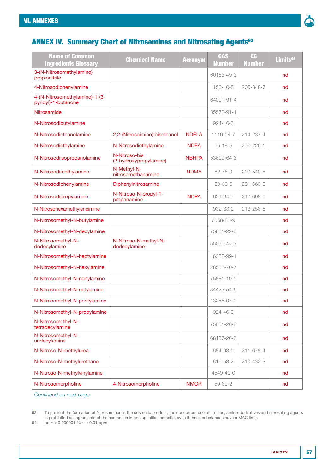

# ANNEX IV. Summary Chart of Nitrosamines and Nitrosating Agents<sup>93</sup>

| <b>Name of Common</b><br><b>Ingredients Glossary</b>  | <b>Chemical Name</b>                    | <b>Acronym</b> | <b>CAS</b><br><b>Number</b> | EC<br><b>Number</b> | Limits <sup>94</sup> |
|-------------------------------------------------------|-----------------------------------------|----------------|-----------------------------|---------------------|----------------------|
| 3-(N-Nitrosomethylamino)<br>propionitrile             |                                         |                | 60153-49-3                  |                     | nd                   |
| 4-Nitrosodiphenylamine                                |                                         |                | 156-10-5                    | 205-848-7           | nd                   |
| 4-(N-Nitrosomethylamino)-1-(3-<br>pyridyl)-1-butanone |                                         |                | 64091-91-4                  |                     | nd                   |
| Nitrosamide                                           |                                         |                | 35576-91-1                  |                     | nd                   |
| N-Nitrosodibutylamine                                 |                                         |                | $924 - 16 - 3$              |                     | nd                   |
| N-Nitrosodiethanolamine                               | 2,2-(Nitrosoimino) bisethanol           | <b>NDELA</b>   | 1116-54-7                   | 214-237-4           | nd                   |
| N-Nitrosodiethylamine                                 | N-Nitrosodiethylamine                   | <b>NDEA</b>    | $55 - 18 - 5$               | 200-226-1           | nd                   |
| N-Nitrosodiisopropanolamine                           | N-Nitroso-bis<br>(2-hydroxypropylamine) | <b>NBHPA</b>   | 53609-64-6                  |                     | nd                   |
| N-Nitrosodimethylamine                                | N-Methyl-N-<br>nitrosomethanamine       | <b>NDMA</b>    | $62 - 75 - 9$               | 200-549-8           | nd                   |
| N-Nitrosodiphenylamine                                | Diphenylnitrosamine                     |                | 80-30-6                     | 201-663-0           | nd                   |
| N-Nitrosodipropylamine                                | N-Nitroso-N-propyl-1-<br>propanamine    | <b>NDPA</b>    | 621-64-7                    | 210-698-0           | nd                   |
| N-Nitrosohexamethyleneimine                           |                                         |                | 932-83-2                    | 213-258-6           | nd                   |
| N-Nitrosomethyl-N-butylamine                          |                                         |                | 7068-83-9                   |                     | nd                   |
| N-Nitrosomethyl-N-decylamine                          |                                         |                | 75881-22-0                  |                     | nd                   |
| N-Nitrosomethyl-N-<br>dodecylamine                    | N-Nitroso-N-methyl-N-<br>dodecylamine   |                | 55090-44-3                  |                     | nd                   |
| N-Nitrosomethyl-N-heptylamine                         |                                         |                | 16338-99-1                  |                     | nd                   |
| N-Nitrosomethyl-N-hexylamine                          |                                         |                | 28538-70-7                  |                     | nd                   |
| N-Nitrosomethyl-N-nonylamine                          |                                         |                | 75881-19-5                  |                     | nd                   |
| N-Nitrosomethyl-N-octylamine                          |                                         |                | 34423-54-6                  |                     | nd                   |
| N-Nitrosomethyl-N-pentylamine                         |                                         |                | 13256-07-0                  |                     | nd                   |
| N-Nitrosomethyl-N-propylamine                         |                                         |                | 924-46-9                    |                     | nd                   |
| N-Nitrosomethyl-N-<br>tetradecylamine                 |                                         |                | 75881-20-8                  |                     | nd                   |
| N-Nitrosomethyl-N-<br>undecylamine                    |                                         |                | 68107-26-6                  |                     | nd                   |
| N-Nitroso-N-methylurea                                |                                         |                | 684-93-5                    | 211-678-4           | nd                   |
| N-Nitroso-N-methylurethane                            |                                         |                | 615-53-2                    | 210-432-3           | nd                   |
| N-Nitroso-N-methylvinylamine                          |                                         |                | 4549-40-0                   |                     | nd                   |
| N-Nitrosomorpholine                                   | 4-Nitrosomorpholine                     | <b>NMOR</b>    | 59-89-2                     |                     | nd                   |

*Continued on next page*

94  $nd \approx 0.000001 \% \approx 0.01$  ppm.

<sup>93</sup> To prevent the formation of Nitrosamines in the cosmetic product, the concurrent use of amines, amino-derivatives and nitrosating agents is prohibited as ingredients of the cosmetics in one specific cosmetic, even if these substances have a MAC limit.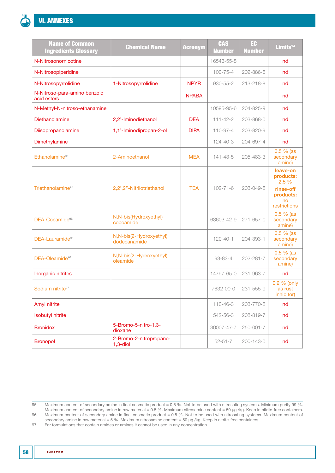| <b>Name of Common</b><br><b>Ingredients Glossary</b> | <b>Chemical Name</b>                    | <b>Acronym</b> | <b>CAS</b><br><b>Number</b> | EC<br><b>Number</b> | Limits <sup>94</sup>                                                           |
|------------------------------------------------------|-----------------------------------------|----------------|-----------------------------|---------------------|--------------------------------------------------------------------------------|
| N-Nitrosonornicotine                                 |                                         |                | 16543-55-8                  |                     | nd                                                                             |
| N-Nitrosopiperidine                                  |                                         |                | $100 - 75 - 4$              | 202-886-6           | nd                                                                             |
| N-Nitrosopyrrolidine                                 | 1-Nitrosopyrrolidine                    | <b>NPYR</b>    | 930-55-2                    | 213-218-8           | nd                                                                             |
| N-Nitroso-para-amino benzoic<br>acid esters          |                                         | <b>NPABA</b>   |                             |                     | nd                                                                             |
| N-Methyl-N-nitroso-ethanamine                        |                                         |                | 10595-95-6                  | 204-825-9           | nd                                                                             |
| Diethanolamine                                       | 2,2'-Iminodiethanol                     | <b>DEA</b>     | $111 - 42 - 2$              | 203-868-0           | nd                                                                             |
| Diisopropanolamine                                   | 1,1'-Iminodipropan-2-ol                 | <b>DIPA</b>    | 110-97-4                    | 203-820-9           | nd                                                                             |
| Dimethylamine                                        |                                         |                | $124 - 40 - 3$              | 204-697-4           | nd                                                                             |
| Ethanolamine <sup>95</sup>                           | 2-Aminoethanol                          | <b>MEA</b>     | $141 - 43 - 5$              | 205-483-3           | $0.5 %$ (as<br>secondary<br>amine)                                             |
| Triethanolamine <sup>95</sup>                        | 2,2"-Nitrilotriethanol                  | <b>TEA</b>     | $102 - 71 - 6$              | 203-049-8           | leave-on<br>products:<br>2.5 %<br>rinse-off<br>products:<br>no<br>restrictions |
| DEA-Cocamide <sup>96</sup>                           | N, N-bis(Hydroxyethyl)<br>cocoamide     |                | 68603-42-9                  | $271 - 657 - 0$     | $0.5%$ (as<br>secondary<br>amine)                                              |
| DEA-Lauramide <sup>96</sup>                          | N,N-bis(2-Hydroxyethyl)<br>dodecanamide |                | $120 - 40 - 1$              | 204-393-1           | $0.5 \%$ (as<br>secondary<br>amine)                                            |
| DEA-Oleamide <sup>96</sup>                           | N,N-bis(2-Hydroxyethyl)<br>oleamide     |                | 93-83-4                     | $202 - 281 - 7$     | $0.5%$ (as<br>secondary<br>amine)                                              |
| Inorganic nitrites                                   |                                         |                | 14797-65-0                  | 231-963-7           | nd                                                                             |
| Sodium nitrite97                                     |                                         |                | 7632-00-0                   | 231-555-9           | 0.2 % (only<br>as rust<br>inhibitor)                                           |
| Amyl nitrite                                         |                                         |                | 110-46-3                    | 203-770-8           | nd                                                                             |
| <b>Isobutyl nitrite</b>                              |                                         |                | 542-56-3                    | 208-819-7           | nd                                                                             |
| <b>Bronidox</b>                                      | 5-Bromo-5-nitro-1,3-<br>dioxane         |                | 30007-47-7                  | 250-001-7           | nd                                                                             |
| <b>Bronopol</b>                                      | 2-Bromo-2-nitropropane-<br>$1,3$ -diol  |                | $52 - 51 - 7$               | 200-143-0           | nd                                                                             |

97 For formulations that contain amides or amines it cannot be used in any concentration.

<sup>95</sup> Maximum content of secondary amine in final cosmetic product = 0.5 %. Not to be used with nitrosating systems. Minimum purity 99 %. Maximum content of secondary amine in raw material = 0.5 %. Maximum nitrosamine content = 50 μg /kg. Keep in nitrite-free containers. 96 Maximum content of secondary amine in final cosmetic product = 0.5 %. Not to be used with nitrosating systems. Maximum content of secondary amine in raw material = 5 %. Maximum nitrosamine content = 50 μg /kg. Keep in nitrite-free containers.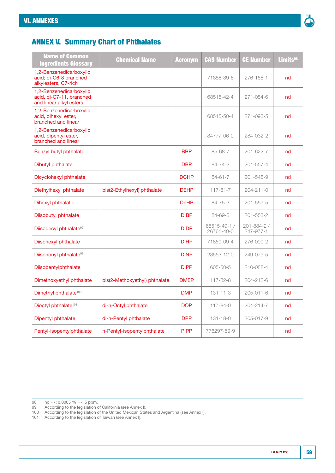

# ANNEX V. Summary Chart of Phthalates

| <b>Name of Common</b><br><b>Ingredients Glossary</b>                           | <b>Chemical Name</b>          | <b>Acronym</b> | <b>CAS Number</b>          | <b>CE Number</b>         | Limits <sup>98</sup> |
|--------------------------------------------------------------------------------|-------------------------------|----------------|----------------------------|--------------------------|----------------------|
| 1,2-Benzenedicarboxylic<br>acid; di-C6-8 branched<br>alkylesters, C7-rich      |                               |                | 71888-89-6                 | 276-158-1                | nd                   |
| 1,2-Benzenedicarboxylic<br>acid, di-C7-11, branched<br>and linear alkyl esters |                               |                | 68515-42-4                 | 271-084-6                | nd                   |
| 1,2-Benzenedicarboxylic<br>acid, dihexyl ester,<br>branched and linear         |                               |                | 68515-50-4                 | 271-093-5                | nd                   |
| 1,2-Benzenedicarboxylic<br>acid, dipentyl ester,<br>branched and linear        |                               |                | 84777-06-0                 | 284-032-2                | nd                   |
| Benzyl butyl phthalate                                                         |                               | <b>BBP</b>     | 85-68-7                    | $201 - 622 - 7$          | nd                   |
| Dibutyl phthalate                                                              |                               | <b>DBP</b>     | 84-74-2                    | $201 - 557 - 4$          | nd                   |
| Dicyclohexyl phthalate                                                         |                               | <b>DCHP</b>    | $84 - 61 - 7$              | 201-545-9                | nd                   |
| Diethylhexyl phthalate                                                         | bis(2-Ethylhexyl) phthalate   | <b>DEHP</b>    | $117 - 81 - 7$             | 204-211-0                | nd                   |
| Dihexyl phthalate                                                              |                               | <b>DnHP</b>    | 84-75-3                    | $201 - 559 - 5$          | nd                   |
| Diisobutyl phthalate                                                           |                               | <b>DIBP</b>    | 84-69-5                    | $201 - 553 - 2$          | nd                   |
| Diisodecyl phthalate <sup>99</sup>                                             |                               | <b>DIDP</b>    | 68515-49-1 /<br>26761-40-0 | 201-884-2 /<br>247-977-1 | nd                   |
| Diisohexyl phthalate                                                           |                               | <b>DIHP</b>    | 71850-09-4                 | 276-090-2                | nd                   |
| Diisononyl phthalate <sup>99</sup>                                             |                               | <b>DINP</b>    | 28553-12-0                 | 249-079-5                | nd                   |
| Diisopentylphthalate                                                           |                               | <b>DIPP</b>    | 605-50-5                   | 210-088-4                | nd                   |
| Dimethoxyethyl phthalate                                                       | bis(2-Methoxyethyl) phthalate | <b>DMEP</b>    | $117 - 82 - 8$             | 204-212-6                | nd                   |
| Dimethyl phthalate <sup>100</sup>                                              |                               | <b>DMP</b>     | $131 - 11 - 3$             | 205-011-6                | nd                   |
| Dioctyl phthalate <sup>101</sup>                                               | di-n-Octyl phthalate          | <b>DOP</b>     | $117 - 84 - 0$             | 204-214-7                | nd                   |
| Dipentyl phthalate                                                             | di-n-Pentyl phthalate         | <b>DPP</b>     | $131 - 18 - 0$             | 205-017-9                | nd                   |
| Pentyl-isopentylphthalate                                                      | n-Pentyl-isopentylphthalate   | <b>PIPP</b>    | 776297-69-9                |                          | nd                   |

- 99 According to the legislation of California (see [Annex I](#page-52-0)).
- 100 According to the legislation of the United Mexican States and Argentina (see [Annex I\)](#page-52-0).
- 101 According to the legislation of Taiwan (see [Annex I](#page-52-0)).

<sup>98</sup>  $nd \approx 0.0005 \% \approx 5$  ppm.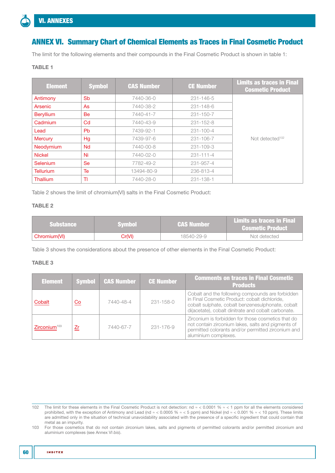# ANNEX VI. Summary Chart of Chemical Elements as Traces in Final Cosmetic Product

The limit for the following elements and their compounds in the Final Cosmetic Product is shown in table 1:

# TABLE 1

| <b>Element</b>   | <b>Symbol</b> | <b>CAS Number</b> | <b>CE Number</b> | <b>Limits as traces in Final</b><br><b>Cosmetic Product</b> |
|------------------|---------------|-------------------|------------------|-------------------------------------------------------------|
| Antimony         | Sb            | 7440-36-0         | $231 - 146 - 5$  |                                                             |
| Arsenic          | As            | 7440-38-2         | 231-148-6        |                                                             |
| <b>Beryllium</b> | Be            | 7440-41-7         | $231 - 150 - 7$  |                                                             |
| Cadmium          | Cd            | 7440-43-9         | $231 - 152 - 8$  |                                                             |
| Lead             | <b>Pb</b>     | 7439-92-1         | $231 - 100 - 4$  |                                                             |
| <b>Mercury</b>   | Hg            | 7439-97-6         | 231-106-7        | Not detected <sup>102</sup>                                 |
| Neodymium        | <b>Nd</b>     | 7440-00-8         | $231 - 109 - 3$  |                                                             |
| <b>Nickel</b>    | Ni            | 7440-02-0         | $231 - 111 - 4$  |                                                             |
| Selenium         | <b>Se</b>     | 7782-49-2         | 231-957-4        |                                                             |
| Tellurium        | Te            | 13494-80-9        | 236-813-4        |                                                             |
| Thallium         | TI            | 7440-28-0         | 231-138-1        |                                                             |

Table 2 shows the limit of chromium(VI) salts in the Final Cosmetic Product:

# TABLE 2

| <b>Substance</b> | Svmbol  | \CAS Number \ | <b>Limits as traces in Final</b><br><b>Cosmetic Product</b> |
|------------------|---------|---------------|-------------------------------------------------------------|
| Chromium(VI)     | Cr(VI). | 18540-29-9    | Not detected                                                |

Table 3 shows the considerations about the presence of other elements in the Final Cosmetic Product:

# TABLE 3

| <b>Element</b>           |    | Symbol <b>CAS Number</b> | <b>CE Number</b> | <b>Comments on traces in Final Cosmetic</b><br><b>Products</b>                                                                                                                                                |
|--------------------------|----|--------------------------|------------------|---------------------------------------------------------------------------------------------------------------------------------------------------------------------------------------------------------------|
| Cobalt                   | Co | 7440-48-4                | $231 - 158 - 0$  | Cobalt and the following compounds are forbidden<br>in Final Cosmetic Product: cobalt dichloride,<br>cobalt sulphate, cobalt benzenesulphonate, cobalt<br>di(acetate), cobalt dinitrate and cobalt carbonate. |
| Zirconium <sup>103</sup> | Zr | 7440-67-7                | 231-176-9        | Zirconium is forbidden for those cosmetics that do<br>not contain zirconium lakes, salts and pigments of<br>permitted colorants and/or permitted zirconium and<br>aluminium complexes.                        |

103 For those cosmetics that do not contain zirconium lakes, salts and pigments of permitted colorants and/or permitted zirconium and aluminium complexes (see [Annex VI](#page-60-0) *bis*).

<sup>102</sup> The limit for these elements in the Final Cosmetic Product is not detection: nd ≈ < 0.0001 % ≈ < 1 ppm for all the elements considered prohibited, with the exception of Antimony and Lead (nd ≈ < 0.0005 % ≈ < 5 ppm) and Nickel (nd ≈ < 0.001 % ≈ < 10 ppm). These limits are admitted only in the situation of technical unavoidability associated with the presence of a specific ingredient that could contain that metal as an impurity.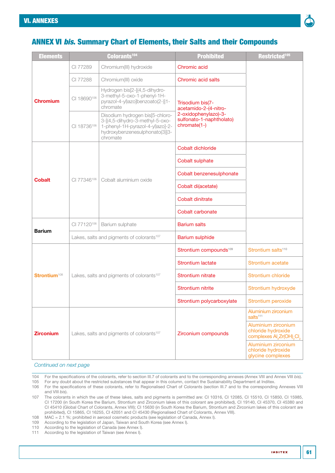

# <span id="page-60-0"></span>ANNEX VI *bis*. Summary Chart of Elements, their Salts and their Compounds

| <b>Elements</b>          |             | Colorants <sup>104</sup>                                                                                                                             | <b>Prohibited</b>                                                | Restricted <sup>105</sup>                                                                                  |
|--------------------------|-------------|------------------------------------------------------------------------------------------------------------------------------------------------------|------------------------------------------------------------------|------------------------------------------------------------------------------------------------------------|
|                          | CI 77289    | Chromium(III) hydroxide                                                                                                                              | Chromic acid                                                     |                                                                                                            |
|                          | CI 77288    | Chromium(III) oxide                                                                                                                                  | Chromic acid salts                                               |                                                                                                            |
| Chromium                 | CI 18690106 | Hydrogen bis[2-[(4,5-dihydro-<br>3-methyl-5-oxo-1-phenyl-1H-<br>pyrazol-4-yl)azo]benzoato(2-)]1-<br>chromate                                         | Trisodium bis(7-<br>acetamido-2-(4-nitro-                        |                                                                                                            |
|                          | CI 18736106 | Disodium hydrogen bis[5-chloro-<br>3-[(4,5-dihydro-3-methyl-5-oxo-<br>1-phenyl-1H-pyrazol-4-yl)azo]-2-<br>hydroxybenzenesulphonato(3)]3-<br>chromate | 2-oxidophenylazo)-3-<br>sulfonato-1-naphtholato)<br>chromate(1-) |                                                                                                            |
|                          |             |                                                                                                                                                      | Cobalt dichloride                                                |                                                                                                            |
|                          |             |                                                                                                                                                      | Cobalt sulphate                                                  |                                                                                                            |
|                          |             |                                                                                                                                                      | Cobalt benzenesulphonate                                         |                                                                                                            |
| <b>Cobalt</b>            | CI 77346106 | Cobalt aluminium oxide                                                                                                                               | Cobalt di(acetate)                                               |                                                                                                            |
|                          |             |                                                                                                                                                      | <b>Cobalt dinitrate</b>                                          |                                                                                                            |
|                          |             |                                                                                                                                                      | Cobalt carbonate                                                 |                                                                                                            |
|                          | CI 77120106 | Barium sulphate                                                                                                                                      | <b>Barium salts</b>                                              |                                                                                                            |
| <b>Barium</b>            |             | Lakes, salts and pigments of colorants <sup>107</sup>                                                                                                | <b>Barium sulphide</b>                                           |                                                                                                            |
|                          |             |                                                                                                                                                      | Strontium compounds <sup>109</sup>                               | Strontium salts <sup>110</sup>                                                                             |
|                          |             |                                                                                                                                                      | <b>Strontium lactate</b>                                         | <b>Strontium acetate</b>                                                                                   |
| Strontium <sup>108</sup> |             | Lakes, salts and pigments of colorants <sup>107</sup>                                                                                                | Strontium nitrate                                                | Strontium chloride                                                                                         |
|                          |             |                                                                                                                                                      | <b>Strontium nitrite</b>                                         | Strontium hydroxyde                                                                                        |
|                          |             |                                                                                                                                                      | Strontium polycarboxylate                                        | Strontium peroxide                                                                                         |
|                          |             |                                                                                                                                                      |                                                                  | Aluminium zirconium<br>salts <sup>111</sup>                                                                |
| <b>Zirconium</b>         |             | Lakes, salts and pigments of colorants <sup>107</sup>                                                                                                | Zirconium compounds                                              | Aluminium zirconium<br>chloride hydroxide<br>complexes Al <sub>s</sub> Zr(OH) <sub>v</sub> Cl <sub>z</sub> |
|                          |             |                                                                                                                                                      |                                                                  | Aluminium zirconium<br>chloride hydroxide<br>glycine complexes                                             |

#### *Continued on next page*

- 104 For the specifications of the colorants, refer to [section III.7](#page-31-0) of colorants and to the corresponding annexes [\(Annex VIII](#page-65-0) and [Annex VIII](#page-90-0) *bis*).
- 105 For any doubt about the restricted substances that appear in this column, contact the Sustainability Department at Inditex. 106 For the specifications of these colorants, refer to Regionalised Chart of Colorants [\(section III.7](#page-31-0) and to the corresponding [Annexes VIII](#page-65-0)

and [VIII](#page-90-0) *bis*).

- 108 MAC = 2.1 %; prohibited in aerosol cosmetic products (see legislation of Canada, [Annex I\)](#page-52-0).
- 109 According to the legislation of Japan, Taiwan and South Korea (see [Annex I\)](#page-52-0).

110 According to the legislation of Canada (see [Annex I](#page-52-0)).

111 According to the legislation of Taiwan (see [Annex I](#page-52-0)).

<sup>107</sup> The colorants in which the use of these lakes, salts and pigments is permitted are: CI 10316, CI 12085, CI 15510, CI 15850, CI 15985, CI 17200 (in South Korea the Barium, Strontium and Zirconium lakes of this colorant are prohibited), CI 19140, CI 45370, CI 45380 and CI 45410 ([Global Chart of Colorants, Annex VIII\)](#page-65-1); CI 15630 (in South Korea the Barium, Strontium and Zirconium lakes of this colorant are prohibited), CI 15865, CI 16255, CI 42051 and CI 45430 ([Regionalised Chart of Colorants, Annex VIII](#page-72-0)).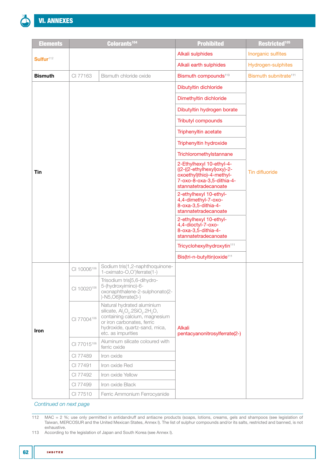

| <b>Elements</b>       |             | Colorants <sup>104</sup>                                                                                                                                                                                                            | <b>Prohibited</b>                                                                                                                       | Restricted <sup>105</sup>         |
|-----------------------|-------------|-------------------------------------------------------------------------------------------------------------------------------------------------------------------------------------------------------------------------------------|-----------------------------------------------------------------------------------------------------------------------------------------|-----------------------------------|
|                       |             |                                                                                                                                                                                                                                     | Alkali sulphides                                                                                                                        | Inorganic sulfites                |
| Sulfur <sup>112</sup> |             |                                                                                                                                                                                                                                     | Alkali earth sulphides                                                                                                                  | Hydrogen-sulphites                |
| <b>Bismuth</b>        | CI 77163    | Bismuth chloride oxide                                                                                                                                                                                                              | Bismuth compounds <sup>113</sup>                                                                                                        | Bismuth subnitrate <sup>111</sup> |
|                       |             |                                                                                                                                                                                                                                     | Dibutyltin dichloride                                                                                                                   |                                   |
|                       |             |                                                                                                                                                                                                                                     | Dimethyltin dichloride                                                                                                                  |                                   |
|                       |             |                                                                                                                                                                                                                                     | Dibutyltin hydrogen borate                                                                                                              |                                   |
|                       |             |                                                                                                                                                                                                                                     | Tributyl compounds                                                                                                                      |                                   |
|                       |             |                                                                                                                                                                                                                                     | Triphenyltin acetate                                                                                                                    |                                   |
|                       |             |                                                                                                                                                                                                                                     | Triphenyltin hydroxide                                                                                                                  |                                   |
|                       |             |                                                                                                                                                                                                                                     | Trichloromethylstannane                                                                                                                 |                                   |
| Tin                   |             |                                                                                                                                                                                                                                     | 2-Ethylhexyl 10-ethyl-4-<br>((2-((2-ethylhexyl)oxy)-2-<br>oxoethyl)thio)-4-methyl-<br>7-oxo-8-oxa-3,5-dithia-4-<br>stannatetradecanoate | <b>Tin difluoride</b>             |
|                       |             |                                                                                                                                                                                                                                     | 2-ethylhexyl 10-ethyl-<br>4,4-dimethyl-7-oxo-<br>8-oxa-3,5-dithia-4-<br>stannatetradecanoate                                            |                                   |
|                       |             |                                                                                                                                                                                                                                     | 2-ethylhexyl 10-ethyl-<br>4,4-dioctyl-7-oxo-<br>8-oxa-3,5-dithia-4-<br>stannatetradecanoate                                             |                                   |
|                       |             |                                                                                                                                                                                                                                     | Tricyclohexylhydroxytin <sup>111</sup>                                                                                                  |                                   |
|                       |             |                                                                                                                                                                                                                                     | Bis(tri-n-butyltin) oxide <sup>111</sup>                                                                                                |                                   |
|                       | CI 10006106 | Sodium tris(1,2-naphthoquinone-<br>1-oximato-O,O')ferrate(1-)                                                                                                                                                                       |                                                                                                                                         |                                   |
|                       | CI 10020106 | Trisodium tris[5,6-dihydro-<br>5-(hydroxyimino)-6-<br>oxonaphthalene-2-sulphonato(2-<br>$)-N5,$ O6]ferrate(3-)                                                                                                                      |                                                                                                                                         |                                   |
| <b>Iron</b>           | CI 77004106 | Natural hydrated aluminium<br>silicate, Al <sub>2</sub> O <sub>3</sub> .2SiO <sub>2</sub> .2H <sub>2</sub> O,<br>containing calcium, magnesium<br>or iron carbonates, ferric<br>hydroxide, quartz-sand, mica,<br>etc. as impurities | <b>Alkali</b><br>pentacyanonitrosylferrate(2-)                                                                                          |                                   |
|                       | CI 77015106 | Aluminum silicate coloured with<br>ferric oxide                                                                                                                                                                                     |                                                                                                                                         |                                   |
|                       | CI 77489    | Iron oxide                                                                                                                                                                                                                          |                                                                                                                                         |                                   |
|                       | CI 77491    | Iron oxide Red                                                                                                                                                                                                                      |                                                                                                                                         |                                   |
|                       | CI 77492    | Iron oxide Yellow                                                                                                                                                                                                                   |                                                                                                                                         |                                   |
|                       | CI 77499    | Iron oxide Black                                                                                                                                                                                                                    |                                                                                                                                         |                                   |
|                       | CI 77510    | Ferric Ammonium Ferrocyanide                                                                                                                                                                                                        |                                                                                                                                         |                                   |

*Continued on next page*

112 MAC = 2 %; use only permitted in antidandruff and antiacne products (soaps, lotions, creams, gels and shampoos (see legislation of Taiwan, MERCOSUR and the United Mexican States, [Annex I](#page-52-0)). The list of sulphur compounds and/or its salts, restricted and banned, is not exhaustive.

113 According to the legislation of Japan and South Korea (see [Annex I](#page-52-0)).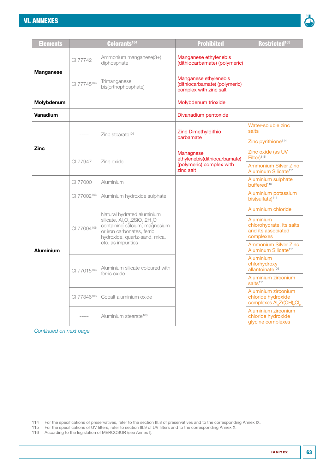# [VI. ANNEXES](#page-50-0)



| <b>Elements</b>  |             | Colorants <sup>104</sup>                                                                                                                                                       | <b>Prohibited</b>                                                                | Restricted <sup>105</sup>                                                |
|------------------|-------------|--------------------------------------------------------------------------------------------------------------------------------------------------------------------------------|----------------------------------------------------------------------------------|--------------------------------------------------------------------------|
|                  | CI 77742    | Ammonium manganese(3+)<br>diphosphate                                                                                                                                          | Manganese ethylenebis<br>(dithiocarbamate) (polymeric)                           |                                                                          |
| <b>Manganese</b> | CI 77745106 | Trimanganese<br>bis(orthophosphate)                                                                                                                                            | Manganese ethylenebis<br>(dithiocarbamate) (polymeric)<br>complex with zinc salt |                                                                          |
| Molybdenum       |             |                                                                                                                                                                                | Molybdenum trioxide                                                              |                                                                          |
| <b>Vanadium</b>  |             |                                                                                                                                                                                | Divanadium pentoxide                                                             |                                                                          |
|                  | $- - - - -$ | Zinc stearate <sup>106</sup>                                                                                                                                                   | Zinc Dimethyldithio                                                              | Water-soluble zinc<br>salts                                              |
|                  |             |                                                                                                                                                                                | carbamate                                                                        | Zinc pyrithione <sup>114</sup>                                           |
| <b>Zinc</b>      | CI 77947    | Zinc oxide                                                                                                                                                                     | Managnese<br>ethylenebis(dithiocarbamate)                                        | Zinc oxide (as UV<br>Filter) <sup>115</sup>                              |
|                  |             |                                                                                                                                                                                | (polymeric) complex with<br>zinc salt                                            | <b>Ammonium Silver Zinc</b><br>Aluminum Silicate <sup>111</sup>          |
|                  | CI 77000    | Aluminium                                                                                                                                                                      |                                                                                  | Aluminium sulphate<br>buffered <sup>116</sup>                            |
|                  | CI 77002106 | Aluminium hydroxide sulphate                                                                                                                                                   |                                                                                  | Aluminium potassium<br>bis(sulfate) <sup>111</sup>                       |
|                  |             | Natural hydrated aluminium                                                                                                                                                     |                                                                                  | Aluminium chloride                                                       |
|                  | CI 77004106 | silicate, Al <sub>2</sub> O <sub>3</sub> .2SiO <sub>2</sub> .2H <sub>2</sub> O<br>containing calcium, magnesium<br>or iron carbonates, ferric<br>hydroxide, quartz-sand, mica, |                                                                                  | Aluminium<br>chlorohydrate, its salts<br>and its associated<br>complexes |
| <b>Aluminium</b> |             | etc. as impurities                                                                                                                                                             |                                                                                  | <b>Ammonium Silver Zinc</b><br>Aluminum Silicate <sup>111</sup>          |
|                  | CI 77015106 | Aluminium silicate coloured with<br>ferric oxide                                                                                                                               |                                                                                  | Aluminium<br>chlorhydroxy<br>allantoinate <sup>109</sup>                 |
|                  |             |                                                                                                                                                                                |                                                                                  | Aluminium zirconium<br>salts <sup>111</sup>                              |
|                  | CI 77346106 | Cobalt aluminium oxide                                                                                                                                                         |                                                                                  | Aluminium zirconium<br>chloride hydroxide<br>complexes Al Zr(OH) Cl      |
|                  |             | Aluminium stearate <sup>106</sup>                                                                                                                                              |                                                                                  | Aluminium zirconium<br>chloride hydroxide<br>glycine complexes           |

*Continued on next page*

114 For the specifications of preservatives, refer to the [section III.8](#page-33-0) of preservatives and to the corresponding [Annex IX](#page-99-0).

115 For the specifications of UV filters, refer to [section III.9](#page-34-0) of UV filters and to the corresponding [Annex X](#page-106-0).

116 According to the legislation of MERCOSUR (see [Annex I](#page-52-0)).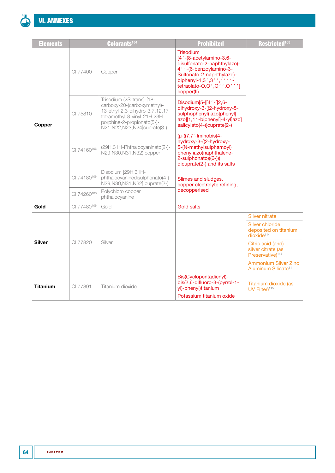

| <b>Elements</b> |                                                   | Colorants <sup>104</sup>                                                                                                                                                                     | <b>Prohibited</b>                                                                                                                                                                                        | Restricted <sup>105</sup>                                               |
|-----------------|---------------------------------------------------|----------------------------------------------------------------------------------------------------------------------------------------------------------------------------------------------|----------------------------------------------------------------------------------------------------------------------------------------------------------------------------------------------------------|-------------------------------------------------------------------------|
|                 | CI 77400                                          | Copper                                                                                                                                                                                       | <b>Trisodium</b><br>[4'-(8-acetylamino-3,6-<br>disulfonato-2-naphthylazo)-<br>4' '-(6-benzoylamino-3-<br>Sulfonato-2-naphthylazo)-<br>biphenyl-1,3',3'',1'''-<br>tetraolato-O,O',O''O,V'']<br>copper(II) |                                                                         |
| Copper          | CI 75810                                          | Trisodium (2S-trans)-[18-<br>carboxy-20-(carboxymethyl)-<br>13-ethyl-2,3-dihydro-3,7,12,17-<br>tetramethyl-8-vinyl-21H,23H-<br>porphine-2-propionato(5-)-<br>N21, N22, N23, N24 cuprate (3-) | Disodium[5-[[4 ' -[[2,6-<br>dihydroxy-3-[(2-hydroxy-5-<br>sulphophenyl) azo]phenyl]<br>azo][1,1'-biphenyl]-4-yl]azo]<br>salicylato(4-)]cuprate(2-)                                                       |                                                                         |
|                 | CI 74160106                                       | (29H,31H-Phthalocyaninato(2-)-<br>N29, N30, N31, N32) copper                                                                                                                                 | $(\mu$ - $((7, 7)'$ -Iminobis $(4 -$<br>hydroxy-3-((2-hydroxy-<br>5-(N-methylsulphamoyl)<br>phenyl)azo)naphthalene-<br>2-sulphonato))(6-)))<br>dicuprate(2-) and its salts                               |                                                                         |
|                 | CI 74180106                                       | Disodium [29H,31H-<br>phthalocyaninedisulphonato(4-)-<br>N29, N30, N31, N32] cuprate(2-)                                                                                                     | Slimes and sludges,<br>copper electrolyte refining,                                                                                                                                                      |                                                                         |
|                 | CI 74260106                                       | Polychloro copper<br>phthalocyanine                                                                                                                                                          |                                                                                                                                                                                                          |                                                                         |
| Gold            | decopperised<br>CI 77480106<br>Gold<br>Gold salts |                                                                                                                                                                                              |                                                                                                                                                                                                          |                                                                         |
|                 |                                                   |                                                                                                                                                                                              |                                                                                                                                                                                                          | <b>Silver nitrate</b><br>Silver chloride                                |
|                 |                                                   |                                                                                                                                                                                              |                                                                                                                                                                                                          | deposited on titanium<br>divside <sup>114</sup>                         |
| <b>Silver</b>   | CI 77820                                          | Silver                                                                                                                                                                                       |                                                                                                                                                                                                          | Citric acid (and)<br>silver citrate (as<br>Preservative) <sup>114</sup> |
|                 |                                                   |                                                                                                                                                                                              |                                                                                                                                                                                                          | <b>Ammonium Silver Zinc</b><br>Aluminum Silicate <sup>111</sup>         |
| <b>Titanium</b> | CI 77891                                          | Titanium dioxide                                                                                                                                                                             | Bis(Cyclopentadienyl)-<br>bis(2,6-difluoro-3-(pyrrol-1-<br>yl)-phenyl)titanium                                                                                                                           | Titanium dioxide (as<br>UV Filter) <sup>115</sup>                       |
|                 |                                                   |                                                                                                                                                                                              | Potassium titanium oxide                                                                                                                                                                                 |                                                                         |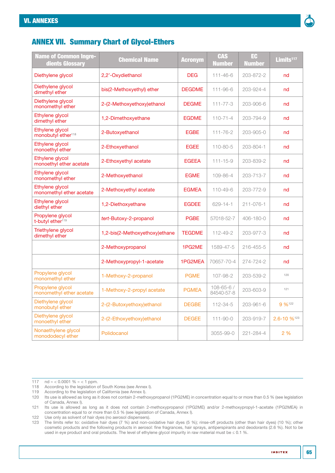

# ANNEX VII. Summary Chart of Glycol-Ethers

| <b>Name of Common Ingre-</b><br>dients Glossary   | <b>Chemical Name</b>           | <b>Acronym</b> | <b>CAS</b><br><b>Number</b>   | EC<br><b>Number</b> | Limits <sup>117</sup>   |
|---------------------------------------------------|--------------------------------|----------------|-------------------------------|---------------------|-------------------------|
| Diethylene glycol                                 | 2,2'-Oxydiethanol              | <b>DEG</b>     | $111 - 46 - 6$                | 203-872-2           | nd                      |
| Diethylene glycol<br>dimethyl ether               | bis(2-Methoxyethyl) ether      | <b>DEGDME</b>  | $111 - 96 - 6$                | 203-924-4           | nd                      |
| Diethylene glycol<br>monomethyl ether             | 2-(2-Methoxyethoxy)ethanol     | <b>DEGME</b>   | $111 - 77 - 3$                | 203-906-6           | nd                      |
| Ethylene glycol<br>dimethyl ether                 | 1,2-Dimethoxyethane            | <b>EGDME</b>   | $110 - 71 - 4$                | 203-794-9           | nd                      |
| Ethylene glycol<br>monobutyl ether <sup>118</sup> | 2-Butoxyethanol                | <b>EGBE</b>    | $111 - 76 - 2$                | 203-905-0           | nd                      |
| Ethylene glycol<br>monoethyl ether                | 2-Ethoxyethanol                | <b>EGEE</b>    | 110-80-5                      | 203-804-1           | nd                      |
| Ethylene glycol<br>monoethyl ether acetate        | 2-Ethoxyethyl acetate          | <b>EGEEA</b>   | $111 - 15 - 9$                | 203-839-2           | nd                      |
| Ethylene glycol<br>monomethyl ether               | 2-Methoxyethanol               | <b>EGME</b>    | 109-86-4                      | 203-713-7           | nd                      |
| Ethylene glycol<br>monomethyl ether acetate       | 2-Methoxyethyl acetate         | <b>EGMEA</b>   | 110-49-6                      | 203-772-9           | nd                      |
| Ethylene glycol<br>diethyl ether                  | 1,2-Diethoxyethane             | <b>EGDEE</b>   | 629-14-1                      | 211-076-1           | nd                      |
| Propylene glycol<br>t-butyl ether <sup>119</sup>  | tert-Butoxy-2-propanol         | <b>PGBE</b>    | 57018-52-7                    | 406-180-0           | nd                      |
| Triethylene glycol<br>dimethyl ether              | 1,2-bis(2-Methoxyethoxy)ethane | <b>TEGDME</b>  | 112-49-2                      | 203-977-3           | nd                      |
|                                                   | 2-Methoxypropanol              | 1PG2ME         | 1589-47-5                     | 216-455-5           | nd                      |
|                                                   | 2-Methoxypropyl-1-acetate      | 1PG2MEA        | 70657-70-4                    | 274-724-2           | nd                      |
| Propylene glycol<br>monomethyl ether              | 1-Methoxy-2-propanol           | <b>PGME</b>    | 107-98-2                      | 203-539-2           | 120                     |
| Propylene glycol<br>monomethyl ether acetate      | 1-Methoxy-2-propyl acetate     | <b>PGMEA</b>   | $108 - 65 - 67$<br>84540-57-8 | 203-603-9           | 121                     |
| Diethylene glycol<br>monobutyl ether              | 2-(2-Butoxyethoxy)ethanol      | <b>DEGBE</b>   | 112-34-5                      | 203-961-6           | 9 %122                  |
| Diethylene glycol<br>monoethyl ether              | 2-(2-Ethoxyethoxy)ethanol      | <b>DEGEE</b>   | $111 - 90 - 0$                | 203-919-7           | 2.6-10 % <sup>123</sup> |
| Nonaethylene glycol<br>monododecyl ether          | Polidocanol                    |                | 3055-99-0                     | 221-284-4           | 2 %                     |

117 nd ≈ < 0.0001 % ≈ < 1 ppm.<br>118 According to the legislation of

According to the legislation of South Korea (see [Annex I](#page-52-0)).

119 According to the legislation of California (see [Annex I](#page-52-0)).<br>120 Its use is allowed as long as it does not contain 2-meth

121 Its use is allowed as long as it does not contain 2-methoxypropanol (1PG2ME) and/or 2-methoxypropyl-1-acetate (1PG2MEA) in concentration equal to or more than 0.5 % (see legislation of Canada, [Annex I](#page-52-0)).

122 Use only as solvent of hair dyes (no aerosol dispensers).<br>123 The limits refer to: oxidative hair dyes (7 %) and non-o

123 The limits refer to: oxidative hair dyes (7 %) and non-oxidative hair dyes (5 %); rinse-off products (other than hair dyes) (10 %); other cosmetic products and the following products in aerosol: fine fragrances, hair sprays, antiperspirants and deodorants (2.6 %). Not to be used in eye product and oral products. The level of ethylene glycol impurity in raw material must be ≤ 0.1 %.

<sup>120</sup> Its use is allowed as long as it does not contain 2-methoxypropanol (1PG2ME) in concentration equal to or more than 0.5 % (see legislation of Canada, [Annex I](#page-52-0)).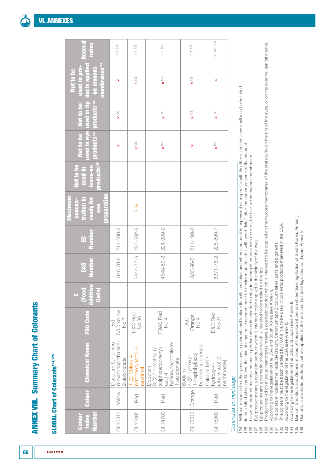# <span id="page-65-1"></span><span id="page-65-0"></span>**GLOBAL Chart of Colorants<sup>124,125</sup>** GLOBAL Chart of Colorants124,125

**INDITEX** 

| General<br>notes                                                                                            | 131, 132                                                            | 131, 132                                                  | 132, 135                                                                                               | 131, 132                                                             | 132, 135, 136                                                             |
|-------------------------------------------------------------------------------------------------------------|---------------------------------------------------------------------|-----------------------------------------------------------|--------------------------------------------------------------------------------------------------------|----------------------------------------------------------------------|---------------------------------------------------------------------------|
| used in eye used in lip ducts applied<br>membranes <sup>129</sup><br>used in pro-<br>on mucous<br>Not to be | ×                                                                   | $\times$ <sup>133</sup>                                   | $x^{\dagger 34}$                                                                                       | $\times$ <sup>133</sup>                                              | ×                                                                         |
| products <sup>126</sup> products <sup>127</sup> products <sup>128</sup><br>Not to be Not to be              | $\times$ <sup>130</sup>                                             |                                                           | $\mathbf{x}^{130}$                                                                                     | $\times$ <sup>133</sup>                                              | $\times$ <sup>130</sup>                                                   |
|                                                                                                             | ×                                                                   | $\times$ <sup>133</sup>                                   | $x^{\dagger\otimes}$                                                                                   | ×                                                                    | $\times$ 130                                                              |
| leave-on<br>Not to be<br>used in                                                                            |                                                                     |                                                           |                                                                                                        |                                                                      |                                                                           |
| preparation<br>ready for<br>Maximum<br>concen-<br>tration in<br><b>use</b>                                  |                                                                     | 3 %                                                       |                                                                                                        |                                                                      |                                                                           |
| <b>Number</b><br>œ                                                                                          | 846-70-8   212-690-2                                                |                                                           |                                                                                                        | 211-199-0                                                            |                                                                           |
| <b>Number</b><br><b>GAS</b>                                                                                 |                                                                     | 2814-77-9   220-562-2                                     | 4548-53-2 224-909-9                                                                                    | $633 - 96 - 5$                                                       | 6371-76-2 228-899-7                                                       |
| (Food<br>Additive<br>Code)<br>π                                                                             |                                                                     |                                                           |                                                                                                        |                                                                      |                                                                           |
| <b>FDA Code</b>                                                                                             | D&C Yellow<br>No.7<br>Exi.                                          | D&C Red<br>No.36                                          | FD&C Red<br>No.4                                                                                       | Orange<br><b>D&amp;C</b><br>No.4                                     | D&C Red<br>No.31                                                          |
| <b>Chemical Name</b>                                                                                        | Disodium 5,7-dinitro-<br>Yellow 8-oxidonaphthalene-<br>2-sulphonate | nitrophenyl)azoj-2-<br>$1 - [(2 - Chlor -4 -$<br>naphthol | hydroxynaphthalene-<br>3-[(2,4-dimethyl-5-<br>sulphonatophényl)<br>azo]-4-<br>1-sulphonate<br>Disodium | benzenesulphonate<br>  4-[(2-hydroxy-<br>  1-naphthyl)azo]<br>Sodium | Calcium bis <sup>[3-</sup><br>(phenylazo)-2-<br>naphthoate]<br>hydroxy-4- |
| <b>Colour</b>                                                                                               |                                                                     | Red                                                       | Red                                                                                                    |                                                                      | Red                                                                       |
| <b>Index</b><br>Number<br>Colour                                                                            | CI 10316                                                            | CI 12085                                                  | CI 14700                                                                                               | CI 15510   Orange                                                    | CI 15800                                                                  |

# Continued on next page *Continued on next page*

Without prejudice to other provisions, a colorant shall include its salts and lakes and when a colorant is expressed as a specific salt, its other salts and lakes shall also be included. 124 Without prejudice to other provisions, a colorant shall include its salts and lakes and when a colorant is expressed as a specific salt, its other salts and lakes shall also be included. 124<br>125

125 In the United Mexican States, the lake of a synthetic colorant must be declared on the label with word "lake" after the common name of the colorant. In the United Mexican States, the lake of a synthetic colorant must be declared on the label with word "lake" after the common name of the colorant.

Leave-on product means a cosmetic product which is intended to stay in prolonged contact with the skin, the hair or the mucous membranes. 126 Leave-on product means a cosmetic product which is intended to stay in prolonged contact with the skin, the hair or the mucous membranes.

127 Eye product means a cosmetic product which is intended to be applied in the vicinity of the eyes. Eye product means a cosmetic product which is intended to be applied in the vicinity of the eyes

Lip product means a cosmetic product which is intended to be applied on the lips. 128 Lip product means a cosmetic product which is intended to be applied on the lips.

Product applied on mucous membranes means a cosmetic product which is intended to be applied on the mucous membranes of the oral cavity, on the rim of the eyes, or on the external genital organs. 129 Product applied on mucous membranes means a cosmetic product which is intended to be applied on the mucous membranes of the oral cavity, on the rim of the eyes, or on the external genital organs. According to the legislation of the USA and South Korea (see Annex I). 130 According to the legislation of the USA and South Korea (see [Annex I](#page-52-0)). 

This colorant includes the insoluble Barium, Strontium and Zirconium lakes, salts and pigments. 131 This colorant includes the insoluble Barium, Strontium and Zirconium lakes, salts and pigments.

This colorant must be batch certified by FDA if it is to be used in cosmetic products marketed in the USA. 132 This colorant must be batch certified by FDA if it is to be used in cosmetic products marketed in the USA.

According to the legislation of the USA (see Annex I). 133 According to the legislation of the USA (see [Annex I\)](#page-52-0).

According to the legislation of the USA and Japan (see Annex I). 134 According to the legislation of the USA and Japan (see [Annex I](#page-52-0)).

Barium, Strontium and Zirconium lakes of this colorant are prohibited (see legislation of South Korea, Annex I). 135 Barium, Strontium and Zirconium lakes of this colorant are prohibited (see legislation of South Korea, [Annex I](#page-52-0)).

Use only in cosmetic products that are applied to the nails and hair (see legislation of Japan, Annex I). 136 Use only in cosmetic products that are applied to the nails and hair (see legislation of Japan, [Annex I](#page-52-0)).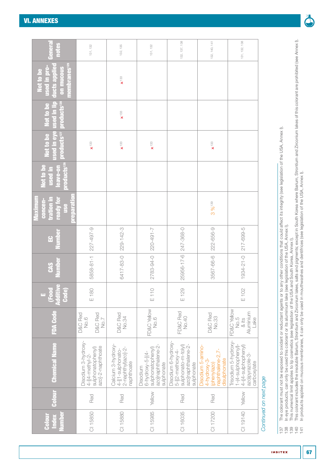| Genera<br>notes<br><b>membranes<sup>129</sup></b><br>ducts applied<br>used in pro-<br>on mucous<br>Not to be | 131, 132                                                    |                        | 132, 135<br>$\mathbf{x}^{133}$                                              | 131, 132                                                                                       | 132, 137, 138                                                                                     | 132, 140, 141                                                                           | 131, 132, 138                                                                                      |
|--------------------------------------------------------------------------------------------------------------|-------------------------------------------------------------|------------------------|-----------------------------------------------------------------------------|------------------------------------------------------------------------------------------------|---------------------------------------------------------------------------------------------------|-----------------------------------------------------------------------------------------|----------------------------------------------------------------------------------------------------|
| products <sup>128</sup><br>Not to be                                                                         |                                                             |                        | $\mathbf{x}^{133}$                                                          |                                                                                                |                                                                                                   |                                                                                         |                                                                                                    |
| used in eye used in lip<br>products <sup>127</sup><br>Not to be                                              | $\mathbf{x}$ <sup>133</sup>                                 |                        | $\times$ 133                                                                | $\times$ <sup>133</sup>                                                                        |                                                                                                   | $\times$ 133                                                                            |                                                                                                    |
| products <sup>126</sup><br>Not to be<br>leave-on<br>used in                                                  |                                                             |                        |                                                                             |                                                                                                |                                                                                                   |                                                                                         |                                                                                                    |
| reparation<br>tration in<br>Vlaximum<br>concen-<br>ready for<br><b>use</b>                                   |                                                             |                        |                                                                             |                                                                                                |                                                                                                   | 3%139                                                                                   |                                                                                                    |
| Vumbe<br>$\mathbf{G}$                                                                                        | 227-497-9                                                   |                        | 229-142-3                                                                   | 220-491-7                                                                                      | 25956-17-6 247-368-0                                                                              | 222-656-9                                                                               | 217-699-5                                                                                          |
| Number<br><b>CAS</b>                                                                                         | 5858-81-1                                                   |                        | 6417-83-0                                                                   | 2783-94-0                                                                                      |                                                                                                   | 3567-66-6                                                                               | 1934-21-0                                                                                          |
| (Food<br>Additive<br>Code)<br>Ò                                                                              | E 180                                                       |                        |                                                                             | E 110                                                                                          | $E$ 129                                                                                           |                                                                                         | E 102                                                                                              |
| <b>FDA Code</b>                                                                                              | D&C Red<br><b>No.6</b>                                      | D&C Red<br><b>No.7</b> | D&C Red<br>No.34                                                            | FD&C Yellow<br>No.6                                                                            | FD&C Red<br>No.40                                                                                 | D&C Red<br>No.33                                                                        | FD&C Yellow<br>Aluminium<br>Lake<br>No.5<br>& its                                                  |
| <b>Chemical Name</b>                                                                                         | Disodium 3-hydroxy-<br>sulphonatophenyl)<br>4-[(4-methyl-2- | azoj-2-naphthoate      | Calcium 3-hydroxy-<br>2-naphthyl)azo]-2-<br>4-[(1-sulphonato-<br>naphthoate | azo]naphthalene-2-<br>sulphonatophenyl)<br>$6 - hydroxy - 5 - [(4 -$<br>sulphonate<br>Disodium | Disodium 6-hydroxy<br>azo]naphthalene-2-<br>sulphonato-m-tolyl)<br>5-[(2-methoxy-4-<br>sulphonate | Disodium 5-amino-<br>naphthalene-2,7-<br>disulphonate<br>$4$ -hydroxy-3-<br>(phenylazo) | Trisodium 5-hydroxy<br>4-((4-sulphophenyl)<br>1-(4-sulphophenyl)<br>azo)pyrazole-3-<br>carboxylate |
| <b>Colour</b>                                                                                                | Red                                                         |                        | Red                                                                         | Yellow                                                                                         | Red                                                                                               | Red                                                                                     | Yellow                                                                                             |
| Number<br><b>Index</b><br>Colour                                                                             | CI 15850                                                    |                        | CI 15880                                                                    | CI 15985                                                                                       | CI 16035                                                                                          | CI 17200                                                                                | CI 19140                                                                                           |

# ⅀

- 137 The colorant must not be exposed to oxidant or reductant agents or to any other conditions that could affect its integrity (see legislation of the USA, [Annex I](#page-52-0)).
- 138 In eye products, can only be used this colorant or its aluminium lake (see legislation of the USA, [Annex I](#page-52-0)).
	- 139 This numerical limit applies to lip cosmetics (see legislation of the USA and South Korea, [Annex I\)](#page-52-0).
- The colorant must not be exposed to oxidant or reductant agents or to any other conditions that could affect its integrity (see legislation of the USA, Annex I).<br>In eye products, can only be used this colorant or its alumi 140 This colorant includes the insoluble Barium, Strontium and Zirconium lakes, salts and pigments; except in South Korea where Barium, Strontium and Zirconium lakes of this colorant are prohibited (see [Annex I](#page-52-0)).  $789007$ 
	- 141 In products applied on mucous membranes, it can only be used in mouthwashes and dentifrices (see legislation of the USA, [Annex I\)](#page-52-0).



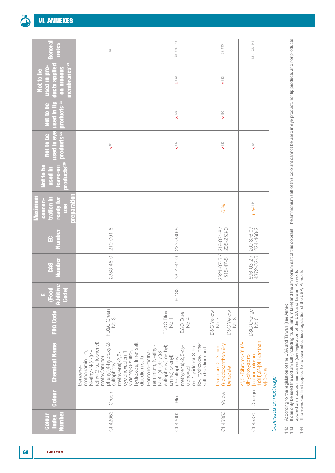68

| <b>umber</b><br>Index<br>Colour | Colour                 | <b>Chemical Name</b>                                                                                                                                                                                                                         | <b>FDA Code</b>                                     | $\bullet$<br>Code)<br>(Food<br>Additiv<br>u. | <b>Number</b><br><b>CAS</b>         | Number<br>$\Omega$            | Maximum<br>ready for<br>tration in<br>concen-<br><b>use</b><br>DR FI<br>Ξ | products <sup>126</sup><br><b>Not to be</b><br>leave-on<br>used in | products <sup>127</sup> products <sup>128</sup><br>used in eye<br>Not to be | used in lip<br>Not to be | membranes <sup>129</sup><br>ducts applied<br>used in pro-<br>on mucous<br>Not to be | Genera<br>notes |
|---------------------------------|------------------------|----------------------------------------------------------------------------------------------------------------------------------------------------------------------------------------------------------------------------------------------|-----------------------------------------------------|----------------------------------------------|-------------------------------------|-------------------------------|---------------------------------------------------------------------------|--------------------------------------------------------------------|-----------------------------------------------------------------------------|--------------------------|-------------------------------------------------------------------------------------|-----------------|
| CI 42053                        | Green                  | phenyl)(4-hydroxy-2-<br>sulfophenyl)<br>hydroxide, inner salt,<br>(ethyl((3-sulfophenyl)<br>methanaminium,<br>-4) -4-N-N-N-4-N-N-N<br>ylidene)-3-sulfo-<br>cyclohexadien-1<br>methylene)-2,5-<br>disodium salt)<br>methyl)amino)<br>Benzene- | FD&C Green<br>No.3                                  |                                              | 2353-45-9                           | $219 - 091 - 5$               |                                                                           |                                                                    | $\mathbf{x}^{133}$                                                          |                          |                                                                                     | 132             |
| CI 42090                        | Blue                   | fo-, hydroxide, inner<br>en-1-ylidene)-3-sul-<br>sulfophenyl)methyl)<br>methylene)-2,5-cy-<br>naminium, N-ethyl-<br>salt, disodium salt<br>$N-(4-((4-eth)/(3-$<br>Benzene-metha-<br>(2-sulfophenyl)<br>amino) phenyl)<br>clohexadi-          | FD&C Blue<br>No.1<br><b>D&amp;C</b> Blue<br>No.4    | E 133                                        | 3844-45-9                           | 223-339-8                     |                                                                           |                                                                    | $\mathbf{x}^{\text{+42}}$                                                   | $\times$ <sup>133</sup>  | $\mathbf{x}^{133}$                                                                  | 132, 135, 143   |
| CI 45350                        | Yellow                 | 6-oxidoxanthen-9-yl)<br>Disodium 2-(3-oxo-<br>benzoate                                                                                                                                                                                       | <b>D&amp;C Yellow</b><br>D&C Yellow<br>No.8<br>No.7 |                                              | $2321 - 07 - 5 /$<br>$518 - 47 - 8$ | $219 - 031 - 8/$<br>208-253-0 | 6 %                                                                       |                                                                    | $\mathbf{x}^{\text{+30}}$                                                   | $\times$ <sup>130</sup>  | $\mathbf{x}^{133}$                                                                  | 132, 135        |
|                                 | CI 45370   Orange      | 1(3H),9'-[9H]xanthen<br>4', 5'-Dibromo-3', 6'-<br>lisobenzofuran-<br>dihydroxyspiro-<br>el-3-one                                                                                                                                             | D&C Orange                                          |                                              | 596-03-2/<br>4372-02-5              | 209-876-07<br>224-468-2       | 5 % 144                                                                   |                                                                    | $\times$ 130                                                                |                          |                                                                                     | 131, 132, 141   |
|                                 | Continued on next page |                                                                                                                                                                                                                                              |                                                     |                                              |                                     |                               |                                                                           |                                                                    |                                                                             |                          |                                                                                     |                 |

<sup>21</sup> hah

142 According to the legislation of the USA and Taiwan (see [Annex I\)](#page-52-0).  $142$ <br> $143$ 

According to the legislation of the USA and Taiwan (see Annex I).<br>It can only be used the sodium salt (including its aluminium lake) and the ammonium salt of the ammonium salt of this colorant cannot be used in eye product 143 It can only be used the sodium salt (including its aluminium lake) and the ammonium salt of this colorant. The ammonium salt of this colorant cannot be used in eye product, nor lip products and nor products applied on mucous membranes (see legislation of the USA and Taiwan, [Annex I](#page-52-0)).

144 This numerical limit applies to lip cosmetics (see legislation of the USA, [Annex I\)](#page-52-0). $144$ 

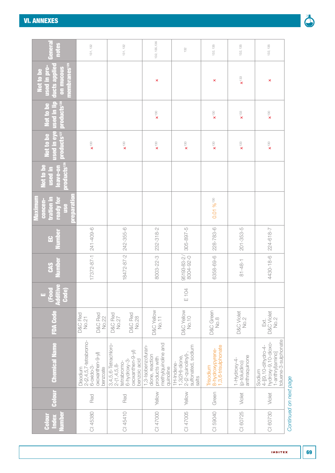F

| Genera<br><b>notes</b>                                                                     | 131, 132                                                                                        | 131, 132                                                                                                       | 132, 135, 136                                                                              | 132                                                                                        | 132, 135                                             | 132, 135                                       | 132, 135                                                                                         |
|--------------------------------------------------------------------------------------------|-------------------------------------------------------------------------------------------------|----------------------------------------------------------------------------------------------------------------|--------------------------------------------------------------------------------------------|--------------------------------------------------------------------------------------------|------------------------------------------------------|------------------------------------------------|--------------------------------------------------------------------------------------------------|
| membranes <sup>129</sup><br>ducts applied<br><u>used in pro-</u><br>on mucous<br>Not to be |                                                                                                 |                                                                                                                | ×                                                                                          |                                                                                            | ×                                                    | $\times$ <sup>133</sup>                        | ×                                                                                                |
| products <sup>128</sup><br><u>used in lip</u><br>Not to be                                 |                                                                                                 |                                                                                                                | $\times$ 130                                                                               |                                                                                            | $\mathbf{x}$ <sup>130</sup>                          | $\mathbf{x}^{133}$                             | $\times$ <sup>130</sup>                                                                          |
| <b>Ised in eye</b><br>products <sup>127</sup><br>Not to be                                 | $\mathbf{x}$ <sup>130</sup>                                                                     | $\mathbf{x}$ <sup>130</sup>                                                                                    | $\times$ 130                                                                               | $\mathbf{x}$ 130                                                                           | $\mathbf{x}$ 130                                     | $\mathbf{x}$ 133                               | $\mathbf{x}^{\text{+30}}$                                                                        |
| <b>Droducts<sup>126</sup></b><br><b>Not to be</b><br>leave-on<br>used in                   |                                                                                                 |                                                                                                                |                                                                                            |                                                                                            |                                                      |                                                |                                                                                                  |
| <b>preparation</b><br><b>Maximum</b><br>tration in<br>ready for<br>concen-<br><b>use</b>   |                                                                                                 |                                                                                                                |                                                                                            |                                                                                            | $0.01\%$ <sup>130</sup>                              |                                                |                                                                                                  |
| Numbe<br>운                                                                                 | 241-409-6                                                                                       | 242-355-6                                                                                                      | 232-318-2                                                                                  | $305 - 897 - 5$                                                                            | 228-783-6                                            | $201 - 353 - 5$                                | 224-618-7                                                                                        |
| <b>Number</b><br>CAS                                                                       | 17372-87-1                                                                                      | 18472-87-2                                                                                                     | 8003-22-3                                                                                  | 95193-83-2/<br>8004-92-0                                                                   | 6358-69-6                                            | $81 - 48 - 1$                                  | 4430-18-6                                                                                        |
| (Food<br>Additive<br>Code)<br>ш,                                                           |                                                                                                 |                                                                                                                |                                                                                            | E 104                                                                                      |                                                      |                                                |                                                                                                  |
| <b>FDA Code</b>                                                                            | <b>D&amp;C Red</b><br>D&C Red<br>No.22<br>No.21                                                 | D&C Red<br>D&C Red<br>No.28<br>No.27                                                                           | <b>D&amp;C Yellow</b><br>No.11                                                             | <b>D&amp;C Yellow</b><br>No.10                                                             | <b>D&amp;C</b> Green<br>No.8                         | <b>D&amp;C Violet</b><br>No.2                  | <b>D&amp;C Violet</b><br>No.2<br>Ext.                                                            |
| <b>Chemical Name</b>                                                                       | $2 - (2, 4, 5, 7 - tetrabinom$<br>oxoxanthen-9-yl)<br>$6 - o$ xido $-3$<br>Disodium<br>benzoate | 3,4,5,6-Tetrachloro-<br>oxoxanthen-9-yl)<br>$6$ -hydroxy-3-<br>benzoic acid<br>tetrabromo-<br>$2-(1, 4, 5, 8-$ | methylquinoline and<br>1,3-Isobenzofuran-<br>dione, reaction<br>products with<br>quinoline | sulfonated, sodium<br>$2 - (2 -$ quinolinyl)-,<br>$1,3(2H)$ -dione,<br>1H-Indene-<br>salts | 1,3,6-trisulphonate<br>8-hydroxypyrene-<br>Trisodium | anthraquinone<br>1-Hydroxy-4-<br>(p-toluidino) | toluene-3-sulphonate<br>hydroxy-9,10-dioxo-<br>4-[(9,10-dihydro-4-<br>1-anthryl)amino]<br>Sodium |
| Colour                                                                                     | Red                                                                                             | Red                                                                                                            | Yellow                                                                                     | Yellow                                                                                     | Green                                                | Violet                                         | Violet                                                                                           |
| Number<br>Index<br>Colour                                                                  | CI 45380                                                                                        | CI 45410                                                                                                       | CI 47000                                                                                   | CI 47005                                                                                   | CI 59040                                             | CI 60725                                       | CI 60730                                                                                         |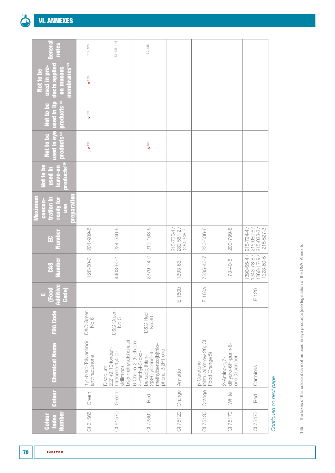| General<br>notes                                                                               | 132, 135                               | 132, 135, 145                                                                               | 132, 135                                                                                                                    |                                                                                            |                                                               |                                                      |                                                              |
|------------------------------------------------------------------------------------------------|----------------------------------------|---------------------------------------------------------------------------------------------|-----------------------------------------------------------------------------------------------------------------------------|--------------------------------------------------------------------------------------------|---------------------------------------------------------------|------------------------------------------------------|--------------------------------------------------------------|
| membranes <sup>129</sup><br>ducts applied<br>used in pro-<br>on mucous<br>Not to be            | $\times$ <sup>133</sup>                |                                                                                             |                                                                                                                             |                                                                                            |                                                               |                                                      |                                                              |
| products <sup>127</sup> products <sup>128</sup><br><b>Ised in eye</b> used in lip<br>Not to be | $\times$ <sup>133</sup>                |                                                                                             |                                                                                                                             |                                                                                            |                                                               |                                                      |                                                              |
| Not to be                                                                                      | $\times$ <sup>133</sup>                |                                                                                             | $\times$ <sup>133</sup>                                                                                                     |                                                                                            |                                                               |                                                      |                                                              |
| products <sup>126</sup><br>Not to be<br>leave-on<br>used in                                    |                                        |                                                                                             |                                                                                                                             |                                                                                            |                                                               |                                                      |                                                              |
| Maximum<br>tration in<br>concen-<br>ready for<br>parat<br><b>Se</b>                            |                                        |                                                                                             |                                                                                                                             |                                                                                            |                                                               |                                                      |                                                              |
| <b>Number</b><br>$\mathbf{G}$                                                                  | 204-909-5                              | 224-546-6                                                                                   | 219-163-6                                                                                                                   | $\begin{array}{ c c c }\n\hline\n215-735-4/2 \\ 289-561-2/\hline \end{array}$<br>230-248-7 | 230-636-6                                                     | 200-799-8                                            | 215-527-3<br>$215 - 680 - 6$<br>$215 - 724 - 4$              |
| <b>Number</b><br>CAS                                                                           | $128 - 80 - 3$                         | 4403-90-1                                                                                   | 2379-74-0                                                                                                                   | 1393-63-1                                                                                  | 7235-40-7                                                     | $73-40-5$                                            | $1260 - 17 - 9$<br>1390-65-4<br>$1343 - 78 - 8$<br>1328-60-5 |
| (Food<br>Additive<br>Code)<br>u,                                                               |                                        |                                                                                             |                                                                                                                             | E 160b                                                                                     | E 160a                                                        |                                                      | E120                                                         |
| <b>FDA Code</b>                                                                                | <b>D&amp;C</b> Green<br>No.6           | <b>D&amp;C</b> Green<br>No.5                                                                | D&C Red<br>No.30                                                                                                            |                                                                                            |                                                               |                                                      |                                                              |
| <b>Chemical Name</b>                                                                           | 1,4-bis(p-Tolylamino)<br>anthraquinone | bis(5-methylsulphonate)<br>2,2'-(9,10-ioxoan-<br>thracene-1,4-di-<br>Disodium<br>yldiimino) | 6-Chloro-2-(6-chloro-<br>methylbenzo[b]thio-<br>phene-3(2H)-one<br>$2(3H)-y$ idene)-4-<br>4-methyl-3-oxo-<br>benzo[b]thien- | Annatto                                                                                    | (Natural Yellow 26; CI<br>Food Orange 5)<br><b>B-Carotene</b> | dihydro-6H-purin-6-<br>one (Guanine)<br>2-Amino-1,7- | Carmines                                                     |
| <b>Colour</b>                                                                                  | Green                                  | Green                                                                                       | Red                                                                                                                         | Orange                                                                                     | Orange                                                        | White                                                | Red                                                          |
| <b>Number</b><br>Index<br>Colour                                                               | CI 61565                               | CI 61570                                                                                    | CI 73360                                                                                                                    | CI 75120                                                                                   | CI 75130                                                      | CI 75170                                             | CI 75470                                                     |

Continued on next page *Continued on next page*

145 The lakes of this colorant cannot be used in eye products (see legislation of the USA, Annex I). 145 The lakes of this colorant cannot be used in eye products (see legislation of the USA, [Annex I](#page-52-0)).

70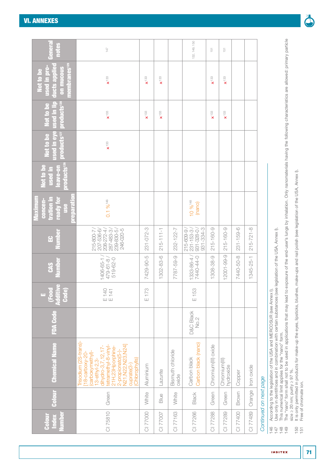| umber<br>Index<br>Colour | Colour | <b>Chemical Name</b>                                                                                                                                                                                                                         | <b>FDA Code</b>              | (Food<br>Additive<br>Code)<br>μ, | <b>Number</b><br><b>CAS</b>       | umber<br><u>ម</u>                                                                            | reparatio<br><u>tration in</u><br>Maximun<br>concen-<br>ready for<br><b>SSR</b> | products <sup>126</sup><br>Not to be<br>eave-on<br><u>used</u> in | products <sup>127</sup><br>Not to be | products <sup>128</sup><br>ised in eye used in lip<br>Not to be | <b>membranes<sup>129</sup></b><br>ducts applied<br>used in pro-<br>on mucous<br>Not to be | Genera<br>notes |
|--------------------------|--------|----------------------------------------------------------------------------------------------------------------------------------------------------------------------------------------------------------------------------------------------|------------------------------|----------------------------------|-----------------------------------|----------------------------------------------------------------------------------------------|---------------------------------------------------------------------------------|-------------------------------------------------------------------|--------------------------------------|-----------------------------------------------------------------|-------------------------------------------------------------------------------------------|-----------------|
| CI 75810                 | Green  | Trisodium (2S-trans)-<br>N21, N22, N23, N24]<br>tetramethyl-8-vinyl-<br>21H,23Hporphine-<br>dihydro-3,7,12,17<br>(carboxymethyl)-<br>2-propionato(5-)<br>$18$ -carboxy-20-<br>$13$ -ethyl-2, 3-<br>(Chlorophylls)<br>cuprate <sup>(3-1</sup> |                              | E 140<br>E 141                   | 519-62-0<br>1406-65-1<br>479-61-8 | 287-483-3<br>246-020-5<br>207-536-6<br>208-272-4<br>239-830-5<br>215-800-7                   | $0.1\%$ <sup>146</sup>                                                          |                                                                   | $\times$ 133                         | $\times$ <sup>133</sup>                                         | $\mathbf{x}$ 133                                                                          | 147             |
| <b>CI 77000</b>          | White  | Aluminium                                                                                                                                                                                                                                    |                              | E 173                            | 7429-90-5                         | 231-072-3                                                                                    |                                                                                 |                                                                   |                                      | $\mathbf{x}^{133}$                                              | $\mathbf{x}^{133}$                                                                        |                 |
| CI 77007                 | Blue   | Lazurite                                                                                                                                                                                                                                     |                              |                                  | 1302-83-6                         | $215 - 111 - 1$                                                                              |                                                                                 |                                                                   |                                      | $\mathbf{x}^{133}$                                              | $\mathbf{x}^{133}$                                                                        |                 |
| CI 77163                 | White  | Bismuth chloride<br>oxide                                                                                                                                                                                                                    |                              |                                  | 7787-59-9                         | 232-122-7                                                                                    |                                                                                 |                                                                   |                                      |                                                                 |                                                                                           |                 |
| CI 77266                 | Black  | Carbon black (nano)<br>Carbon black                                                                                                                                                                                                          | <b>D&amp;C Black</b><br>No.2 | E 153                            | 1333-86-4/<br>7440-44-0           | 931-334-3<br>$\begin{array}{c}\n 231 - 153 - 3 \\  931 - 328 - 0\n \end{array}$<br>215-609-9 | 10 % 148<br>(nano)                                                              |                                                                   |                                      |                                                                 |                                                                                           | 132, 149, 150   |
| CI 77288                 | Green  | Chromium(III) oxide                                                                                                                                                                                                                          |                              |                                  | 1308-38-9                         | 215-160-9                                                                                    |                                                                                 |                                                                   |                                      | $\times$ 133                                                    | $\times$ 133                                                                              | 151             |
| CI 77289                 | Green  | Chromium(III)<br>hydroxide                                                                                                                                                                                                                   |                              |                                  | 12001-99-9                        | 215-160-9                                                                                    |                                                                                 |                                                                   |                                      | $\mathbf{x}^{133}$                                              | $\mathbf{x}^{133}$                                                                        | 151             |
| CI 77400                 | Brown  | Copper                                                                                                                                                                                                                                       |                              |                                  | 7440-50-8                         | $231 - 159 - 6$                                                                              |                                                                                 |                                                                   |                                      |                                                                 |                                                                                           |                 |
| CI 77489                 | Orange | Iron oxide                                                                                                                                                                                                                                   |                              |                                  | 1345-25-1                         | $215 - 721 - 8$                                                                              |                                                                                 |                                                                   |                                      |                                                                 |                                                                                           |                 |
| Continued on next page   |        |                                                                                                                                                                                                                                              |                              |                                  |                                   |                                                                                              |                                                                                 |                                                                   |                                      |                                                                 |                                                                                           |                 |

- 146 According to the legislation of the USA and MERCOSUR (see [Annex I\)](#page-52-0).
- According to the legislation of the USA and MERCOSUR (see Annex I).<br>Use only in dentifrices and in combination with certain substances (see legislation of the USA, Annex I).<br>This numerical limit applies for the "nano" form 147 Use only in dentifrices and in combination with certain substances (see legislation of the USA, [Annex I](#page-52-0)).
- 148 This numerical limit applies for the "nano" form.  $44444$   $+444$
- The "nano" form shall not to be used in applications that may lead to exposure of the end-user's lungs by inhalation. Only nanomaterials having the following characteristics are allowed: primary particle 149 The "nano" form shall not to be used in applications that may lead to exposure of the end-user's lungs by inhalation. Only nanomaterials having the following characteristics are allowed: primary particle The "nano" form shall not to be used in applications that may lead to exposure of the end-user's lungs by inhalation. Only nanomater<br>size ≥ 20 nm; purity ≥ 97 %.<br>Free of chromate ion. size ≥ 20 nm; purity ≥ 97 %.
	- 150 It is only permitted in products for make-up the eyes, lipsticks, blushes, make-ups and nail polish (see legislation of the USA, [Annex I\)](#page-52-0).  $150$ <br>151
		- 151 Free of chromate ion.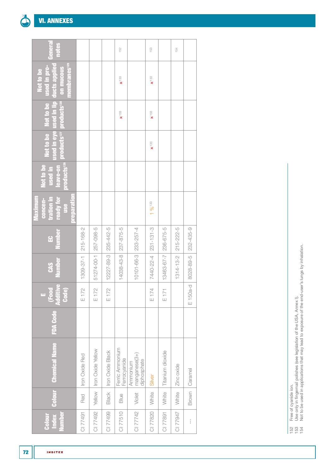| <b>Index</b><br><b>Number</b><br>Colour |        | <b>Colour</b> Chemical Name              | <b>FDA Code</b> | Food<br>Additive<br><b>Code</b><br>ш | <b>Number</b><br><b>CAS</b> | Number<br>$\Omega$ | preparation<br>ready for<br>Maximum<br>concen-<br>tration in<br><b>use</b> | Not to be<br>leave-on<br>used in | products <sup>126</sup> products <sup>127</sup> products <sup>128</sup> | Not to be Not to be     | membranes <sup>129</sup><br>used in eye used in lip ducts applied<br>used in pro-<br>on mucous<br>Not to be | General<br>notes |
|-----------------------------------------|--------|------------------------------------------|-----------------|--------------------------------------|-----------------------------|--------------------|----------------------------------------------------------------------------|----------------------------------|-------------------------------------------------------------------------|-------------------------|-------------------------------------------------------------------------------------------------------------|------------------|
| CI 77491                                | Red    | Iron Oxide Red                           |                 | E 172                                | 1309-37-1                   | $215 - 168 - 2$    |                                                                            |                                  |                                                                         |                         |                                                                                                             |                  |
| CI 77492                                |        | Yellow   Iron Oxide Yellow               |                 | E 172                                | 51274-00-1 257-098-5        |                    |                                                                            |                                  |                                                                         |                         |                                                                                                             |                  |
| CI 77499                                |        | Black   Iron Oxide Black                 |                 | E 172                                | 12227-89-3 235-442-5        |                    |                                                                            |                                  |                                                                         |                         |                                                                                                             |                  |
| CI 77510                                | Blue   | Ferric Ammonium<br>Ferrocyanide          |                 |                                      | 14038-43-8 237-875-5        |                    |                                                                            |                                  |                                                                         | $\times$ <sup>133</sup> | $\times$ <sup>133</sup>                                                                                     | 152              |
| CI 77742                                | Violet | manganese(3+)<br>diphosphate<br>Ammonium |                 |                                      | 10101-66-3 233-257-4        |                    |                                                                            |                                  |                                                                         |                         |                                                                                                             |                  |
| CI 77820                                | White  | Silver                                   |                 | E 174                                | 7440-22-4 231-131-3         |                    | $196^{133}$                                                                |                                  | $\times$ <sup>133</sup>                                                 | $\times$ <sup>133</sup> | $\mathbf{x}^{133}$                                                                                          | 153              |
| CI 77891                                | White  | Titanium dioxide                         |                 | E171                                 | 13463-67-7 236-675-5        |                    |                                                                            |                                  |                                                                         |                         |                                                                                                             |                  |
| <b>2762210</b>                          | White  | Zinc oxide                               |                 |                                      | $1314 - 13 - 2$   215-222-5 |                    |                                                                            |                                  |                                                                         |                         |                                                                                                             | 154              |
| $\frac{1}{1}$                           |        | Brown   Caramel                          |                 | $E150a-d$                            | 8028-89-5                   | 232-435-9          |                                                                            |                                  |                                                                         |                         |                                                                                                             |                  |

152 Free of cyanide ion.

153 Use only in fingernail polishes (see legislation of the USA, [Annex I\)](#page-52-0).  $1534$ 

Free of cyanide ion.<br>Use only in fingernail polishes (see legislation of the USA, Annex I).<br>Not to be used in applications that may lead to exposure of the end-user's lungs by inhalation. 154 Not to be used in applications that may lead to exposure of the end-user's lungs by inhalation.

72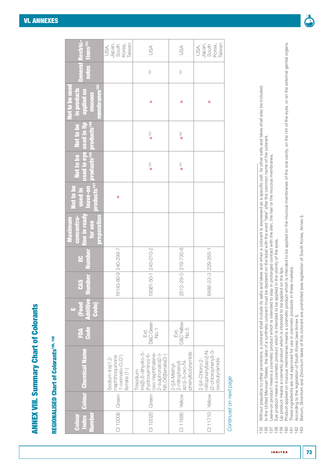## **REGIONALISED Chart of Colorants155, 156** REGIONALISED Chart of Colorants155, 156

| <b>General Restric-</b><br>notes tions <sup>ter</sup>                                                                     | Korea,<br>Taiwan<br>Japan,<br>South<br>USA,                                       | SA                                                                                                                  | USA                                                                                    | Taiwan<br>Japan,<br>South<br>Korea,<br>USA,                                                                        |
|---------------------------------------------------------------------------------------------------------------------------|-----------------------------------------------------------------------------------|---------------------------------------------------------------------------------------------------------------------|----------------------------------------------------------------------------------------|--------------------------------------------------------------------------------------------------------------------|
|                                                                                                                           |                                                                                   | 163                                                                                                                 | 163                                                                                    |                                                                                                                    |
| membranes <sup>160</sup><br>Not to be used<br>in products<br>applied on<br>mucous                                         |                                                                                   | ×                                                                                                                   | ×                                                                                      | ×                                                                                                                  |
| products <sup>157</sup> products <sup>158</sup> products <sup>158</sup><br>used in eye used in lip<br>Not to be Not to be |                                                                                   | $x^{\dagger\otimes}$                                                                                                | $x^{\dagger\otimes}$                                                                   |                                                                                                                    |
|                                                                                                                           |                                                                                   | $x^{\dagger}$ 62                                                                                                    | $x^{162}$                                                                              |                                                                                                                    |
| used in<br>Not to be<br>leave-on                                                                                          | ×                                                                                 |                                                                                                                     |                                                                                        |                                                                                                                    |
| tion in ready<br><b>preparation</b><br>concentra-<br>Maximum<br>for use                                                   |                                                                                   |                                                                                                                     |                                                                                        |                                                                                                                    |
| <b>Boumber</b><br>$\mathbf{E}$                                                                                            |                                                                                   |                                                                                                                     |                                                                                        |                                                                                                                    |
| umber<br>CAS                                                                                                              | 16143-80-9 240-299-7                                                              | 19381-50-1 243-010-2                                                                                                | 2512-29-0 219-730-8                                                                    | 6486-23-3 229-355-1                                                                                                |
| <b>Additive</b><br>Code)<br>(Food                                                                                         |                                                                                   |                                                                                                                     |                                                                                        |                                                                                                                    |
| Code<br>FDA                                                                                                               |                                                                                   | D&C Green<br>$\frac{1}{2}$<br>Ext.                                                                                  | <b>D&amp;C Yellow</b><br>No.5<br>Ext.                                                  |                                                                                                                    |
| <b>Colour Chemical Name</b>                                                                                               | Green   naphthoquinone<br>  1-oximato-O,O')<br>  ferrate (1-)<br>Sodium tris(1,2- | tris[5,6-dihydro-5-<br>(hydroxyimino)-6-<br>oxo-naphthalene-<br>2-sulphonato(2-)-<br>N5,O6]ferrate(3-)<br>Trisodium | phenylbutyramide<br>CI 11680 Yellow 2-nitrophenyi)<br>azol-3-oxo-N-<br>$2-[4-Nethy]$ - | CI 11710 Yellow   nitrophenyl)azo]-N-<br>CI 11710 Yellow   (2-chlorophenyl)-3-<br>2-[(4-Chloro-2-<br>oxobutyramide |
|                                                                                                                           |                                                                                   |                                                                                                                     |                                                                                        |                                                                                                                    |
| <b>Index</b><br>lumber<br>Colour                                                                                          | CI 10006                                                                          | CI 10020 Green                                                                                                      |                                                                                        |                                                                                                                    |

### Continued on next page *Continued on next page*

Without prejudice to other provisions, a colorant shall include its salts and lakes and when a colorant is expressed as a specific salt, its other salts and lakes shall also be included. 155 Without prejudice to other provisions, a colorant shall include its salts and lakes and when a colorant is expressed as a specific salt, its other salts and lakes shall also be included. In the United Mexican States, the lake of a synthetic colorant must be declared on the label with the word "lake" after the common name of the colorant. 156 In the United Mexican States, the lake of a synthetic colorant must be declared on the label with the word "lake" after the common name of the colorant.

Leave-on product means a cosmetic product which is intended to stay in prolonged contact with the skin, the hair or the mucous membranes. 157 Leave-on product means a cosmetic product which is intended to stay in prolonged contact with the skin, the hair or the mucous membranes.

Eye product means a cosmetic product which is intended to be applied in the vicinity of the eyes. 158 Eye product means a cosmetic product which is intended to be applied in the vicinity of the eyes.

Lip product means a cosmetic product which is intended to be applied on the lips. 159 Lip product means a cosmetic product which is intended to be applied on the lips.

160 Product applied on mucous membranes means a cosmetic product which is intended to be applied on the mucous membranes of the oral cavity, on the rim of the eyes, or on the external genital organs. Product applied on mucous membranes means a cosmetic product which is intended to be applied on the mucous membranes of the oral cavity, on the rim of the eyes, or on the external genital organs. 161 These ingredients are not approved for use in cosmetic products in these markets. These ingredients are not approved for use in cosmetic products in these markets. 

162 According to the legislation of South Korea (see [Annex I\)](#page-52-0).

According to the legislation of South Korea (see Annex I).<br>Barium, Strontium and Zirconium lakes of this colorant are prohibited (see legislation of South Korea, Annex I). 163 Barium, Strontium and Zirconium lakes of this colorant are prohibited (see legislation of South Korea, [Annex I](#page-52-0)).

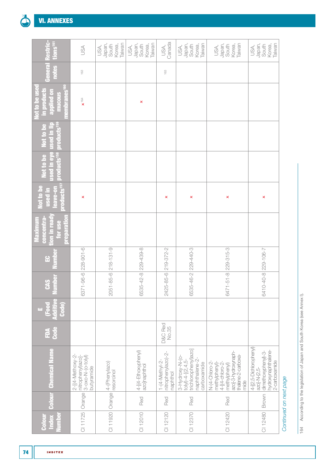| estric-<br>tions <sup>161</sup>                                                         | USA                                                                                | Japan,<br>Taiwan<br>South<br>Korea,<br>USA, | Japan,<br>Taiwan<br>South<br>Korea,<br>USA, | Canada<br>USA,                                   | Japan,<br>Taiwan<br>South<br>Korea,<br>USA,                                                     | Japan,<br>Taiwan<br>South<br>Korea,<br>USA,                                                                               | Japan,<br>South<br>Korea,<br>Taiwan<br>USA,                                                           |                        |
|-----------------------------------------------------------------------------------------|------------------------------------------------------------------------------------|---------------------------------------------|---------------------------------------------|--------------------------------------------------|-------------------------------------------------------------------------------------------------|---------------------------------------------------------------------------------------------------------------------------|-------------------------------------------------------------------------------------------------------|------------------------|
| Genera<br>notes                                                                         | 163                                                                                |                                             |                                             | 163                                              |                                                                                                 |                                                                                                                           |                                                                                                       |                        |
| membranes <sup>160</sup><br><b>Not to be use</b><br>in products<br>applied on<br>mucous | $\mathbf{x}^{\text{+64}}$                                                          |                                             | ×                                           |                                                  |                                                                                                 |                                                                                                                           |                                                                                                       |                        |
| products <sup>159</sup><br>Not to be<br>used in li                                      |                                                                                    |                                             |                                             |                                                  |                                                                                                 |                                                                                                                           |                                                                                                       |                        |
| used in eye<br>products <sup>158</sup><br>Not to be                                     |                                                                                    |                                             |                                             |                                                  |                                                                                                 |                                                                                                                           |                                                                                                       |                        |
| products <sup>157</sup><br><b>Not to be</b><br>eave-on<br><u>used</u> in                | ×                                                                                  |                                             |                                             | ×                                                | ×                                                                                               | ×                                                                                                                         | ×                                                                                                     |                        |
| tion in ready<br>concentra-<br>preparatio<br>Maximum<br>for use                         |                                                                                    |                                             |                                             |                                                  |                                                                                                 |                                                                                                                           |                                                                                                       |                        |
| Numbe<br>잎                                                                              | $228 - 901 - 6$                                                                    | $218 - 131 - 9$                             |                                             | 219-372-2                                        | 229-440-3                                                                                       |                                                                                                                           |                                                                                                       |                        |
| umber<br><b>GAS</b>                                                                     | $6371 - 96 - 6$                                                                    | $2051 - 85 - 6$                             | 6535-42-8 229-439-8                         | 2425-85-6                                        | 6535-46-2                                                                                       | $6471 - 51 - 8$   229-315-3                                                                                               | 6410-40-8 229-106-7                                                                                   |                        |
| Food<br>C<br>Code)<br><b>Additiv</b><br>μī,                                             |                                                                                    |                                             |                                             |                                                  |                                                                                                 |                                                                                                                           |                                                                                                       |                        |
| Code<br>É                                                                               |                                                                                    |                                             |                                             | D&C Red<br>No.35                                 |                                                                                                 |                                                                                                                           |                                                                                                       |                        |
| <b>Colour</b> Chemical Name                                                             | 2-[(4-Methoxy-2-<br>nitrophenyl)azo]-<br>$3 - 0x0 - N - (0 - to y )$<br>butyramide | 4-(Phenylazo)<br>resorcinol                 | 4-[(4-Ethoxyphenyl)<br>azo]naphthol         | nitrophenylazo)-2-<br>1-(4-Methyl-2-<br>naphthol | trichlorophenyl)azo]<br>$3-Hydroxy-N-$<br>naphthalene-2-<br>$t$ olyl)-4-[(2,4,5-<br>carboxamide | azoj-3-hydroxynaph-<br>thalene-2-carboxa-<br>4-[(4-chloro-2-<br>N-(4-Chloro-2-<br>methylphenyl)-<br>methylphenyl)<br>mide | 4-[(2,5-Dichlorophenyl)<br>hydroxynaphthalene-<br>dimethoxyphenyl-3-<br>2-carboxamide<br>azo]-N-(2,5- |                        |
|                                                                                         | Orange                                                                             | Orange                                      | Red                                         | Red                                              | Red                                                                                             | Red                                                                                                                       | Brown                                                                                                 |                        |
| <b>Lumber</b><br>Index<br><b>Colour</b>                                                 | CI 11725                                                                           | CI 11920                                    | CI 12010                                    | CI 12120                                         | CI 12370                                                                                        | CI 12420                                                                                                                  | CI 12480                                                                                              | Continued on next page |

164 According to the legislation of Japan and South Korea (see Annex I). 164 According to the legislation of Japan and South Korea (see [Annex I](#page-52-0)).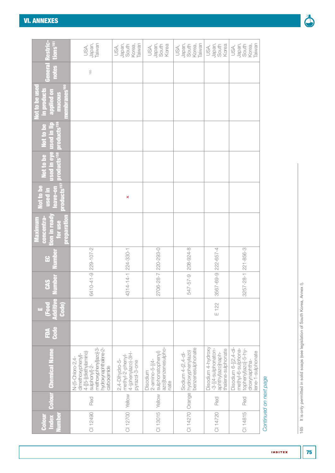| stric-<br>tions <sup>ter</sup>                                                          | Japan,<br>Taiwan<br>USA,                                                                                                                       | Japan,<br>South<br>Taiwan<br>Korea,<br>USA,                              | Japan,<br>South<br>Korea<br>USA,                                                 | Japan,<br>Taiwan<br>South<br>Korea,<br>USA,                 | Japan,<br>South<br>Korea<br>USA,                                                     | Japan,<br>Taiwan<br>South<br>Korea,<br>USA,                                                           |                        |
|-----------------------------------------------------------------------------------------|------------------------------------------------------------------------------------------------------------------------------------------------|--------------------------------------------------------------------------|----------------------------------------------------------------------------------|-------------------------------------------------------------|--------------------------------------------------------------------------------------|-------------------------------------------------------------------------------------------------------|------------------------|
| General<br>notes                                                                        | $165$                                                                                                                                          |                                                                          |                                                                                  |                                                             |                                                                                      |                                                                                                       |                        |
| <b>Not to be used</b><br>embranes <sup>160</sup><br>in products<br>applied on<br>mucous |                                                                                                                                                |                                                                          |                                                                                  |                                                             |                                                                                      |                                                                                                       |                        |
| products <sup>159</sup><br>used in eye used in lip<br>Not to be                         |                                                                                                                                                |                                                                          |                                                                                  |                                                             |                                                                                      |                                                                                                       |                        |
| products <sup>158</sup><br>Not to be                                                    |                                                                                                                                                |                                                                          |                                                                                  |                                                             |                                                                                      |                                                                                                       |                        |
| products <sup>157</sup><br><b>Not to be</b><br>leave-on<br>used in                      |                                                                                                                                                | ×                                                                        |                                                                                  |                                                             |                                                                                      |                                                                                                       |                        |
| tion in ready<br>concentra-<br>reparation<br><b>Maximum</b><br>for use                  |                                                                                                                                                |                                                                          |                                                                                  |                                                             |                                                                                      |                                                                                                       |                        |
| Numbe<br>읍                                                                              |                                                                                                                                                |                                                                          |                                                                                  | 208-924-8                                                   |                                                                                      | 221-856-3                                                                                             |                        |
| umbel<br><b>CAS</b>                                                                     | 6410-41-9 229-107-2                                                                                                                            | 1-055-422 1-41-1 224-330-1                                               | 2706-28-7 220-293-0                                                              | 547-57-9                                                    | $3567 - 69 - 9$ 222-657-4                                                            | $3257 - 28 - 1$                                                                                       |                        |
| Đ<br>Millio<br>Food<br>Code)<br>u.                                                      |                                                                                                                                                |                                                                          |                                                                                  |                                                             | E 122                                                                                |                                                                                                       |                        |
| <b>Code</b><br>FDA                                                                      |                                                                                                                                                |                                                                          |                                                                                  |                                                             |                                                                                      |                                                                                                       |                        |
| <b>Colour</b> Chemical Name                                                             | methoxyphenylazoj-3-<br>nydroxynaphthalene-2-<br>4-[[5-[(diethylamino)<br>dimethoxyphenyl)<br>N-(5-Chloro-2,4-<br>sulphonyl]-2-<br>carboxamide | 4-(phenylazo)-3H-<br>methyl-2-phenyl-<br>2,4-Dihydro-5-<br>pyrazol-3-one | azo]benzenesulpho-<br>sulphonatophenyl)<br>$2$ -amino-5-[(4-<br>Disodium<br>nate | benzenesulphonate<br>hydroxyphenylazo)<br>Sodium 4-(2,4-di- | Disodium 4-hydroxy<br>-3-[(4-sulphonaton-<br>thalene-sulphonate<br>aphthyl)azo]naph- | methyl-6-sulphona-<br>tophenyl)azo]-5-hy-<br>Disodium 6-[(2,4-di<br>ene-1-sulphonate<br>droxynaphtha- |                        |
|                                                                                         | Red                                                                                                                                            |                                                                          |                                                                                  |                                                             | Red                                                                                  | Red                                                                                                   |                        |
| lumber<br>Index<br>Colour                                                               | CI 12490                                                                                                                                       | CI 12700 Yellow                                                          | CI 13015   Yellow                                                                | CI 14270   Orange                                           | CI 14720                                                                             | CI 14815                                                                                              | Continued on next page |

165 It is only permitted in solid soaps (see legislation of South Korea, Annex I). 165 It is only permitted in solid soaps (see legislation of South Korea, [Annex I\)](#page-52-0).

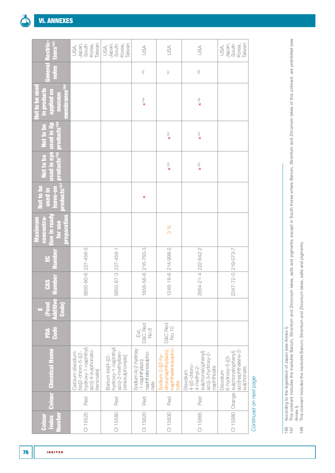| Restric-<br>tions <sup>161</sup>                                                  | Japan,<br>Taiwan<br>South<br>Korea,<br>USA,                                                       | Japan,<br>South<br>Taiwan<br>Korea,<br>USA,                                      | JSA                                                                     | USA                                                                  | USA                                                                                                   | Japan,<br>Taiwan<br>South<br>Korea,<br>USA,                                                         |                        |
|-----------------------------------------------------------------------------------|---------------------------------------------------------------------------------------------------|----------------------------------------------------------------------------------|-------------------------------------------------------------------------|----------------------------------------------------------------------|-------------------------------------------------------------------------------------------------------|-----------------------------------------------------------------------------------------------------|------------------------|
| notes<br>General                                                                  |                                                                                                   |                                                                                  | 163                                                                     | 167                                                                  | 168                                                                                                   |                                                                                                     |                        |
| membranes <sup>160</sup><br>Not to be used<br>in products<br>applied on<br>mucous |                                                                                                   |                                                                                  | $\mathbf{x}$ 166                                                        |                                                                      | $\mathbf{x}^{166}$                                                                                    |                                                                                                     |                        |
| products <sup>159</sup><br>used in lip<br>Not to be                               |                                                                                                   |                                                                                  |                                                                         | $\pmb{\mathsf{x}}$ 162                                               | $\mathbf{x}^{\text{+62}}$                                                                             |                                                                                                     |                        |
| used in eye<br>products <sup>158</sup><br>Not to be                               |                                                                                                   |                                                                                  |                                                                         | $\pmb{\chi}$ 162                                                     | $\mathbf{x}^{162}$                                                                                    |                                                                                                     |                        |
| products <sup>157</sup><br>Not to be<br>leave-on<br><u>used</u> in                |                                                                                                   |                                                                                  | ×                                                                       |                                                                      |                                                                                                       |                                                                                                     |                        |
| concentra-<br>tion in ready<br>preparation<br>Maximum<br>for use                  |                                                                                                   |                                                                                  |                                                                         | 3%                                                                   |                                                                                                       |                                                                                                     |                        |
| Numbe<br>윤                                                                        |                                                                                                   |                                                                                  | 658-56-6 216-760-3                                                      | 248-18-6 214-998-2                                                   |                                                                                                       |                                                                                                     |                        |
| lumber<br><b>CAS</b>                                                              | 5850-80-6 227-456-5                                                                               | 5850-87-3 227-459-1                                                              | $\overline{\phantom{0}}$                                                | $\overline{\phantom{m}}$                                             | 3564-21-4 222-642-2                                                                                   | 2347-72-0 219-073-7                                                                                 |                        |
| Code)<br>$\overline{C}$<br><b>Additiv</b><br>m,                                   |                                                                                                   |                                                                                  |                                                                         |                                                                      |                                                                                                       |                                                                                                     |                        |
| <b>Code</b><br>Á                                                                  |                                                                                                   |                                                                                  | D&C Red<br>No.8<br>Ext.                                                 | D&C Red<br>No.10                                                     |                                                                                                       |                                                                                                     |                        |
| <b>Colour</b> Chemical Name                                                       | hydroxy-1-naphthyl)<br>azo]-4-sulphonato-<br>$bis[2-chloro-5-[2-$<br>Calcium disodium<br>benzoate | hydroxy-1-naphthyl)<br>azo]-2-methylben-<br>Barium bis[4-[(2-<br>zenesulphonate] | Sodium 4(-2-hydroxy<br>naphthalenesulpho-<br>$-1$ -naphthylazo)<br>nate | naphthalenesulpho-<br>droxynaphthyl)azo]<br>Sodium 2-[(2-hy-<br>nate | sulphonatophenyl)<br>azo]-3-hydroxy-2-<br>$4-[5$ -chloro-<br>naphthoate<br>$4$ -methyl-2-<br>Disodium | azo]naphthalene-2-<br>Orange sulphonatophenyl)<br>$6$ -hydroxy- $5$ -[(3-<br>sulphonate<br>Disodium |                        |
|                                                                                   | Red                                                                                               | Red                                                                              | Red                                                                     | Red                                                                  | Red                                                                                                   |                                                                                                     |                        |
| umber<br>Index<br><b>Colour</b>                                                   | CI 15525                                                                                          | CI 15580                                                                         | CI 15620                                                                | CI 15630                                                             | CI 15865                                                                                              | CI 15980                                                                                            | Continued on next page |

<sup>166</sup> According to the legislation of Japan (see [Annex I\)](#page-52-0).

According to the legislation of Japan (see [Annex I](#page-52-0)).<br>This colorant includes the insoluble Barium, Strontium and Zirconium lakes, salts and pigments; except in South Korea where Barium, Strontium and Zirconium lakes of this 167 This colorant includes the insoluble Barium, Strontium and Zirconium lakes, salts and pigments; except in South Korea where Barium, Strontium and Zirconium lakes of this colorant, are prohibited (see  $\frac{166}{167}$ 

<sup>168</sup> This colorant includes the insoluble Barium, Strontium and Zirconium lakes, salts and pigments.168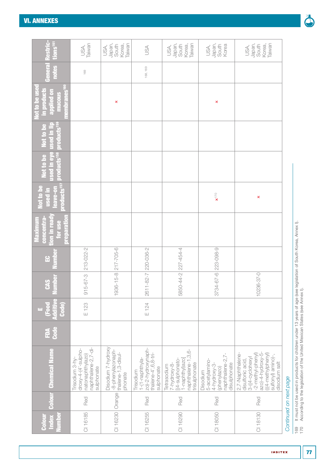| Restric-<br>tions <sup>161</sup>                                                        | Taiwan<br>USA,                                                                                    | Japan,<br>Taiwan<br>South<br>Korea,<br>USA,                              | SA                                                                                        | Japan,<br>South<br>Korea,<br>Taiwan<br>USA,                                                              | Japan,<br>South<br>Korea<br>USA,                                                              | Japan,<br>Taiwan<br>South<br>Korea,<br>USA,                                                                                                                    |                        |
|-----------------------------------------------------------------------------------------|---------------------------------------------------------------------------------------------------|--------------------------------------------------------------------------|-------------------------------------------------------------------------------------------|----------------------------------------------------------------------------------------------------------|-----------------------------------------------------------------------------------------------|----------------------------------------------------------------------------------------------------------------------------------------------------------------|------------------------|
| Genera<br>notes                                                                         | 169                                                                                               |                                                                          | 168, 169                                                                                  |                                                                                                          |                                                                                               |                                                                                                                                                                |                        |
| membranes <sup>160</sup><br>Not to be use<br><b>in products</b><br>applied on<br>mucous |                                                                                                   | ×                                                                        |                                                                                           |                                                                                                          | ×                                                                                             |                                                                                                                                                                |                        |
| products' <sup>59</sup><br>Not to be<br><u>used</u> in li                               |                                                                                                   |                                                                          |                                                                                           |                                                                                                          |                                                                                               |                                                                                                                                                                |                        |
| used in eye<br>products <sup>158</sup><br>Not to be                                     |                                                                                                   |                                                                          |                                                                                           |                                                                                                          |                                                                                               |                                                                                                                                                                |                        |
| products <sup>157</sup><br>Not to be<br>eave-on<br>used in                              |                                                                                                   |                                                                          |                                                                                           |                                                                                                          | $\mathbf{x}^{\dagger 70}$                                                                     | ×                                                                                                                                                              |                        |
| preparation<br>tion in read<br>Maximum<br>concentra<br>for use                          |                                                                                                   |                                                                          |                                                                                           |                                                                                                          |                                                                                               |                                                                                                                                                                |                        |
| Numbe<br>윤                                                                              | 213-022-2                                                                                         |                                                                          |                                                                                           | 227-454-4                                                                                                |                                                                                               |                                                                                                                                                                |                        |
| Vumber<br><b>GAS</b>                                                                    | $915 - 67 - 3$                                                                                    | 1936-15-8 217-705-6                                                      | 2611-82-7 220-036-2                                                                       | 5850-44-2                                                                                                | 3734-67-6 223-098-9                                                                           | 10236-37-0                                                                                                                                                     |                        |
| <b>Food</b><br><b>Code</b><br><b>Additiv</b><br>τū,                                     | E 123                                                                                             |                                                                          | E 124                                                                                     |                                                                                                          |                                                                                               |                                                                                                                                                                |                        |
| Code<br>É                                                                               |                                                                                                   |                                                                          |                                                                                           |                                                                                                          |                                                                                               |                                                                                                                                                                |                        |
| <b>Colour</b> Chemical Name                                                             | naphthalene-2,7-di-<br>$drowsy-4-(4' - sub)$<br>natonaphthylazo)<br>Trisodium 3-hy-<br>sulphonate | Disodium 7-hydroxy<br>-8-phenylazonaph-<br>thalene-1,3-disul-<br>phonate | zo)-2-hydroxynaph-<br>thalene-4', 6, 8-tri-<br>1-(1-naphthyla-<br>sulphonate<br>Trisodium | naphthalene-1,3,6-<br>1-naphthyl)azo]<br>[(4-sulphonato-<br>trisulphonate<br>7-hydroxy-8-<br>Tetrasodium | naphthalene-2,7-<br>5-acetylamino-<br>disulphonate<br>4-hydroxy-3-<br>(phenylazo)<br>Disodium | azo)-4-hydroxy-5-<br>(((4-methylphenyl)<br>-2-methyl-phenyl)<br>sulfonyl) amino)-,<br>2,7-Naphthalene<br>$3-(4-cyclohex/$<br>disulfonic acid,<br>disodium salt |                        |
|                                                                                         | Red                                                                                               |                                                                          | Red                                                                                       | Red                                                                                                      | Red                                                                                           | Red                                                                                                                                                            |                        |
| lumber<br>Colou<br>Index                                                                | CI 16185                                                                                          | CI 16230   Orange                                                        | CI 16255                                                                                  | CI 16290                                                                                                 | CI 18050                                                                                      | CI 18130                                                                                                                                                       | Continued on next page |

169 It must not be used in products for children under 13 years of age (see legislation of South Korea, Annex I).<br>170 According to the legislation of the United Mexican States (see Annex I). 169 It must not be used in products for children under 13 years of age (see legislation of South Korea, [Annex I\)](#page-52-0). 170 According to the legislation of the United Mexican States (see [Annex I\)](#page-52-0).

**INDITEX** 

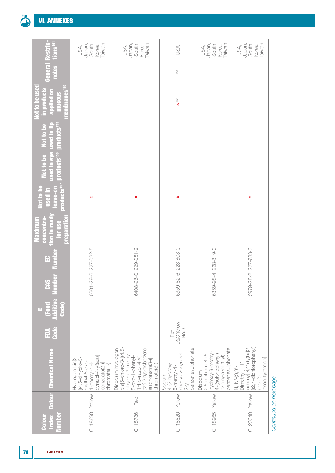

| Restric-<br>tions <sup>161</sup>                                                         | Japan,<br>Taiwan<br>South<br>Korea,<br>USA,                                                                                       | Japan,<br>Taiwan<br>Korea,<br>South<br>USA,                                                                                                                                | USA                                                                                         | Japan,<br>South<br>Taiwan<br>Korea,<br>USA,                                                                              | Japan,<br>Taiwan<br>South<br>Korea,<br>USA,                                                                          |
|------------------------------------------------------------------------------------------|-----------------------------------------------------------------------------------------------------------------------------------|----------------------------------------------------------------------------------------------------------------------------------------------------------------------------|---------------------------------------------------------------------------------------------|--------------------------------------------------------------------------------------------------------------------------|----------------------------------------------------------------------------------------------------------------------|
| General<br>notes                                                                         |                                                                                                                                   |                                                                                                                                                                            | 163                                                                                         |                                                                                                                          |                                                                                                                      |
| membranes <sup>160</sup><br><b>Not to be used</b><br>in products<br>applied on<br>mucous |                                                                                                                                   |                                                                                                                                                                            | $\times$ <sup>166</sup>                                                                     |                                                                                                                          |                                                                                                                      |
| products <sup>159</sup><br>used in lip<br>Not to be                                      |                                                                                                                                   |                                                                                                                                                                            |                                                                                             |                                                                                                                          |                                                                                                                      |
| <b>Ised in eye</b><br><b>products<sup>158</sup></b><br>Not to be                         |                                                                                                                                   |                                                                                                                                                                            |                                                                                             |                                                                                                                          |                                                                                                                      |
| products <sup>157</sup><br><b>Not to be</b><br>eave-on<br>used in                        | ×                                                                                                                                 | ×                                                                                                                                                                          | ×                                                                                           |                                                                                                                          | ×                                                                                                                    |
| tion in ready<br>concentra-<br><b>preparation</b><br>Maximum<br>for use                  |                                                                                                                                   |                                                                                                                                                                            |                                                                                             |                                                                                                                          |                                                                                                                      |
| <u>duni</u><br>읍                                                                         |                                                                                                                                   |                                                                                                                                                                            |                                                                                             | 228-819-0                                                                                                                |                                                                                                                      |
| umber<br><b>CAS</b>                                                                      | 5601-29-6 227-022-5                                                                                                               | 6408-26-0 229-051-9                                                                                                                                                        | 6359-82-6 228-808-0                                                                         | 6359-98-4                                                                                                                | 5979-28-2 227-783-3                                                                                                  |
| E<br>Additiv<br><b>Food</b><br>Code)<br>u,                                               |                                                                                                                                   |                                                                                                                                                                            |                                                                                             |                                                                                                                          |                                                                                                                      |
| <b>Code</b><br>ÉDA                                                                       |                                                                                                                                   |                                                                                                                                                                            | D&C Yellow<br>No.3<br>Ext.                                                                  |                                                                                                                          |                                                                                                                      |
| <b>Colour Chemical Name</b>                                                              | pyrazol-4-yl)azoj<br>Hydrogen bis[2-<br>[(4,5-dihydro-3-<br>methyl-5-oxo-<br>$1-phenyl -1 H -$<br>benzoato(2-)]<br>$chromate(1-)$ | $b$ is[5-chloro-3-[(4,5-<br>azoj-2-hydroxybenzene-<br>Disodium hydrogen<br>dihydro-3-methyl-<br>5-oxo-1-phenyl-<br>$1H-pyrazol-4-yI)$<br>sulphonato(3-)]<br>$chromate(3-)$ | benzenesulphonate<br>phenylazopyrazol-<br>$4-(3-hydroxy-$<br>5-methyl-4-<br>Sodium<br>$2-y$ | benzenesulphonate<br>hydroxy-3-methyl-<br>$2,5$ -dichloro-4- $(5-$<br>4-((sulphophenyl)<br>azo)pyrazol-1-yl)<br>Disodium | biphenyl]-4,4'-diy) bis[2-<br>[(2,4-dichlorophenyl)<br>oxobutyramide]<br>Dimethyl[1,1'<br>$N, N'-13.3$<br>$ azo]-3-$ |
|                                                                                          | Yellow                                                                                                                            | Red                                                                                                                                                                        |                                                                                             | Yellow                                                                                                                   |                                                                                                                      |
| lumber<br>Index<br>Colour                                                                | CI 18690                                                                                                                          | CI 18736                                                                                                                                                                   | CI 18820 Yellow                                                                             | CI 18965                                                                                                                 | CI 20040   Yellow                                                                                                    |

**INDITEX**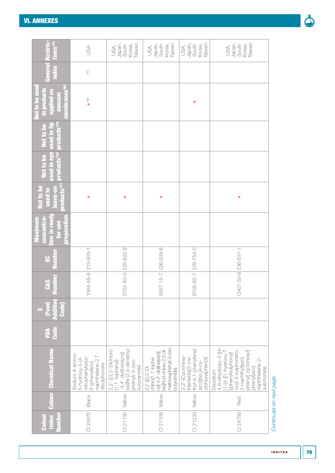| Restric-<br>tions <sup>tel</sup>                                                              | SA                                                                                                             | Taiwan<br>Japan,<br>Korea,<br>South<br>USA,                                                                                              | Taiwan<br>Japan,<br>Korea,<br>South<br>USA,                                                                                                             | Taiwan<br>Japan,<br>Korea,<br>South<br>USA,                                                           | Taiwan<br>Japan,<br>Korea,<br>South<br>USA,                                                                                                                                             |
|-----------------------------------------------------------------------------------------------|----------------------------------------------------------------------------------------------------------------|------------------------------------------------------------------------------------------------------------------------------------------|---------------------------------------------------------------------------------------------------------------------------------------------------------|-------------------------------------------------------------------------------------------------------|-----------------------------------------------------------------------------------------------------------------------------------------------------------------------------------------|
| notes<br>Genera                                                                               | 163                                                                                                            |                                                                                                                                          |                                                                                                                                                         |                                                                                                       |                                                                                                                                                                                         |
| <b>nembranes<sup>160</sup></b><br><b>Not to be use</b><br>in products<br>applied on<br>mucous | $\times$ <sup>166</sup>                                                                                        |                                                                                                                                          |                                                                                                                                                         | ×                                                                                                     |                                                                                                                                                                                         |
| products <sup>159</sup><br>used in lip<br>Not to be                                           |                                                                                                                |                                                                                                                                          |                                                                                                                                                         |                                                                                                       |                                                                                                                                                                                         |
| sed in eye<br>products <sup>158</sup><br>Not to be                                            |                                                                                                                |                                                                                                                                          |                                                                                                                                                         |                                                                                                       |                                                                                                                                                                                         |
| products <sup>157</sup><br>Not to be<br>eave-on<br>used in                                    | ×                                                                                                              | ×                                                                                                                                        | ×                                                                                                                                                       |                                                                                                       | ×                                                                                                                                                                                       |
| tion in ready<br><b>preparation</b><br>concentra-<br>Maximum<br>for use                       |                                                                                                                |                                                                                                                                          |                                                                                                                                                         |                                                                                                       |                                                                                                                                                                                         |
| umbe<br>음                                                                                     | 213-903-1                                                                                                      | 225-822-9                                                                                                                                |                                                                                                                                                         | 229-754-0                                                                                             |                                                                                                                                                                                         |
| umber<br><b>CAS</b>                                                                           | 1064-48-8                                                                                                      | 5102-83-0                                                                                                                                | 5567-15-7 226-939-8                                                                                                                                     | 6706-82-7                                                                                             | 13421-53-9 236-531-1                                                                                                                                                                    |
| Additiv<br><b>Food</b><br>Code)<br>m,                                                         |                                                                                                                |                                                                                                                                          |                                                                                                                                                         |                                                                                                       |                                                                                                                                                                                         |
| Code<br>É                                                                                     |                                                                                                                |                                                                                                                                          |                                                                                                                                                         |                                                                                                       |                                                                                                                                                                                         |
| <b>Colour</b> Chemical Name                                                                   | naphthalene-2,7-<br>Sodium 4-amino-<br>$5$ -hydroxy-3-(4-<br>nitrophenylazo)-<br>6-(phenylazo)<br>disulphonate | bis[N-(2,4-dimethyl-<br>2,2'-[(3,3'-Dichloro<br>[1,1'-biphenyl]<br>$-4,4'$ -diyl)bis $(\overline{a}zo)$<br>phenyl)-3-oxo-<br>butyramidej | methoxypheny)-3-oxo-<br>bis N-(4-chloro-2,5-di-<br>$\lfloor ny \rfloor - 4, 4'$ -diy)bis(azo)]<br>chloro[1,1'-biphe-<br>$2,2'-[3,3'-D]-$<br>pointen/duo | thyl-4,1-phenylene)<br>$2, 2'$ -[Cyclohexy-<br>lidenebis[(2-me-<br>clohexylphenol]<br>azo]]bis [4-cy- | 4,6-dihydroxy-3-[[4-<br>[1-4-[[1-hydroxy-7]<br>oxy]-3-sulphonato-<br>phenyl] cyclohexyl]<br>(phenylsulphonyl)<br>2-naphthylazo<br>naphthalene-2<br>phenyllazo<br>sulphonate<br>Disodium |
|                                                                                               | Black                                                                                                          | Yellow                                                                                                                                   | Yellow                                                                                                                                                  | Yellow                                                                                                | Red                                                                                                                                                                                     |
| unber<br><b>Index</b><br><b>Golou</b>                                                         | 0120470                                                                                                        | 001121                                                                                                                                   | CI 21108                                                                                                                                                | CI 21230                                                                                              | 24790                                                                                                                                                                                   |

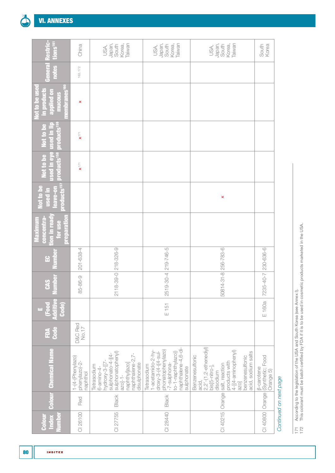|  |  |  | <b>VI. ANNEXES</b> |
|--|--|--|--------------------|
|  |  |  |                    |

| estric-<br>tions <sup>161</sup>                                                  | China                                           | Japan,<br>Taiwan<br>South<br>Korea,<br>USA,                                                                                                                | Taiwan<br>Japan,<br>South<br>Korea,<br>USA,                                                                                                            | Japan,<br>Taiwan<br>South<br>Korea,<br>USA,                                                                                                                                                                        | South<br>Korea                                    |
|----------------------------------------------------------------------------------|-------------------------------------------------|------------------------------------------------------------------------------------------------------------------------------------------------------------|--------------------------------------------------------------------------------------------------------------------------------------------------------|--------------------------------------------------------------------------------------------------------------------------------------------------------------------------------------------------------------------|---------------------------------------------------|
| notes<br>General                                                                 | 163, 172                                        |                                                                                                                                                            |                                                                                                                                                        |                                                                                                                                                                                                                    |                                                   |
| embranes <sup>160</sup><br>Not to be used<br>in products<br>applied on<br>mucous | ×                                               |                                                                                                                                                            |                                                                                                                                                        |                                                                                                                                                                                                                    |                                                   |
| products <sup>159</sup><br>used in lip<br>Not to be                              | $\mathbf{x}^{\dagger\top}$                      |                                                                                                                                                            |                                                                                                                                                        |                                                                                                                                                                                                                    |                                                   |
| used in eye<br>products <sup>158</sup><br>Not to be                              | $\bar{\mathbf{x}}^{\dagger\top}$                |                                                                                                                                                            |                                                                                                                                                        |                                                                                                                                                                                                                    |                                                   |
| products <sup>157</sup><br><b>Not to be</b><br>leave-on<br>used in               |                                                 |                                                                                                                                                            |                                                                                                                                                        | ×                                                                                                                                                                                                                  |                                                   |
| tion in ready<br>concentra-<br>preparation<br>Maximum<br>for use                 |                                                 |                                                                                                                                                            |                                                                                                                                                        |                                                                                                                                                                                                                    |                                                   |
| Numbe<br>읍                                                                       | 201-638-4                                       | 18-39-0 218-326-9                                                                                                                                          |                                                                                                                                                        |                                                                                                                                                                                                                    |                                                   |
| umber<br><b>CAS</b>                                                              | 85-86-9                                         | $\overline{\circ}$                                                                                                                                         | 2519-30-4 219-746-5                                                                                                                                    | 50814-31-8 256-783-6                                                                                                                                                                                               | 7235-40-7 230-636-6                               |
| Œ<br>Additiv<br>(Food<br>Code<br>μ.                                              |                                                 |                                                                                                                                                            | $E$ 151                                                                                                                                                |                                                                                                                                                                                                                    | E 160a                                            |
| <b>Code</b><br>É                                                                 | D&C Red<br>No.17                                |                                                                                                                                                            |                                                                                                                                                        |                                                                                                                                                                                                                    |                                                   |
| <b>Colour</b> Chemical Name                                                      | $1-(4-(Phenylazo)$<br>phenylazo)-2-<br>naphthol | sulphonatophenyl)<br>sulphonato-4-[(4-<br>naphthalene-2,7<br>hydroxy-3-[[7-<br>naphthyljazoj<br>disulphonate<br>Tetrasodium<br>$6$ -amino-4-<br>$azo$ ]-1- | naphthalene-4,6-di-<br>phonatophenylazo)<br>to-1-naphthylazo))<br>1-acetamido-2-hy<br>droxy-3-(4-((4-sul-<br>-7-sulphona-<br>Tetrasodium<br>sulphonate | $2, 2'$ - $(1, 2$ -ethenediyl)<br>bis[5-nitro-],<br>4-[(4-aminophenyl)<br>acid, sodium salts<br>Benzenesulfonic<br>benzenesulfonic<br>products with<br>CI 40215 Orange salt, reaction<br>disodium<br>acid,<br>azo] | Synthetic; Food<br><b>B-carotene</b><br>Orange 5) |
|                                                                                  | Red                                             | Black                                                                                                                                                      | Black                                                                                                                                                  |                                                                                                                                                                                                                    | Orange                                            |
| <b>Tumber</b><br>Index<br>Colour                                                 | CI 26100                                        | CI 27755                                                                                                                                                   | CI 28440                                                                                                                                               |                                                                                                                                                                                                                    | CI 40800                                          |

<sup>171</sup> According to the legislation of the USA and South Korea (see Annex I).<br>172 This colorant must be batch certified by FDA if it is to be used in cosmetic products marketed in the USA. 171 According to the legislation of the USA and South Korea (see [Annex I](#page-52-0)).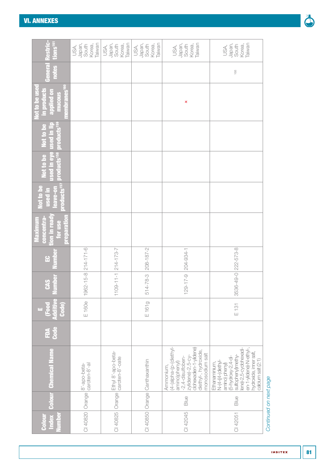| Restric-<br>tions <sup>161</sup>                                                        | Taiwan<br>Japan,<br>South<br>Korea,<br>USA, | Taiwan<br>Japan,<br>South<br>Korea,<br>USA, | Japan,<br>Taiwan<br>Korea,<br>South<br>USA, | Japan,<br>Taiwan<br>South<br>Korea,<br>USA,                                                                                                                      | Taiwan<br>Japan,<br>Korea,<br>South<br>USA,                                                                                                                                                           |
|-----------------------------------------------------------------------------------------|---------------------------------------------|---------------------------------------------|---------------------------------------------|------------------------------------------------------------------------------------------------------------------------------------------------------------------|-------------------------------------------------------------------------------------------------------------------------------------------------------------------------------------------------------|
| Genera<br>notes                                                                         |                                             |                                             |                                             |                                                                                                                                                                  | 168                                                                                                                                                                                                   |
| <b>niembranes<sup>160</sup></b><br>Not to be use<br>in products<br>applied on<br>mucous |                                             |                                             |                                             | ×                                                                                                                                                                |                                                                                                                                                                                                       |
| products <sup>159</sup><br>ised in eye used in lip<br>Not to be                         |                                             |                                             |                                             |                                                                                                                                                                  |                                                                                                                                                                                                       |
| products <sup>158</sup><br>Not to be                                                    |                                             |                                             |                                             |                                                                                                                                                                  |                                                                                                                                                                                                       |
| <b>Foducts</b> <sup>157</sup><br><b>Not to be</b><br>eave-on<br>used in                 |                                             |                                             |                                             |                                                                                                                                                                  |                                                                                                                                                                                                       |
| tion in ready<br>concentra-<br>preparation<br>Maximum<br>for use                        |                                             |                                             |                                             |                                                                                                                                                                  |                                                                                                                                                                                                       |
| 읎                                                                                       | $214 - 171 - 6$                             | $214 - 173 - 7$                             | 208-187-2                                   | 204-934-1                                                                                                                                                        |                                                                                                                                                                                                       |
| umber<br><b>CAS</b>                                                                     | $62 - 15 - 8$<br>$\frac{\circ}{\circ}$      | $09 - 11 - 1$                               | 514-78-3                                    | $29 - 17 - 9$<br>$\overline{\phantom{0}}$                                                                                                                        | 3536-49-0 222-573-8                                                                                                                                                                                   |
| $\overline{1500}$<br>Code)<br><b>Maditiv</b><br>μú,                                     | E 160e                                      |                                             | E161g                                       |                                                                                                                                                                  | $E$ 131                                                                                                                                                                                               |
| Code<br>É                                                                               |                                             |                                             |                                             |                                                                                                                                                                  |                                                                                                                                                                                                       |
| <b>Colour Chemical Name</b>                                                             | 8'-apo-beta-<br>caroten-8'-al               | Ethyl 8'-apo-beta-<br>caroten-8'-oate       | CI 40850   Orange   Canthaxanthin           | (4-(alpha-(p-(diethyl-<br>dohexadien-1-ylidene)<br>diethyl-, hydroxide,<br>monosodium salt<br>-2,4-disulfoben-<br>zylidene)-2,5-cy<br>amino)phenyl)<br>Ammonium, | en-1-yildene)-N-ethyl-,<br>lene)-2,5-cyclohexadi-<br>hydroxide, inner salt,<br>sulfophenyl)methy-<br>(5-hydroxy-2,4-di-<br>calcium salt (2:1)<br>N-(4-((4-Cliethyl<br>Ethanaminium,<br>amino) phenyl) |
|                                                                                         |                                             | Orange                                      |                                             | Blue                                                                                                                                                             | Blue                                                                                                                                                                                                  |
| Index<br><b>lumber</b><br>Colour                                                        | CI 40820   Orange                           | CI 40825                                    |                                             | CI 42045                                                                                                                                                         | CI 42051                                                                                                                                                                                              |

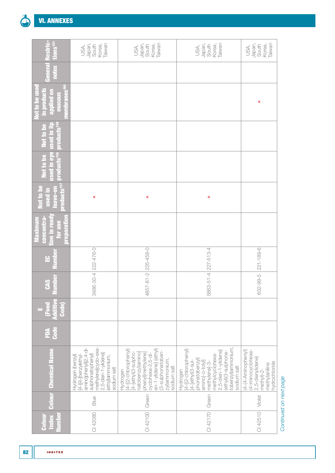

| tions <sup>161</sup>                                                                           | Taiwan<br>Japan,<br>Korea,<br>South<br>USA,                                                                                                                              | Japan,<br>Taiwan<br>Korea,<br>South<br>USA,                                                                                                                                                          | Japan,<br>Taiwan<br>Korea,<br>South<br>USA,                                                                                                                                                                     | Taiwan<br>Japan,<br>Korea,<br>South<br>USA,                                                                  |
|------------------------------------------------------------------------------------------------|--------------------------------------------------------------------------------------------------------------------------------------------------------------------------|------------------------------------------------------------------------------------------------------------------------------------------------------------------------------------------------------|-----------------------------------------------------------------------------------------------------------------------------------------------------------------------------------------------------------------|--------------------------------------------------------------------------------------------------------------|
| General<br>notes                                                                               |                                                                                                                                                                          |                                                                                                                                                                                                      |                                                                                                                                                                                                                 |                                                                                                              |
| nembranes <sup>160</sup><br><b>Not to be use</b><br>in products<br><b>uo paildde</b><br>mucous |                                                                                                                                                                          |                                                                                                                                                                                                      |                                                                                                                                                                                                                 | ×                                                                                                            |
| products <sup>159</sup><br>used in lip<br>Not to be                                            |                                                                                                                                                                          |                                                                                                                                                                                                      |                                                                                                                                                                                                                 |                                                                                                              |
| <b>Ised in eye</b><br>products <sup>158</sup><br>Not to be                                     |                                                                                                                                                                          |                                                                                                                                                                                                      |                                                                                                                                                                                                                 |                                                                                                              |
| products <sup>157</sup><br>lot to be<br>leave-on<br>used in                                    | ×                                                                                                                                                                        | ×                                                                                                                                                                                                    | ×                                                                                                                                                                                                               |                                                                                                              |
| <b>Ton in ready</b><br>preparation<br>concentra-<br><b>Maximum</b><br>for use                  |                                                                                                                                                                          |                                                                                                                                                                                                      |                                                                                                                                                                                                                 |                                                                                                              |
| <b>Numbe</b><br>읍                                                                              | 222-476-0                                                                                                                                                                | 225-458-0                                                                                                                                                                                            | 227-513-4                                                                                                                                                                                                       | 221-189-6                                                                                                    |
| umber<br><b>CAS</b>                                                                            | 3486-30-4                                                                                                                                                                | $57 - 81 - 2$<br>$\frac{8}{4}$                                                                                                                                                                       | 5863-51-4                                                                                                                                                                                                       | 632-99-5                                                                                                     |
| $\overline{F}$ ood<br><b><u>Idditiv</u></b><br><b>Code</b><br>μī,                              |                                                                                                                                                                          |                                                                                                                                                                                                      |                                                                                                                                                                                                                 |                                                                                                              |
| Code<br>É                                                                                      |                                                                                                                                                                          |                                                                                                                                                                                                      |                                                                                                                                                                                                                 |                                                                                                              |
| <b>Colour Chemical Name</b>                                                                    | methylenejcyclo-exa-<br>amino]phenyl](2,4-di-<br>2,5-dien-1-ylidene]<br>sulphonatophenyl)<br>Hydrogen (benzyl)<br>(ethyl)ammonium,<br>[4-[[4-[benzylethyl<br>sodium salt | en-1-ylidene] (ethyl)<br>[4-[(2-chlorophenyl)<br>(3-sulphonatoben-<br>natobenzyl)amino]<br>[4-[ethyl(3-sulpho-<br>phenyl]methylene]<br>cyclohexa-2,5-di-<br>zyl)ammonium,<br>sodium salt<br>Hydrogen | tobenzyl)ammonium,<br>[4-[(2-chlorophenyl)<br>[4-[ethyl(3-sul-<br>2,5-dien-1-ylidene]<br>(ethyl)(3-sulphona-<br>methylcyclohexa<br>phonatobenzyl)<br>aminoj-o-tolyl<br>methylene]-3-<br>sodium salt<br>Hydrogen | (4-(4-Aminophenyl)<br>(4-iminocyclohexa-<br>2,5-dienylidene)<br>hydrochloride<br>methylaniline<br>methyl)-2- |
|                                                                                                | Blue                                                                                                                                                                     | Green                                                                                                                                                                                                | Green                                                                                                                                                                                                           | Violet                                                                                                       |
| <b>Index</b><br><b>Jumber</b><br>Colou                                                         | CI 42080                                                                                                                                                                 | CI 42100                                                                                                                                                                                             | CI 42170                                                                                                                                                                                                        | CI 42510                                                                                                     |

**INDITEX**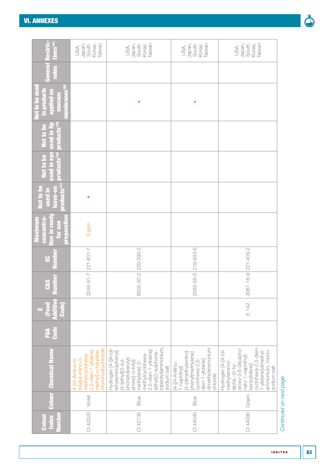| tions <sup>ter</sup>                                                         | Taiwan<br>Japan,<br>Korea,<br>South<br>USA,                                                                                              | Taiwan<br>Japan,<br>Korea,<br>South<br>USA,                                                                                                                                                                                | Taiwan<br>Japan,<br>Korea,<br>South<br>USA,                                                                                                  | Taiwan<br>Japan,<br>Korea,<br>South<br>USA,                                                                                                                                                       |                        |
|------------------------------------------------------------------------------|------------------------------------------------------------------------------------------------------------------------------------------|----------------------------------------------------------------------------------------------------------------------------------------------------------------------------------------------------------------------------|----------------------------------------------------------------------------------------------------------------------------------------------|---------------------------------------------------------------------------------------------------------------------------------------------------------------------------------------------------|------------------------|
| notes                                                                        |                                                                                                                                          |                                                                                                                                                                                                                            |                                                                                                                                              |                                                                                                                                                                                                   |                        |
| embranes <sup>1</sup><br>in products<br>lot to be us<br>applied on<br>mucous |                                                                                                                                          | ×                                                                                                                                                                                                                          | ×                                                                                                                                            |                                                                                                                                                                                                   |                        |
| <b>roducts<sup>159</sup></b><br><b>Vot to be</b><br><u>used in lij</u>       |                                                                                                                                          |                                                                                                                                                                                                                            |                                                                                                                                              |                                                                                                                                                                                                   |                        |
| sed in eye<br>products <sup>158</sup><br>Not to be                           |                                                                                                                                          |                                                                                                                                                                                                                            |                                                                                                                                              |                                                                                                                                                                                                   |                        |
| roducts <sup>157</sup><br>eave-on<br>used in<br>Not to t                     | ×                                                                                                                                        |                                                                                                                                                                                                                            |                                                                                                                                              |                                                                                                                                                                                                   |                        |
| <b>Ton in read</b><br>concentra<br>oreparatio<br>Maximun<br>for use          | 5 ppm                                                                                                                                    |                                                                                                                                                                                                                            |                                                                                                                                              |                                                                                                                                                                                                   |                        |
| equint<br>읍                                                                  | 221-831-7                                                                                                                                | 229-390-2                                                                                                                                                                                                                  | 219-943-6                                                                                                                                    | 221-409-2                                                                                                                                                                                         |                        |
| umber<br><b>CAS</b>                                                          | 3248-91-7                                                                                                                                | 6505-30-2                                                                                                                                                                                                                  | 2580-56-5                                                                                                                                    | $3087 - 16 - 9$                                                                                                                                                                                   |                        |
| Eood<br>Code)<br>latin<br>τū,                                                |                                                                                                                                          |                                                                                                                                                                                                                            |                                                                                                                                              | E 142                                                                                                                                                                                             |                        |
| Code<br>ÉDA                                                                  |                                                                                                                                          |                                                                                                                                                                                                                            |                                                                                                                                              |                                                                                                                                                                                                   |                        |
| <b>Chemical Name</b>                                                         | monohydrochloride<br>methyl]-o-toluidine<br>2,5-dien-1-ylidene)<br>methylcyclohexa-<br>4-[(4-Amino-m-<br>$\frac{1}{2}$ tolyl)(4-imino-3- | tobenzyl)ammonium,<br>Hydrogen [4-[[4-(di-<br>2,5-dien-1-ylidene<br>ethylamino)phenyl]<br>ethyl)(3-sulphona-<br>methylcyclohexa-<br>phonatobenzyl)<br>[4-[ethyl[(3-sul-<br>aminoj-o-tolyl]<br>methylene]-3-<br>sodium salt | dimethylammonium<br>[4-(dimethylamino)<br>phenyl]methylene<br>dien-1-ylidenej<br>cyclohexa-2,5-<br>$[4-[4-An]$ ino<br>1-naphthyl<br>chloride | cyclohexa-2,5-dien-<br>droxy-3,6-disulpho-<br>ammonium, mono-<br>Hydrogen [4-[4-(di-<br>1-ylidene]dimethyl-<br>nato-1-naphthyl)<br>methylamino)-.<br>alpha.-(2-hy-<br>benzylidene]<br>sodium salt |                        |
| Colour                                                                       | Violet                                                                                                                                   | Blue                                                                                                                                                                                                                       | Blue                                                                                                                                         | Green                                                                                                                                                                                             |                        |
| umber<br>Index<br>Colou                                                      | CI 42520                                                                                                                                 | CI 42735                                                                                                                                                                                                                   | CI 44045                                                                                                                                     | CI 44090                                                                                                                                                                                          | Continued on next page |



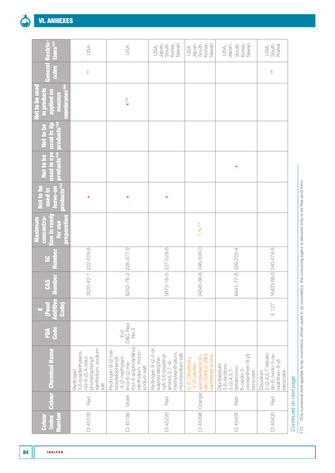| Restric-<br>tions <sup>161</sup>                                                    | JSA                                                                                                  | USA                                                                                                                                                   | Japan,<br>Taiwan<br>Korea,<br>South<br>USA,                                                                                  | Japan,<br>Taiwan<br>South<br>Korea,<br>USA,                                                                | Japan,<br>Taiwan<br>Korea,<br>South<br>USA,                                                                          | South<br>Korea<br>USA,                                                                           |                        |
|-------------------------------------------------------------------------------------|------------------------------------------------------------------------------------------------------|-------------------------------------------------------------------------------------------------------------------------------------------------------|------------------------------------------------------------------------------------------------------------------------------|------------------------------------------------------------------------------------------------------------|----------------------------------------------------------------------------------------------------------------------|--------------------------------------------------------------------------------------------------|------------------------|
| General<br>notes                                                                    | 163                                                                                                  |                                                                                                                                                       |                                                                                                                              |                                                                                                            |                                                                                                                      | 168                                                                                              |                        |
| GS <sup>160</sup><br>Not to be used<br>in products<br>applied on<br>mucous<br>embra |                                                                                                      | $\times$ <sup>166</sup>                                                                                                                               |                                                                                                                              |                                                                                                            |                                                                                                                      |                                                                                                  |                        |
| products <sup>159</sup><br>used in lip<br>Not to be                                 |                                                                                                      |                                                                                                                                                       |                                                                                                                              |                                                                                                            |                                                                                                                      |                                                                                                  |                        |
| used in eye<br>products <sup>158</sup><br>Not to be                                 |                                                                                                      |                                                                                                                                                       |                                                                                                                              |                                                                                                            | ×                                                                                                                    |                                                                                                  |                        |
| products <sup>157</sup><br>Not to be<br>eave-on<br>used in                          | ×                                                                                                    | ×                                                                                                                                                     | ×                                                                                                                            |                                                                                                            |                                                                                                                      |                                                                                                  |                        |
| tion in ready<br>concentra<br>reparatio<br>Maximum<br>for use                       |                                                                                                      |                                                                                                                                                       |                                                                                                                              | $196^{173}$                                                                                                |                                                                                                                      |                                                                                                  |                        |
| $\mathbf{E}$                                                                        | 3520-42-1 222-529-8                                                                                  | 228-377-9                                                                                                                                             | 5873-16-5 227-528-6                                                                                                          | 24545-86-6 246-308-0                                                                                       | 6441-77-6 229-225-4                                                                                                  |                                                                                                  |                        |
| umber<br><b>CAS</b>                                                                 |                                                                                                      | $6252 - 76 - 2$                                                                                                                                       |                                                                                                                              |                                                                                                            |                                                                                                                      | 16423-68-0 240-474-8                                                                             |                        |
| Ð<br>Additiv<br>(Food<br>Code)<br>ш                                                 |                                                                                                      |                                                                                                                                                       |                                                                                                                              |                                                                                                            |                                                                                                                      | E127                                                                                             |                        |
| <b>Code</b><br><b>AGE</b>                                                           |                                                                                                      | D&C Red<br>No.3<br>Ext.                                                                                                                               |                                                                                                                              |                                                                                                            |                                                                                                                      |                                                                                                  |                        |
| Colour Chemical Name                                                                | xanthylium, sodium<br>3,6-bis(diethylami-<br>no)-9-(2,4-disul-<br>phonatophenyl)<br>Hydrogen<br>salt | thyl-4-sulphoanilino)<br>Hydrogen 9-(2-car-<br>xanthylium, mono-<br>boxylatophenyl)<br>$-3-(2-methylani -$<br>$\text{lino}$ )-6-(2-me-<br>sodium salt | Hydrogen 9-(2,4-di-<br>methylxanthylium,<br>monosodium salt<br>$ny$ )-3,6-bis(ethyl-<br>sulphonatophe-<br>$arnino$ )-2,7-di- | spiro[isobenzofu-<br>xanthene]-3-one<br>ran-1(3H), 9'-[9H]<br>3',6'-Dihydroxy<br>$-4$ ', $5$ ' $-dinitro-$ | oxoxanthen-9-yl)<br>Dipotassium<br>3,6-dichloro<br>tetrabromo-<br>$2-(2,4,5,7-$<br>$6 - 0 \times 10 - 3$<br>benzoate | $2-(2,4,5,7-tetraio-$<br>$do - 6 - oxido - 3 - ox -$<br>$oxanthen-g-y )$<br>Disodium<br>benzoate |                        |
|                                                                                     | Red                                                                                                  | Violet                                                                                                                                                | Red                                                                                                                          | Orange                                                                                                     | Red                                                                                                                  | Red                                                                                              | Continued on next page |
| lumber<br>Index<br>Colour                                                           | CI 45100                                                                                             | CI 45190                                                                                                                                              | CI 45220                                                                                                                     | CI 45396                                                                                                   | CI 45405                                                                                                             | CI 45430                                                                                         |                        |

173 This numerical limit applies to lip cosmetics. When used in lip cosmetics, the colouring agent is allowed only in its free acid form. 173 This numerical limit applies to lip cosmetics. When used in lip cosmetics, the colouring agent is allowed only in its free acid form.

**INDITEX**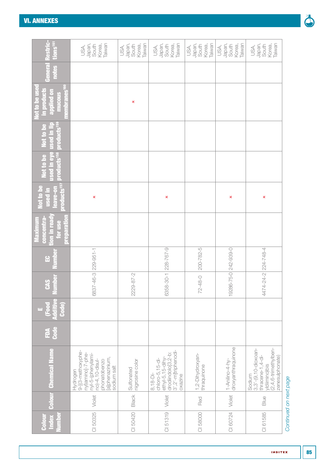| tions <sup>161</sup><br>e<br>Sure                                                    | Japan,<br>Taiwan<br>Korea,<br>South<br>USA,                                                                                                  | Taiwan<br>Japan,<br>Korea,<br>South<br>USA, | Taiwan<br>Korea,<br>Japan,<br>South<br>USA,                                                                                | Taiwan<br>Japan,<br>Korea,<br>South<br>USA, | Taiwan<br>Japan,<br>Korea,<br>South<br>USA, | Taiwan<br>Japan,<br>Korea,<br>South<br>USA,                                                                     |                        |
|--------------------------------------------------------------------------------------|----------------------------------------------------------------------------------------------------------------------------------------------|---------------------------------------------|----------------------------------------------------------------------------------------------------------------------------|---------------------------------------------|---------------------------------------------|-----------------------------------------------------------------------------------------------------------------|------------------------|
| notes<br>Genera                                                                      |                                                                                                                                              |                                             |                                                                                                                            |                                             |                                             |                                                                                                                 |                        |
| 뭄<br><b>Not to be use</b><br>in products<br><b>nembranes</b><br>applied on<br>mucous |                                                                                                                                              | ×                                           |                                                                                                                            |                                             |                                             |                                                                                                                 |                        |
| products <sup>159</sup><br>qil ni basu<br>Ê<br>Not to I                              |                                                                                                                                              |                                             |                                                                                                                            |                                             |                                             |                                                                                                                 |                        |
| sed in eye<br>products <sup>158</sup><br>Not to be                                   |                                                                                                                                              |                                             |                                                                                                                            |                                             |                                             |                                                                                                                 |                        |
| products <sup>157</sup><br><b>Not to be</b><br>leave-on<br>used in                   | ×                                                                                                                                            |                                             | ×                                                                                                                          |                                             | ×                                           | ×                                                                                                               |                        |
| <u>nggreparation</u><br><b>lon in read</b><br>concentra<br>Maximum<br>for use        |                                                                                                                                              |                                             |                                                                                                                            |                                             |                                             |                                                                                                                 |                        |
| equin<br>읍                                                                           |                                                                                                                                              |                                             |                                                                                                                            | 200-782-5                                   |                                             |                                                                                                                 |                        |
| umber<br><b>CAS</b>                                                                  | 6837-46-3 229-951-1                                                                                                                          | 2229-87-2                                   | 6358-30-1 228-767-9                                                                                                        | $72 - 48 - 0$                               | 19286-75-0 242-939-0                        | 4474-24-22 2-48-4                                                                                               |                        |
| Ŧ,<br><b>Additiv</b><br>Code)<br>$\overline{\mathsf{E}}$<br>τū,                      |                                                                                                                                              |                                             |                                                                                                                            |                                             |                                             |                                                                                                                 |                        |
| <b>Code</b><br>É                                                                     |                                                                                                                                              |                                             |                                                                                                                            |                                             |                                             |                                                                                                                 |                        |
| <b>Colour</b> Chemical Name                                                          | 9-[(3-methoxyphe-<br>nyl)amino]-7-phe-<br>nyl-5-(phenylami-<br>[a]phenazinium,<br>no)-4,10-disul-<br>phonatobenzo<br>sodium salt<br>Hydrogen | nigrosine color<br>Sulfonated               | 3',2'-m]triphenodi-<br>drodiindolo <sup>[3,2-b:</sup><br>$ethyl-5, 15-dihy-$<br>$chloro-5, 15-di-$<br>$8,18-Di$<br>oxazine | 1,2-Dihydroxyan-<br>thraquinone             | droxyanthraquinone<br>1-Anilino-4-hy-       | (2,4,6-trimethylben-<br>3, 3'-(9, 10-dioxoan-<br>thracene-1,4-di-<br>zenesulphonate)<br>yldiimino)bis<br>Sodium |                        |
|                                                                                      | Violet                                                                                                                                       | Black                                       | Violet                                                                                                                     | Red                                         | Violet                                      | Blue                                                                                                            |                        |
| lumber<br><b>Index</b><br>Colou                                                      | CI 50325                                                                                                                                     | CI 50420                                    | CI 51319                                                                                                                   | CI 58000                                    | CI 60724                                    | CI 61585                                                                                                        | Continued on next page |



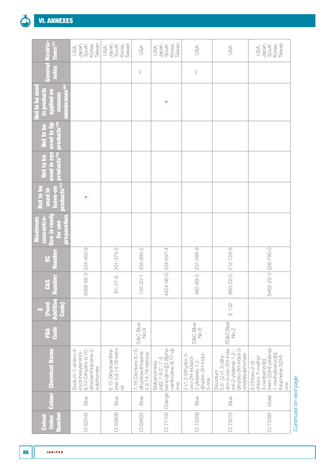

| estric-<br>tions <sup>161</sup>                                          | Taiwan<br>Japan,<br>South<br>Korea,<br>USA,                                                       | Japan,<br>Taiwan<br>South<br>Korea,<br>USA,        | USA                                                            | Japan,<br>Taiwan<br>South<br>Korea,<br>USA,                                                 | 35                                                                                          | JSA                                                                                                                           | Japan,<br>Taiwan<br>South<br>Korea,<br>USA,                                                                                 |
|--------------------------------------------------------------------------|---------------------------------------------------------------------------------------------------|----------------------------------------------------|----------------------------------------------------------------|---------------------------------------------------------------------------------------------|---------------------------------------------------------------------------------------------|-------------------------------------------------------------------------------------------------------------------------------|-----------------------------------------------------------------------------------------------------------------------------|
| Genera<br>notes                                                          |                                                                                                   |                                                    | 163                                                            |                                                                                             | 163                                                                                         |                                                                                                                               |                                                                                                                             |
| Not to be use<br>in products<br>membranes<br>applied on<br><b>mucous</b> |                                                                                                   |                                                    |                                                                | ×                                                                                           |                                                                                             |                                                                                                                               |                                                                                                                             |
| used in lip<br>products <sup>159</sup><br>Not to be                      |                                                                                                   |                                                    |                                                                |                                                                                             |                                                                                             |                                                                                                                               |                                                                                                                             |
| used in eye<br>products <sup>158</sup><br><b>Vot to be</b>               |                                                                                                   |                                                    |                                                                |                                                                                             |                                                                                             |                                                                                                                               |                                                                                                                             |
| products <sup>157</sup><br><b>Not to be</b><br>eave-on<br>used in        | ×                                                                                                 |                                                    |                                                                |                                                                                             |                                                                                             |                                                                                                                               |                                                                                                                             |
| preparation<br><b>Jon</b> in read<br>concentra<br>Maximum<br>for use     |                                                                                                   |                                                    |                                                                |                                                                                             |                                                                                             |                                                                                                                               |                                                                                                                             |
| <u>dmn</u><br>윤                                                          |                                                                                                   | 201-375-5                                          | 204-980-2                                                      |                                                                                             | 207-586-9                                                                                   | 212-728-8                                                                                                                     |                                                                                                                             |
| lumber<br><b>CAS</b>                                                     | 4368-56-3 224-460-9                                                                               | $-77-6$                                            | $130 - 20 - 1$                                                 | 4424-06-0 224-597-4                                                                         | 482-89-3                                                                                    | 860-22-0                                                                                                                      | 5462-29-3 226-750-0                                                                                                         |
| <b>Food</b><br>Additiv<br>Code)<br>ш,                                    |                                                                                                   |                                                    |                                                                |                                                                                             |                                                                                             | E 132                                                                                                                         |                                                                                                                             |
| Code<br>É                                                                |                                                                                                   |                                                    | <b>D&amp;C Blue</b><br>No.9                                    |                                                                                             | <b>D&amp;C</b> Blue<br>No.6                                                                 | FD&C Blue<br>No.2                                                                                                             |                                                                                                                             |
| <b>Colour</b> Chemical Name                                              | Sodium 1-amino-4-<br>dioxoanthracene-2-<br>9,10-Dihydro-9,10-<br>(cyclohexylamino)-<br>sulphonate | 6,15-Dihydroanthra-<br>zine-5,9,14,18-tetro-<br>Pe | 7,16-Dichloro-6,15-<br>dihydroanthrazine-<br>5,9,14,18-tetrone | nanthroline-8, 17-di-<br>zo[2, 1-b:2', 1'-i]<br>benzo[lmn][3,8]phe-<br>Bisbenzimida-<br>one | dihydro-3H-indol-<br>2-(1,3-Dihydro-3-<br>oxo-2H-indazol-<br>$2-y$ lidene $)-1,2-$<br>3-one | $dro-3-0xo-2H-inda-$<br>dihydro-3H-indol-3-<br>zol-2-ylidene)-1,2-<br>one)disulphonate<br>$5, 5'$ -(2-(1, 3-dihy-<br>Disodium | thien-2(3H)-ylidene)-<br>7-methylbenzo[b]<br>thiophene-3(2H)-<br>chloro-7-methyl-<br>3-oxobenzo[b]<br>5-Chloro-2-(5-<br>one |
|                                                                          | Blue                                                                                              | Blue                                               | Blue                                                           | Orange                                                                                      | Blue                                                                                        | Blue                                                                                                                          | Violet                                                                                                                      |
| umber<br>Index<br>Colou                                                  | CI 62045                                                                                          | CI 69800                                           | CI 69825                                                       | CI 71105                                                                                    | CI 73000                                                                                    | CI 73015                                                                                                                      | CI 73385                                                                                                                    |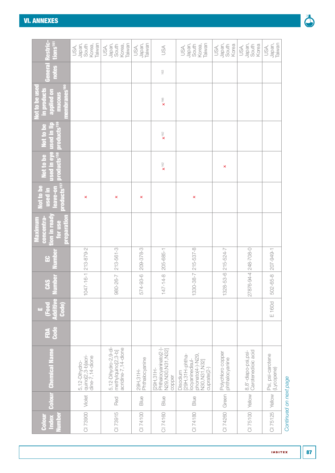#### [VI. ANNEXES](#page-50-0)

| <u>d</u><br>Sir<br>tions <sup>161</sup>                                             | Taiwan<br>Japan,<br>Korea,<br>South<br>USA,              | Taiwan<br>Japan,<br>Korea,<br>South<br>USA,                       | Taiwan<br>Japan,<br>USA,      | USA                                                                | Taiwan<br>Japan,<br>Korea,<br>South<br>USA,                                                          | Japan,<br>South<br>Korea<br>USA,    | Japan,<br>South<br>Korea<br>USA,          | Japan,<br>Taiwan<br>USA,        |                        |
|-------------------------------------------------------------------------------------|----------------------------------------------------------|-------------------------------------------------------------------|-------------------------------|--------------------------------------------------------------------|------------------------------------------------------------------------------------------------------|-------------------------------------|-------------------------------------------|---------------------------------|------------------------|
| notes<br>Genera                                                                     |                                                          |                                                                   |                               | 163                                                                |                                                                                                      |                                     |                                           |                                 |                        |
| 룹<br>lot to be use<br>lembranes <sup>1</sup><br>in products<br>applied on<br>mucous |                                                          |                                                                   |                               | $\times$ <sup>166</sup>                                            |                                                                                                      |                                     |                                           |                                 |                        |
| products <sup>159</sup><br>Not to be<br><u>used in lij</u>                          |                                                          |                                                                   |                               | $\mathbf{x}^{162}$                                                 |                                                                                                      |                                     |                                           |                                 |                        |
| <b>Ised in eye</b><br>products <sup>158</sup><br>Not to be                          |                                                          |                                                                   |                               | $\pmb{\chi}^{\dagger}$ 62                                          |                                                                                                      | ×                                   |                                           |                                 |                        |
| products <sup>157</sup><br>Not to be<br>leave-on<br>used in                         | ×                                                        | ×                                                                 | ×                             |                                                                    | ×                                                                                                    |                                     |                                           |                                 |                        |
| tion in read<br>preparation<br>concentra-<br>Maximum<br>for use                     |                                                          |                                                                   |                               |                                                                    |                                                                                                      |                                     |                                           |                                 |                        |
| umne<br>$\mathbf{G}$                                                                |                                                          | 213-561-3                                                         | 209-378-3                     |                                                                    | 215-537-8                                                                                            |                                     |                                           | 207-949-1                       |                        |
| lumber<br><b>CAS</b>                                                                | 1047-16-1 213-879-2                                      | 980-26-7                                                          | 574-93-6                      | 147-14-8 205-685-1                                                 | 1330-38-7                                                                                            | 1328-53-6 215-524-7                 | 27876-94-4 248-708-0                      | 502-65-8                        |                        |
| чF,<br><b>Food</b><br>Additiv<br>Code)<br><u>μπ</u>                                 |                                                          |                                                                   |                               |                                                                    |                                                                                                      |                                     |                                           | E 160d                          |                        |
| Gode<br>É                                                                           |                                                          |                                                                   |                               |                                                                    |                                                                                                      |                                     |                                           |                                 |                        |
| <b>Chemical Name</b>                                                                | quino[2,3-b]acri-<br>$dine-7, 14-dione$<br>5,12-Dihydro- | 5,12-Dihydro-2,9-di-<br>acridine-7,14-dione<br>methylquino[2,3-b] | 29H, 31H-<br>  Phthalocyanine | Phthalocyaninato(2-)<br>N29, N30, N31, N32]<br>[29H,31H-<br>copper | [29H,31H-phtha-<br>phonato(4-)-N29<br>locyaninedisul-<br>N30, N31, N32]<br>$cuprate(2-)$<br>Disodium | Polychloro copper<br>phthalocyanine | 8,8'-diapo-psi,psi-<br>Carotenedioic acid | Psi, psi-carotene<br>(Lycopene) |                        |
| <b>Colour</b>                                                                       | Violet                                                   | Red                                                               | Blue                          | Blue                                                               | Blue                                                                                                 | Green                               | Yellow                                    | Yellow                          |                        |
| lumber<br>Index<br><b>Colou</b>                                                     | CI 73900                                                 | CI 73915                                                          | CI 74100                      | CI 74160                                                           | CI 74180                                                                                             | CI 74260                            | CI 75100                                  | CI 75125                        | Continued on next page |

#### Ó

**INDITEX**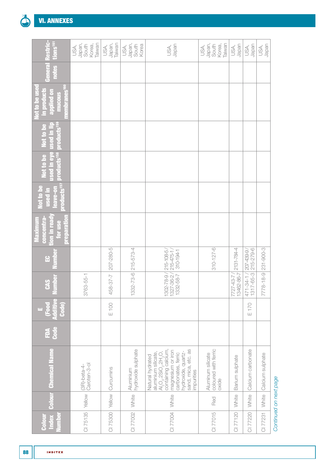

| Restric-<br>tions <sup>ter</sup>                                                 | Japan,<br>Korea,<br>Taiwan<br>South<br>USA, | Japan,<br>Taiwan<br>USA,      | Japan,<br>South<br>Korea<br>USA, | Japan<br>USA,                                                                                                                                                                                                             | Japan,<br>South<br>Taiwan<br>Korea,<br>USA,        | Japan<br>USA,                                                         | Japan<br>USA,                          | Japan<br>USA,        |
|----------------------------------------------------------------------------------|---------------------------------------------|-------------------------------|----------------------------------|---------------------------------------------------------------------------------------------------------------------------------------------------------------------------------------------------------------------------|----------------------------------------------------|-----------------------------------------------------------------------|----------------------------------------|----------------------|
| <b>notes</b><br>General                                                          |                                             |                               |                                  |                                                                                                                                                                                                                           |                                                    |                                                                       |                                        |                      |
| embranes <sup>160</sup><br>Not to be used<br>in products<br>applied on<br>mucous |                                             |                               |                                  |                                                                                                                                                                                                                           |                                                    |                                                                       |                                        |                      |
| products <sup>159</sup><br>used in eye used in lip<br>Not to be                  |                                             |                               |                                  |                                                                                                                                                                                                                           |                                                    |                                                                       |                                        |                      |
| products <sup>158</sup><br>Not to be                                             |                                             |                               |                                  |                                                                                                                                                                                                                           |                                                    |                                                                       |                                        |                      |
| products <sup>157</sup><br>Not to be<br>leave-on<br>used in                      |                                             |                               |                                  |                                                                                                                                                                                                                           |                                                    |                                                                       |                                        |                      |
| concentra-<br>tion in ready<br>Maximum<br>preparatio<br>for use                  |                                             |                               |                                  |                                                                                                                                                                                                                           |                                                    |                                                                       |                                        |                      |
| Number<br>윤                                                                      |                                             |                               |                                  | 310-194-1                                                                                                                                                                                                                 | $310 - 127 - 6$                                    | 2131-784-4                                                            | 215-279-6                              | 231-900-3            |
| <b>Lumber</b><br><b>CAS</b>                                                      | 3763-55-1                                   | 458-37-7 207-280-5            | $1332 - 73 - 6$ 215-573-4        | 1302-78-9 / 215-108-5 /<br>1327-36-2 / 215-475-1 /<br>1332-58-7                                                                                                                                                           |                                                    | $\begin{array}{ c c c c }\n\hline\n13462-86-7 \\ \hline\n\end{array}$ | 471-34-1/207-439-9/<br>$1317 - 65 - 3$ | $778 - 18 - 9$<br>İ, |
| Œ<br>Additiv<br><b>Food</b><br><b>Code</b><br>m,                                 |                                             | E 100                         |                                  |                                                                                                                                                                                                                           |                                                    |                                                                       | 170<br>Ш                               |                      |
| <b>Code</b><br>É                                                                 |                                             |                               |                                  |                                                                                                                                                                                                                           |                                                    |                                                                       |                                        |                      |
| <b>Colour</b> Chemical Name                                                      | (3R)-beta-4-<br>Caroten-3-ol                | CI 75300   Yellow   Curcumins | Aluminium<br>hydroxide sulphate  | $A_2O_3$ , 2SiO <sub>2</sub> , 2H <sub>2</sub> O,<br>containing calcium,<br>sand, mica, etc. as<br>magnesium or iron<br>hydroxide, quartz-<br>aluminium silicate,<br>carbonates, ferric<br>Natural hydrated<br>impurities | coloured with ferric<br>Aluminum silicate<br>oxide | Barium sulphate                                                       | Calcium carbonate                      | Calcium sulphate     |
|                                                                                  | Yellow                                      |                               | White                            | White                                                                                                                                                                                                                     | Red                                                | White                                                                 | White                                  | White                |
| <b>Jumber</b><br><b>Index</b><br>Colour                                          | CI 75135                                    |                               | CI 77002                         | CI 77004                                                                                                                                                                                                                  | CI 77015                                           | CI 77120                                                              | CI 77220                               | CI 77231             |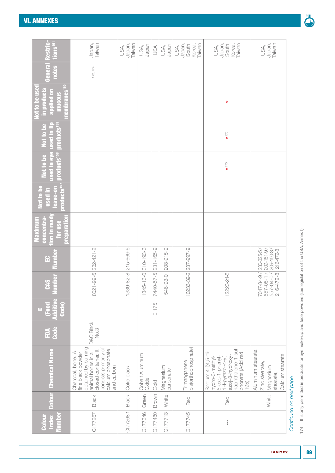| Restric-<br>tions <sup>161</sup>                                                         | Taiwan<br>Japan,                                                                                                                                                       | Japan,<br>Taiwan<br>USA, | Japan<br>USA,            | USA             | Japan<br>USA,          | Taiwan<br>Japan,<br>South<br>Korea,<br>USA, | Taiwan<br>Japan,<br>Korea,<br>South<br>USA,                                                                                                          | Japan,<br>Taiwan<br>USA,                                                          |
|------------------------------------------------------------------------------------------|------------------------------------------------------------------------------------------------------------------------------------------------------------------------|--------------------------|--------------------------|-----------------|------------------------|---------------------------------------------|------------------------------------------------------------------------------------------------------------------------------------------------------|-----------------------------------------------------------------------------------|
| General<br>notes                                                                         | 172, 174                                                                                                                                                               |                          |                          |                 |                        |                                             |                                                                                                                                                      |                                                                                   |
| membranes <sup>160</sup><br>Not to be used<br><b>in products</b><br>applied on<br>mucous |                                                                                                                                                                        |                          |                          |                 |                        |                                             | ×                                                                                                                                                    |                                                                                   |
| products <sup>159</sup><br>Not to be<br>used in I                                        |                                                                                                                                                                        |                          |                          |                 |                        |                                             | $\mathbf{x}^{\scriptscriptstyle \uparrow\uparrow\oslash}$                                                                                            |                                                                                   |
| sed in eye<br>products <sup>158</sup><br>Not to be                                       |                                                                                                                                                                        |                          |                          |                 |                        |                                             | $\mathbf{x}^{\scriptscriptstyle \uparrow}$                                                                                                           |                                                                                   |
| products <sup>157</sup><br>Not to be<br>eave-on<br><b>used</b> in                        |                                                                                                                                                                        |                          |                          |                 |                        |                                             |                                                                                                                                                      |                                                                                   |
| <b>preparation</b><br>concentra-<br>tion in read<br>Maximum<br>for use                   |                                                                                                                                                                        |                          |                          |                 |                        |                                             |                                                                                                                                                      |                                                                                   |
| umbe<br>윤                                                                                |                                                                                                                                                                        | 215-669-6                | $310 - 193 - 6$          | $231 - 165 - 9$ | 208-915-9              |                                             |                                                                                                                                                      | 230-325-5<br>$209 - 151 - 9$<br>$209 - 150 - 3$<br>216-472-8                      |
| umber<br><b>CAS</b>                                                                      | 8021-99-6 232-421-2                                                                                                                                                    | $1339 - 82 - 8$          | 1345-16-0                | 7440-57-5       | 546-93-0               | 10236-39-2 237-997-9                        | 12220-24-5                                                                                                                                           | $6 - 472 - 8$<br>7047-84-9<br>557-04-07<br>$557 - 05 - 1$                         |
| (Food<br><b>Code</b><br><b>Lation</b><br>$\bar{\mathbf{H}}$                              |                                                                                                                                                                        |                          |                          | E 175           |                        |                                             |                                                                                                                                                      |                                                                                   |
| Code<br>É                                                                                | <b>D&amp;C</b> Black<br>No.3                                                                                                                                           |                          |                          |                 |                        |                                             |                                                                                                                                                      |                                                                                   |
| <b>Colour</b> Chemical Name                                                              | obtained by burning<br>consists primarily of<br>calcium phosphate<br>closed container. It<br>Charcoal, bone. A<br>fine black powder<br>animal bones in a<br>and carbon | Coke black               | Cobalt Aluminum<br>Oxide | Gold            | Magnesium<br>carbonate | bis(orthophosphate)<br>Trimanganese         | naphthalene-1-sul-<br>Sodium 4-[(4,5-di<br>phonate (Acid red<br>azo]-3-hydroxy-<br>hydro-3-methyl-<br>$1H-pyrazol-4-yI)$<br>$5$ -oxo-1-phenyl<br>195 | Aluminum stearate,<br>Calcium stearate<br>Zinc stearate<br>Magnesium<br>stearate, |
|                                                                                          | Black                                                                                                                                                                  | Black                    | Green                    | Brown           | White                  | Red                                         | Red                                                                                                                                                  | White                                                                             |
| umber<br>Colour<br>Index                                                                 | CI 77267                                                                                                                                                               | CI 77268:1               | CI 77346                 | CI 77480        | CI 77713               | CI 77745                                    | ļ                                                                                                                                                    |                                                                                   |



*Continued on next page*

Continued on next page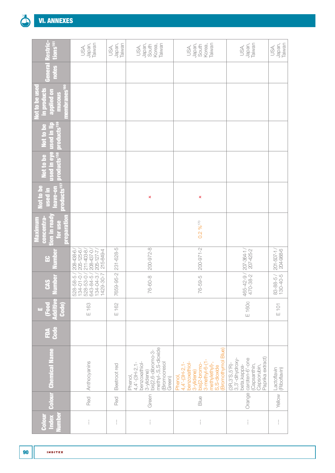

| estric-<br>tions <sup>161</sup>                                                        | Japan,<br>Taiwan<br>USA,                                                                      | Japan,<br>Taiwan<br>USA, | Japan,<br>Taiwan<br>Korea,<br>South<br>USA,                                                                                      | Japan,<br>Taiwan<br>South<br>Korea,<br>USA,                                                                                                          | Japan,<br>Taiwan<br>USA,                                                                                                                | Japan,<br>Taiwan<br>USA,     |
|----------------------------------------------------------------------------------------|-----------------------------------------------------------------------------------------------|--------------------------|----------------------------------------------------------------------------------------------------------------------------------|------------------------------------------------------------------------------------------------------------------------------------------------------|-----------------------------------------------------------------------------------------------------------------------------------------|------------------------------|
| Genera<br>notes                                                                        |                                                                                               |                          |                                                                                                                                  |                                                                                                                                                      |                                                                                                                                         |                              |
| embranes <sup>160</sup><br><b>Not to be use</b><br>in products<br>applied on<br>mucous |                                                                                               |                          |                                                                                                                                  |                                                                                                                                                      |                                                                                                                                         |                              |
| used in lip<br>products <sup>159</sup><br>Not to be                                    |                                                                                               |                          |                                                                                                                                  |                                                                                                                                                      |                                                                                                                                         |                              |
| used in eye<br>products <sup>158</sup><br>Not to be                                    |                                                                                               |                          |                                                                                                                                  |                                                                                                                                                      |                                                                                                                                         |                              |
| products <sup>157</sup><br>Not to be<br>eave-on<br>used in                             |                                                                                               |                          | ×                                                                                                                                | ×                                                                                                                                                    |                                                                                                                                         |                              |
| neparation<br>on in read<br>concentra<br>Maximum<br>for use                            |                                                                                               |                          |                                                                                                                                  | $0.2\%$ <sup>170</sup>                                                                                                                               |                                                                                                                                         |                              |
| Numbe<br>$\mathbf{E}$                                                                  | $205 - 125 - 6$<br>208-438-6/<br>$211 - 403 - 8$<br>208-437-0<br>215-849-4<br>$205 - 127 - 7$ | 231-628-5                | 200-972-8                                                                                                                        | $200 - 971 - 2$                                                                                                                                      | 207-425-2<br>$207 - 364 - 1$                                                                                                            | 204-988-6<br>$201 - 507 - 1$ |
| lumber<br><b>CAS</b>                                                                   | 528-58-5<br>528-53-0 /<br>643-84-5 /<br>1429-80-7<br>$134 - 01 - 0$<br>134-04-3               | 7659-95-2                | 76-60-8                                                                                                                          | 76-59-5                                                                                                                                              | 465-42-9/<br>470-38-2                                                                                                                   | 83-88-5/<br>130-40-5         |
| Đ<br>Additiv<br><b>Food</b><br><b>Code</b><br>τų                                       | E 163                                                                                         | E 162                    |                                                                                                                                  |                                                                                                                                                      | E 160c                                                                                                                                  | $E$ 101                      |
| <b>Code</b><br>É                                                                       |                                                                                               |                          |                                                                                                                                  |                                                                                                                                                      |                                                                                                                                         |                              |
| <b>Chemical Name</b>                                                                   | Anthocyanins                                                                                  | Beetroot red             | methyl-,S,S-dioxide<br>3-ylidene)<br>bis[2,6-dibromo-3-<br>benzoxathiol-<br>(Bromocresol<br>$4,4,-(3H-2,1)$<br>Phenol,<br>Green) | (Bromothymol Blue)<br>benzoxathiol-<br>$3$ -methyl-6-(1<br>methylethyl)-<br>bis[2-bromo-<br>$4,4,-(3H-2,1)$<br>S, S-dioxide<br>3-ylidene)<br>Phenol, | Paprika extract)<br>Orange   caroten-6'-one<br>$(3R, 3'S, 5'R)$ -<br>$3, 3'$ -dihydroxy-<br>(Capsanthin,<br>beta, kappa-<br>Capsorubin, | Lactoflavin<br>(Riboflavin)  |
| <b>Colour</b>                                                                          | Red                                                                                           | Red                      | Green                                                                                                                            | Blue                                                                                                                                                 |                                                                                                                                         | Yellow                       |
| <b>umber</b><br><b>Index</b><br>Colour                                                 | $\frac{1}{1}$                                                                                 | ł                        | ļ                                                                                                                                | ţ                                                                                                                                                    | $\frac{1}{1}$                                                                                                                           | ł                            |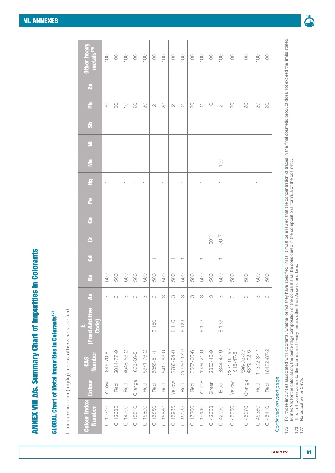**ANNEX VIII bis. Summary Chart of Impurities in Colorants** ANNEX VIII *bis*. Summary Chart of Impurities in Colorants

# **GLOBAL Chart of Metal Impurities in Colorants<sup>175</sup>** GLOBAL Chart of Metal Impurities in Colorants175

Limits are in ppm (mg/kg) unless otherwise specified Limits are in ppm (mg/kg) unless otherwise specified

| 100<br>100<br>$\overline{100}$<br>$100$<br>100<br>100<br>100<br>100<br>$\sim 100$<br>$100$<br>100<br>100<br>100<br>$100$<br>100<br>100<br>$\frac{100}{100}$<br>$\overline{C}$<br>$\underset{\mathsf{t}}{\bigcirc}$<br>$\rm \stackrel{\small 0}{{\scriptstyle \sim}}$<br>$\rm \geq$<br>$\gtrsim$<br>$\gtrsim$<br>$\rm \odot$<br>$\gtrsim$<br>$\overline{C}$<br>$\gtrsim$<br>$\gtrsim$<br>$\frac{0}{1}$<br>$\sim$<br>$\sim$<br>$\mathbb{C}$<br>$\mathbb{C}$<br>$\sim$<br>100<br>$\overline{\phantom{m}}$<br>$\overline{\phantom{0}}$<br>$\top$<br>$\overline{\phantom{0}}$<br>$\top$<br>$\top$<br>$\overline{\phantom{0}}$<br>50 <sup>177</sup><br>50 <sup>177</sup><br>$\overline{\phantom{m}}$<br>$\top$<br>$\top$<br>$\top$<br>$\top$ | <b>Food Additive</b><br>Code) |
|----------------------------------------------------------------------------------------------------------------------------------------------------------------------------------------------------------------------------------------------------------------------------------------------------------------------------------------------------------------------------------------------------------------------------------------------------------------------------------------------------------------------------------------------------------------------------------------------------------------------------------------------------------------------------------------------------------------------------------------|-------------------------------|
|                                                                                                                                                                                                                                                                                                                                                                                                                                                                                                                                                                                                                                                                                                                                        | 500<br>M                      |
|                                                                                                                                                                                                                                                                                                                                                                                                                                                                                                                                                                                                                                                                                                                                        | 500<br>M                      |
|                                                                                                                                                                                                                                                                                                                                                                                                                                                                                                                                                                                                                                                                                                                                        | 500<br>M                      |
|                                                                                                                                                                                                                                                                                                                                                                                                                                                                                                                                                                                                                                                                                                                                        | 500<br>S                      |
|                                                                                                                                                                                                                                                                                                                                                                                                                                                                                                                                                                                                                                                                                                                                        | 500<br>M                      |
|                                                                                                                                                                                                                                                                                                                                                                                                                                                                                                                                                                                                                                                                                                                                        | 500<br>M<br>E 180             |
|                                                                                                                                                                                                                                                                                                                                                                                                                                                                                                                                                                                                                                                                                                                                        | 500<br>S                      |
|                                                                                                                                                                                                                                                                                                                                                                                                                                                                                                                                                                                                                                                                                                                                        | 500<br>M<br>110<br>Ш          |
|                                                                                                                                                                                                                                                                                                                                                                                                                                                                                                                                                                                                                                                                                                                                        | 500<br>S<br>$E$ 129           |
|                                                                                                                                                                                                                                                                                                                                                                                                                                                                                                                                                                                                                                                                                                                                        | 500<br>M                      |
|                                                                                                                                                                                                                                                                                                                                                                                                                                                                                                                                                                                                                                                                                                                                        | 500<br>S<br>E 102             |
|                                                                                                                                                                                                                                                                                                                                                                                                                                                                                                                                                                                                                                                                                                                                        | 500<br>S                      |
|                                                                                                                                                                                                                                                                                                                                                                                                                                                                                                                                                                                                                                                                                                                                        | 500<br>M<br>$E$ 133           |
|                                                                                                                                                                                                                                                                                                                                                                                                                                                                                                                                                                                                                                                                                                                                        | 500<br>S                      |
|                                                                                                                                                                                                                                                                                                                                                                                                                                                                                                                                                                                                                                                                                                                                        | 500<br>M                      |
|                                                                                                                                                                                                                                                                                                                                                                                                                                                                                                                                                                                                                                                                                                                                        | 500<br>M                      |
|                                                                                                                                                                                                                                                                                                                                                                                                                                                                                                                                                                                                                                                                                                                                        | 500<br>M                      |

For those impurities associated with colorants, whether or not they have specified limits, it must be ensured that the concentration of traces in the final cosmetic product does not exceed the limits stated<br>(Annex VI); for 175 For those impurities associated with colorants, whether or not they have specified limits, it must be ensured that the concentration of traces in the final cosmetic product does not exceed the limits stated [\(Annex VI\)](#page-59-0); for the calculation, the percentage composition of the colorant shall be considered in the compositional formula of the cosmetic. 175

176 This limit corresponds to the total sum of heavy metals other than Arsenic and Lead.  $176$ <br>177

177 No detection for Cr(VI).

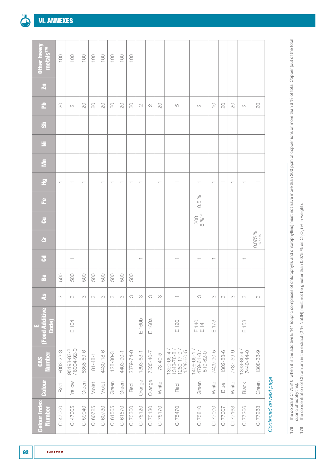| <b>Other heavy</b><br>metals <sup>176</sup> | 100                      | 100                      | 100                      | 100           | 100                      | 100                      | 100                      | 100                      |                          |           |                          |                                                        |                                                       |                          |           |                          |                          |             |
|---------------------------------------------|--------------------------|--------------------------|--------------------------|---------------|--------------------------|--------------------------|--------------------------|--------------------------|--------------------------|-----------|--------------------------|--------------------------------------------------------|-------------------------------------------------------|--------------------------|-----------|--------------------------|--------------------------|-------------|
| $\overline{\mathbf{z}}$                     |                          |                          |                          |               |                          |                          |                          |                          |                          |           |                          |                                                        |                                                       |                          |           |                          |                          |             |
| 운                                           | $\gtrsim$                | $\sim$                   | $\overline{C}$           | $\gtrsim$     | $\gtrsim$                | $\overline{C}$           | $\overline{C}$           | $\overline{C}$           | $\mathbb N$              | $\sim$    | 20                       | $\mathsf{L}\mathsf{O}$                                 | $\sim$                                                | $\subseteq$              | $\gtrsim$ | 20                       | $\sim$                   | $\gtrsim$   |
| $\ddot{\bm{v}}$                             |                          |                          |                          |               |                          |                          |                          |                          |                          |           |                          |                                                        |                                                       |                          |           |                          |                          |             |
| Ξ                                           |                          |                          |                          |               |                          |                          |                          |                          |                          |           |                          |                                                        |                                                       |                          |           |                          |                          |             |
| $\bar{\mathbf{z}}$                          |                          |                          |                          |               |                          |                          |                          |                          |                          |           |                          |                                                        |                                                       |                          |           |                          |                          |             |
| $\tilde{z}$                                 | $\overline{\phantom{m}}$ | $\overline{\phantom{0}}$ | $\overline{\phantom{m}}$ |               | $\overline{\phantom{0}}$ | $\overline{\phantom{m}}$ | $\overline{\phantom{m}}$ | $\overline{\phantom{m}}$ | $\overline{\phantom{m}}$ |           | $\overline{\phantom{m}}$ | $\overline{\phantom{0}}$                               | $\overline{\phantom{0}}$                              | $\overline{\phantom{m}}$ | $\top$    | $\overline{\phantom{m}}$ | $\overline{\phantom{0}}$ |             |
| $\mathbf{e}$                                |                          |                          |                          |               |                          |                          |                          |                          |                          |           |                          |                                                        | 0.5%                                                  |                          |           |                          |                          |             |
| $\ddot{\mathbf{5}}$                         |                          |                          |                          |               |                          |                          |                          |                          |                          |           |                          |                                                        | $\begin{array}{c c}\n 200 \\  8 &\% 178\n\end{array}$ |                          |           |                          |                          |             |
| ò                                           |                          |                          |                          |               |                          |                          |                          |                          |                          |           |                          |                                                        |                                                       |                          |           |                          |                          | 0.075 %     |
| $\mathbf{g}$                                |                          | $\top$                   |                          |               |                          |                          |                          |                          | $\overline{\phantom{m}}$ |           |                          | $\top$                                                 | $\top$                                                |                          |           |                          | $\overline{\phantom{0}}$ |             |
| $\mathbf{z}$                                | 500                      | 500                      | 500                      | 500           | 500                      | 500                      | 500                      | 500                      |                          |           |                          |                                                        |                                                       |                          |           |                          |                          |             |
| $\mathbf{a}$                                | $_{\rm CO}$              | $\infty$                 | S                        | S             | S                        | M                        | S                        | M                        | $\rm{CO}$                | S         | S                        | $\overline{\phantom{m}}$                               | $\infty$                                              | M                        | S         | M                        | M                        | $_{\rm CO}$ |
| <b>Food Additive</b><br>Code)<br>μ.         |                          | E 104                    |                          |               |                          |                          |                          |                          | E160b                    | E160a     |                          | E120                                                   | E 140<br>E 141                                        | E 173                    |           |                          | E 153                    |             |
| <b>Number</b><br><b>CAS</b>                 | 8003-22-3                | 95193-83-2<br>/8004-92-0 | 6358-69-6                | $81 - 48 - 1$ | 4430-18-6                | $128 - 80 - 3$           | 4403-90-1                | 2379-74-0                | 1393-63-1                | 7235-40-7 | $73-40-5$                | 1328-60-5<br>1390-65-4 /<br>1343-78-8 /<br>1260-17-9 / | 1406-65-1<br>519-62-0<br>479-61-8                     | 7429-90-5                | 1302-83-6 | 7787-59-9                | 7440-44-0<br>1333-86-4   | 1308-38-9   |
| <b>Colour</b>                               | Red                      | Yellow                   | Green                    | Violet        | Violet                   | Green                    | Green                    | Red                      | Orange                   | Orange    | White                    | Red                                                    | Green                                                 | White                    | Blue      | White                    | Black                    | Green       |
| <b>Colour Index</b><br><b>Number</b>        | CI 47000                 | CI 47005                 | CI 59040                 | CI 60725      | CI 60730                 | CI 61565                 | CI 61570                 | CI 73360                 | CI 75120                 | CI 75130  | CI 75170                 | CI 75470                                               | CI 75810                                              | CI 77000                 | CI 77007  | CI 77163                 | CI 77266                 | CI 77288    |



The colorant Cl 75810, when it is the additive E 141 (cupric complexes of chlorophylls and chlorophyllins) must not have more than 200 ppm of copper ions or more than 6 % of total Copper (out of the total<br>Cupric pheophytin 178 The colorant CI 75810, when it is the additive E 141 (cupric complexes of chlorophylls and chlorophyllins) must not have more than 200 ppm of copper ions or more than 6 % of total Copper (out of the total cupric pheophytins). 178

<sup>179</sup> The concentration of Chromium in the extract (2 % NaOH) must not be greater than 0.075 % as Cr O2 3 (% in weight).179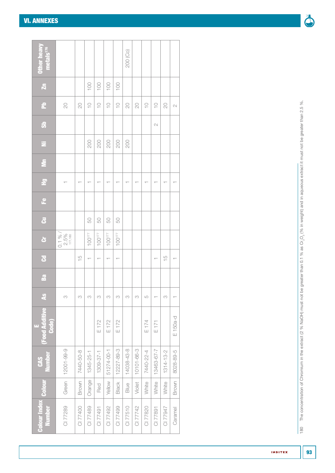| <b>Dther heavy</b><br>metals <sup>176</sup> |                   |               |               |             |                     |                          | 200 (Co)                 |                    |             |               |                 |                          |
|---------------------------------------------|-------------------|---------------|---------------|-------------|---------------------|--------------------------|--------------------------|--------------------|-------------|---------------|-----------------|--------------------------|
| $\overline{\mathbf{z}}$                     |                   |               | 100           | 100         | 100                 | 100                      |                          |                    |             |               |                 |                          |
| L                                           | $\gtrsim$         | $\gtrsim$     | $\frac{1}{1}$ | $\supseteq$ | $\frac{1}{2}$       | $\supseteq$              | $\overline{\mathcal{L}}$ | 20                 | $\supseteq$ | $\frac{0}{1}$ | $\overline{C}$  | $\sim$                   |
| အိ                                          |                   |               |               |             |                     |                          |                          |                    |             | $\sim$        |                 |                          |
| Ξ                                           |                   |               | <b>200</b>    | 200         | 200                 | 200                      | 200                      |                    |             |               |                 |                          |
| $\bar{\mathbf{z}}$                          |                   |               |               |             |                     |                          |                          |                    |             |               |                 |                          |
| $\tilde{z}$                                 |                   |               |               |             |                     |                          |                          |                    |             |               |                 |                          |
| ٩                                           |                   |               |               |             |                     |                          |                          |                    |             |               |                 |                          |
| $\vec{c}$                                   |                   |               | 50            | 50          | 50                  | 50                       |                          |                    |             |               |                 |                          |
| ة                                           | $0.1\%$ /<br>2.5% |               | 100177        | $100^{177}$ | $100^{177}$         | 100 <sup>177</sup>       |                          |                    |             |               |                 |                          |
| $\overline{c}$                              |                   | $\frac{5}{1}$ |               |             |                     | $\overline{\phantom{0}}$ |                          |                    |             |               | $\frac{5}{1}$   |                          |
| Ba                                          |                   |               |               |             |                     |                          |                          |                    |             |               |                 |                          |
| $\frac{3}{2}$                               | $\infty$          | M             | S             | M           | M                   | S                        | M                        | M                  | 5           |               | M               | $\overline{\phantom{0}}$ |
| <b>Food Additive</b><br>Code)<br>щ          |                   |               |               | E 172       | E 172               | E 172                    |                          |                    | E 174       | E171          |                 | $E$ 150a-d               |
| <b>Number</b><br><b>CAS</b>                 | 12001-99-9        | 7440-50-8     | 1345-25-1     | 1309-37-1   | Yellow   51274-00-1 | 12227-89-3               | 14038-43-8               | $  10101 - 66 - 3$ | 7440-22-4   | 13463-67-7    | $1314 - 13 - 2$ | 8028-89-5                |
| Colour                                      | Green             | Brown         | Orange        | Red         |                     | Black                    | Blue                     | Violet             | White       | White         | White           | Brown                    |
| <b>Colour Index</b><br><b>Number</b>        | CI 77289          | CI 77400      | CI 77489      | CI 77491    | CI 77492            | CI 77499                 | CI 77510                 | CI 77742           | CI 77820    | CI 77891      | <b>CI 77947</b> | Caramel                  |



C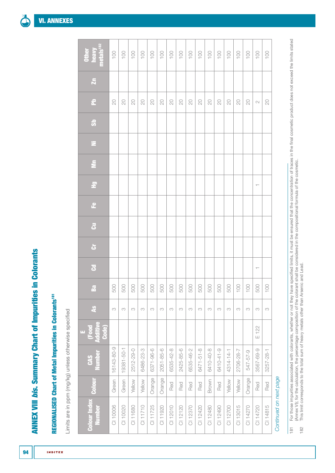**ANNEX VIII bis. Summary Chart of Impurities in Colorants** ANNEX VIII *bis*. Summary Chart of Impurities in Colorants

# **REGIONALISED Chart of Metal Impurities in Colorants<sup>181</sup>** REGIONALISED Chart of Metal Impurities in Colorants181

**INDITEX** 

Limits are in ppm (mg/kg) unless otherwise specified Limits are in ppm (mg/kg) unless otherwise specified

| <b>Colour Index</b><br><b>Number</b> | Colour | <b>Number</b><br><b>CAS</b> | E<br>(Food<br>Additive<br>Code) | $\overline{\mathbf{A}}$ | $\mathbf{g}$ | $\overline{a}$ | $\ddot{\sigma}$ | $\vec{c}$ | $\mathbf{e}$ | $\tilde{\mathbb{E}}$ | $\tilde{\Xi}$ | $\Xi$ | $\ddot{\bm{v}}$ | $\mathbf{r}$           | $\tilde{\mathbf{z}}$ | <b>Other</b><br>heavy<br>metals <sup>182</sup> |  |
|--------------------------------------|--------|-----------------------------|---------------------------------|-------------------------|--------------|----------------|-----------------|-----------|--------------|----------------------|---------------|-------|-----------------|------------------------|----------------------|------------------------------------------------|--|
| CI 10006                             | Green  | 16143-80-9                  |                                 | M                       | 500          |                |                 |           |              |                      |               |       |                 | $\gtrsim$              |                      |                                                |  |
| CI 10020                             | Green  | 19381-50-1                  |                                 | S                       | 88           |                |                 |           |              |                      |               |       |                 | $\gtrsim$              |                      | $\frac{1}{2}$                                  |  |
| CI 11680                             | Yellow | 2512-29-0                   |                                 | M                       |              |                |                 |           |              |                      |               |       |                 | $\gtrsim$              |                      | 100                                            |  |
| CI 11710                             | Yellow | 6486-23-3                   |                                 | M                       |              |                |                 |           |              |                      |               |       |                 | $\rm \geq$             |                      | 100                                            |  |
| CI 11725                             | Orange | 6371-96-6                   |                                 | M                       |              |                |                 |           |              |                      |               |       |                 | $\mathbb{S}$           |                      | $\frac{1}{2}$                                  |  |
| CI 11920                             | Orange | $2051 - 85 - 6$             |                                 | S                       |              |                |                 |           |              |                      |               |       |                 | $\gtrsim$              |                      | $\overline{100}$                               |  |
| CI 12010                             | Red    | 6535-42-8                   |                                 | S                       |              |                |                 |           |              |                      |               |       |                 | $\rm \odot$            |                      | $100$                                          |  |
| CI 12120                             | Red    | 2425-85-6                   |                                 | M                       |              |                |                 |           |              |                      |               |       |                 | $\gtrsim$              |                      | $\overline{)00}$                               |  |
| CI 12370                             | Red    | 6535-46-2                   |                                 | M                       | 8888888888   |                |                 |           |              |                      |               |       |                 | $\mathop{\mathrm{SO}}$ |                      | 100                                            |  |
| CI 12420                             | Red    | 6471-51-8                   |                                 | M                       |              |                |                 |           |              |                      |               |       |                 | $\infty$               |                      | 100                                            |  |
| CI 12480                             | Brown  | 6410-40-8                   |                                 | S                       |              |                |                 |           |              |                      |               |       |                 | $\rm \Xi$              |                      | $\overline{)00}$                               |  |
| CI 12490                             | Red    | 6410-41-9                   |                                 | S                       |              |                |                 |           |              |                      |               |       |                 | $\rm \geq$             |                      | $100$                                          |  |
| CI 12700                             | Yellow | 4314-14-1                   |                                 | S                       |              |                |                 |           |              |                      |               |       |                 | $\rm \geq$             |                      | $100$                                          |  |
| CI 13015                             | Yellow | 2706-28-7                   |                                 | S                       | $100$        |                |                 |           |              |                      |               |       |                 | $\gtrsim$              |                      | $\overline{)00}$                               |  |
| CI 14270                             | Orange | 547-57-9                    |                                 | S                       | 100          |                |                 |           |              |                      |               |       |                 | $\gtrsim$              |                      | 100                                            |  |
| CI 14720                             | Red    | 3567-69-9                   | E 122                           | S                       | 500          |                |                 |           |              | $\top$               |               |       |                 | $\sim$                 |                      | $\overline{100}$                               |  |
| CI 14815                             | Red    | 3257-28-1                   |                                 | S                       | 100          |                |                 |           |              |                      |               |       |                 | $\gtrsim$              |                      | 100                                            |  |
| Continued on next page               |        |                             |                                 |                         |              |                |                 |           |              |                      |               |       |                 |                        |                      |                                                |  |

້<br>ໂ  $\sum_{i=1}^{n}$ 

For those impurities associated with colorants, whether or not they have specified limits, it must be ensured that the concentration of traces in the final cosmetic product does not exceed the limits stated<br>(Annex VI); for 181 For those impurities associated with colorants, whether or not they have specified limits, it must be ensured that the concentration of traces in the final cosmetic product does not exceed the limits stated [\(Annex VI\)](#page-59-0); for the calculation, the percentage composition of the colorant shall be considered in the compositional formula of the cosmetic.  $\overline{\phantom{181}}$ 

<sup>182</sup> This limit corresponds to the total sum of heavy metals other than Arsenic and Lead.182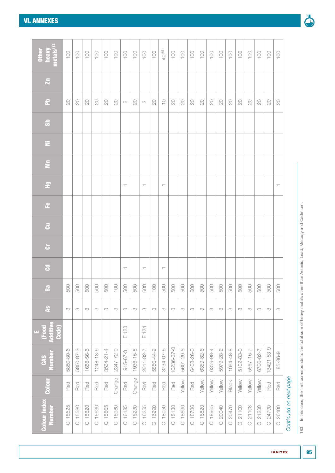| metals <sup>182</sup><br>Other<br>heavy | 100       | 100       | 100       | 100       | 100             | 100       | 100                      | 100       | $100$                    | $\overline{)00}$ | 40183                             | 100        | 100                      | 100       | 100       | 100       | 100         | 100       | 100       | 100       | 100         | $\overline{0}$ | $100$     |                        |
|-----------------------------------------|-----------|-----------|-----------|-----------|-----------------|-----------|--------------------------|-----------|--------------------------|------------------|-----------------------------------|------------|--------------------------|-----------|-----------|-----------|-------------|-----------|-----------|-----------|-------------|----------------|-----------|------------------------|
| $\overline{\mathbf{z}}$                 |           |           |           |           |                 |           |                          |           |                          |                  |                                   |            |                          |           |           |           |             |           |           |           |             |                |           |                        |
|                                         |           |           |           |           |                 |           |                          |           |                          |                  |                                   |            |                          |           |           |           |             |           |           |           |             |                |           |                        |
| 운                                       | $\infty$  | $\gtrsim$ | $\gtrsim$ | $\gtrsim$ | $\gtrsim$       | $\gtrsim$ | $\sim$                   | $\infty$  | $\sim$                   | $\gtrsim$        | $\underset{\mathsf{t}}{\bigcirc}$ | $\gtrsim$  | $\overline{\mathrm{20}}$ | $\gtrsim$ | $\gtrsim$ | $\gtrsim$ | $\gtrsim$   | $\gtrsim$ | $\gtrsim$ | $\rm \Xi$ | $\gtrsim$   | $\rm \geq$     | $\gtrsim$ |                        |
| $\ddot{\bm{v}}$                         |           |           |           |           |                 |           |                          |           |                          |                  |                                   |            |                          |           |           |           |             |           |           |           |             |                |           |                        |
| Ξ                                       |           |           |           |           |                 |           |                          |           |                          |                  |                                   |            |                          |           |           |           |             |           |           |           |             |                |           |                        |
| $\bar{\Xi}$                             |           |           |           |           |                 |           |                          |           |                          |                  |                                   |            |                          |           |           |           |             |           |           |           |             |                |           |                        |
| $\tilde{\Xi}$                           |           |           |           |           |                 |           | $\top$                   |           | $\overline{\phantom{m}}$ |                  | $\overline{\phantom{m}}$          |            |                          |           |           |           |             |           |           |           |             |                |           |                        |
| $\mathbf{e}$                            |           |           |           |           |                 |           |                          |           |                          |                  |                                   |            |                          |           |           |           |             |           |           |           |             |                |           |                        |
| $\vec{c}$                               |           |           |           |           |                 |           |                          |           |                          |                  |                                   |            |                          |           |           |           |             |           |           |           |             |                |           |                        |
| $\ddot{\sigma}$                         |           |           |           |           |                 |           |                          |           |                          |                  |                                   |            |                          |           |           |           |             |           |           |           |             |                |           |                        |
| $\overline{\mathbf{S}}$                 |           |           |           |           |                 |           | $\overline{\phantom{m}}$ |           | $\overline{\phantom{m}}$ |                  | $\overline{\phantom{m}}$          |            |                          |           |           |           |             |           |           |           |             |                |           |                        |
| $\mathbf{B}$ a                          | 500       | 500       | 500       | 500       | 500             | 100       | 500                      | 500       | 500                      | 100              | 500                               | 500        | 500                      | 500       | 500       | 500       | 500         | 500       | 500       | 500       | 500         | 500            | 500       |                        |
| $\frac{3}{4}$                           | $\infty$  | S         | S         | $\infty$  | S               | M         | S                        | $\infty$  | $\infty$                 | $_{\rm CO}$      | S                                 | $\infty$   | $_{\rm CO}$              | S         | S         | S         | $_{\rm CO}$ | S         | S         | S         | $_{\rm CO}$ | S              | S         |                        |
| E<br>(Food<br>Additive<br>Code)         |           |           |           |           |                 |           | $E$ 123                  |           | E 124                    |                  |                                   |            |                          |           |           |           |             |           |           |           |             |                |           |                        |
| <b>Number</b><br>CAS                    | 5850-80-6 | 5850-87-3 | 1658-56-6 | 1248-18-6 | $3564 - 21 - 4$ | 2347-72-0 | $915 - 67 - 3$           | 1936-15-8 | 2611-82-7                | 5850-44-2        | 3734-67-6                         | 10236-37-0 | 5601-29-6                | 6408-26-0 | 6359-82-6 | 6359-98-4 | 5979-28-2   | 1064-48-8 | 5102-83-0 | 5567-15-7 | 6706-82-7   | 13421-53-9     | 85-86-9   |                        |
| Colour                                  | Red       | Red       | Red       | Red       | Red             | Orange    | Red                      | Orange    | Red                      | Red              | Red                               | Red        | Yellow                   | Red       | Yellow    | Yellow    | Yellow      | Black     | Yellow    | Yellow    | Yellow      | Red            | Red       |                        |
| <b>Colour Index</b><br><b>Number</b>    | CI 15525  | CI 15580  | CI 15620  | CI 15630  | CI 15865        | CI 15980  | CI 16185                 | CI 16230  | CI 16255                 | CI 16290         | CI 18050                          | CI 18130   | CI 18690                 | CI 18736  | CI 18820  | CI 18965  | CI 20040    | CI 20470  | CI 21100  | CI 21108  | CI 21230    | CI 24790       | CI 26100  | Continued on next page |

183 In this case, the limit corresponds to the total sum of heavy metals other than Arsenic, Lead, Mercury and Cadmium. 183 In this case, the limit corresponds to the total sum of heavy metals other than Arsenic, Lead, Mercury and Cadmium.

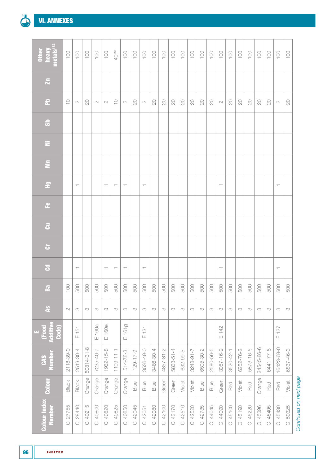| heavy<br>metals <sup>182</sup><br><b>Other</b> | 100            | 100                      | 100        | 100         | $100$                    | 40183                    | 100                      | 100            | 100                      | 100         | 100        | 100       | 100       | $100$     | 100         | 100       | $\overline{0}$           | 100       | 100        | $\overline{001}$ | 100        | $\overline{0}$ | $100$                    | 100        |
|------------------------------------------------|----------------|--------------------------|------------|-------------|--------------------------|--------------------------|--------------------------|----------------|--------------------------|-------------|------------|-----------|-----------|-----------|-------------|-----------|--------------------------|-----------|------------|------------------|------------|----------------|--------------------------|------------|
| $\overline{\mathbf{x}}$                        |                |                          |            |             |                          |                          |                          |                |                          |             |            |           |           |           |             |           |                          |           |            |                  |            |                |                          |            |
| $\mathbf{r}$                                   | $\supseteq$    | $\mathbb N$              | $\gtrsim$  | $\mathbb N$ | $\mathbb{C}$             | $\frac{1}{\sqrt{2}}$     | $\mathbb{C}\mathbb{U}$   | $\gtrsim$      | $\mathbb{C}$             | $\gtrsim$   | $\rm \geq$ | $\gtrsim$ | $\gtrsim$ | $\gtrsim$ | $\rm \odot$ | $\gtrsim$ | $\mathbb{C}$             | $\gtrsim$ | $\rm \geq$ | $\rm \odot$      | $\gtrsim$  | $\rm \Xi$      | $\mathbb{C} \mathbb{C}$  | $\rm \geq$ |
| $\ddot{\bm{v}}$                                |                |                          |            |             |                          |                          |                          |                |                          |             |            |           |           |           |             |           |                          |           |            |                  |            |                |                          |            |
| Ξ                                              |                |                          |            |             |                          |                          |                          |                |                          |             |            |           |           |           |             |           |                          |           |            |                  |            |                |                          |            |
| $\tilde{\mathbf{z}}$                           |                |                          |            |             |                          |                          |                          |                |                          |             |            |           |           |           |             |           |                          |           |            |                  |            |                |                          |            |
| $\vec{\mathbf{r}}$                             |                | $\overline{\phantom{0}}$ |            |             | $\overline{\phantom{m}}$ | $\overline{\phantom{m}}$ | $\overline{\phantom{m}}$ |                | $\overline{\phantom{m}}$ |             |            |           |           |           |             |           | $\overline{\phantom{m}}$ |           |            |                  |            |                | $\overline{\phantom{m}}$ |            |
| $\mathbf{e}$                                   |                |                          |            |             |                          |                          |                          |                |                          |             |            |           |           |           |             |           |                          |           |            |                  |            |                |                          |            |
| $\vec{\textbf{c}}$                             |                |                          |            |             |                          |                          |                          |                |                          |             |            |           |           |           |             |           |                          |           |            |                  |            |                |                          |            |
| $\ddot{\sigma}$                                |                |                          |            |             |                          |                          |                          |                |                          |             |            |           |           |           |             |           |                          |           |            |                  |            |                |                          |            |
| $\overline{a}$                                 |                | $\top$                   |            |             | $\overline{\phantom{0}}$ | $\overline{\phantom{m}}$ | $\overline{\phantom{m}}$ |                | $\overline{\phantom{m}}$ |             |            |           |           |           |             |           | $\overline{\phantom{m}}$ |           |            |                  |            |                | $\overline{\phantom{0}}$ |            |
| $\mathbf{g}$                                   | $\overline{0}$ | 500                      | 500        | 500         | 500                      | 500                      | 500                      | 500            | 500                      | 500         | 500        | 500       | 500       | 500       | 500         | 500       | 500                      | 500       | 500        | 500              | 500        | 500            | 500                      | 500        |
| $\frac{3}{4}$                                  | $\sim$         | M                        | S          | $\infty$    | S                        | S                        | M                        | M              | $\infty$                 | $_{\rm CO}$ | S          | $\infty$  | S         | S         | M           | S         | $\infty$                 | S         | S          | $\infty$         | S          | S              | $_{\rm CO}$              | $\infty$   |
| E<br>(Food<br>Additive<br>Code)                |                | $E$ 151                  |            | E 160a      | E 160e                   |                          | E161g                    |                | $E$ 131                  |             |            |           |           |           |             |           | E 142                    |           |            |                  |            |                | E127                     |            |
| <b>Number</b><br>CAS                           | 2118-39-0      | 2519-30-4                | 50814-31-8 | 7235-40-7   | 1962-15-8                | $1109 - 11 - 1$          | 514-78-3                 | $129 - 17 - 9$ | 3536-49-0                | 3486-30-4   | 4857-81-2  | 5863-51-4 | 632-99-5  | 7-16-8425 | 6505-30-2   | 2580-56-5 | 3087-16-9                | 3520-42-1 | 6252-76-2  | 5873-16-5        | 24545-86-6 | 6441-77-6      | 16423-68-0               | 6837-46-3  |
| <b>Colour</b>                                  | Black          | Black                    | Orange     | Orange      | Orange                   | Orange                   | Orange                   | Blue           | Blue                     | Blue        | Green      | Green     | Violet    | Violet    | Blue        | Blue      | Green                    | Red       | Violet     | Red              | Orange     | Red            | Red                      | Violet     |
| <b>Colour Index</b><br><b>Number</b>           | CI 27755       | CI 28440                 | CI 40215   | CI 40800    | CI 40820                 | CI 40825                 | CI 40850                 | CI 42045       | CI 42051                 | CI 42080    | CI 42100   | CI 42170  | CI 42510  | CI 42520  | CI 42735    | CI 44045  | CI 44090                 | CI 45100  | CI 45190   | CI 45220         | CI 45396   | CI 45405       | CI 45430                 | CI 50325   |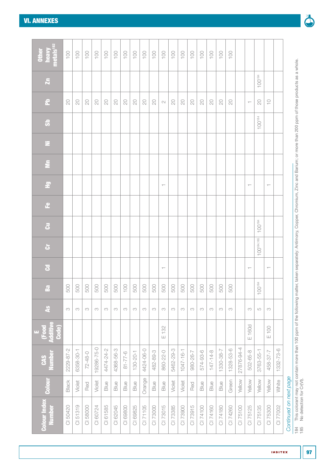| heavy<br>metals <sup>182</sup><br>Other | 100       | $100$     | $\sim 100$    | $\sim 00$  | 100        | $100$     | 100          | $100$          | $\sim 100$ | 100       | 100                      | $100$     | $\sim$          | 100       | 100       | $100$          | 100       | 100         |            |                          |                        |                                   |           |                        |
|-----------------------------------------|-----------|-----------|---------------|------------|------------|-----------|--------------|----------------|------------|-----------|--------------------------|-----------|-----------------|-----------|-----------|----------------|-----------|-------------|------------|--------------------------|------------------------|-----------------------------------|-----------|------------------------|
| $\overline{\mathbf{z}}$                 |           |           |               |            |            |           |              |                |            |           |                          |           |                 |           |           |                |           |             |            |                          | $100^{184}$            |                                   |           |                        |
| 운                                       | $\gtrsim$ | $\gtrsim$ | $\rm \geq$    | $\gtrsim$  | $\rm \geq$ | $\gtrsim$ | $\gtrsim$    | $\rm \geq$     | $\gtrsim$  | $\gtrsim$ | $\sim$                   | $\gtrsim$ | $\rm \geq$      | $\gtrsim$ | $\gtrsim$ | $\rm \geq$     | $\rm \Xi$ | $\gtrsim$   |            | $\top$                   | $\rm \odot$            | $\underset{\mathsf{t}}{\bigcirc}$ |           |                        |
| $\ddot{\bm{s}}$                         |           |           |               |            |            |           |              |                |            |           |                          |           |                 |           |           |                |           |             |            |                          | $100^{184}$            |                                   |           |                        |
| z                                       |           |           |               |            |            |           |              |                |            |           |                          |           |                 |           |           |                |           |             |            |                          |                        |                                   |           |                        |
| $\bar{\Xi}$                             |           |           |               |            |            |           |              |                |            |           |                          |           |                 |           |           |                |           |             |            |                          |                        |                                   |           |                        |
| $\Xi$                                   |           |           |               |            |            |           |              |                |            |           | $\overline{\phantom{m}}$ |           |                 |           |           |                |           |             |            | $\overline{\phantom{0}}$ |                        | $\overline{\phantom{0}}$          |           |                        |
| $\mathbf{e}$                            |           |           |               |            |            |           |              |                |            |           |                          |           |                 |           |           |                |           |             |            |                          |                        |                                   |           |                        |
| $\vec{c}$                               |           |           |               |            |            |           |              |                |            |           |                          |           |                 |           |           |                |           |             |            |                          | $100^{184}$            |                                   |           |                        |
| ä                                       |           |           |               |            |            |           |              |                |            |           |                          |           |                 |           |           |                |           |             |            |                          | $100^{184,185}$        |                                   |           |                        |
| $\mathbf{S}$                            |           |           |               |            |            |           |              |                |            |           | $\overline{\phantom{m}}$ |           |                 |           |           |                |           |             |            | $\overline{\phantom{0}}$ |                        | $\overline{\phantom{m}}$          |           |                        |
| Ba                                      | 500       | 500       | 500           | 500        | 500        | 500       | 100          | 500            | 500        | 500       | 500                      | 500       | 500             | 500       | 500       | 500            | 500       | 500         |            |                          | $100^{184}$            |                                   |           |                        |
| $\frac{3}{4}$                           | S         | S         | S             | S          | S          | M         | S            | S              | S          | S         | $\rm{CO}$                | S         | S               | $\infty$  | S         | S              | $\infty$  | $_{\rm CO}$ |            | $\infty$                 | $\mathsf{L}\mathsf{O}$ | S                                 |           |                        |
| (Food<br>Additive<br>Code)<br>ш,        |           |           |               |            |            |           |              |                |            |           | E 132                    |           |                 |           |           |                |           |             |            | E 160d                   |                        | E 100                             |           |                        |
| <b>Number</b><br>CAS                    | 2229-87-2 | 6358-30-1 | $72 - 48 - 0$ | 19286-75-0 | 4474-24-2  | 4368-56-3 | $8 - 77 - 6$ | $130 - 20 - 1$ | 4424-06-0  | 482-89-3  | 860-22-0                 | 5462-29-3 | $1 - 91 - 7401$ | 980-26-7  | 574-93-6  | $147 - 14 - 8$ | 1330-38-7 | 1328-53-6   | 27876-94-4 | 502-65-8                 | 3763-55-1              | 458-37-7                          | 1332-73-6 |                        |
| <b>Colour</b>                           | Black     | Violet    | Red           | Violet     | Blue       | Blue      | Blue         | Blue           | Orange     | Blue      | Blue                     | Violet    | Violet          | Red       | Blue      | Blue           | Blue      | Green       | Yellow     | Yellow                   | Yellow                 | Yellow                            | White     |                        |
| <b>Colour Index</b><br><b>Number</b>    | CI 50420  | CI 51319  | CI 58000      | CI 60724   | CI 61585   | CI 62045  | CI 69800     | CI 69825       | CI 71105   | CI 73000  | CI 73015                 | CI 73385  | CI 73900        | CI 73915  | CI 74100  | CI 74160       | CI 74180  | CI 74260    | CI 75100   | CI 75125                 | CI 75135               | CI 75300                          | CI 77002  | Continued on next page |

185 No detection for Cr(VI).

 $\frac{184}{185}$ 

184 This colorant may not contain more than 100 ppm of the following matter, taken separately: Antimony, Copper, Chromium, Zinc and Barium; or more than 200 ppm of those products as a whole.

This colorant may not contain more than 100 ppm of the following matter, taken separately: Antimony, Copper, Chromium, Zinc and Barium; or more than 200 ppm of those products as a whole.<br>No detection for Cr(VI).

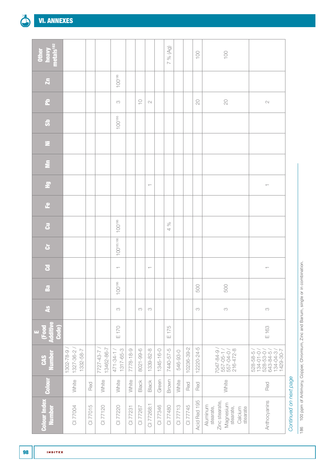[VI. ANNEXES](#page-50-0)

| 읞<br>metals <sup>1</sup><br>hea            |                                     |          |                               |                                 |           |             |                          |           | % (Ag)<br>$\sim$ |          |            | 100          | 100                                                                                      |                                                                           |                        |
|--------------------------------------------|-------------------------------------|----------|-------------------------------|---------------------------------|-----------|-------------|--------------------------|-----------|------------------|----------|------------|--------------|------------------------------------------------------------------------------------------|---------------------------------------------------------------------------|------------------------|
| $\overline{\mathbf{z}}$                    |                                     |          |                               | $100^{186}$                     |           |             |                          |           |                  |          |            |              |                                                                                          |                                                                           |                        |
| $\mathbf{r}$                               |                                     |          |                               | S                               |           | $\supseteq$ | $\sim$                   |           |                  |          |            | $\infty$     | $\rm \geq$                                                                               | $\mathbb{C}$                                                              |                        |
| $\ddot{\bm{v}}$                            |                                     |          |                               | $100^{186}$                     |           |             |                          |           |                  |          |            |              |                                                                                          |                                                                           |                        |
| Ξ                                          |                                     |          |                               |                                 |           |             |                          |           |                  |          |            |              |                                                                                          |                                                                           |                        |
| $\bar{\Xi}$                                |                                     |          |                               |                                 |           |             |                          |           |                  |          |            |              |                                                                                          |                                                                           |                        |
| $\overline{z}$                             |                                     |          |                               |                                 |           |             | $\overline{\phantom{m}}$ |           |                  |          |            |              |                                                                                          | $\overline{\phantom{m}}$                                                  |                        |
| $\mathbf{e}$                               |                                     |          |                               |                                 |           |             |                          |           |                  |          |            |              |                                                                                          |                                                                           |                        |
| $\bar{a}$                                  |                                     |          |                               | $100^{186}$                     |           |             |                          |           | $\%$<br>4        |          |            |              |                                                                                          |                                                                           |                        |
| ò                                          |                                     |          |                               | $100^{185,186}$                 |           |             |                          |           |                  |          |            |              |                                                                                          |                                                                           |                        |
| $\overline{c}$                             |                                     |          |                               | $\overline{\phantom{m}}$        |           |             | $\overline{\phantom{m}}$ |           |                  |          |            |              |                                                                                          | $\overline{\phantom{0}}$                                                  |                        |
| $\mathbf{g}$                               |                                     |          |                               | 0 <sup>186</sup><br>$\supseteq$ |           |             |                          |           |                  |          |            | 500          | 500                                                                                      |                                                                           |                        |
| $\frac{3}{4}$                              |                                     |          |                               | S                               |           | $\infty$    | S                        |           |                  |          |            | $_{\rm CO}$  | $\infty$                                                                                 | S                                                                         |                        |
| (Food<br>Additive<br>Code)<br>$\mathbf{u}$ |                                     |          |                               | E170                            |           |             |                          |           | 175<br>$\sqcup$  |          |            |              |                                                                                          | E 163                                                                     |                        |
| CAS<br>Number                              | 1332-58-7<br>1302-78-9<br>1327-36-2 |          | 13462-86-7<br>$7727 - 43 - 7$ | 1317-65-3<br>471-34-1           | 7778-18-9 | 8021-99-6   | 1339-82-8                | 1345-16-0 | 7440-57-5        | 546-93-0 | 10236-39-2 | 12220-24-5   | 7047-84-9 /<br>557-05-1 /<br>557-04-0 /<br>216-472-8                                     | 528-58-5/<br>$134 - 04 - 3 / 1429 - 30 - 7$<br>$134 - 01 - 0$<br>643-84-5 |                        |
| Colour                                     | White                               | Red      | White                         | White                           | White     | Black       | Black                    | Green     | Brown            | White    | Red        | Red          | White                                                                                    | Red                                                                       |                        |
| <b>Colour Index</b><br>Number              | CI 77004                            | CI 77015 | CI 77120                      | CI 77220                        | CI 77231  | CI 77267    | CI 77268:1               | CI 77346  | CI 77480         | CI 77713 | CI 77745   | Acid Red 195 | Zinc stearate,<br>Magnesium<br>Aluminum<br>stearate,<br>stearate,<br>stearate<br>Calcium | Anthocyanins                                                              | Continued on next page |

186 100 ppm of Antimony, Copper, Chromium, Zinc and Barium, single or in combination. 186 100 ppm of Antimony, Copper, Chromium, Zinc and Barium, single or in combination.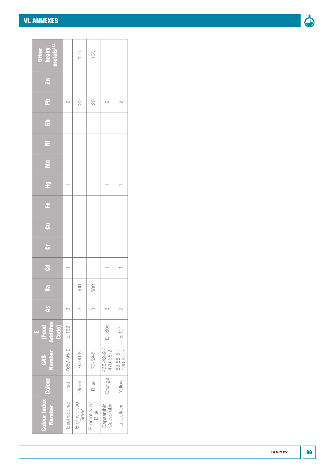#### [VI. ANNEXES](#page-50-0)

| I |
|---|

| <b>Other<br/>heavy<br/>metals<sup>182</sup></b> |              | 100                    | 100                      |                           |                                    |
|-------------------------------------------------|--------------|------------------------|--------------------------|---------------------------|------------------------------------|
| $\overline{\mathbf{z}}$                         |              |                        |                          |                           |                                    |
| 운                                               | $\sim$       | $\mathop{\mathrm{SO}}$ | $\overline{\mathcal{L}}$ | $\sim$                    | $\sim$                             |
| 5                                               |              |                        |                          |                           |                                    |
| z                                               |              |                        |                          |                           |                                    |
| Ξ                                               |              |                        |                          |                           |                                    |
| 문                                               |              |                        |                          |                           |                                    |
| ٩                                               |              |                        |                          |                           |                                    |
| $\vec{c}$                                       |              |                        |                          |                           |                                    |
| ة                                               |              |                        |                          |                           |                                    |
| $\overline{\mathbf{S}}$                         |              |                        |                          |                           |                                    |
| <b>B</b> a                                      |              | 500                    | 500                      |                           |                                    |
| $\frac{3}{2}$                                   | S            | S                      | S                        | S                         | M                                  |
| <b>Additive</b><br>Code)<br><b>Food</b><br>u.   | $E$ 162      |                        |                          | E 160c                    | E 101                              |
| <b>Number</b><br><b>CAS</b>                     | 7659-95-2    | 76-60-8                | 76-59-5                  | $465 - 42 - 9$            | $\frac{83 - 88 - 5}{130 - 40 - 5}$ |
|                                                 | Red          | Green                  | Blue                     | Orange                    | Yellow                             |
| <b>Colour Index Colour</b><br><b>Number</b>     | Beetroot red | Bromocresol<br>Green   | Bromothymol<br>Blue      | Capsorubin<br>Capsanthin, | Lactoflavin                        |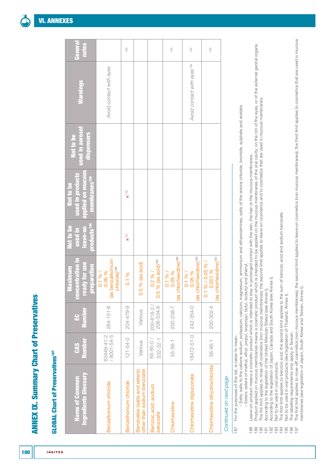### **GLOBAL Chart of Preservatives<sup>187</sup> GLOBAL Chart of Preservatives<sup>187</sup>**

| Ingredients Glossary<br><b>Name of Common</b>              | <b>Number</b><br>CAS      | Number<br>÷                  | concentration in<br>ready for use<br>preparation<br><b>Maximum</b>         | products <sup>188</sup><br>Not to be<br>used in<br>leave-on | applied on mucous<br>used in products<br>membranes <sup>189</sup><br>Not to be | used in aerosol<br>dispensers<br>Not to be | <b>Narnings</b>                        | General<br>notes |
|------------------------------------------------------------|---------------------------|------------------------------|----------------------------------------------------------------------------|-------------------------------------------------------------|--------------------------------------------------------------------------------|--------------------------------------------|----------------------------------------|------------------|
| Benzalkonium chloride                                      | / 8001-54-5<br>63449-41-2 | $264 - 151 - 6$              | (as benzalkonium<br>chloride) <sup>190</sup><br>$0.1\%$ /<br>0.05 %        |                                                             |                                                                                |                                            | Avoid contact with eyes                |                  |
| Benzethonium chloride                                      | $121 - 54 - 0$            | 204-479-9                    | 0.1 %                                                                      | $\tilde{\mathbf{R}}$                                        | $\times$ <sup>192</sup>                                                        |                                            |                                        | 193              |
| other than sodium benzoate<br>Benzoates (salts and esters) | Various                   | Various                      | $0.5%$ (as acid)                                                           |                                                             |                                                                                |                                            |                                        |                  |
| Benzoic acid; sodium<br>benzoate                           | $65 - 85 - 0$<br>532-32-1 | 208-534-8<br>$200 - 618 - 2$ | $%$ (as acid) <sup>194</sup><br>0.2 %<br>0.5                               |                                                             |                                                                                |                                            |                                        |                  |
| Chlorhexidine                                              | 55-56-1                   | 200-238-7                    | (as chlorhexidine) <sup>190</sup><br>0.1 %<br>0.05 %                       |                                                             |                                                                                |                                            |                                        | 195              |
| Chlorhexidine digluconate                                  | 18472-51-0                | 242-354-0                    | (as chlorhexidine) <sup>190</sup><br>0.1 %<br>0.05 %                       |                                                             |                                                                                |                                            | Avoid contact with eyes <sup>196</sup> | 195              |
| Chlorhexidine dihydrochloride                              | $56 - 95 - 1$             | 200-302-4                    | (as chlorhexidine) <sup>197</sup><br>%/0.05%/<br>0.001 %<br>$\overline{c}$ |                                                             |                                                                                |                                            |                                        | 195              |
|                                                            |                           |                              |                                                                            |                                                             |                                                                                |                                            |                                        |                  |

### Continued on next page *Continued on next page*

- For the purposes of this list, is taken to mean: 187 For the purposes of this list, is taken to mean: 187
- Salts: salts fo the cations sodium, potassium, calcium, magnesium, ammonium and ethanolamines; salts of the anions chloride, bromide, sulphate and acetate. – Salts: salts fo the cations sodium, potassium, calcium, magnesium, ammonium and ethanolamines; salts of the anions chloride, bromide, sulphate and acetate. - Esters: esters of methyl, ethyl, propyl, isopropyl, butyl, isobutyl and phenyl. – Esters: esters of methyl, ethyl, propyl, isopropyl, butyl, isobutyl and phenyl.
	- Leave-on product means a cosmetic product which is intended to stay in prolonged contact with the skin, the hair or the mucous membranes. 188 Leave-on product means a cosmetic product which is intended to stay in prolonged contact with the skin, the hair or the mucous membranes.
- Product applied on mucous membranes means a cosmetic product which is intended to be applied on the mucous membranes of the oral cavity, on the rim of the eyes, or of the external genital organs. 189 Product applied on mucous membranes means a cosmetic product which is intended to be applied on the mucous membranes of the oral cavity, on the rim of the eyes, or of the external genital organs.
- The firs limit applies to rinse-off cosmetics (non mucous membranes); the second limit applies to leave-on cosmetics and to cosmetics that are used in mucous membranes. 190 The firs limit applies to rinse-off cosmetics (non mucous membranes); the second limit applies to leave-on cosmetics and to cosmetics that are used in mucous membranes.
	- According to the legislation of the United Mexican States (see Annex I). 191 According to the legislation of the United Mexican States (see [Annex I\)](#page-52-0).
		- According to the legislation of Japan, Canada and South Korea (see Annex I). 192 According to the legislation of Japan, Canada and South Korea (see [Annex I](#page-52-0)).
			- Not to be used in oral products. 193 Not to be used in oral products.
- The first limit applies to benzoic acid; the second limit applies to the sum of benzoic acid and sodium benzoate. 194 The first limit applies to benzoic acid; the second limit applies to the sum of benzoic acid and sodium benzoate.
	- Not to be used in oral products (see legislation of Thailand, Annex I). 195 Not to be used in oral products (see legislation of Thailand, [Annex I](#page-52-0)).
		- The labelling requirements only apply in Taiwan. 196 The labelling requirements only apply in Taiwan.
- The first limit applies to rinse-off cosmetics (non mucous membranes); the second limit applies to leave-on cosmetics (non mucous membranes); the third limit applies to cosmetics that are used in mucous 197 The first limit applies to rinse-off cosmetics (non mucous membranes); the second limit applies to leave-on cosmetics (non mucous membranes); the third limit applies to cosmetics that are used in mucous membranes (see legislation of Japan, South Korea and Taiwan, Annex I). membranes (see legislation of Japan, South Korea and Taiwan, [Annex I\)](#page-52-0).

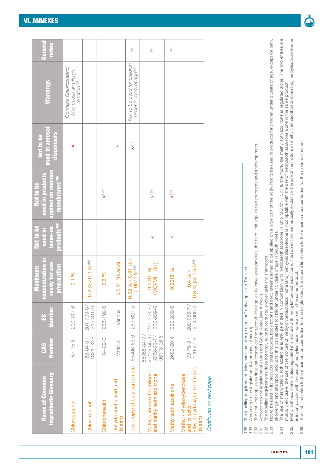| Ingredients Glossary<br><b>Name of Common</b>                                         | <b>Number</b><br><b>GAS</b>                         | Number<br>÷                  | concentration in<br>ready for use<br>preparation<br>Maximum | products <sup>188</sup><br>Not to be<br>leave-on<br><u>ui</u> beat | applied on mucous<br>used in products<br>membranes <sup>189</sup><br>Not to be | <b>used in aerosol</b><br>dispensers<br>Not to be | <b>Warnings</b>                                                            | General<br>notes |
|---------------------------------------------------------------------------------------|-----------------------------------------------------|------------------------------|-------------------------------------------------------------|--------------------------------------------------------------------|--------------------------------------------------------------------------------|---------------------------------------------------|----------------------------------------------------------------------------|------------------|
| Chlorobutanol                                                                         | $57 - 15 - 8$                                       | $200 - 317 - 6$              | 0.1%                                                        |                                                                    |                                                                                | ×                                                 | Contains Chlorobutanol<br>May cause an allergic<br>reaction <sup>198</sup> |                  |
| Chloroxylenol                                                                         | $1321 - 23 - 9$<br>88-04-0/                         | 215-316-6<br>$201 - 793 - 8$ | 0.3 % / 0.2 % 190                                           |                                                                    |                                                                                |                                                   |                                                                            |                  |
| Chlorphenesin                                                                         | $104 - 29 - 0$                                      | $203 - 192 - 6$              | 0.3 %                                                       |                                                                    | $\times$ <sup>199</sup>                                                        |                                                   |                                                                            |                  |
| Dehydroacetic acid and<br>ts salts                                                    | Various                                             | Various                      | $0.5%$ (as acid)                                            |                                                                    |                                                                                | ×                                                 |                                                                            |                  |
| odopropynyl butylcarbamate                                                            | 55406-53-6                                          | 259-627-5                    | $0.02\% / 0.01\% / 0.01\%$                                  |                                                                    |                                                                                | $\times$ <sup>201</sup>                           | Not to be used for children<br>under 3 years of age <sup>202</sup>         | 203              |
| Methylchloroisothiazolinone<br>and methylisothiazolinone                              | 96118-96-6<br>26172-55-4<br>55965-84-9<br>2682-20-4 | 220-239-6<br>247-500-7       | $(MC1/MI = 3:1)$<br>0.0015%                                 | ×                                                                  | $\xi$ <sup>199</sup>                                                           |                                                   |                                                                            | 204              |
| <b>Methylisothiazolinone</b>                                                          | 2682-20-4                                           | 220-239-6                    | 0.0015%                                                     | ×                                                                  | $\times$ 199                                                                   |                                                   |                                                                            | 205              |
| Ethyl 4-hydroxybenzoate and<br>Vlethyl 4-hydoxybenzoate<br>and its salts;<br>ts salts | $99 - 76 - 3 /$<br>$120 - 47 - 8$                   | 204-399-4<br>202-758-7       | % (as acid) <sup>206</sup><br>$0.4%$ /<br>$\frac{8}{2}$     |                                                                    |                                                                                |                                                   |                                                                            |                  |
|                                                                                       |                                                     |                              |                                                             |                                                                    |                                                                                |                                                   |                                                                            |                  |

The labelling requirement "May cause an allergic reaction" only applies in Thailand. 198 The labelling requirement "May cause an allergic reaction" only applies in Thailand. According to the legislation of Japan (see Annex I).

The first limit applies to rinse-off cosmetics; the second limit applies to leave-on cosmetics; the third limit applies to deodorants and antiperspirants. 200 The first limit applies to rinse-off cosmetics; the second limit applies to leave-on cosmetics; the third limit applies to deodorants and antiperspirants. 199 According to the legislation of Japan (see [Annex I\)](#page-52-0).  $\begin{array}{c} 0.0000000 \\ 0.000000 \\ 0.000000 \\ 0.00000 \\ 0.00000 \\ \end{array}$ 

According to the legislation of Japan and South Korea (see Annex I). 201 According to the legislation of Japan and South Korea (see [Annex I](#page-52-0)).

The labelling requirements does not apply to bath products, shower gels and shampoos. 202 The labelling requirements does not apply to bath products, shower gels and shampoos.

203 Not to be used in lip products, oral products, body lotions and body creams aimed to be applied on a large part of the body. Not to be used in products for children under 3 years of age, except for bath, Not to be used in lip products, oral products, body lotions and body creams aimed to be applied on a large part of the body. Not to be used in products for children under 3 years of age, except for bath, shower gel and shampoo products; this ban applies to children under 13 years of age in South Korea. shower gel and shampoo products; this ban applies to children under 13 years of age in South Korea.

- The use of methylchloroisothiazolinone is only permitted in combination with methylisothiazolinone in ratio MCIMI = 3:1; furthermore, the methylisothiazolinone is regulated alone. The two entries are 204 The use of methylchloroisothiazolinone is only permitted in combination with methylisothiazolinone in ratio MCI/MI = 3:1; furthermore, the methylisothiazolinone is regulated alone. The two entries are mutually exclusive: the use of the mixture of methylchloroisothiazolinone (and) methylisothiazolinone is incompatible with the use of methylisothiazolinone alone in the same product. mutually exclusive: the use of the mixture of methylchloroisothiazolinone (and) methylisothiazolinone is incompatible with the use of methylisothiazolinone alone in the same product. 204
- 205 Methylisothiazolinone is also regulated in a mixture with methylchloroisothiazolinone. The two entries are mutually exclusive: the use of the mixture of methylchloroisothiazolinone (and) methylisothiazolinone Methylisothiazolinone is also regulated in a mixture with methylchloroisothiazolinone. The two entries are mutually exclusive: the use of the mixture of methylchloroisothiazolinone (and) methylisothiazolinone is incompatible with the use of methylisothiazolinone alone in the same product. is incompatible with the use of methylisothiazolinone alone in the same product. 205
	- The first limit refers to the maximum concentration for one single ester; the second limit refers to the maximum concentration for the mixture of esters. 206 The first limit refers to the maximum concentration for one single ester; the second limit refers to the maximum concentration for the mixture of esters.206

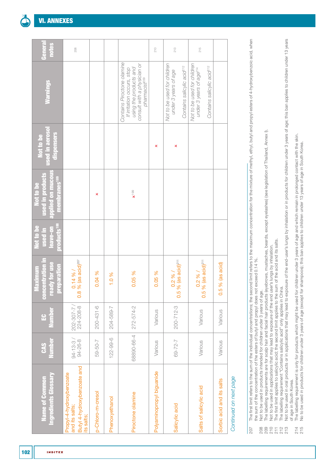| Ingredients Glossary<br><b>Name of Common</b>                                           | <b>Number</b><br><b>CAS</b> | Number<br>$\mathbf{E}$ | ready for use<br>concentration i<br>preparation<br>laximum | products <sup>188</sup><br>Not to be<br>leave-on<br>used in | applied on mucous<br>used in products<br>membranes <sup>189</sup><br>Not to be | used in aeroso<br>dispensers<br>Not to be | <b>Warnings</b>                                                                                                                                | Genera<br>notes |
|-----------------------------------------------------------------------------------------|-----------------------------|------------------------|------------------------------------------------------------|-------------------------------------------------------------|--------------------------------------------------------------------------------|-------------------------------------------|------------------------------------------------------------------------------------------------------------------------------------------------|-----------------|
| Butyl 4-hydroxybenzoate and<br>Propyl-4-hydroxybenzoate<br>and its salts;<br>its salts; | $94 - 13 - 3 / 94 - 26 - 8$ | 224-208-8<br>202-307-7 | $0.14\%$ /<br>0.8 % (as acid) <sup>207</sup>               |                                                             |                                                                                |                                           |                                                                                                                                                | 208             |
| p-Chloro-m-cresol                                                                       | 59-50-7                     | $200 - 431 - 6$        | 0.04 %                                                     |                                                             | ×                                                                              |                                           |                                                                                                                                                |                 |
| Phenoxyethanol                                                                          | $122 - 99 - 6$              | 204-589-7              | 1.0 %                                                      |                                                             |                                                                                |                                           |                                                                                                                                                |                 |
| Piroctone olamine                                                                       | 68890-66-4                  | 272-574-2              | 0.05 %                                                     |                                                             | $\mathbf{x}$ <sup>199</sup>                                                    |                                           | Contains Piroctone olamine<br>using the products and<br>consult with a physician or<br>If irritation occurs, stop<br>pharmacist <sup>209</sup> |                 |
| Polyaminopropyl biguanide                                                               | Various                     | Various                | 0.05 %                                                     |                                                             |                                                                                | ×                                         |                                                                                                                                                | 210             |
| Salicylic acid                                                                          | 69-72-7                     | $200 - 712 - 3$        | $0.2\%$ /<br>0.5 % (as acid) <sup>211</sup>                |                                                             |                                                                                | ×                                         | Not to be used for children<br>Contains salicylic acid <sup>212</sup><br>under 3 years of age                                                  | 213             |
| Salts of salicylic acid                                                                 | Various                     | Various                | $0.2\%$ /<br>0.5 % (as acid) <sup>211</sup>                |                                                             |                                                                                |                                           | Not to be used for children<br>Contains salicylic acid <sup>212</sup><br>under 3 years of age <sup>214</sup>                                   | 215             |
| Sorbic acid and its salts                                                               | Various                     | Various                | % (as acid)<br>0.5                                         |                                                             |                                                                                |                                           |                                                                                                                                                |                 |
| Continued on next page                                                                  |                             |                        |                                                            |                                                             |                                                                                |                                           |                                                                                                                                                |                 |

# ົ້າ

The first limit refers to the sum of the individual concentrations; the second limit refers to the maximum concentration for the mixture of methyl, ethyl, and propyl esters of 4-hydroxybenzoic acid, when 207 The first limit refers to the sum of the individual concentrations; the second limit refers to the maximum concentration for the mixture of methyl, ethyl, butyl and propyl esters of 4-hydroxybenzoic acid, when the sum of the concentration of the esters of butyl and propyl does not exceed 0.14 %. the sum of the concentration of the esters of butyl and propyl does not exceed 0.14 %. 207

- Not to be used in products intended for children under 3 years of age. 208 Not to be used in products intended for children under 3 years of age. 8<br>000 T N N<br>2020 2020
- The labelling requirements are for scalp hair and facial hair products (eyebrows, mustaches, beards, except eyelashes) (see legislation of Thailand, Annex I). 209 The labelling requirements are for scalp hair and facial hair products (eyebrows, mustaches, beards, except eyelashes) (see legislation of Thailand, [Annex I\)](#page-52-0).
	- Not to be used in applications that may lead to exposure of the end user's lungs by inhalation. 210 Not to be used in applications that may lead to exposure of the end user's lungs by inhalation.
		- 211 The first limit applies to salicylic acid; the second limit applies to the sum of the acid and its salts. The first limit applies to salicylic acid; the second limit applies to the sum of the acid and its salts
			- The labelling requirement "Contains salicylic acid" only applies in China. 212 The labelling requirement "Contains salicylic acid" only applies in China.
- 213 Not to be used in oral products or in applications that may lead to exposure of the end-user's lungs by inhalation or in products for children under 3 years of age; this ban applies to children under 13 years Not to be used in oral products or in applications that may lead to exposure of the end-user's lungs by inhalation or in products for children under 3 years of age; this ban applies to children under 13 years of age in South Korea. of age in South Korea.
	- The labelling requirement is only for products which might be used for children under 3 years of age and which remain in prolonged contact with the skin.<br>No to be used in products for children under 3 years of age (except 214 The labelling requirement is only for products which might be used for children under 3 years of age and which remain in prolonged contact with the skin. 214<br>215
		- 215 No to be used in products for children under 3 years of age (except for shampoos); this ban applies to children under 13 years of age in South Korea.

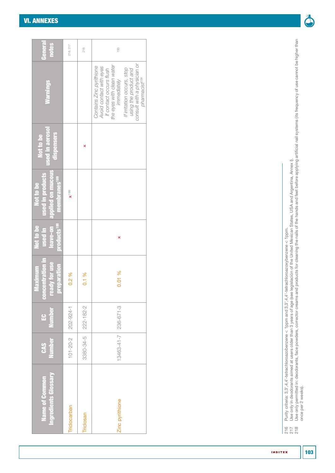#### [VI. ANNEXES](#page-50-0)

| <b>General</b><br><b>notes</b>                                                          | 216, 217                | 218                   | 193                                                                                                                                                                                                                                           |
|-----------------------------------------------------------------------------------------|-------------------------|-----------------------|-----------------------------------------------------------------------------------------------------------------------------------------------------------------------------------------------------------------------------------------------|
| Warnings <sub></sub>                                                                    |                         |                       | consult with a physician or<br>the eyes with clean water<br>Contains Zinc pyrithione<br>Avoid contact with eyes<br>If irritation occurs, stop<br>using the product and<br>If contact occurs flush<br>pharmacist <sup>209</sup><br>immediately |
| <b>used in aerosol</b><br>dispensers<br>Not to be                                       |                         | ×                     |                                                                                                                                                                                                                                               |
| leave-on applied on mucous<br>used in products<br>membranes <sup>189</sup><br>Not to be | $\times$ <sup>199</sup> |                       |                                                                                                                                                                                                                                               |
| products <sup>188</sup><br>used in<br>Not to be                                         |                         |                       | ×                                                                                                                                                                                                                                             |
| concentration in<br><b>Teady for use</b><br>preparation<br>Maximum                      | 0.2%                    | 0.1%                  | 0.01 %                                                                                                                                                                                                                                        |
| <b>Number</b><br>e                                                                      | 202-924-1               | 3380-34-5   222-182-2 |                                                                                                                                                                                                                                               |
| <b>Number</b><br>CAS                                                                    | $101 - 20 - 2$          |                       | 13463-41-7 236-671-3                                                                                                                                                                                                                          |
| Ingredients Glossary<br><b>Name of Common</b>                                           | Triclocarban            | Triclosan             | Zinc pyrithione                                                                                                                                                                                                                               |

 $270$ <br>  $270$ <br>  $270$ 

216 Purity criteria: 3,3',4,4'-tetrachloroazobenzene < 1ppm and 3,3',4,4'-tetrachloroazoxybenzene < 1ppm.

217 Use only in deodorants aimed at users older than 3 years of age (see legislación of the United Mexican States, USA and Argentina, [Annex I](#page-52-0)).

218 Use only permitted in: deodorants, face powders, corrector creams and products for cleaning the nails of the hands and feet before applying artificial nail systems (its frequency of use cannot be higher than

Purity criteria: 3,3`,4,4'-tetrachloroazobenzene < 1ppm and 3,3',4,4'-tetrachloroazoxybenzene < 1ppm.<br>Use only in deodorants aimed at users older than 3 years of age (see legislación of the United Mexican States, USA and A

once per 2 weeks).

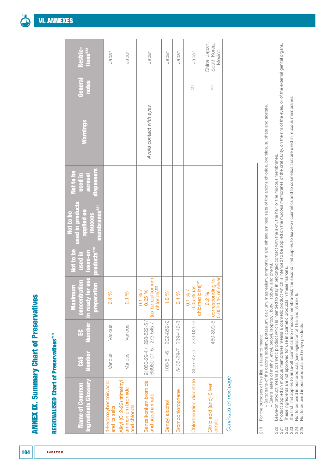# REGIONALISED Chart of Preservatives<sup>219</sup> REGIONALISED Chart of Preservatives219

**INDITEX** 

| Restric-<br>tions <sup>222</sup>                                                 | Japan                                  | Japan                                                        | Japan                                                                                   | Japan          | Japan            | Japan                                                 | China, Japan,<br>South Korea,<br>Mexico                                                                                                    |
|----------------------------------------------------------------------------------|----------------------------------------|--------------------------------------------------------------|-----------------------------------------------------------------------------------------|----------------|------------------|-------------------------------------------------------|--------------------------------------------------------------------------------------------------------------------------------------------|
| General<br>notes                                                                 |                                        |                                                              |                                                                                         |                |                  | 224                                                   | 225                                                                                                                                        |
| <b>Marnings</b>                                                                  |                                        |                                                              | Avoid contact with eyes                                                                 |                |                  |                                                       |                                                                                                                                            |
| dispensers<br>Not to be<br>used in<br>aerosol                                    |                                        |                                                              |                                                                                         |                |                  |                                                       |                                                                                                                                            |
| sed in products<br>membranes <sup>221</sup><br>applied on<br>Not to be<br>mucous |                                        |                                                              |                                                                                         |                |                  |                                                       |                                                                                                                                            |
| Not to be<br><b>products<sup>220</sup></b><br>used in<br>leave-on                |                                        |                                                              |                                                                                         |                |                  |                                                       |                                                                                                                                            |
| in ready for use<br>concentration<br><b>preparation</b><br>Maximum               | 0.4%                                   | 0.1%                                                         | 68989-01-5   273-545-7   (as benzalkonium<br>chloride) <sup>223</sup><br>0.1 %<br>0.05% | 1.0 %          | 0.1%             | chlorhexidine) <sup>223</sup><br>as<br>0.1 %<br>0.05% | $460-890-5$ corresponding to $\begin{bmatrix} 0.0024 & 96 & \text{of silver} \\ 0.0024 & 96 & \text{of silver} \end{bmatrix}$<br>$0.2\%$ , |
| <b>Number</b><br>H                                                               | Various                                | Various                                                      |                                                                                         | 202-859-9      | 239-446-8        |                                                       |                                                                                                                                            |
| <b>Number</b><br><b>CAS</b>                                                      | Various                                | Various                                                      | $ 91080-29-4 $ 293-522-5/                                                               | $100 - 51 - 6$ | 15435-29-7       | 3697-42-5 223-026-6                                   |                                                                                                                                            |
| Ingredients Glossary<br>Name of Common                                           | 4-Hydroxybenzoic acid<br>and its salts | Alkyl (C12-22) trimethyl<br>ammonium bromide<br>and chloride | Benzalkonium bromide<br>and saccharinate                                                | Benzyl alcohol | Bromochlorophene | Chlorhexidine diacetate                               | Citric acid (and) Silver<br>citrate                                                                                                        |

Continued on next page *Continued on next page*

For the purposes of this list, is taken to mean: 219 For the purposes of this list, is taken to mean: 219

-Salts: salts of the cations sodium, potassium, calcium, magnesium, ammonium and ethanolamines; salts of the anions chloride, bromide, sulphate and acetate. – Salts: salts of the cations sodium, potassium, calcium, magnesium, ammonium and ethanolamines; salts of the anions chloride, bromide, sulphate and acetate.

- Esters: esters of methyl, ethyl, propyl, isopropyl, butyl, isobutyl and phenyl. – Esters: esters of methyl, ethyl, propyl, isopropyl, butyl, isobutyl and phenyl.

Leave-on product means a cosmetic product which is intended to stay in prolonged contact with the skin, the hair or the mucous membranes. 220 Leave-on product means a cosmetic product which is intended to stay in prolonged contact with the skin, the hair or the mucous membranes.

Product applied on mucous membranes means a cosmetic product which is intended to be applied on the mucous membranes of the oral cavity, on the rim of the eyes, or of the external genital organs. 221 Product applied on mucous membranes means a cosmetic product which is intended to be applied on the mucous membranes of the oral cavity, on the rim of the eyes, or of the external genital organs. These ingredients are not approved for use in cosmetic products in these markets. 222 These ingredients are not approved for use in cosmetic products in these markets. 

The first limit applies to rinse-off cosmetics (non mucous membranes); the second limit applies to leave-on cosmetics and to cosmetics that are used in mucous membranes. 223 The first limit applies to rinse-off cosmetics (non mucous membranes); the second limit applies to leave-on cosmetics and to cosmetics that are used in mucous membranes.

Not to be used in oral products (see legislation of Thailand, Annex I).<br>Not to be used in oral products and in eye products. 224 Not to be used in oral products (see legislation of Thailand, [Annex I](#page-52-0)).

225 Not to be used in oral products and in eye products.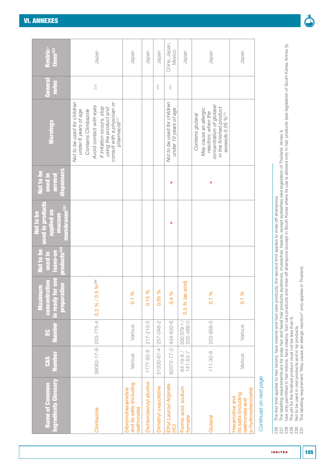| Restric-<br>tions222<br>General<br>notes                                         | Japan<br>228                                                                                                                                                                                                             | Japan                                                               | Japan                  | Japan<br>229         | China, Japan,<br>Mexico<br>230                       | Japan                           | Japan                                                                                                                                              | Japan                                                                         |
|----------------------------------------------------------------------------------|--------------------------------------------------------------------------------------------------------------------------------------------------------------------------------------------------------------------------|---------------------------------------------------------------------|------------------------|----------------------|------------------------------------------------------|---------------------------------|----------------------------------------------------------------------------------------------------------------------------------------------------|-------------------------------------------------------------------------------|
| <b>Marnings</b>                                                                  | Not to be used for children<br>consult with a physician or<br>Avoid contact with eyes<br>If irritation occurs, stop<br>using the product and<br>Contains Climbazole<br>under 6 years of age<br>pharmacist <sup>227</sup> |                                                                     |                        |                      | Not to be used for children<br>under 10 years of age |                                 | concentration of glutaral<br>in the finished product<br>May cause an allergic<br>reaction; when the<br>exceeds $0.05$ % $231$<br>Contains glutaral |                                                                               |
| dispensers<br>Not to be<br>used in<br>aerosol                                    |                                                                                                                                                                                                                          |                                                                     |                        |                      | ×                                                    |                                 | ×                                                                                                                                                  |                                                                               |
| sed in products<br>membranes <sup>22</sup><br>applied on<br>Not to be<br>mucous  |                                                                                                                                                                                                                          |                                                                     |                        |                      | ×                                                    |                                 |                                                                                                                                                    |                                                                               |
| products <sup>220</sup><br>Not to be<br>leave-on<br>used in                      |                                                                                                                                                                                                                          |                                                                     |                        |                      |                                                      |                                 |                                                                                                                                                    |                                                                               |
| in ready for use<br><b>concentration</b><br>ion<br>Ξ<br><b>preparat</b><br>Maxim | 96226<br>0.2 % 0.05                                                                                                                                                                                                      | 0.1%                                                                | 0.15%                  | 0.05%                | 0.4%                                                 | $0.5%$ (as acid)                | 0.1 %                                                                                                                                              | 0.1 %                                                                         |
| <u>Number</u><br>유                                                               | 253-775-4                                                                                                                                                                                                                | Various                                                             | $217 - 210 - 5$        | 257-048-2            | 434-630-6                                            | 205-488-0<br>200-579-1          | 203-856-5                                                                                                                                          | Various                                                                       |
| <b>Number</b><br><b>CAS</b>                                                      | 38083-17-9                                                                                                                                                                                                               | Various                                                             | $1777 - 82 - 8$        | 51200-87-4           | 60372-77-2                                           | $141 - 53 - 7$<br>$64 - 18 - 6$ | $111 - 30 - 8$                                                                                                                                     | Various                                                                       |
| ngredients Glossary<br><b>Name of Common</b>                                     | Climbazole                                                                                                                                                                                                               | and its salts (including<br><b>Dibromohexamidine</b><br>sethionate) | Dichlorobenzyl alcohol | Dimethyl oxazolidine | Ethyl Lauroyl Arginate<br>HCl                        | Formic acid; sodium<br>formate  | Glutaral                                                                                                                                           | p-hydroxybenzoate)<br>ts salts (including<br>Hexamidine and<br>sethionate and |

226 The first limit applies to hair lotions, face creams and foot care products; the second limit applies to rinse-off shampoos.

227 The labelling requirements are for scalp hair and facial hair products (eyebrows, mustaches, beards, except eyelashes) (see legislation of Thailand, [Annex I\)](#page-52-0).

The first limit applies to hair lotions, face creams and foot care products; the second limit applies to rinse-off shampoos.<br>The labelling requirements are for scalp hair and facial hair products (eyebrows, mustaches, bear 228 Use only permitted in hair lotions, face creams, foot care products and rinse-off shampoos (except in South Korea where its use is allowed only in hair products (see legislation of South Korea, [Annex I\)](#page-52-0)). 229 The pH for the finished product must not be less than 6. 

230 Not to be used in oral products and in lip products.

231 The labelling requirement "May cause an allergic reaction" only applies in Thailand.

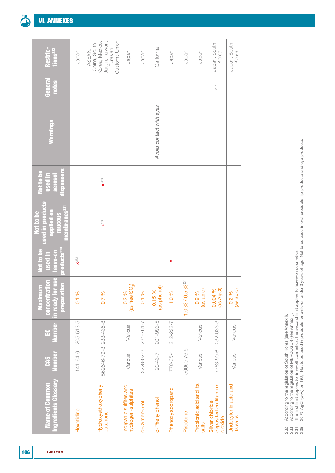| <b>INDITEX</b> |
|----------------|

| Restric-<br>tions222                                                                     | Japan           | Customs Union<br>Korea, Mexico,<br>Japan, Taiwan,<br>China, South<br>Eurasian<br>ASEAN, | Japan                                        | Japan           | California              | Japan              | Japan                | Japan                           | Japan, South<br>Korea                               | Japan, South<br>Korea             |
|------------------------------------------------------------------------------------------|-----------------|-----------------------------------------------------------------------------------------|----------------------------------------------|-----------------|-------------------------|--------------------|----------------------|---------------------------------|-----------------------------------------------------|-----------------------------------|
| General<br>notes                                                                         |                 |                                                                                         |                                              |                 |                         |                    |                      |                                 | 235                                                 |                                   |
| <b>Marnings</b>                                                                          |                 |                                                                                         |                                              |                 | Avoid contact with eyes |                    |                      |                                 |                                                     |                                   |
| dispensers<br>Not to be<br>used in<br>aerosol                                            |                 | $\times$ 233                                                                            |                                              |                 |                         |                    |                      |                                 |                                                     |                                   |
| <b>Ised in products</b><br>membranes <sup>221</sup><br>applied on<br>Not to be<br>mucous |                 | $\times$ 233                                                                            |                                              |                 |                         |                    |                      |                                 |                                                     |                                   |
| products <sup>220</sup><br>Not to be<br>leave-on<br><u>used</u> in                       | $x^{232}$       |                                                                                         |                                              |                 |                         | ×                  |                      |                                 |                                                     |                                   |
| in ready for use<br>concentration<br>preparation<br>Ê<br>Vlaxim                          | 0.1%            | 0.7 %                                                                                   | (as free $\text{SO}_2$ )<br>0.2 %            | 0.1%            | (as phenol)<br>0.15%    | 1.0%               | 96234<br>1.0 % / 0.5 | (as acid)<br>0.9 %              | 0.004 %<br>(as AgCl)                                | (as acid)<br>0.2 %                |
| <b>Number</b><br>$\mathbf{E}$                                                            | $205 - 513 - 5$ |                                                                                         | Various                                      | $221 - 761 - 7$ | 201-993-5               | 212-222-7          |                      | Various                         | 232-033-3                                           | Various                           |
| <b>Number</b><br><b>CAS</b>                                                              | $141 - 94 - 6$  | 569646-79-3 933-435-8                                                                   | Various                                      | 3228-02-2       | $90 - 43 - 7$           | 770-35-4           | 50650-76-5           | Various                         | 7783-90-6                                           | Various                           |
| Ingredients Glossary<br><b>Name of Common</b>                                            | Hexetidine      | Hydroxyethoxyphenyl<br>butanone                                                         | Inorganic sulfites and<br>hydrogen-sulphites | o-Cymen-5-ol    | o-Phenylphenol          | Phenoxyisopropanol | Piroctone            | Propionic acid and its<br>salts | deposited on titanium<br>Silver chloride<br>dioxide | Undecylenic acid and<br>its salts |

- 232 According to the legislation of South Korea (see [Annex I\)](#page-52-0).
- 233 According to the legislation of MERCOSUR (see [Annex I\)](#page-52-0).
- 234 The first limit applies to rinse-off cosmetics; the second limit applies to leave-on cosmetics. |<br>| ຕູ ຕູ <del>ຕ</del>ູ ຕູ<br>| ຕູ ຕູ ຕູ ຕູ
- According to the legislation of South Korea (see Annex ).<br>According to the legislation of MERCOSUR (see Annex ).<br>The first limit applies to rinse-off cosmetics; the second limit applies to leave-on cosmetics.<br>20 % AgCl (w/ 235 20 % AgCl (w/w) on TiO2. Not to be used in products for children under 3 years of age. Not to be used in oral products, lip products and eye products.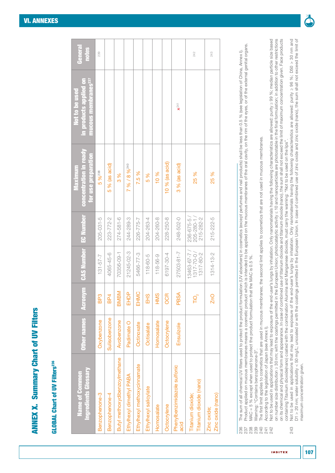### **GLOBAL Chart of UV Filters<sup>236</sup>** GLOBAL Chart of UV Filters236

| <b>Ingredients Glossary</b><br>Name of Common | <b>Other names</b> | Acronym         | <b>CAS Number EC Number</b>                 |                                       | concentration in ready<br>for use preparation<br>Maximum | in products applied on<br>mucous membranes <sup>237</sup><br>Not to be used | General<br>notes |
|-----------------------------------------------|--------------------|-----------------|---------------------------------------------|---------------------------------------|----------------------------------------------------------|-----------------------------------------------------------------------------|------------------|
| Benzophenone-3                                | Oxybenzone         | BP3             | $131 - 57 - 7$                              | $205 - 031 - 5$                       | 5 % 238                                                  |                                                                             | 239              |
| Benzophenone-4                                | Sulisobenzone      | BP4             | 4065-45-6                                   | 223-772-2                             | $5%$ (as acid)                                           |                                                                             |                  |
| Butyl methoxydibenzoylmethane                 | Avobenzone         | <b>BMBM</b>     | 70356-09-1                                  | $274 - 581 - 6$                       | 8<br>8                                                   |                                                                             |                  |
| Ethylhexyl dimethyl PABA                      | Padimate O         | EHDP            | 21245-02-3                                  | 244-289-3                             | 7 % / 8 % 240                                            |                                                                             |                  |
| Ethylhexyl methoxycinnamate                   | Octinoxate         | EHMC            | 5466-77-3                                   | 226-775-7                             | 7.5 %                                                    |                                                                             |                  |
| Ethylhexyl salicylate                         | Octisalate         | EH <sub>S</sub> | $118 - 60 - 5$                              | 204-263-4                             | 5 %                                                      |                                                                             |                  |
| Homosalate                                    | Homosalate         | HMS             | $118 - 56 - 9$                              | 204-260-8                             | 10%                                                      |                                                                             |                  |
| Octocrylene                                   | Octocrylene        | <b>OCR</b>      | 6197-30-4                                   | 228-250-8                             | $10%$ (as acid)                                          |                                                                             |                  |
| Phenylbenzimidazole sulfonic<br>acid          | Ensulizole         | PBSA            | 27503-81-7                                  | 248-502-0                             | 3 % (as acid)                                            | $x^{241}$                                                                   |                  |
| Titanium dioxide (nano)<br>Titanium dioxide;  |                    | ΓÕ<br>Γ         | 13463-67-7/<br>$1317 - 70 - 0$<br>1317-80-2 | 236-675-5/<br>205-280-1/<br>215-282-2 | 25 %                                                     |                                                                             | 242              |
| Zinc oxide (nano)<br>Zinc oxide;              |                    | ZnO             | 1314-13-2                                   | 215-222-5                             | 25 %                                                     |                                                                             | 243              |

The sum of all chemical UV filters used to protect the product formulation (UV absorbers) in cosmetics (except perfurnes and nail products) shall be less than 0.5 % (see legislation of China, Annex I). 236 The sum of all chemical UV filters used to protect the product formulation (UV absorbers) in cosmetics (except perfumes and nail products) shall be less than 0.5 % (see legislation of China, [Annex I](#page-52-0)).

Product applied on mucous membranes means a cosmetic product which is intended to be applied on the mucous membranes of the oral cavity, on the rim of the external genital organs. 237 Product applied on mucous membranes means a cosmetic product which is intended to be applied on the mucous membranes of the oral cavity, on the rim of the eyes, or of the external genital organs. 

MAC = 5 % except when used to protect the product formulation that the MAC is 0.5 %. 238 MAC = 5 % except when used to protect the product formulation that the MAC is 0.5 %.

239 Warning: "Contains benzophenone-3". Warning: "Contains benzophenone-3"

The first limit applies to cosmetics that are used in mucous membranes; the second limit applies to cosmetics that are not used in mucous membranes. 240 The first limit applies to cosmetics that are used in mucous membranes; the second limit applies to cosmetics that are not used in mucous membranes.

According to the legislation of Japan (see Annex I). 241 According to the legislation of Japan (see [Annex I\)](#page-52-0).

242 Not to be used in applications that may lead to exposure of the end-user's lungs by inhalation. Only nanomaterials having the following characteristics are allowed: purity ≥ 99 %; median particle size based on number size distribution ≥ 30 nm; with the coatings permitted in the European Union; photocatalytic activity ≤ 10 and nanoparticles are photostable in the final formulation; in addition to other restrictions on its chemical and physical form and appearance. In case of combined use of titanium dioxide and titanium dioxide (nano), the sum shall not exceed the limit of maximum concentration given. Face products Not to be used in applications that may lead to exposure of the end-user's lungs by inhalation. Only nanomaterials having the following characteristics are allowed: purity ≥ 99 %; median particle size based on number size distribution ≥ 30 nm; with the coatings permitted in the European Union; photocatalytic activity ≤ 10 and nanoparticles are photostable in the final formulation; in addition to other restrictions on its chemical and physical form and appearance. In case of combined use of titanium dioxide and titanium dioxide (nano), the sum shall not exceed the limit of maximum concentration given. Face products containing Titanium dioxide(nano) coated with the combination Alumina and Manganese dioxide, must carry the warning: "Not to be used on the lips". containing Titanium dioxide(nano) coated with the combination Alumina and Manganese dioxide, must carry the warning: "Not to be used on the lips'

Not to be used in applications that may lead to exposure of the end-user's lungs by inhalation. Only nanomaterials having the following characteristics are allowed: purity ≥ 96 %; D50 > 30 nm and<br>D1 > 20 nm; water solubili 243 Not to be used in applications that may lead to exposure of the end-user's lungs by inhalation. Only nanomaterials having the following characteristics are allowed: purity ≥ 96 %; D50 > 30 nm and D1 > 20 nm; water solubility < 50 mg/L; uncoated or with the coatings permitted in the European Union. In case of combined use of zinc oxide and zinc oxide (nano), the sum shall not exceed the limit of maximum concentration given. maximum concentration given.243

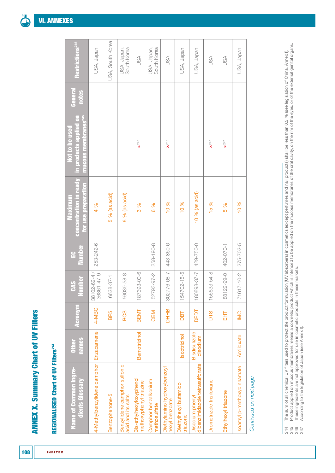## REGIONALISED Chart of UV Filters<sup>244</sup> REGIONALISED Chart of UV Filters<sup>244</sup>

**INDITEX** 

| Restrictions <sup>246</sup>                                                       | USA, Japan                  | USA, South Korea     | USA, Japan,<br>South Korea                         | USA                                               | USA, Japan,<br>South Korea           | USA                                           | USA, Japan                        | USA, Japan                                        | USA                      | USA                     | USA, Japan                 |
|-----------------------------------------------------------------------------------|-----------------------------|----------------------|----------------------------------------------------|---------------------------------------------------|--------------------------------------|-----------------------------------------------|-----------------------------------|---------------------------------------------------|--------------------------|-------------------------|----------------------------|
| General<br>notes                                                                  |                             |                      |                                                    |                                                   |                                      |                                               |                                   |                                                   |                          |                         |                            |
| <b>mucous membranes<sup>245</sup></b><br>in products applied on<br>Not to be used |                             |                      |                                                    | $x^{247}$                                         |                                      | $\pmb{\times}^{247}$                          |                                   |                                                   | $\pmb{\chi}^{247}$       | $\mathbf{x}^{247}$      |                            |
| concentration in ready<br>for use preparation<br>Maximum                          | 4 %                         | $5%$ (as acid)       | 6 % (as acid)                                      | 8<br>8                                            | 6 %                                  | 10 %                                          | 10 %                              | $10%$ (as acid)                                   | 15 %                     | 5 %                     | 10 %                       |
| Number<br>$\mathbf{E}$                                                            | 253-242-6                   |                      |                                                    |                                                   | 258-190-8                            | 443-860-6                                     |                                   | 429-750-0                                         |                          | 402-070-1               | 275-702-5                  |
| Number<br><b>CAS</b>                                                              | 36861-47-9<br>38102-62-4    | $28 - 37 - 1$<br>662 | 56039-58-8                                         | 187393-00-6                                       | 52793-97-2                           | 302776-68-7                                   | 154702-15-5                       | 180898-37-7                                       | 155633-54-8              | $22 - 99 - 0$<br>$-188$ | 71617-10-2                 |
| <b>Acronym</b>                                                                    | 4-MBC                       | BP <sub>5</sub>      | <b>BCS</b>                                         | BEMT                                              | CBM                                  | <b>DHHB</b>                                   | <b>DBT</b>                        | DPDT                                              | <b>DTS</b>               | 도<br>고드                 | <b>IMC</b>                 |
| names<br><b>Other</b>                                                             | Enzacamene                  |                      |                                                    | Bemotrizinol                                      |                                      |                                               | Iscotrizinol                      | Bisdisulizole<br>disodium                         |                          |                         | Amiloxate                  |
| <b>Name of Common Ingre-</b><br>dients Glossary                                   | 4-Methylbenzylidene camphor | Benzophenone-5       | Benzylidene camphor sulfonic<br>acid and its salts | Bis-ethylhexyloxyphenol<br>methoxyphenyl triazine | Camphor benzalkonium<br>methosulfate | Diethylamino hydroxybenzoyl<br>hexyl benzoate | Diethylhexyl butamido<br>triazone | dibenzimidazole tetrasulfonate<br>Disodium phenyl | Drometrizole trisiloxane | Ethylhexyl triazone     | Isoamyl p-methoxycinnamate |

Continued on next page *Continued on next page*

<sup>244</sup> The sum of all chemical UV filters used to protect the product formulation (UV absorbers) in cosmetics (except perfumes and nail products) shall be less than 0.5 % (see legislation of China, [Annex I](#page-52-0)).

The sum of all chemical UV filters used to protect the product formulation (UV absorbers) in cosmetics (except perfumes and nail products) shall be less than 0.5 % (see legislation of China, Annex I).<br>Product applied on mu 245 Product applied on mucous membranes means a cosmetic product which is intended to be applied on the mucous membranes of the oral cavity, on the rim of the eyes, or of the external genital organs. 246 These ingredients are not approved for use in cosmetic products in these markets.

<sup>247</sup> According to the legislation of Japan (see [Annex I\)](#page-52-0).2<br>4 4 4 4<br>4 7 6 7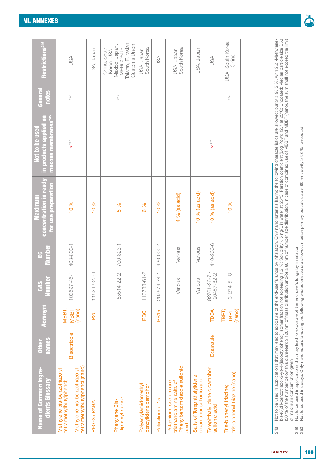| <b>Name of Common Ingre-</b><br>dients Glossary                                                                          | names<br><b>Other</b> | <b>Acronym</b>                 | <b>Number</b><br><b>CAS</b> | Vumber<br>$\mathbf{E}$ | concentration in ready<br>for use preparation<br>Maximum | <b>Inucous membranes<sup>245</sup></b><br>in products applied of<br>Not to be used | General<br>notes | Restrictions <sup>246</sup>                                                                            |
|--------------------------------------------------------------------------------------------------------------------------|-----------------------|--------------------------------|-----------------------------|------------------------|----------------------------------------------------------|------------------------------------------------------------------------------------|------------------|--------------------------------------------------------------------------------------------------------|
| tetramethylbutylphenol (nano)<br>Methylene bis-benzotriazolyl<br>Methylene bis-benzotriazolyl<br>tetramethylbutylphenol; | Bisoctrizole          | MBBT;<br>(nano)<br><b>MBBT</b> | 103597-45-1                 | 403-800-1              | 10 %                                                     | $\mathbf{x}^{247}$                                                                 | 248              | JSA                                                                                                    |
| PEG-25 PABA                                                                                                              |                       | P25                            | 116242-27-4                 |                        | 10 %                                                     |                                                                                    |                  | USA, Japan                                                                                             |
| Diphenyltriazine<br>Phenylene Bis-                                                                                       |                       |                                | 55514-22-2                  | 700-823-1              | 5 %                                                      |                                                                                    | 249              | Taiwan, Eurasian<br>Customs Union<br>Mexico, Japan,<br><b>MERCOSUR,</b><br>China, South<br>Korea, USA, |
| Polyacrylamidomethyl<br>benzylidene camphor                                                                              |                       | PBC                            | $83 - 61 - 2$<br>11378      |                        | 6 %                                                      |                                                                                    |                  | South Korea<br>USA, Japan,                                                                             |
| Polysilicone-15                                                                                                          |                       | <b>PS15</b>                    | 207574-74-1                 | 426-000-4              | 10 %                                                     |                                                                                    |                  | USA                                                                                                    |
| Phenylbenzimidazole sulfonic<br>Potassium, sodium and<br>triethanolamine salts of<br>acid                                |                       |                                | Various                     | Various                | 4 % (as acid)                                            |                                                                                    |                  | USA, Japan,<br>South Korea                                                                             |
| Salts of Terephthalylidene<br>dicamphor sulfonic acid                                                                    |                       |                                | Various                     | Various                | $10%$ (as acid)                                          |                                                                                    |                  | USA, Japan                                                                                             |
| Terephthalylidene dicamphor<br>sulfonic acid                                                                             | Ecamsule              | TDSA                           | 90457-82-2<br>92761-26-7    | 410-960-6              | $10%$ (as acid)                                          | $\pmb{\times}^{247}$                                                               |                  | JSA                                                                                                    |
| tris-biphenyl triazine (nano)<br>Tris-biphenyl triazine;                                                                 |                       | TBPT;<br>(nano)<br>TBPT        | $31274 - 51 - 8$            |                        | 10 %                                                     |                                                                                    | 250              | USA, South Korea,<br>China                                                                             |

Not to be used in applications that may lead to exposure of the end-user's lungs by inhalation. Only nanomaterials having the following characteristics are allowed: purity ≥ 98.5 %, with 2.2'-Methylene-<br>bis-(6(2H-benzotri bis-(6(2H-benzotriazol-2-yl)-4-(isooctyl)phenol) isomer fraction not exceeding 1.5 %; Solubility < 5 ng/L in water at 25ºC; Partition coefficient (Log Pow): 12.7 at 25ºC; Uncoated; Median particle size D50 (50 % of the number below this diameter): ≥ 120 nm of mass distribution and/or ≥ 60 nm of number size distribution. In case of combined use of MBBT and MBBT (nano), the sum shall not exceed the limit 248 Not to be used in applications that may lead to exposure of the end-user's lungs by inhalation. Only nanomaterials having the following characteristics are allowed: purity ≥ 98.5 %, with 2,2'-Methyleneof maximum concentration given. 248

249 Not to be used in applications that may lead to exposure of the end user's lungs by inhalation. 249<br>250



Not to be used in applications that may lead to exposure of the end user's lungs by inhalation.<br>Not to be used in sprays. Only nanomaterials having the following characteristics are allowed: median primary particle size > 250 Not to be used in sprays. Only nanomaterials having the following characteristics are allowed: median primary particle size > 80 nm; purity ≥ 98 %; uncoated.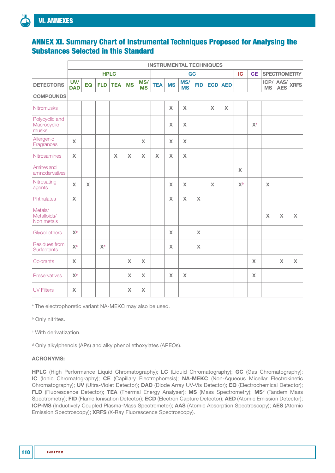## ANNEX XI. Summary Chart of Instrumental Techniques Proposed for Analysing the Substances Selected in this Standard

|                                        | <b>INSTRUMENTAL TECHNIQUES</b> |              |                |              |                           |                  |            |              |                  |             |              |                |                |              |                           |                    |                     |
|----------------------------------------|--------------------------------|--------------|----------------|--------------|---------------------------|------------------|------------|--------------|------------------|-------------|--------------|----------------|----------------|--------------|---------------------------|--------------------|---------------------|
|                                        |                                |              |                | <b>HPLC</b>  |                           |                  |            |              |                  | GC          |              |                | IC             | <b>CE</b>    |                           |                    | <b>SPECTROMETRY</b> |
| <b>DETECTORS</b>                       | UV/<br><b>DAD</b>              | EQ           | <b>FLD</b>     | <b>TEA</b>   | <b>MS</b>                 | MS/<br><b>MS</b> | <b>TEA</b> | <b>MS</b>    | MS/<br><b>MS</b> | <b>FID</b>  |              | <b>ECD</b> AED |                |              | ICP/<br><b>MS</b>         | AAS/<br><b>AES</b> | <b>XRFS</b>         |
| <b>COMPOUNDS</b>                       |                                |              |                |              |                           |                  |            |              |                  |             |              |                |                |              |                           |                    |                     |
| <b>Nitromusks</b>                      |                                |              |                |              |                           |                  |            | $\mathsf X$  | $\mathsf X$      |             | $\mathsf{x}$ | $\mathsf{x}$   |                |              |                           |                    |                     |
| Polycyclic and<br>Macrocyclic<br>musks |                                |              |                |              |                           |                  |            | $\pmb{\chi}$ | $\mathsf X$      |             |              |                |                | $X^a$        |                           |                    |                     |
| Allergenic<br>Fragrances               | $\pmb{\chi}$                   |              |                |              |                           | $\mathsf{X}$     |            | $\mathsf X$  | $\mathsf X$      |             |              |                |                |              |                           |                    |                     |
| <b>Nitrosamines</b>                    | $\boldsymbol{\mathsf{X}}$      |              |                | $\mathsf{X}$ | $\boldsymbol{\mathsf{X}}$ | $\mathsf{X}$     | X          | $\mathsf{X}$ | $\mathsf{X}$     |             |              |                |                |              |                           |                    |                     |
| Amines and<br>aminoderivatives         |                                |              |                |              |                           |                  |            |              |                  |             |              |                | $\mathsf{X}$   |              |                           |                    |                     |
| Nitrosating<br>agents                  | $\mathsf{X}$                   | $\mathsf{X}$ |                |              |                           |                  |            | $\mathsf X$  | $\mathsf X$      |             | X            |                | X <sub>p</sub> |              | $\mathsf{X}$              |                    |                     |
| Phthalates                             | $\mathsf X$                    |              |                |              |                           |                  |            | $\mathsf X$  | $\mathsf X$      | $\mathsf X$ |              |                |                |              |                           |                    |                     |
| Metals/<br>Metalloids/<br>Non metals   |                                |              |                |              |                           |                  |            |              |                  |             |              |                |                |              | $\boldsymbol{\mathsf{X}}$ | $\mathsf X$        | $\pmb{\mathsf{X}}$  |
| Glycol-ethers                          | X <sup>c</sup>                 |              |                |              |                           |                  |            | $\mathsf X$  |                  | $\mathsf X$ |              |                |                |              |                           |                    |                     |
| Residues from<br><b>Surfactants</b>    | X <sup>c</sup>                 |              | X <sup>d</sup> |              |                           |                  |            | $\mathsf X$  |                  | $\mathsf X$ |              |                |                |              |                           |                    |                     |
| Colorants                              | $\mathsf X$                    |              |                |              | $\mathsf{X}$              | $\mathsf{X}$     |            |              |                  |             |              |                |                | $\mathsf X$  |                           | $\mathsf{X}$       | $\mathsf{X}$        |
| Preservatives                          | $\mathbf{X}^{\text{c}}$        |              |                |              | $\boldsymbol{\mathsf{X}}$ | $\mathsf X$      |            | $\mathsf X$  | $\mathsf X$      |             |              |                |                | $\mathsf{X}$ |                           |                    |                     |
| <b>UV Filters</b>                      | $\boldsymbol{\mathsf{X}}$      |              |                |              | $\boldsymbol{\mathsf{X}}$ | $\mathbf x$      |            |              |                  |             |              |                |                |              |                           |                    |                     |

<sup>a</sup> The electrophoretic variant NA-MEKC may also be used.

**b** Only nitrites.

c With derivatization.

<sup>d</sup> Only alkylphenols (APs) and alkylphenol ethoxylates (APEOs).

### ACRONYMS:

HPLC (High Performance Liquid Chromatography); LC (Liquid Chromatography); GC (Gas Chromatography); IC (Ionic Chromatography); CE (Capillary Electrophoresis); NA-MEKC (Non-Aqueous Micellar Electrokinetic Chromatography); UV (Ultra-Violet Detector); DAD (Diode Array UV-Vis Detector); EQ (Electrochemical Detector); FLD (Fluorescence Detector); TEA (Thermal Energy Analyser); MS (Mass Spectrometry); MS<sup>2</sup> (Tandem Mass Spectrometry); FID (Flame Ionisation Detector); ECD (Electron Capture Detector); AED (Atomic Emission Detector); ICP-MS (Inductively Coupled Plasma-Mass Spectrometer); AAS (Atomic Absorption Spectroscopy); AES (Atomic Emission Spectroscopy); XRFS (X-Ray Fluorescence Spectroscopy).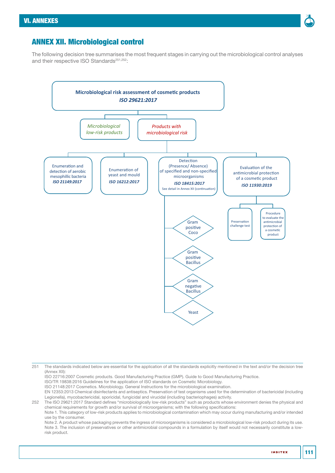

### <span id="page-110-0"></span>ANNEX XII. Microbiological control

The following decision tree summarises the most frequent stages in carrying out the microbiological control analyses and their respective ISO Standards<sup>251,252</sup>:



ISO 22716:2007 Cosmetic products. Good Manufacturing Practice (GMP). Guide to Good Manufacturing Practice.

ISO/TR 19838:2016 Guidelines for the application of ISO standards on Cosmetic Microbiology.

ISO 21148:2017 Cosmetics. Microbiology. General Instructions for the microbiological examination.

EN 12353:2013 Chemical disinfectants and antiseptics. Preservation of test organisms used for the determination of bactericidal (including Legionella), mycobactericidal, sporicidal, fungicidal and virucidal (including bacteriophages) activity.

252 The ISO 29621:2017 Standard defines "microbiologically low-risk products" such as products whose environment denies the physical and chemical requirements for growth and/or survival of microorganisms; with the following specifications: Note 1. This category of low-risk products applies to microbiological contamination which may occur during manufacturing and/or intended

use by the consumer.

Note 2. A product whose packaging prevents the ingress of microorganisms is considered a microbiological low-risk product during its use. Note 3. The inclusion of preservatives or other antimicrobial compounds in a formulation by itself would not necessarily constitute a lowrisk product.

<sup>251</sup> The standards indicated below are essential for the application of all the standards explicitly mentioned in the text and/or the decision tree [\(Annex XII\)](#page-110-0):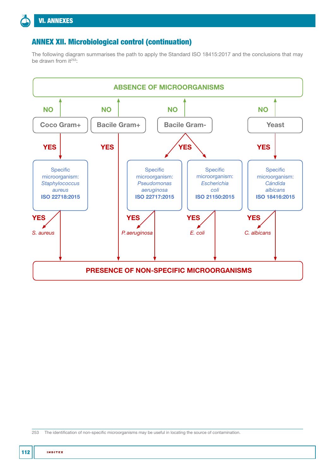# ANNEX XII. Microbiological control (continuation)

The following diagram summarises the path to apply the Standard ISO 18415:2017 and the conclusions that may be drawn from  $it^{253}$ :



253 The identification of non-specific microorganisms may be useful in locating the source of contamination.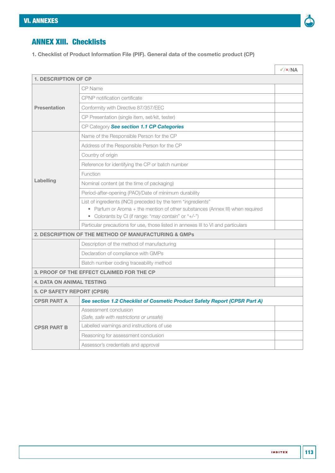

# ANNEX XIII. Checklists

1. Checklist of Product Information File (PIF). General data of the cosmetic product (CP)

|                                           |                                                                                                                                       | $\sqrt{\frac{x}{NA}}$ |  |  |  |  |  |
|-------------------------------------------|---------------------------------------------------------------------------------------------------------------------------------------|-----------------------|--|--|--|--|--|
| <b>1. DESCRIPTION OF CP</b>               |                                                                                                                                       |                       |  |  |  |  |  |
|                                           | CP Name                                                                                                                               |                       |  |  |  |  |  |
|                                           | CPNP notification certificate                                                                                                         |                       |  |  |  |  |  |
| <b>Presentation</b>                       | Conformity with Directive 87/357/EEC                                                                                                  |                       |  |  |  |  |  |
|                                           | CP Presentation (single item, set/kit, tester)                                                                                        |                       |  |  |  |  |  |
|                                           | CP Category See section 1.1 CP Categories                                                                                             |                       |  |  |  |  |  |
|                                           | Name of the Responsible Person for the CP                                                                                             |                       |  |  |  |  |  |
|                                           | Address of the Responsible Person for the CP                                                                                          |                       |  |  |  |  |  |
|                                           | Country of origin                                                                                                                     |                       |  |  |  |  |  |
|                                           | Reference for identifying the CP or batch number                                                                                      |                       |  |  |  |  |  |
|                                           | Function                                                                                                                              |                       |  |  |  |  |  |
| Labelling                                 | Nominal content (at the time of packaging)                                                                                            |                       |  |  |  |  |  |
|                                           | Period-after-opening (PAO)/Date of minimum durability                                                                                 |                       |  |  |  |  |  |
|                                           | List of ingredients (INCI) preceded by the term "ingredients"                                                                         |                       |  |  |  |  |  |
|                                           | • Parfum or Aroma + the mention of other substances (Annex III) when required<br>• Colorants by CI (if range: "may contain" or "+/-") |                       |  |  |  |  |  |
|                                           | Particular precautions for use, those listed in annexes III to VI and particulars                                                     |                       |  |  |  |  |  |
|                                           | <b>2. DESCRIPTION OF THE METHOD OF MANUFACTURING &amp; GMPs</b>                                                                       |                       |  |  |  |  |  |
|                                           | Description of the method of manufacturing                                                                                            |                       |  |  |  |  |  |
|                                           | Declaration of compliance with GMPs                                                                                                   |                       |  |  |  |  |  |
|                                           | Batch number coding traceability method                                                                                               |                       |  |  |  |  |  |
| 3. PROOF OF THE EFFECT CLAIMED FOR THE CP |                                                                                                                                       |                       |  |  |  |  |  |
| <b>4. DATA ON ANIMAL TESTING</b>          |                                                                                                                                       |                       |  |  |  |  |  |
| 5. CP SAFETY REPORT (CPSR)                |                                                                                                                                       |                       |  |  |  |  |  |
| <b>CPSR PART A</b>                        | See section 1.2 Checklist of Cosmetic Product Safety Report (CPSR Part A)                                                             |                       |  |  |  |  |  |
|                                           | Assessment conclusion                                                                                                                 |                       |  |  |  |  |  |
|                                           | (Safe, safe with restrictions or unsafe)                                                                                              |                       |  |  |  |  |  |
| <b>CPSR PART B</b>                        | Labelled warnings and instructions of use                                                                                             |                       |  |  |  |  |  |
|                                           | Reasoning for assessment conclusion                                                                                                   |                       |  |  |  |  |  |
|                                           | Assessor's credentials and approval                                                                                                   |                       |  |  |  |  |  |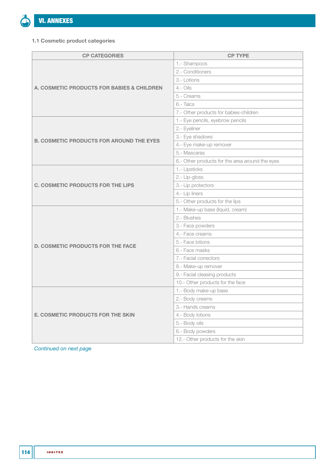

#### 1.1 Cosmetic product categories

| <b>CP CATEGORIES</b>                                  | <b>CP TYPE</b>                                  |  |  |
|-------------------------------------------------------|-------------------------------------------------|--|--|
|                                                       | 1.- Shampoos                                    |  |  |
|                                                       | 2.- Conditioners                                |  |  |
|                                                       | 3.- Lotions                                     |  |  |
| <b>A. COSMETIC PRODUCTS FOR BABIES &amp; CHILDREN</b> | $4 - Oils$                                      |  |  |
|                                                       | 5.- Creams                                      |  |  |
|                                                       | 6.-Talcs                                        |  |  |
|                                                       | 7.- Other products for babies-children          |  |  |
|                                                       | 1.- Eye pencils, eyebrow pencils                |  |  |
|                                                       | 2.- Eyeliner                                    |  |  |
|                                                       | 3.- Eye shadows                                 |  |  |
| <b>B. COSMETIC PRODUCTS FOR AROUND THE EYES</b>       | 4.- Eye make-up remover                         |  |  |
|                                                       | 5.- Mascaras                                    |  |  |
|                                                       | 6.- Other products for the area around the eyes |  |  |
|                                                       | 1.- Lipsticks                                   |  |  |
|                                                       | 2.- Lip-gloss                                   |  |  |
| <b>C. COSMETIC PRODUCTS FOR THE LIPS</b>              | 3.- Lip protectors                              |  |  |
|                                                       | 4.- Lip liners                                  |  |  |
|                                                       | 5.- Other products for the lips                 |  |  |
|                                                       | 1.- Make-up base (liquid, cream)                |  |  |
|                                                       | 2.- Blushes                                     |  |  |
|                                                       | 3.- Face powders                                |  |  |
|                                                       | 4.- Face creams                                 |  |  |
| <b>D. COSMETIC PRODUCTS FOR THE FACE</b>              | 5.- Face lotions                                |  |  |
|                                                       | 6.- Face masks                                  |  |  |
|                                                       | 7.- Facial correctors                           |  |  |
|                                                       | 8.- Make-up remover                             |  |  |
|                                                       | 9.- Facial cleasing products                    |  |  |
|                                                       | 10.- Other products for the face                |  |  |
|                                                       | 1.- Body make-up base                           |  |  |
|                                                       | 2.- Body creams                                 |  |  |
|                                                       | 3.- Hands creams                                |  |  |
| <b>E. COSMETIC PRODUCTS FOR THE SKIN</b>              | 4.- Body lotions                                |  |  |
|                                                       | 5.- Body oils                                   |  |  |
|                                                       | 6.- Body powders                                |  |  |
|                                                       | 12.- Other products for the skin                |  |  |

*Continued on next page*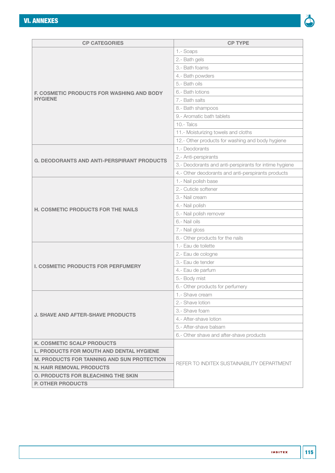

| <b>CP CATEGORIES</b>                              | <b>CP TYPE</b>                                         |  |  |  |  |
|---------------------------------------------------|--------------------------------------------------------|--|--|--|--|
|                                                   | 1.- Soaps                                              |  |  |  |  |
|                                                   | 2.- Bath gels                                          |  |  |  |  |
|                                                   | 3.- Bath foams                                         |  |  |  |  |
|                                                   | 4.- Bath powders                                       |  |  |  |  |
|                                                   | 5.- Bath oils                                          |  |  |  |  |
| <b>F. COSMETIC PRODUCTS FOR WASHING AND BODY</b>  | 6.- Bath lotions                                       |  |  |  |  |
| <b>HYGIENE</b>                                    | 7.- Bath salts                                         |  |  |  |  |
|                                                   | 8.- Bath shampoos                                      |  |  |  |  |
|                                                   | 9.- Aromatic bath tablets                              |  |  |  |  |
|                                                   | 10.- Talcs                                             |  |  |  |  |
|                                                   | 11.- Moisturizing towels and cloths                    |  |  |  |  |
|                                                   | 12.- Other products for washing and body hygiene       |  |  |  |  |
|                                                   | 1.- Deodorants                                         |  |  |  |  |
|                                                   | 2.- Anti-perspirants                                   |  |  |  |  |
| <b>G. DEODORANTS AND ANTI-PERSPIRANT PRODUCTS</b> | 3.- Deodorants and anti-perspirants for intime hygiene |  |  |  |  |
|                                                   | 4.- Other deodorants and anti-perspirants products     |  |  |  |  |
|                                                   | 1.- Nail polish base                                   |  |  |  |  |
|                                                   | 2.- Cuticle softener                                   |  |  |  |  |
|                                                   | 3.- Nail cream                                         |  |  |  |  |
|                                                   | 4.- Nail polish                                        |  |  |  |  |
| <b>H. COSMETIC PRODUCTS FOR THE NAILS</b>         | 5.- Nail polish remover                                |  |  |  |  |
|                                                   | 6.- Nail oils                                          |  |  |  |  |
|                                                   | 7.- Nail gloss                                         |  |  |  |  |
|                                                   | 8.- Other products for the nails                       |  |  |  |  |
|                                                   | 1.- Eau de toilette                                    |  |  |  |  |
|                                                   | 2.- Eau de cologne                                     |  |  |  |  |
| <b>I. COSMETIC PRODUCTS FOR PERFUMERY</b>         | 3.- Eau de tender                                      |  |  |  |  |
|                                                   | 4.- Eau de parfum                                      |  |  |  |  |
|                                                   | 5.- Body mist                                          |  |  |  |  |
|                                                   | 6.- Other products for perfumery                       |  |  |  |  |
|                                                   | 1.- Shave cream                                        |  |  |  |  |
|                                                   | 2.- Shave lotion                                       |  |  |  |  |
| <b>J. SHAVE AND AFTER-SHAVE PRODUCTS</b>          | 3.- Shave foam                                         |  |  |  |  |
|                                                   | 4.- After-shave lotion                                 |  |  |  |  |
|                                                   | 5.- After-shave balsam                                 |  |  |  |  |
|                                                   | 6.- Other shave and after-shave products               |  |  |  |  |
| <b>K. COSMETIC SCALP PRODUCTS</b>                 |                                                        |  |  |  |  |
| <b>L. PRODUCTS FOR MOUTH AND DENTAL HYGIENE</b>   |                                                        |  |  |  |  |
| <b>M. PRODUCTS FOR TANNING AND SUN PROTECTION</b> |                                                        |  |  |  |  |
| <b>N. HAIR REMOVAL PRODUCTS</b>                   | REFER TO INDITEX SUSTAINABILITY DEPARTMENT             |  |  |  |  |
| <b>O. PRODUCTS FOR BLEACHING THE SKIN</b>         |                                                        |  |  |  |  |
| <b>P. OTHER PRODUCTS</b>                          |                                                        |  |  |  |  |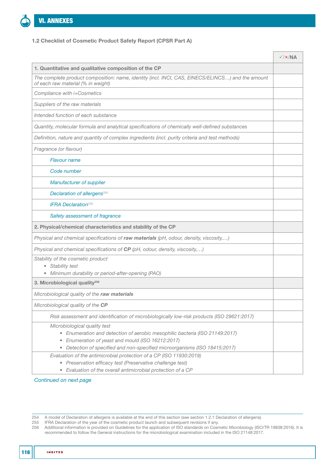

#### 1.2 Checklist of Cosmetic Product Safety Report (CPSR Part A)

|                                                                                                                                                                                                                                                                         | $\sqrt{\frac{x}{NA}}$ |
|-------------------------------------------------------------------------------------------------------------------------------------------------------------------------------------------------------------------------------------------------------------------------|-----------------------|
| 1. Quantitative and qualitative composition of the CP                                                                                                                                                                                                                   |                       |
| The complete product composition: name, identity (incl. INCI, CAS, EINECS/ELINCS) and the amount<br>of each raw material (% in weight)                                                                                                                                  |                       |
| Compliance with i+Cosmetics                                                                                                                                                                                                                                             |                       |
| Suppliers of the raw materials                                                                                                                                                                                                                                          |                       |
| Intended function of each substance                                                                                                                                                                                                                                     |                       |
| Quantity, molecular formula and analytical specifications of chemically well-defined substances                                                                                                                                                                         |                       |
| Definition, nature and quantity of complex ingredients (incl. purity criteria and test methods)                                                                                                                                                                         |                       |
| Fragrance (or flavour)                                                                                                                                                                                                                                                  |                       |
| <b>Flavour name</b>                                                                                                                                                                                                                                                     |                       |
| Code number                                                                                                                                                                                                                                                             |                       |
| <b>Manufacturer of supplier</b>                                                                                                                                                                                                                                         |                       |
| Declaration of allergens <sup>254</sup>                                                                                                                                                                                                                                 |                       |
| <b>IFRA Declaration</b> <sup>255</sup>                                                                                                                                                                                                                                  |                       |
| Safety assessment of fragrance                                                                                                                                                                                                                                          |                       |
| 2. Physical/chemical characteristics and stability of the CP                                                                                                                                                                                                            |                       |
| Physical and chemical specifications of raw materials (pH, odour, density, viscosity,)                                                                                                                                                                                  |                       |
| Physical and chemical specifications of CP (pH, odour, density, viscosity,)                                                                                                                                                                                             |                       |
| Stability of the cosmetic product<br>• Stability test                                                                                                                                                                                                                   |                       |
| · Minimum durability or period-after-opening (PAO)                                                                                                                                                                                                                      |                       |
| 3. Microbiological quality <sup>256</sup>                                                                                                                                                                                                                               |                       |
| Microbiological quality of the raw materials                                                                                                                                                                                                                            |                       |
| Microbiological quality of the CP                                                                                                                                                                                                                                       |                       |
| Risk assessment and identification of microbiologically low-risk products (ISO 29621:2017)                                                                                                                                                                              |                       |
| Microbiological quality test<br>• Enumeration and detection of aerobic mesophilic bacteria (ISO 21149:2017)<br>• Enumeration of yeast and mould (ISO 16212:2017)<br>Detection of specified and non-specified microorganisms (ISO 18415:2017)<br>$\qquad \qquad \bullet$ |                       |
| Evaluation of the antimicrobial protection of a CP (ISO 11930:2019)<br>• Preservation efficacy test (Preservative challenge test)<br>• Evaluation of the overall antimicrobial protection of a CP                                                                       |                       |

*Continued on next page*

255 IFRA Declaration of the year of the cosmetic product launch and subsequent revisions if any.

<sup>254</sup> A model of Declaration of allergens is available at the end of this section (see section [1.2.1 Declaration of allergens](#page-117-0)).

<sup>256</sup> Additional information is provided on Guidelines for the application of ISO standards on Cosmetic Microbiology (ISO/TR 19838:2016). It is recommended to follow the General instructions for the microbiological examination included in the ISO 21148:2017.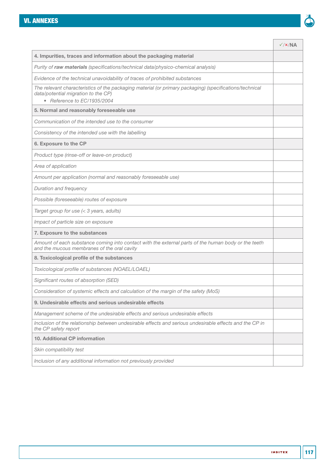

|                                                                                                                                                                               | $\sqrt{\frac{x}{NA}}$ |
|-------------------------------------------------------------------------------------------------------------------------------------------------------------------------------|-----------------------|
| 4. Impurities, traces and information about the packaging material                                                                                                            |                       |
| Purity of raw materials (specifications/technical data/physico-chemical analysis)                                                                                             |                       |
| Evidence of the technical unavoidability of traces of prohibited substances                                                                                                   |                       |
| The relevant characteristics of the packaging material (or primary packaging) (specifications/technical<br>data/potential migration to the CP)<br>• Reference to EC/1935/2004 |                       |
| 5. Normal and reasonably foreseeable use                                                                                                                                      |                       |
| Communication of the intended use to the consumer                                                                                                                             |                       |
| Consistency of the intended use with the labelling                                                                                                                            |                       |
| 6. Exposure to the CP                                                                                                                                                         |                       |
| Product type (rinse-off or leave-on product)                                                                                                                                  |                       |
| Area of application                                                                                                                                                           |                       |
| Amount per application (normal and reasonably foreseeable use)                                                                                                                |                       |
| Duration and frequency                                                                                                                                                        |                       |
| Possible (foreseeable) routes of exposure                                                                                                                                     |                       |
| Target group for use (< 3 years, adults)                                                                                                                                      |                       |
| Impact of particle size on exposure                                                                                                                                           |                       |
| 7. Exposure to the substances                                                                                                                                                 |                       |
| Amount of each substance coming into contact with the external parts of the human body or the teeth<br>and the mucous membranes of the oral cavity                            |                       |
| 8. Toxicological profile of the substances                                                                                                                                    |                       |
| Toxicological profile of substances (NOAEL/LOAEL)                                                                                                                             |                       |
| Significant routes of absorption (SED)                                                                                                                                        |                       |
| Consideration of systemic effects and calculation of the margin of the safety (MoS)                                                                                           |                       |
| 9. Undesirable effects and serious undesirable effects                                                                                                                        |                       |
| Management scheme of the undesirable effects and serious undesirable effects                                                                                                  |                       |
| Inclusion of the relationship between undesirable effects and serious undesirable effects and the CP in<br>the CP safety report                                               |                       |
| 10. Additional CP information                                                                                                                                                 |                       |
| Skin compatibility test                                                                                                                                                       |                       |
| Inclusion of any additional information not previously provided                                                                                                               |                       |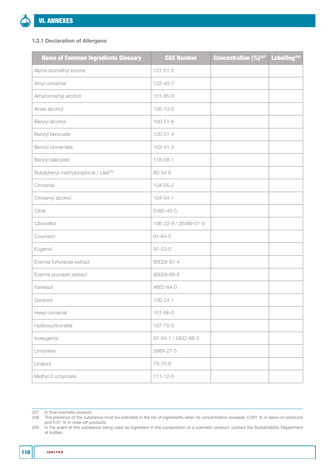### <span id="page-117-0"></span>1.2.1 Declaration of Allergens

| <b>Name of Common Ingredients Glossary</b>          | <b>CAS Number</b>     | <b>Concentration (%)</b> <sup>257</sup> | Labelling <sup>258</sup> |
|-----------------------------------------------------|-----------------------|-----------------------------------------|--------------------------|
| Alpha-Isomethyl ionone                              | $127 - 51 - 5$        |                                         |                          |
| Amyl cinnamal                                       | $122 - 40 - 7$        |                                         |                          |
| Amylcinnamyl alcohol                                | $101 - 85 - 9$        |                                         |                          |
| Anise alcohol                                       | $105 - 13 - 5$        |                                         |                          |
| Benzyl alcohol                                      | $100 - 51 - 6$        |                                         |                          |
| Benzyl benzoate                                     | $120 - 51 - 4$        |                                         |                          |
| Benzyl cinnamate                                    | $103 - 41 - 3$        |                                         |                          |
| Benzyl salicylate                                   | 118-58-1              |                                         |                          |
| Butylphenyl methylpropional / Lilial <sup>259</sup> | 80-54-6               |                                         |                          |
| Cinnamal                                            | $104 - 55 - 2$        |                                         |                          |
| Cinnamyl alcohol                                    | $104 - 54 - 1$        |                                         |                          |
| Citral                                              | 5392-40-5             |                                         |                          |
| Citronellol                                         | 106-22-9 / 26489-01-0 |                                         |                          |
| Coumarin                                            | $91 - 64 - 5$         |                                         |                          |
| Eugenol                                             | $97 - 53 - 0$         |                                         |                          |
| Evernia furfuracea extract                          | 90028-67-4            |                                         |                          |
| Evernia prunastri extract                           | 90028-68-5            |                                         |                          |
| Farnesol                                            | 4602-84-0             |                                         |                          |
| Geraniol                                            | $106 - 24 - 1$        |                                         |                          |
| Hexyl cinnamal                                      | $101 - 86 - 0$        |                                         |                          |
| Hydroxycitronellal                                  | $107 - 75 - 5$        |                                         |                          |
| Isoeugenol                                          | 97-54-1 / 5932-68-3   |                                         |                          |
| Limonene                                            | 5989-27-5             |                                         |                          |
| Linalool                                            | 78-70-6               |                                         |                          |
| Methyl 2-octynoate                                  | $111 - 12 - 6$        |                                         |                          |

257 In final cosmetic product.

258 The presence of the substance must be indicated in the list of ingredients when its concentration exceeds: 0.001 % in leave-on products and 0.01 % in rinse-off products.

259 In the event of this substance being used as ingredient in the composition of a cosmetic product, contact the Sustainability Department at Inditex.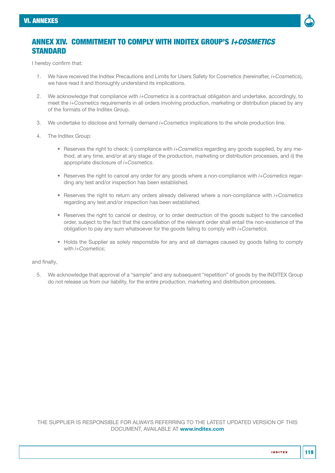

## ANNEX XIV. COMMITMENT TO COMPLY WITH INDITEX GROUP'S *I+COSMETICS* **STANDARD**

I hereby confirm that:

- 1. We have received the Inditex Precautions and Limits for Users Safety for Cosmetics (hereinafter, *i+Cosmetics*), we have read it and thoroughly understand its implications.
- 2. We acknowledge that compliance with *i+Cosmetics* is a contractual obligation and undertake, accordingly, to meet the *i+Cosmetics* requirements in all orders involving production, marketing or distribution placed by any of the formats of the Inditex Group.
- 3. We undertake to disclose and formally demand *i+Cosmetics* implications to the whole production line.
- 4. The Inditex Group:
	- Reserves the right to check: i) compliance with *i+Cosmetics* regarding any goods supplied, by any method, at any time, and/or at any stage of the production, marketing or distribution processes, and ii) the appropriate disclosure of *i+Cosmetics*.
	- Reserves the right to cancel any order for any goods where a non-compliance with *i+Cosmetics* regarding any test and/or inspection has been established.
	- Reserves the right to return any orders already delivered where a non-compliance with *i+Cosmetics*  regarding any test and/or inspection has been established.
	- Reserves the right to cancel or destroy, or to order destruction of the goods subject to the cancelled order, subject to the fact that the cancellation of the relevant order shall entail the non-existence of the obligation to pay any sum whatsoever for the goods failing to comply with *i+Cosmetics*.
	- Holds the Supplier as solely responsible for any and all damages caused by goods failing to comply with *i+Cosmetics*;

#### and finally,

5. We acknowledge that approval of a "sample" and any subsequent "repetition" of goods by the INDITEX Group do not release us from our liability, for the entire production, marketing and distribution processes.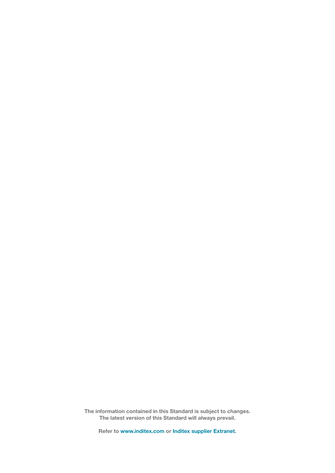The information contained in this Standard is subject to changes. The latest version of this Standard will always prevail.

Refer to www.inditex.com or Inditex supplier Extranet.